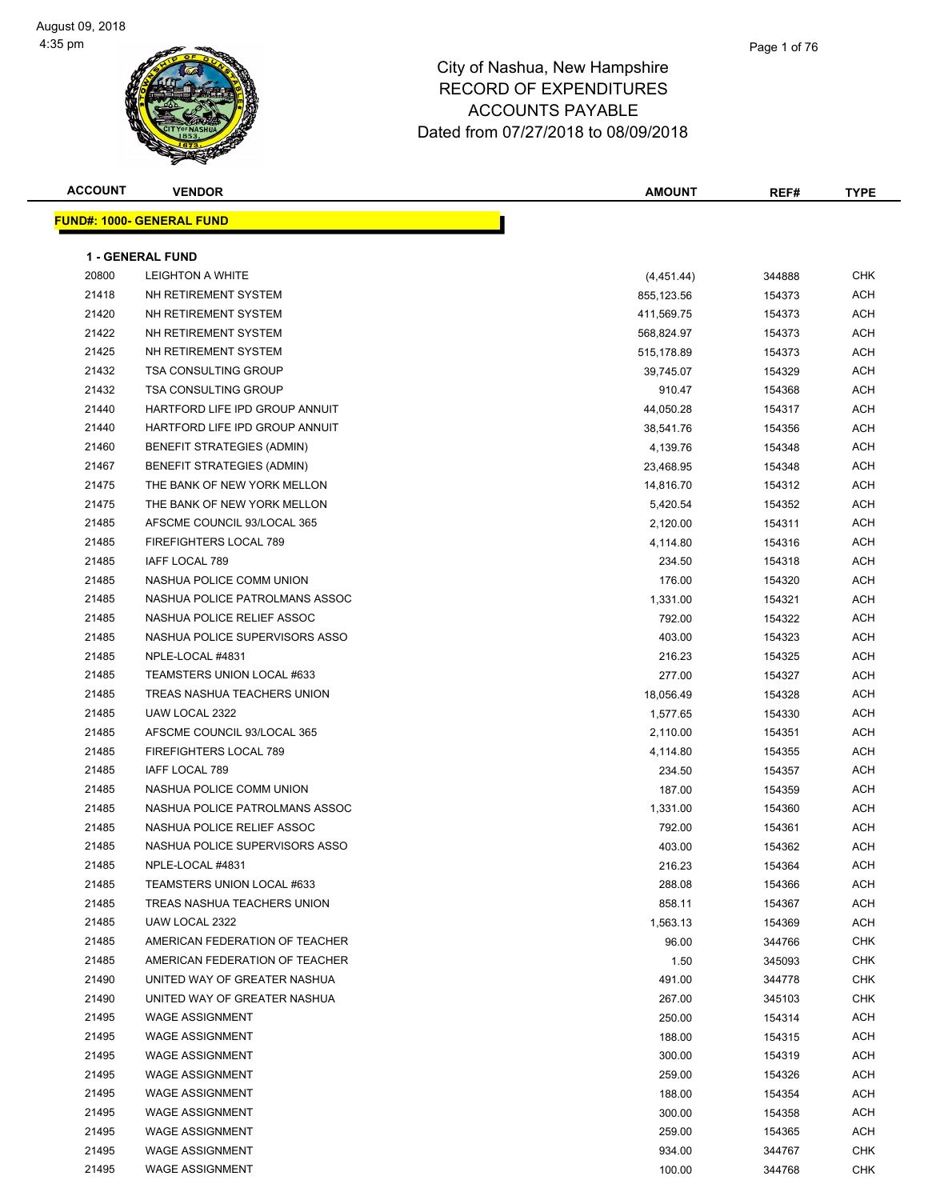| <b>ACCOUNT</b> | <b>VENDOR</b>                     | <b>AMOUNT</b> | REF#   | TYPE       |
|----------------|-----------------------------------|---------------|--------|------------|
|                | <b>FUND#: 1000- GENERAL FUND</b>  |               |        |            |
|                |                                   |               |        |            |
|                | <b>1 - GENERAL FUND</b>           |               |        |            |
| 20800          | <b>LEIGHTON A WHITE</b>           | (4,451.44)    | 344888 | <b>CHK</b> |
| 21418          | NH RETIREMENT SYSTEM              | 855,123.56    | 154373 | <b>ACH</b> |
| 21420          | NH RETIREMENT SYSTEM              | 411,569.75    | 154373 | ACH        |
| 21422          | NH RETIREMENT SYSTEM              | 568,824.97    | 154373 | ACH        |
| 21425          | NH RETIREMENT SYSTEM              | 515,178.89    | 154373 | <b>ACH</b> |
| 21432          | <b>TSA CONSULTING GROUP</b>       | 39,745.07     | 154329 | <b>ACH</b> |
| 21432          | <b>TSA CONSULTING GROUP</b>       | 910.47        | 154368 | ACH        |
| 21440          | HARTFORD LIFE IPD GROUP ANNUIT    | 44,050.28     | 154317 | <b>ACH</b> |
| 21440          | HARTFORD LIFE IPD GROUP ANNUIT    | 38,541.76     | 154356 | <b>ACH</b> |
| 21460          | <b>BENEFIT STRATEGIES (ADMIN)</b> | 4,139.76      | 154348 | ACH        |
| 21467          | BENEFIT STRATEGIES (ADMIN)        | 23,468.95     | 154348 | ACH        |
| 21475          | THE BANK OF NEW YORK MELLON       | 14,816.70     | 154312 | ACH        |
| 21475          | THE BANK OF NEW YORK MELLON       | 5,420.54      | 154352 | ACH        |
| 21485          | AFSCME COUNCIL 93/LOCAL 365       | 2,120.00      | 154311 | <b>ACH</b> |
| 21485          | <b>FIREFIGHTERS LOCAL 789</b>     | 4,114.80      | 154316 | ACH        |
| 21485          | IAFF LOCAL 789                    | 234.50        | 154318 | <b>ACH</b> |
| 21485          | NASHUA POLICE COMM UNION          | 176.00        | 154320 | <b>ACH</b> |
| 21485          | NASHUA POLICE PATROLMANS ASSOC    | 1,331.00      | 154321 | ACH        |
| 21485          | NASHUA POLICE RELIEF ASSOC        | 792.00        | 154322 | ACH        |
| 21485          | NASHUA POLICE SUPERVISORS ASSO    | 403.00        | 154323 | ACH        |
| 21485          | NPLE-LOCAL #4831                  | 216.23        | 154325 | ACH        |
| 21485          | TEAMSTERS UNION LOCAL #633        | 277.00        | 154327 | <b>ACH</b> |
| 21485          | TREAS NASHUA TEACHERS UNION       | 18,056.49     | 154328 | <b>ACH</b> |
| 21485          | UAW LOCAL 2322                    | 1,577.65      | 154330 | <b>ACH</b> |
| 21485          | AFSCME COUNCIL 93/LOCAL 365       | 2,110.00      | 154351 | <b>ACH</b> |
| 21485          | FIREFIGHTERS LOCAL 789            | 4,114.80      | 154355 | ACH        |
| 21485          | IAFF LOCAL 789                    | 234.50        | 154357 | ACH        |
| 21485          | NASHUA POLICE COMM UNION          | 187.00        | 154359 | ACH        |
| 21485          | NASHUA POLICE PATROLMANS ASSOC    | 1,331.00      | 154360 | ACH        |
| 21485          | NASHUA POLICE RELIEF ASSOC        | 792.00        | 154361 | ACH        |
| 21485          | NASHUA POLICE SUPERVISORS ASSO    | 403.00        | 154362 | <b>ACH</b> |
| 21485          | NPLE-LOCAL #4831                  | 216.23        | 154364 | ACH        |
| 21485          | TEAMSTERS UNION LOCAL #633        | 288.08        | 154366 | <b>ACH</b> |
| 21485          | TREAS NASHUA TEACHERS UNION       | 858.11        | 154367 | <b>ACH</b> |
| 21485          | UAW LOCAL 2322                    | 1,563.13      | 154369 | <b>ACH</b> |
| 21485          | AMERICAN FEDERATION OF TEACHER    | 96.00         | 344766 | <b>CHK</b> |
| 21485          | AMERICAN FEDERATION OF TEACHER    | 1.50          | 345093 | <b>CHK</b> |
| 21490          | UNITED WAY OF GREATER NASHUA      | 491.00        | 344778 | <b>CHK</b> |
| 21490          | UNITED WAY OF GREATER NASHUA      | 267.00        | 345103 | <b>CHK</b> |
| 21495          | <b>WAGE ASSIGNMENT</b>            | 250.00        | 154314 | ACH        |
| 21495          | <b>WAGE ASSIGNMENT</b>            | 188.00        | 154315 | ACH        |
| 21495          | <b>WAGE ASSIGNMENT</b>            | 300.00        | 154319 | ACH        |
| 21495          | <b>WAGE ASSIGNMENT</b>            | 259.00        | 154326 | ACH        |
| 21495          | <b>WAGE ASSIGNMENT</b>            | 188.00        | 154354 | <b>ACH</b> |
| 21495          | <b>WAGE ASSIGNMENT</b>            | 300.00        | 154358 | ACH        |
| 21495          | <b>WAGE ASSIGNMENT</b>            | 259.00        | 154365 | <b>ACH</b> |
| 21495          | <b>WAGE ASSIGNMENT</b>            | 934.00        | 344767 | <b>CHK</b> |
| 21495          | <b>WAGE ASSIGNMENT</b>            | 100.00        | 344768 | <b>CHK</b> |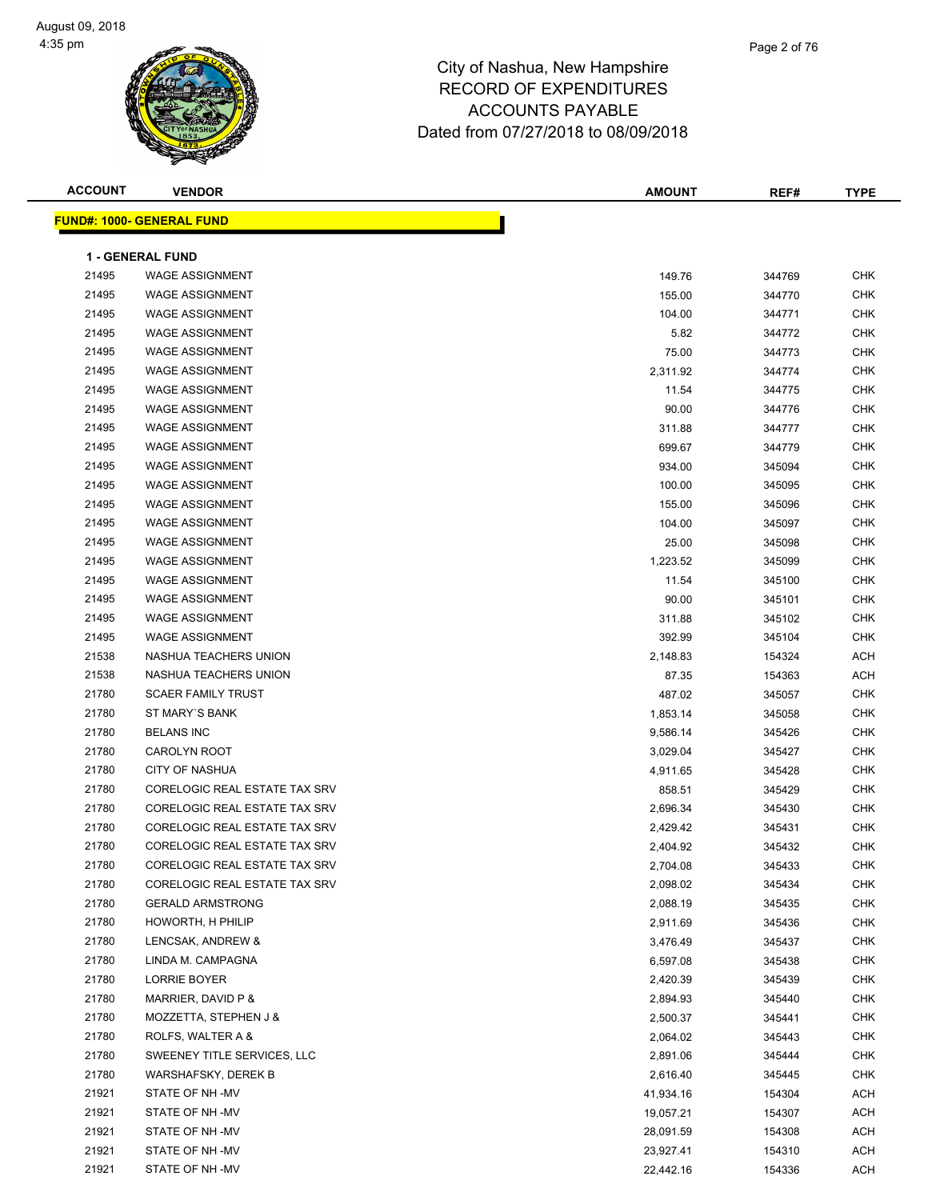| <b>ACCOUNT</b> | <b>VENDOR</b>                    | <b>AMOUNT</b> | REF#   | <b>TYPE</b> |
|----------------|----------------------------------|---------------|--------|-------------|
|                | <b>FUND#: 1000- GENERAL FUND</b> |               |        |             |
|                |                                  |               |        |             |
|                | <b>1 - GENERAL FUND</b>          |               |        |             |
| 21495          | <b>WAGE ASSIGNMENT</b>           | 149.76        | 344769 | <b>CHK</b>  |
| 21495          | <b>WAGE ASSIGNMENT</b>           | 155.00        | 344770 | <b>CHK</b>  |
| 21495          | <b>WAGE ASSIGNMENT</b>           | 104.00        | 344771 | <b>CHK</b>  |
| 21495          | <b>WAGE ASSIGNMENT</b>           | 5.82          | 344772 | <b>CHK</b>  |
| 21495          | <b>WAGE ASSIGNMENT</b>           | 75.00         | 344773 | <b>CHK</b>  |
| 21495          | <b>WAGE ASSIGNMENT</b>           | 2,311.92      | 344774 | <b>CHK</b>  |
| 21495          | <b>WAGE ASSIGNMENT</b>           | 11.54         | 344775 | <b>CHK</b>  |
| 21495          | <b>WAGE ASSIGNMENT</b>           | 90.00         | 344776 | <b>CHK</b>  |
| 21495          | <b>WAGE ASSIGNMENT</b>           | 311.88        | 344777 | <b>CHK</b>  |
| 21495          | <b>WAGE ASSIGNMENT</b>           | 699.67        | 344779 | <b>CHK</b>  |
| 21495          | <b>WAGE ASSIGNMENT</b>           | 934.00        | 345094 | <b>CHK</b>  |
| 21495          | <b>WAGE ASSIGNMENT</b>           | 100.00        | 345095 | <b>CHK</b>  |
| 21495          | <b>WAGE ASSIGNMENT</b>           | 155.00        | 345096 | <b>CHK</b>  |
| 21495          | <b>WAGE ASSIGNMENT</b>           | 104.00        | 345097 | <b>CHK</b>  |
| 21495          | <b>WAGE ASSIGNMENT</b>           | 25.00         | 345098 | <b>CHK</b>  |
| 21495          | <b>WAGE ASSIGNMENT</b>           | 1,223.52      | 345099 | <b>CHK</b>  |
| 21495          | <b>WAGE ASSIGNMENT</b>           | 11.54         | 345100 | <b>CHK</b>  |
| 21495          | <b>WAGE ASSIGNMENT</b>           | 90.00         | 345101 | <b>CHK</b>  |
| 21495          | <b>WAGE ASSIGNMENT</b>           | 311.88        | 345102 | <b>CHK</b>  |
| 21495          | <b>WAGE ASSIGNMENT</b>           | 392.99        | 345104 | <b>CHK</b>  |
| 21538          | NASHUA TEACHERS UNION            | 2,148.83      | 154324 | <b>ACH</b>  |
| 21538          | NASHUA TEACHERS UNION            | 87.35         | 154363 | <b>ACH</b>  |
| 21780          | <b>SCAER FAMILY TRUST</b>        | 487.02        | 345057 | <b>CHK</b>  |
| 21780          | ST MARY'S BANK                   | 1,853.14      | 345058 | <b>CHK</b>  |
| 21780          | <b>BELANS INC</b>                | 9,586.14      | 345426 | <b>CHK</b>  |
| 21780          | <b>CAROLYN ROOT</b>              | 3,029.04      | 345427 | <b>CHK</b>  |
| 21780          | CITY OF NASHUA                   | 4,911.65      | 345428 | <b>CHK</b>  |
| 21780          | CORELOGIC REAL ESTATE TAX SRV    | 858.51        | 345429 | <b>CHK</b>  |
| 21780          | CORELOGIC REAL ESTATE TAX SRV    | 2,696.34      | 345430 | <b>CHK</b>  |
| 21780          | CORELOGIC REAL ESTATE TAX SRV    | 2,429.42      | 345431 | <b>CHK</b>  |
| 21780          | CORELOGIC REAL ESTATE TAX SRV    | 2,404.92      | 345432 | <b>CHK</b>  |
| 21780          | CORELOGIC REAL ESTATE TAX SRV    | 2,704.08      | 345433 | <b>CHK</b>  |
| 21780          | CORELOGIC REAL ESTATE TAX SRV    | 2,098.02      | 345434 | CHK         |
| 21780          | <b>GERALD ARMSTRONG</b>          | 2,088.19      | 345435 | <b>CHK</b>  |
| 21780          | HOWORTH, H PHILIP                | 2,911.69      | 345436 | CHK         |
| 21780          | LENCSAK, ANDREW &                | 3,476.49      | 345437 | CHK         |
| 21780          | LINDA M. CAMPAGNA                | 6,597.08      | 345438 | CHK         |
| 21780          | <b>LORRIE BOYER</b>              | 2,420.39      | 345439 | <b>CHK</b>  |
| 21780          | MARRIER, DAVID P &               | 2,894.93      | 345440 | CHK         |
| 21780          | MOZZETTA, STEPHEN J &            | 2,500.37      | 345441 | CHK         |
| 21780          | ROLFS, WALTER A &                | 2,064.02      | 345443 | CHK         |
| 21780          | SWEENEY TITLE SERVICES, LLC      | 2,891.06      | 345444 | CHK         |
| 21780          | WARSHAFSKY, DEREK B              | 2,616.40      | 345445 | CHK         |
| 21921          | STATE OF NH-MV                   | 41,934.16     | 154304 | ACH         |
| 21921          | STATE OF NH-MV                   | 19,057.21     | 154307 | <b>ACH</b>  |
| 21921          | STATE OF NH-MV                   | 28,091.59     | 154308 | <b>ACH</b>  |
| 21921          | STATE OF NH-MV                   | 23,927.41     | 154310 | ACH         |
| 21921          | STATE OF NH-MV                   | 22,442.16     | 154336 | ACH         |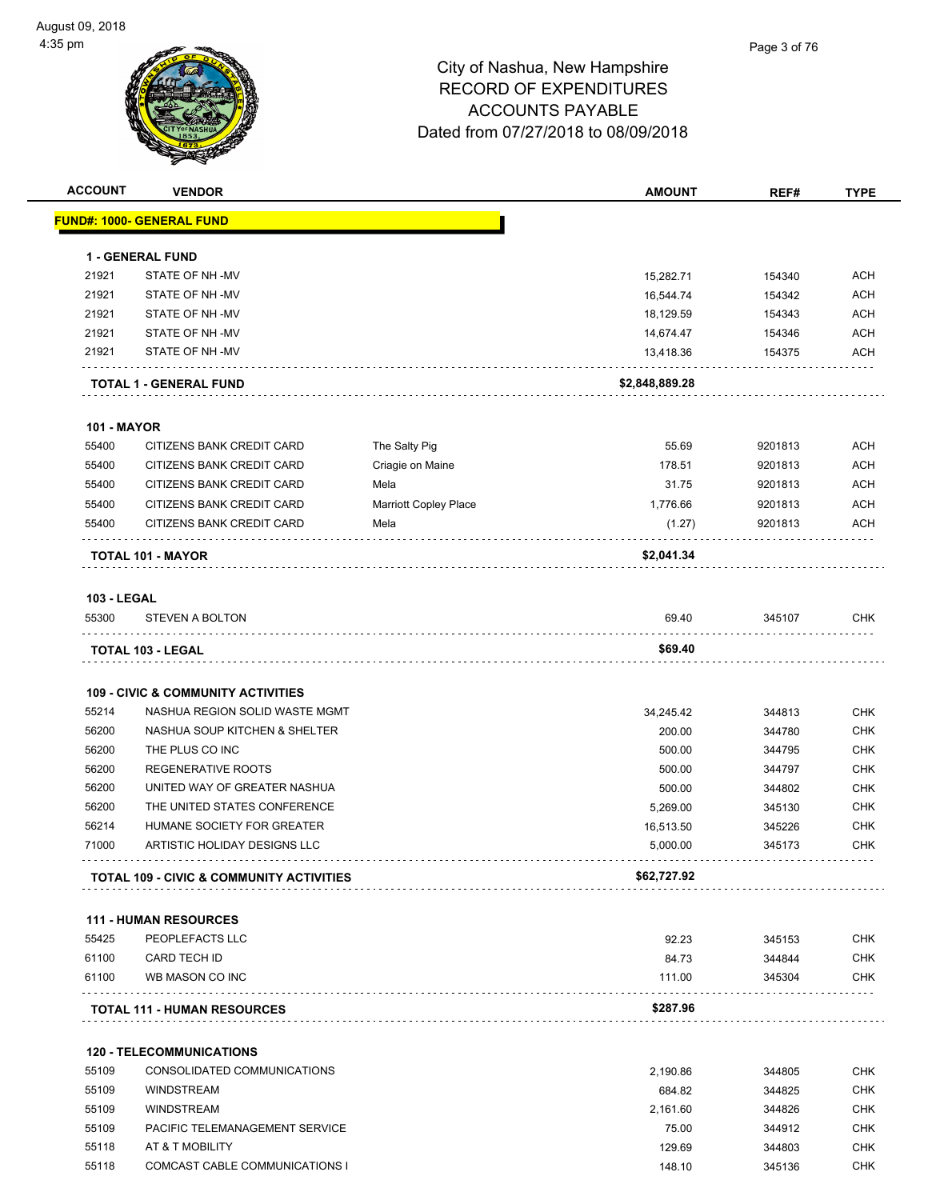

| <b>ACCOUNT</b>     | <b>VENDOR</b>                                       |                              | <b>AMOUNT</b>  | REF#    | <b>TYPE</b> |
|--------------------|-----------------------------------------------------|------------------------------|----------------|---------|-------------|
|                    | <u> FUND#: 1000- GENERAL FUND</u>                   |                              |                |         |             |
|                    | <b>1 - GENERAL FUND</b>                             |                              |                |         |             |
| 21921              | STATE OF NH-MV                                      |                              | 15,282.71      | 154340  | <b>ACH</b>  |
| 21921              | STATE OF NH-MV                                      |                              | 16,544.74      | 154342  | <b>ACH</b>  |
| 21921              | STATE OF NH-MV                                      |                              | 18,129.59      | 154343  | <b>ACH</b>  |
| 21921              | STATE OF NH-MV                                      |                              | 14,674.47      | 154346  | <b>ACH</b>  |
| 21921              | STATE OF NH-MV                                      |                              | 13,418.36      | 154375  | ACH         |
|                    | <b>TOTAL 1 - GENERAL FUND</b>                       |                              | \$2,848,889.28 |         |             |
| <b>101 - MAYOR</b> |                                                     |                              |                |         |             |
| 55400              | CITIZENS BANK CREDIT CARD                           | The Salty Pig                | 55.69          | 9201813 | <b>ACH</b>  |
| 55400              | CITIZENS BANK CREDIT CARD                           | Criagie on Maine             | 178.51         | 9201813 | <b>ACH</b>  |
| 55400              | CITIZENS BANK CREDIT CARD                           | Mela                         | 31.75          | 9201813 | <b>ACH</b>  |
| 55400              | CITIZENS BANK CREDIT CARD                           | <b>Marriott Copley Place</b> | 1,776.66       | 9201813 | <b>ACH</b>  |
| 55400              | CITIZENS BANK CREDIT CARD                           | Mela                         | (1.27)         | 9201813 | ACH         |
|                    | TOTAL 101 - MAYOR                                   |                              | \$2,041.34     |         |             |
| <b>103 - LEGAL</b> |                                                     |                              |                |         |             |
| 55300              | <b>STEVEN A BOLTON</b>                              |                              | 69.40          | 345107  | <b>CHK</b>  |
|                    | TOTAL 103 - LEGAL                                   |                              | \$69.40        |         |             |
|                    | <b>109 - CIVIC &amp; COMMUNITY ACTIVITIES</b>       |                              |                |         |             |
| 55214              | NASHUA REGION SOLID WASTE MGMT                      |                              | 34,245.42      | 344813  | <b>CHK</b>  |
| 56200              | NASHUA SOUP KITCHEN & SHELTER                       |                              | 200.00         | 344780  | <b>CHK</b>  |
| 56200              | THE PLUS CO INC                                     |                              | 500.00         | 344795  | <b>CHK</b>  |
| 56200              | REGENERATIVE ROOTS                                  |                              | 500.00         | 344797  | <b>CHK</b>  |
| 56200              | UNITED WAY OF GREATER NASHUA                        |                              | 500.00         | 344802  | <b>CHK</b>  |
| 56200              | THE UNITED STATES CONFERENCE                        |                              | 5,269.00       | 345130  | <b>CHK</b>  |
| 56214              | HUMANE SOCIETY FOR GREATER                          |                              | 16,513.50      | 345226  | <b>CHK</b>  |
| 71000              | ARTISTIC HOLIDAY DESIGNS LLC                        |                              | 5,000.00       | 345173  | <b>CHK</b>  |
|                    | <b>TOTAL 109 - CIVIC &amp; COMMUNITY ACTIVITIES</b> |                              | \$62,727.92    |         |             |
|                    | <b>111 - HUMAN RESOURCES</b>                        |                              |                |         |             |
| 55425              | PEOPLEFACTS LLC                                     |                              | 92.23          | 345153  | <b>CHK</b>  |
| 61100              | CARD TECH ID                                        |                              | 84.73          | 344844  | <b>CHK</b>  |
| 61100              | WB MASON CO INC                                     |                              | 111.00         | 345304  | <b>CHK</b>  |
|                    | <b>TOTAL 111 - HUMAN RESOURCES</b>                  |                              | \$287.96       |         |             |
|                    | <b>120 - TELECOMMUNICATIONS</b>                     |                              |                |         |             |
| 55109              | CONSOLIDATED COMMUNICATIONS                         |                              | 2,190.86       | 344805  | <b>CHK</b>  |
| 55109              | <b>WINDSTREAM</b>                                   |                              | 684.82         | 344825  | <b>CHK</b>  |
| 55109              | <b>WINDSTREAM</b>                                   |                              | 2,161.60       | 344826  | <b>CHK</b>  |
| 55109              | PACIFIC TELEMANAGEMENT SERVICE                      |                              | 75.00          | 344912  | <b>CHK</b>  |
| 55118              | AT & T MOBILITY                                     |                              | 129.69         | 344803  | <b>CHK</b>  |
| 55118              | COMCAST CABLE COMMUNICATIONS I                      |                              | 148.10         | 345136  | <b>CHK</b>  |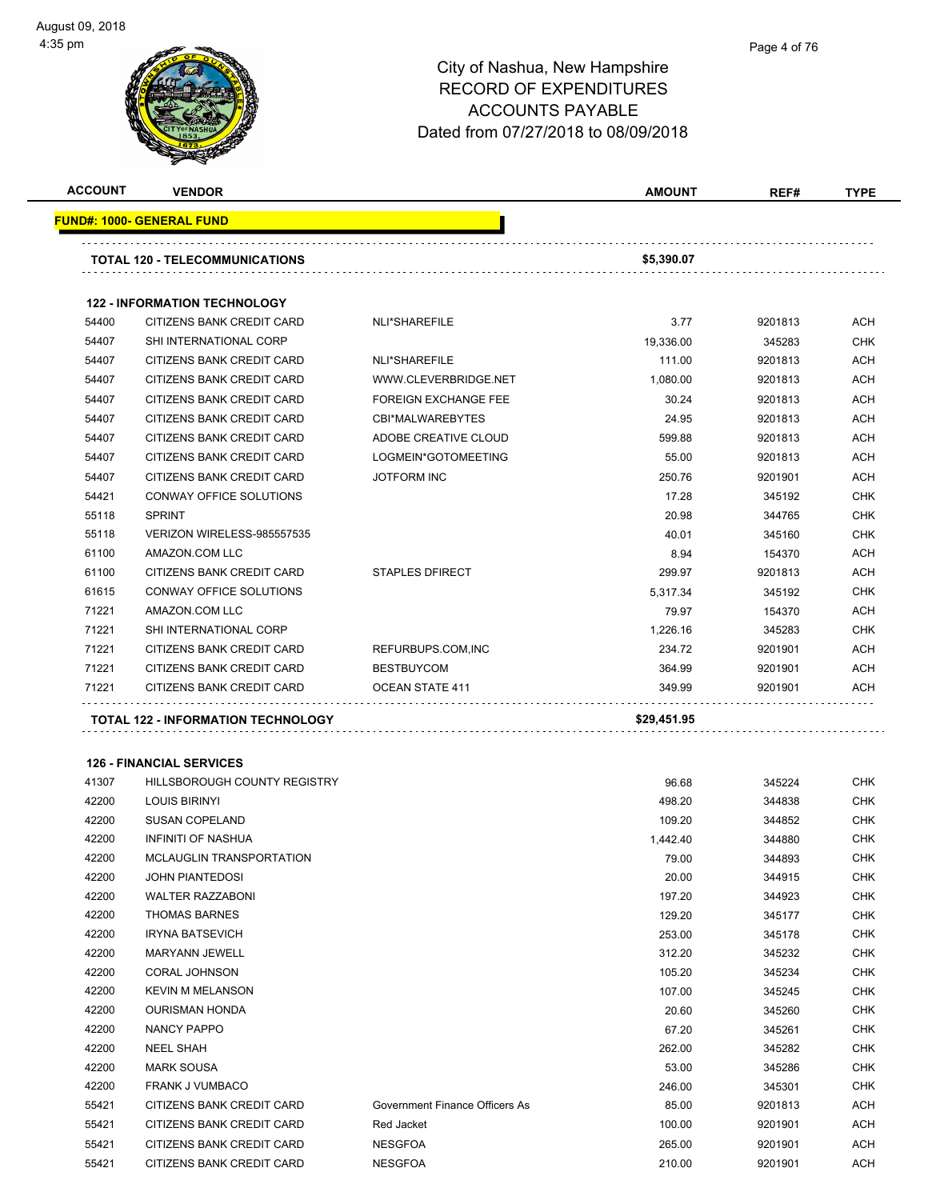#### Page 4 of 76

| <b>ACCOUNT</b> | <b>VENDOR</b>                             |                             | <b>AMOUNT</b> | REF#    | <b>TYPE</b> |
|----------------|-------------------------------------------|-----------------------------|---------------|---------|-------------|
|                | <u> FUND#: 1000- GENERAL FUND</u>         |                             |               |         |             |
|                | TOTAL 120 - TELECOMMUNICATIONS            |                             | \$5,390.07    |         |             |
|                | <b>122 - INFORMATION TECHNOLOGY</b>       |                             |               |         |             |
| 54400          | CITIZENS BANK CREDIT CARD                 | NLI*SHAREFILE               | 3.77          | 9201813 | <b>ACH</b>  |
| 54407          | <b>SHI INTERNATIONAL CORP</b>             |                             | 19,336.00     | 345283  | <b>CHK</b>  |
| 54407          | CITIZENS BANK CREDIT CARD                 | NLI*SHAREFILE               | 111.00        | 9201813 | <b>ACH</b>  |
| 54407          | CITIZENS BANK CREDIT CARD                 | WWW.CLEVERBRIDGE.NET        | 1,080.00      | 9201813 | <b>ACH</b>  |
| 54407          | CITIZENS BANK CREDIT CARD                 | <b>FOREIGN EXCHANGE FEE</b> | 30.24         | 9201813 | <b>ACH</b>  |
| 54407          | CITIZENS BANK CREDIT CARD                 | CBI*MALWAREBYTES            | 24.95         | 9201813 | <b>ACH</b>  |
| 54407          | CITIZENS BANK CREDIT CARD                 | ADOBE CREATIVE CLOUD        | 599.88        | 9201813 | ACH         |
| 54407          | CITIZENS BANK CREDIT CARD                 | LOGMEIN*GOTOMEETING         | 55.00         | 9201813 | <b>ACH</b>  |
| 54407          | CITIZENS BANK CREDIT CARD                 | <b>JOTFORM INC</b>          | 250.76        | 9201901 | <b>ACH</b>  |
| 54421          | CONWAY OFFICE SOLUTIONS                   |                             | 17.28         | 345192  | <b>CHK</b>  |
| 55118          | <b>SPRINT</b>                             |                             | 20.98         | 344765  | <b>CHK</b>  |
| 55118          | VERIZON WIRELESS-985557535                |                             | 40.01         | 345160  | <b>CHK</b>  |
| 61100          | AMAZON.COM LLC                            |                             | 8.94          | 154370  | <b>ACH</b>  |
| 61100          | CITIZENS BANK CREDIT CARD                 | <b>STAPLES DFIRECT</b>      | 299.97        | 9201813 | <b>ACH</b>  |
| 61615          | CONWAY OFFICE SOLUTIONS                   |                             | 5,317.34      | 345192  | <b>CHK</b>  |
| 71221          | AMAZON.COM LLC                            |                             | 79.97         | 154370  | <b>ACH</b>  |
| 71221          | SHI INTERNATIONAL CORP                    |                             | 1,226.16      | 345283  | <b>CHK</b>  |
| 71221          | CITIZENS BANK CREDIT CARD                 | REFURBUPS.COM, INC          | 234.72        | 9201901 | <b>ACH</b>  |
| 71221          | CITIZENS BANK CREDIT CARD                 | <b>BESTBUYCOM</b>           | 364.99        | 9201901 | <b>ACH</b>  |
| 71221          | CITIZENS BANK CREDIT CARD                 | OCEAN STATE 411             | 349.99        | 9201901 | <b>ACH</b>  |
|                | <b>TOTAL 122 - INFORMATION TECHNOLOGY</b> |                             | \$29,451.95   |         |             |
|                | <b>126 - FINANCIAL SERVICES</b>           |                             |               |         |             |
| 41307          | <b>HILLSBOROUGH COUNTY REGISTRY</b>       |                             | 96.68         | 345224  | <b>CHK</b>  |
| 42200          | <b>LOUIS BIRINYI</b>                      |                             | 498.20        | 344838  | <b>CHK</b>  |
| 42200          | <b>SUSAN COPELAND</b>                     |                             | 109.20        | 344852  | <b>CHK</b>  |
| 42200          | <b>INFINITI OF NASHUA</b>                 |                             | 1,442.40      | 344880  | <b>CHK</b>  |
| 42200          | MCLAUGLIN TRANSPORTATION                  |                             | 79.00         | 344893  | <b>CHK</b>  |
| 42200          | <b>JOHN PIANTEDOSI</b>                    |                             | 20.00         | 344915  | <b>CHK</b>  |
| 42200          | <b>WALTER RAZZABONI</b>                   |                             | 197.20        | 344923  | <b>CHK</b>  |
| 42200          | <b>THOMAS BARNES</b>                      |                             | 129.20        | 345177  | <b>CHK</b>  |
| 42200          | <b>IRYNA BATSEVICH</b>                    |                             | 253.00        | 345178  | <b>CHK</b>  |
| 42200          | MARYANN JEWELL                            |                             | 312.20        | 345232  | <b>CHK</b>  |

| 42200 | <b>MARYANN JEWELL</b>     |                                | 312.20 | 345232  | <b>CHK</b> |
|-------|---------------------------|--------------------------------|--------|---------|------------|
| 42200 | CORAL JOHNSON             |                                | 105.20 | 345234  | <b>CHK</b> |
| 42200 | <b>KEVIN M MELANSON</b>   |                                | 107.00 | 345245  | <b>CHK</b> |
| 42200 | <b>OURISMAN HONDA</b>     |                                | 20.60  | 345260  | <b>CHK</b> |
| 42200 | NANCY PAPPO               |                                | 67.20  | 345261  | <b>CHK</b> |
| 42200 | <b>NEEL SHAH</b>          |                                | 262.00 | 345282  | <b>CHK</b> |
| 42200 | <b>MARK SOUSA</b>         |                                | 53.00  | 345286  | <b>CHK</b> |
| 42200 | <b>FRANK J VUMBACO</b>    |                                | 246.00 | 345301  | <b>CHK</b> |
| 55421 | CITIZENS BANK CREDIT CARD | Government Finance Officers As | 85.00  | 9201813 | ACH        |
| 55421 | CITIZENS BANK CREDIT CARD | Red Jacket                     | 100.00 | 9201901 | ACH        |
| 55421 | CITIZENS BANK CREDIT CARD | <b>NESGFOA</b>                 | 265.00 | 9201901 | <b>ACH</b> |
| 55421 | CITIZENS BANK CREDIT CARD | <b>NESGFOA</b>                 | 210.00 | 9201901 | <b>ACH</b> |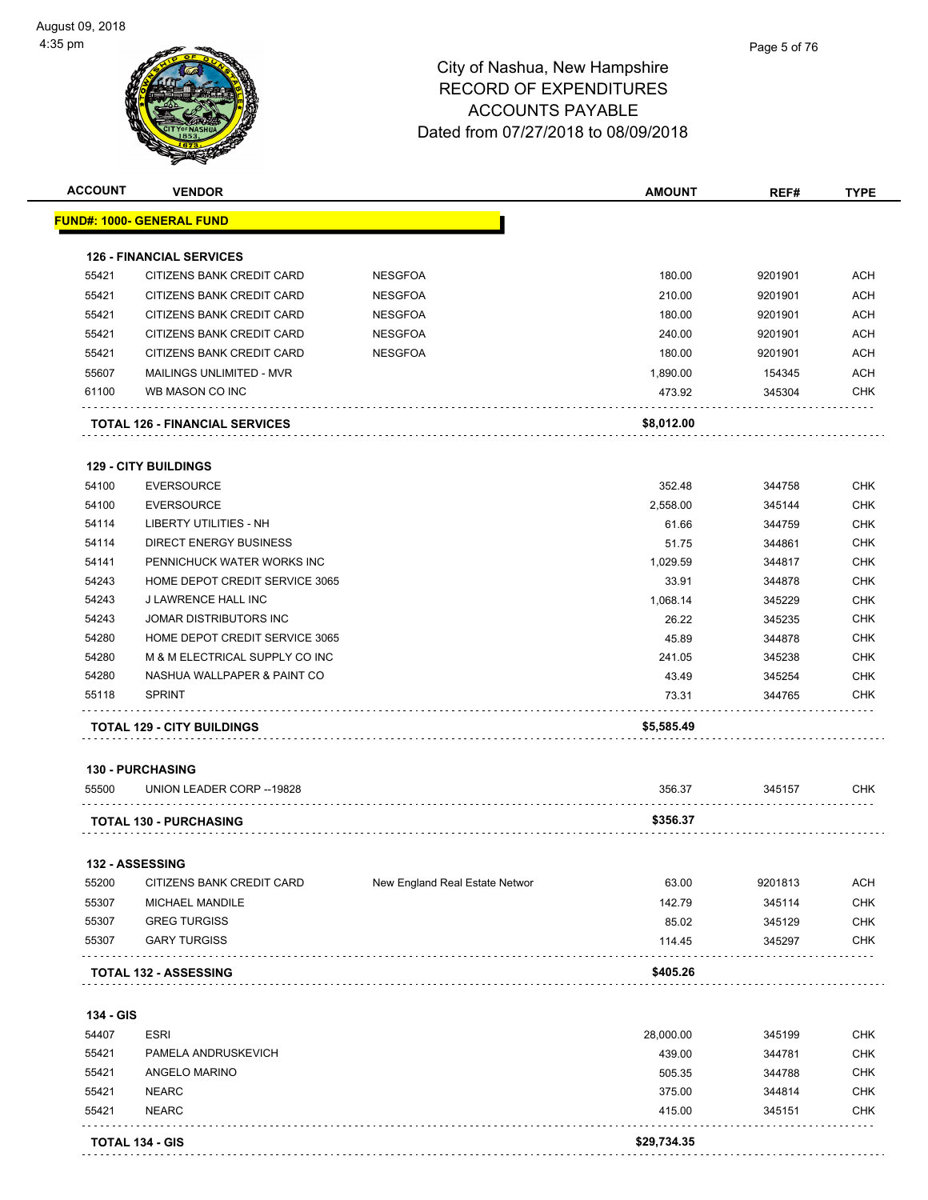| <b>ACCOUNT</b> | <b>VENDOR</b>                                                |                                | <b>AMOUNT</b>   | REF#             | <b>TYPE</b> |
|----------------|--------------------------------------------------------------|--------------------------------|-----------------|------------------|-------------|
|                | <b>FUND#: 1000- GENERAL FUND</b>                             |                                |                 |                  |             |
|                |                                                              |                                |                 |                  |             |
| 55421          | <b>126 - FINANCIAL SERVICES</b><br>CITIZENS BANK CREDIT CARD | <b>NESGFOA</b>                 | 180.00          | 9201901          | <b>ACH</b>  |
| 55421          | CITIZENS BANK CREDIT CARD                                    | <b>NESGFOA</b>                 | 210.00          | 9201901          | <b>ACH</b>  |
| 55421          | CITIZENS BANK CREDIT CARD                                    | <b>NESGFOA</b>                 | 180.00          | 9201901          | <b>ACH</b>  |
| 55421          | CITIZENS BANK CREDIT CARD                                    | <b>NESGFOA</b>                 | 240.00          | 9201901          | <b>ACH</b>  |
| 55421          | CITIZENS BANK CREDIT CARD                                    | <b>NESGFOA</b>                 | 180.00          | 9201901          | <b>ACH</b>  |
|                |                                                              |                                |                 |                  | <b>ACH</b>  |
| 55607          | MAILINGS UNLIMITED - MVR                                     |                                | 1,890.00        | 154345           |             |
| 61100          | WB MASON CO INC                                              |                                | 473.92          | 345304           | CHK         |
|                | <b>TOTAL 126 - FINANCIAL SERVICES</b>                        |                                | \$8,012.00      |                  |             |
|                | <b>129 - CITY BUILDINGS</b>                                  |                                |                 |                  |             |
| 54100          | <b>EVERSOURCE</b>                                            |                                | 352.48          | 344758           | <b>CHK</b>  |
| 54100          | <b>EVERSOURCE</b>                                            |                                | 2,558.00        | 345144           | <b>CHK</b>  |
| 54114          | <b>LIBERTY UTILITIES - NH</b>                                |                                | 61.66           | 344759           | <b>CHK</b>  |
| 54114          | <b>DIRECT ENERGY BUSINESS</b>                                |                                | 51.75           | 344861           | <b>CHK</b>  |
| 54141          | PENNICHUCK WATER WORKS INC                                   |                                | 1,029.59        | 344817           | <b>CHK</b>  |
| 54243          | HOME DEPOT CREDIT SERVICE 3065                               |                                | 33.91           | 344878           | <b>CHK</b>  |
| 54243          | <b>J LAWRENCE HALL INC</b>                                   |                                | 1,068.14        | 345229           | <b>CHK</b>  |
| 54243          | JOMAR DISTRIBUTORS INC                                       |                                | 26.22           | 345235           | <b>CHK</b>  |
| 54280          | HOME DEPOT CREDIT SERVICE 3065                               |                                | 45.89           | 344878           | <b>CHK</b>  |
| 54280          | M & M ELECTRICAL SUPPLY CO INC                               |                                | 241.05          | 345238           | <b>CHK</b>  |
| 54280          | NASHUA WALLPAPER & PAINT CO                                  |                                | 43.49           | 345254           | <b>CHK</b>  |
| 55118          | <b>SPRINT</b>                                                |                                | 73.31           | 344765           | CHK         |
|                | <b>TOTAL 129 - CITY BUILDINGS</b>                            |                                | \$5,585.49      |                  |             |
|                | <b>130 - PURCHASING</b>                                      |                                |                 |                  |             |
| 55500          | UNION LEADER CORP -- 19828                                   |                                | 356.37          | 345157           | CHK         |
|                | <b>TOTAL 130 - PURCHASING</b>                                |                                | \$356.37        |                  |             |
|                |                                                              |                                |                 |                  |             |
| 55200          | 132 - ASSESSING<br>CITIZENS BANK CREDIT CARD                 | New England Real Estate Networ | 63.00           | 9201813          | <b>ACH</b>  |
| 55307          | MICHAEL MANDILE                                              |                                | 142.79          |                  | <b>CHK</b>  |
|                | <b>GREG TURGISS</b>                                          |                                |                 | 345114           | <b>CHK</b>  |
| 55307<br>55307 | <b>GARY TURGISS</b>                                          |                                | 85.02<br>114.45 | 345129<br>345297 | <b>CHK</b>  |
|                |                                                              |                                | \$405.26        |                  |             |
|                | <b>TOTAL 132 - ASSESSING</b>                                 |                                |                 |                  |             |
| 134 - GIS      |                                                              |                                |                 |                  |             |
| 54407          | <b>ESRI</b>                                                  |                                | 28,000.00       | 345199           | <b>CHK</b>  |
| 55421          | PAMELA ANDRUSKEVICH                                          |                                | 439.00          | 344781           | <b>CHK</b>  |
| 55421          | ANGELO MARINO                                                |                                | 505.35          | 344788           | <b>CHK</b>  |
| 55421          | <b>NEARC</b>                                                 |                                | 375.00          | 344814           | CHK         |
| 55421          | <b>NEARC</b>                                                 |                                | 415.00          | 345151           | <b>CHK</b>  |
|                | TOTAL 134 - GIS                                              |                                | \$29,734.35     |                  |             |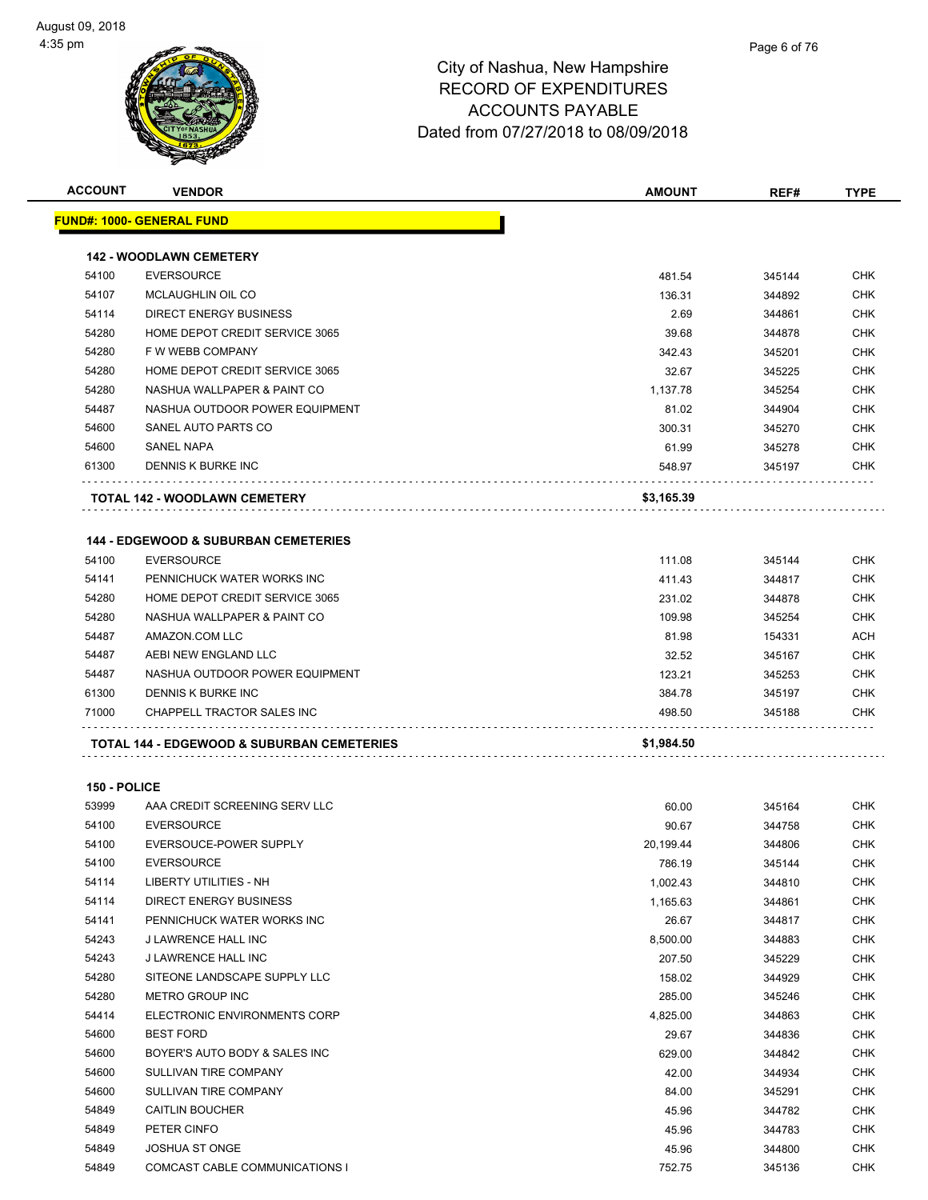| <b>ACCOUNT</b> | <b>VENDOR</b>                                   | <b>AMOUNT</b> | REF#   | TYPE       |
|----------------|-------------------------------------------------|---------------|--------|------------|
|                | <u> FUND#: 1000- GENERAL FUND</u>               |               |        |            |
|                | <b>142 - WOODLAWN CEMETERY</b>                  |               |        |            |
| 54100          | <b>EVERSOURCE</b>                               | 481.54        | 345144 | <b>CHK</b> |
| 54107          | MCLAUGHLIN OIL CO                               | 136.31        | 344892 | <b>CHK</b> |
| 54114          | <b>DIRECT ENERGY BUSINESS</b>                   | 2.69          | 344861 | <b>CHK</b> |
| 54280          | HOME DEPOT CREDIT SERVICE 3065                  | 39.68         | 344878 | <b>CHK</b> |
| 54280          | F W WEBB COMPANY                                | 342.43        | 345201 | <b>CHK</b> |
| 54280          | HOME DEPOT CREDIT SERVICE 3065                  | 32.67         | 345225 | <b>CHK</b> |
| 54280          | NASHUA WALLPAPER & PAINT CO                     | 1,137.78      | 345254 | <b>CHK</b> |
| 54487          | NASHUA OUTDOOR POWER EQUIPMENT                  | 81.02         | 344904 | <b>CHK</b> |
| 54600          | SANEL AUTO PARTS CO                             | 300.31        | 345270 | <b>CHK</b> |
| 54600          | <b>SANEL NAPA</b>                               | 61.99         | 345278 | <b>CHK</b> |
| 61300          | DENNIS K BURKE INC                              | 548.97        | 345197 | <b>CHK</b> |
|                | <b>TOTAL 142 - WOODLAWN CEMETERY</b>            | \$3,165.39    |        |            |
|                |                                                 |               |        |            |
|                | <b>144 - EDGEWOOD &amp; SUBURBAN CEMETERIES</b> |               |        |            |
| 54100          | <b>EVERSOURCE</b>                               | 111.08        | 345144 | <b>CHK</b> |
| 54141          | PENNICHUCK WATER WORKS INC                      | 411.43        | 344817 | <b>CHK</b> |
| 54280          | HOME DEPOT CREDIT SERVICE 3065                  | 231.02        | 344878 | <b>CHK</b> |
| 54280          | NASHUA WALLPAPER & PAINT CO                     | 109.98        | 345254 | <b>CHK</b> |
| 54487          | AMAZON.COM LLC                                  | 81.98         | 154331 | <b>ACH</b> |
| 54487          | AEBI NEW ENGLAND LLC                            | 32.52         | 345167 | <b>CHK</b> |
| 54487          | NASHUA OUTDOOR POWER EQUIPMENT                  | 123.21        | 345253 | <b>CHK</b> |
| 61300          | DENNIS K BURKE INC                              | 384.78        | 345197 | <b>CHK</b> |
| 71000          | CHAPPELL TRACTOR SALES INC                      | 498.50        | 345188 | <b>CHK</b> |
|                | TOTAL 144 - EDGEWOOD & SUBURBAN CEMETERIES      | \$1,984.50    |        |            |
| 150 - POLICE   |                                                 |               |        |            |
| 53999          | AAA CREDIT SCREENING SERV LLC                   | 60.00         | 345164 | CHK        |
| 54100          | <b>EVERSOURCE</b>                               | 90.67         | 344758 | <b>CHK</b> |
| 54100          | EVERSOUCE-POWER SUPPLY                          | 20,199.44     | 344806 | <b>CHK</b> |
| 54100          | <b>EVERSOURCE</b>                               | 786.19        | 345144 | CHK        |
| 54114          | LIBERTY UTILITIES - NH                          | 1,002.43      | 344810 | CHK        |
| 54114          | DIRECT ENERGY BUSINESS                          | 1,165.63      | 344861 | CHK        |
| 54141          | PENNICHUCK WATER WORKS INC                      | 26.67         | 344817 | <b>CHK</b> |
| 54243          | J LAWRENCE HALL INC                             | 8,500.00      | 344883 | CHK        |
| 54243          | J LAWRENCE HALL INC                             | 207.50        | 345229 | <b>CHK</b> |
| 54280          | SITEONE LANDSCAPE SUPPLY LLC                    | 158.02        | 344929 | CHK        |
| 54280          | METRO GROUP INC                                 | 285.00        | 345246 | <b>CHK</b> |
| 54414          | ELECTRONIC ENVIRONMENTS CORP                    | 4,825.00      | 344863 | CHK        |
| 54600          | <b>BEST FORD</b>                                | 29.67         | 344836 | <b>CHK</b> |
| 54600          | BOYER'S AUTO BODY & SALES INC                   | 629.00        | 344842 | <b>CHK</b> |
| 54600          | SULLIVAN TIRE COMPANY                           | 42.00         | 344934 | <b>CHK</b> |
| 54600          | SULLIVAN TIRE COMPANY                           | 84.00         | 345291 | <b>CHK</b> |
| 54849          | <b>CAITLIN BOUCHER</b>                          | 45.96         | 344782 | CHK        |
| 54849          | PETER CINFO                                     | 45.96         | 344783 | CHK        |
| 54849          | <b>JOSHUA ST ONGE</b>                           | 45.96         | 344800 | <b>CHK</b> |
|                |                                                 |               |        |            |

COMCAST CABLE COMMUNICATIONS I 752.75 345136 CHK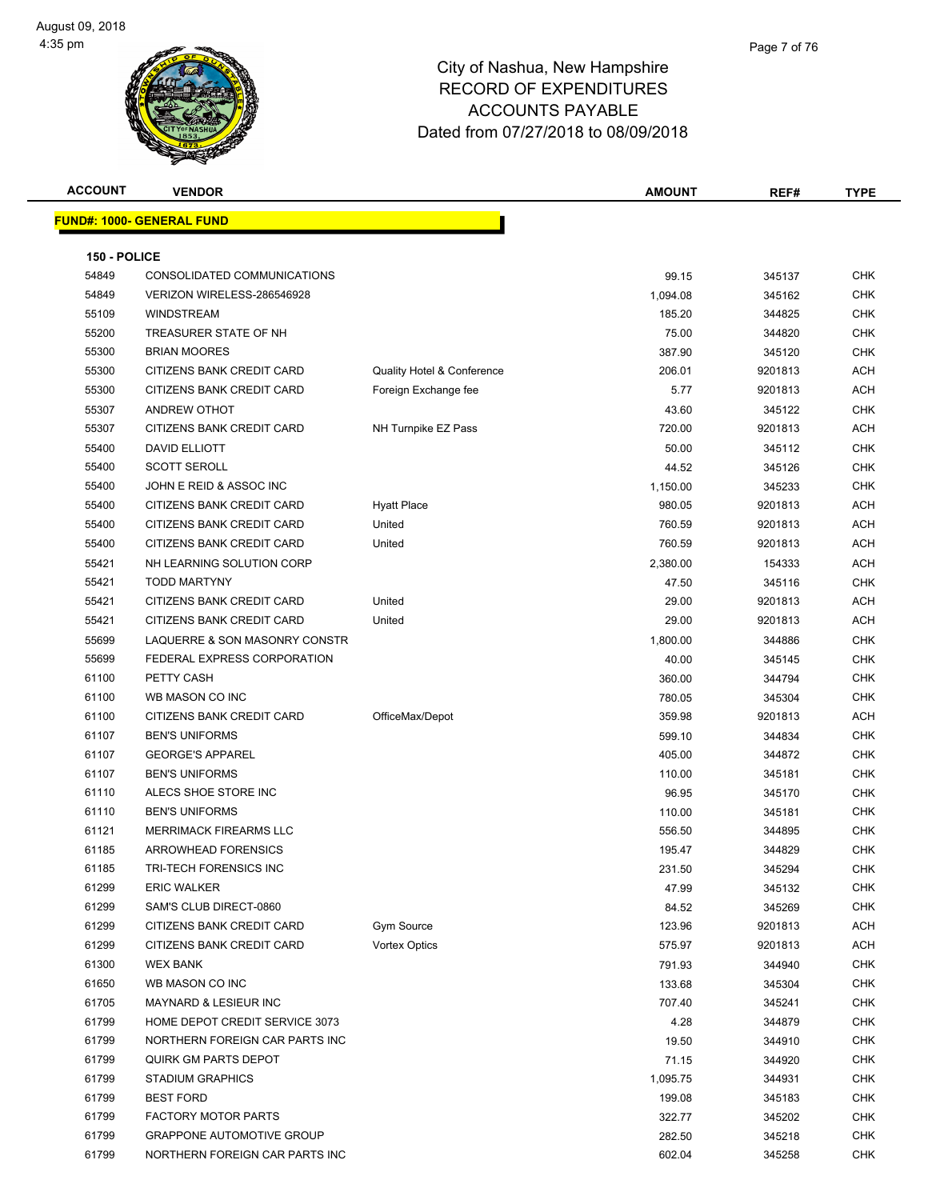| <b>ACCOUNT</b> | <b>VENDOR</b>                    |                            | <b>AMOUNT</b> | REF#    | <b>TYPE</b> |
|----------------|----------------------------------|----------------------------|---------------|---------|-------------|
|                | <b>FUND#: 1000- GENERAL FUND</b> |                            |               |         |             |
|                |                                  |                            |               |         |             |
| 150 - POLICE   |                                  |                            |               |         |             |
| 54849          | CONSOLIDATED COMMUNICATIONS      |                            | 99.15         | 345137  | <b>CHK</b>  |
| 54849          | VERIZON WIRELESS-286546928       |                            | 1,094.08      | 345162  | <b>CHK</b>  |
| 55109          | <b>WINDSTREAM</b>                |                            | 185.20        | 344825  | <b>CHK</b>  |
| 55200          | TREASURER STATE OF NH            |                            | 75.00         | 344820  | <b>CHK</b>  |
| 55300          | <b>BRIAN MOORES</b>              |                            | 387.90        | 345120  | <b>CHK</b>  |
| 55300          | CITIZENS BANK CREDIT CARD        | Quality Hotel & Conference | 206.01        | 9201813 | <b>ACH</b>  |
| 55300          | CITIZENS BANK CREDIT CARD        | Foreign Exchange fee       | 5.77          | 9201813 | <b>ACH</b>  |
| 55307          | ANDREW OTHOT                     |                            | 43.60         | 345122  | <b>CHK</b>  |
| 55307          | CITIZENS BANK CREDIT CARD        | NH Turnpike EZ Pass        | 720.00        | 9201813 | <b>ACH</b>  |
| 55400          | <b>DAVID ELLIOTT</b>             |                            | 50.00         | 345112  | <b>CHK</b>  |
| 55400          | <b>SCOTT SEROLL</b>              |                            | 44.52         | 345126  | <b>CHK</b>  |
| 55400          | JOHN E REID & ASSOC INC          |                            | 1,150.00      | 345233  | <b>CHK</b>  |
| 55400          | CITIZENS BANK CREDIT CARD        | <b>Hyatt Place</b>         | 980.05        | 9201813 | ACH         |
| 55400          | CITIZENS BANK CREDIT CARD        | United                     | 760.59        | 9201813 | <b>ACH</b>  |
| 55400          | CITIZENS BANK CREDIT CARD        | United                     | 760.59        | 9201813 | <b>ACH</b>  |
| 55421          | NH LEARNING SOLUTION CORP        |                            | 2,380.00      | 154333  | <b>ACH</b>  |
| 55421          | <b>TODD MARTYNY</b>              |                            | 47.50         | 345116  | <b>CHK</b>  |
| 55421          | CITIZENS BANK CREDIT CARD        | United                     | 29.00         | 9201813 | ACH         |
| 55421          | CITIZENS BANK CREDIT CARD        | United                     | 29.00         | 9201813 | ACH         |
| 55699          | LAQUERRE & SON MASONRY CONSTR    |                            | 1,800.00      | 344886  | <b>CHK</b>  |
| 55699          | FEDERAL EXPRESS CORPORATION      |                            | 40.00         | 345145  | <b>CHK</b>  |
| 61100          | PETTY CASH                       |                            | 360.00        | 344794  | <b>CHK</b>  |
| 61100          | WB MASON CO INC                  |                            | 780.05        | 345304  | <b>CHK</b>  |
| 61100          | CITIZENS BANK CREDIT CARD        | OfficeMax/Depot            | 359.98        | 9201813 | <b>ACH</b>  |
| 61107          | <b>BEN'S UNIFORMS</b>            |                            | 599.10        | 344834  | <b>CHK</b>  |
| 61107          | <b>GEORGE'S APPAREL</b>          |                            | 405.00        | 344872  | <b>CHK</b>  |
| 61107          | <b>BEN'S UNIFORMS</b>            |                            | 110.00        | 345181  | <b>CHK</b>  |
| 61110          | ALECS SHOE STORE INC             |                            | 96.95         | 345170  | <b>CHK</b>  |
| 61110          | <b>BEN'S UNIFORMS</b>            |                            | 110.00        | 345181  | <b>CHK</b>  |
| 61121          | <b>MERRIMACK FIREARMS LLC</b>    |                            | 556.50        | 344895  | CHK         |
| 61185          | <b>ARROWHEAD FORENSICS</b>       |                            | 195.47        | 344829  | <b>CHK</b>  |
| 61185          | TRI-TECH FORENSICS INC           |                            | 231.50        | 345294  | CHK         |
| 61299          | <b>ERIC WALKER</b>               |                            | 47.99         | 345132  | <b>CHK</b>  |
| 61299          | SAM'S CLUB DIRECT-0860           |                            | 84.52         | 345269  | <b>CHK</b>  |
| 61299          | CITIZENS BANK CREDIT CARD        | <b>Gym Source</b>          | 123.96        | 9201813 | ACH         |
| 61299          | CITIZENS BANK CREDIT CARD        | <b>Vortex Optics</b>       | 575.97        | 9201813 | <b>ACH</b>  |
| 61300          | <b>WEX BANK</b>                  |                            | 791.93        | 344940  | <b>CHK</b>  |
| 61650          | WB MASON CO INC                  |                            | 133.68        | 345304  | <b>CHK</b>  |
| 61705          | MAYNARD & LESIEUR INC            |                            | 707.40        | 345241  | <b>CHK</b>  |
| 61799          | HOME DEPOT CREDIT SERVICE 3073   |                            | 4.28          | 344879  | CHK         |
| 61799          | NORTHERN FOREIGN CAR PARTS INC   |                            | 19.50         | 344910  | <b>CHK</b>  |
| 61799          | QUIRK GM PARTS DEPOT             |                            | 71.15         | 344920  | CHK         |
| 61799          | <b>STADIUM GRAPHICS</b>          |                            | 1,095.75      | 344931  | <b>CHK</b>  |
| 61799          | <b>BEST FORD</b>                 |                            | 199.08        | 345183  | <b>CHK</b>  |
| 61799          | <b>FACTORY MOTOR PARTS</b>       |                            | 322.77        | 345202  | CHK         |
| 61799          | <b>GRAPPONE AUTOMOTIVE GROUP</b> |                            | 282.50        | 345218  | CHK         |
| 61799          | NORTHERN FOREIGN CAR PARTS INC   |                            | 602.04        | 345258  | <b>CHK</b>  |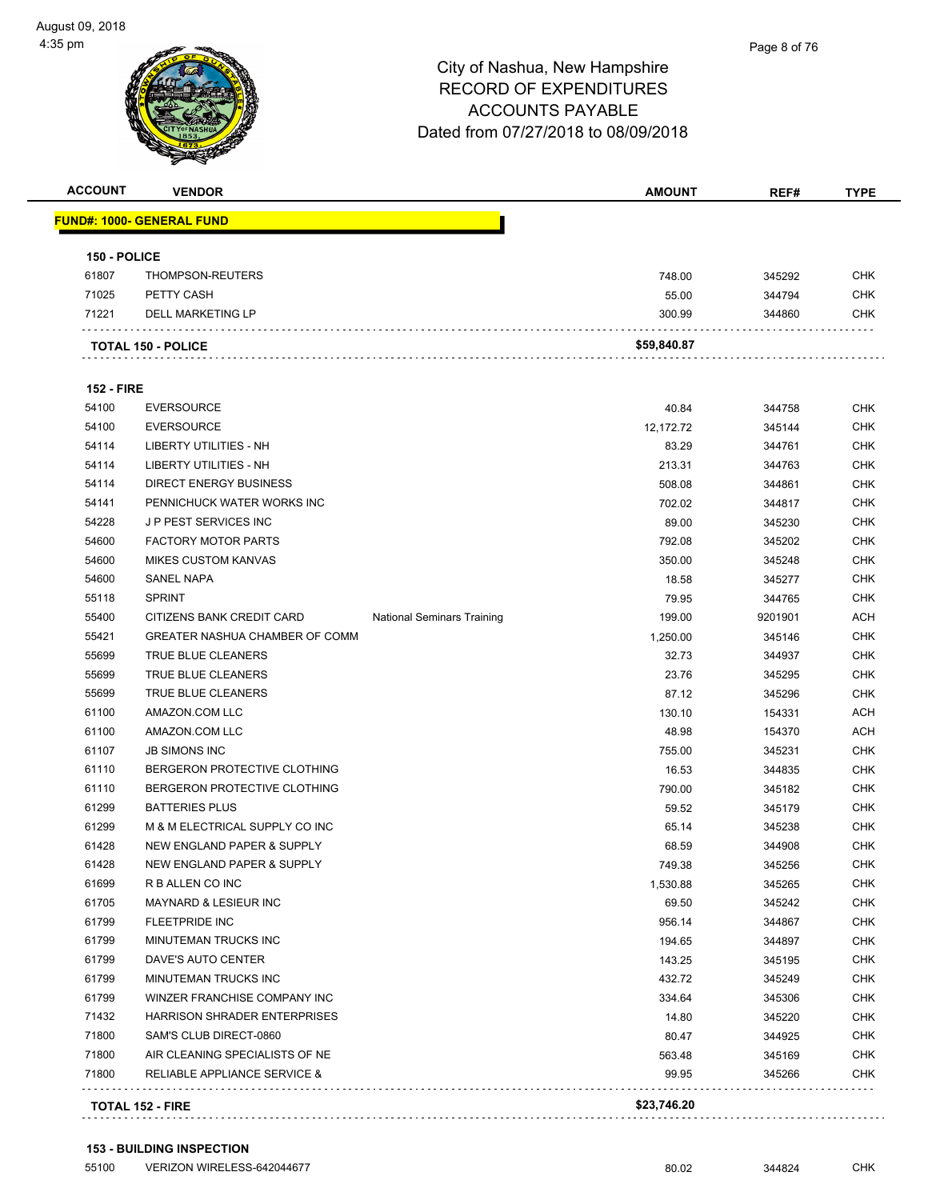

| <b>ACCOUNT</b>    | <b>VENDOR</b>                                   |                                   | <b>AMOUNT</b>    | REF#              | <b>TYPE</b>              |
|-------------------|-------------------------------------------------|-----------------------------------|------------------|-------------------|--------------------------|
|                   | <b>FUND#: 1000- GENERAL FUND</b>                |                                   |                  |                   |                          |
| 150 - POLICE      |                                                 |                                   |                  |                   |                          |
| 61807             | THOMPSON-REUTERS                                |                                   | 748.00           | 345292            | <b>CHK</b>               |
| 71025             | PETTY CASH                                      |                                   | 55.00            | 344794            | <b>CHK</b>               |
| 71221             | <b>DELL MARKETING LP</b>                        |                                   | 300.99           | 344860            | CHK                      |
|                   | <b>TOTAL 150 - POLICE</b>                       |                                   | \$59,840.87      |                   |                          |
| <b>152 - FIRE</b> |                                                 |                                   |                  |                   |                          |
| 54100             | <b>EVERSOURCE</b>                               |                                   | 40.84            | 344758            | <b>CHK</b>               |
| 54100             | <b>EVERSOURCE</b>                               |                                   | 12,172.72        | 345144            | <b>CHK</b>               |
| 54114             | LIBERTY UTILITIES - NH                          |                                   |                  |                   | <b>CHK</b>               |
| 54114             | LIBERTY UTILITIES - NH                          |                                   | 83.29<br>213.31  | 344761<br>344763  | <b>CHK</b>               |
| 54114             | <b>DIRECT ENERGY BUSINESS</b>                   |                                   |                  |                   | <b>CHK</b>               |
| 54141             | PENNICHUCK WATER WORKS INC                      |                                   | 508.08<br>702.02 | 344861            | <b>CHK</b>               |
| 54228             | J P PEST SERVICES INC                           |                                   | 89.00            | 344817            | <b>CHK</b>               |
| 54600             | <b>FACTORY MOTOR PARTS</b>                      |                                   |                  | 345230            | <b>CHK</b>               |
|                   |                                                 |                                   | 792.08           | 345202            |                          |
| 54600<br>54600    | <b>MIKES CUSTOM KANVAS</b><br><b>SANEL NAPA</b> |                                   | 350.00           | 345248            | CHK<br><b>CHK</b>        |
|                   | <b>SPRINT</b>                                   |                                   | 18.58            | 345277            | <b>CHK</b>               |
| 55118             | CITIZENS BANK CREDIT CARD                       |                                   | 79.95            | 344765<br>9201901 |                          |
| 55400             |                                                 | <b>National Seminars Training</b> | 199.00           |                   | <b>ACH</b><br><b>CHK</b> |
| 55421             | <b>GREATER NASHUA CHAMBER OF COMM</b>           |                                   | 1,250.00         | 345146            |                          |
| 55699<br>55699    | TRUE BLUE CLEANERS<br>TRUE BLUE CLEANERS        |                                   | 32.73            | 344937            | CHK<br><b>CHK</b>        |
|                   |                                                 |                                   | 23.76<br>87.12   | 345295            | <b>CHK</b>               |
| 55699             | TRUE BLUE CLEANERS                              |                                   |                  | 345296            |                          |
| 61100             | AMAZON.COM LLC                                  |                                   | 130.10           | 154331            | <b>ACH</b>               |
| 61100             | AMAZON.COM LLC                                  |                                   | 48.98            | 154370            | <b>ACH</b>               |
| 61107             | <b>JB SIMONS INC</b>                            |                                   | 755.00           | 345231            | <b>CHK</b>               |
| 61110             | BERGERON PROTECTIVE CLOTHING                    |                                   | 16.53            | 344835            | <b>CHK</b>               |
| 61110             | BERGERON PROTECTIVE CLOTHING                    |                                   | 790.00           | 345182            | <b>CHK</b>               |
| 61299             | <b>BATTERIES PLUS</b>                           |                                   | 59.52            | 345179            | <b>CHK</b>               |
| 61299             | M & M ELECTRICAL SUPPLY CO INC                  |                                   | 65.14            | 345238            | <b>CHK</b>               |
| 61428             | NEW ENGLAND PAPER & SUPPLY                      |                                   | 68.59            | 344908            | CHK                      |
| 61428             | NEW ENGLAND PAPER & SUPPLY                      |                                   | 749.38           | 345256            | <b>CHK</b>               |
| 61699             | R B ALLEN CO INC                                |                                   | 1,530.88         | 345265            | <b>CHK</b>               |
| 61705             | <b>MAYNARD &amp; LESIEUR INC</b>                |                                   | 69.50            | 345242            | <b>CHK</b>               |
| 61799             | <b>FLEETPRIDE INC</b>                           |                                   | 956.14           | 344867            | <b>CHK</b>               |
| 61799             | <b>MINUTEMAN TRUCKS INC</b>                     |                                   | 194.65           | 344897            | <b>CHK</b>               |
| 61799             | DAVE'S AUTO CENTER                              |                                   | 143.25           | 345195            | <b>CHK</b>               |
| 61799             | MINUTEMAN TRUCKS INC                            |                                   | 432.72           | 345249            | <b>CHK</b>               |
| 61799             | WINZER FRANCHISE COMPANY INC                    |                                   | 334.64           | 345306            | <b>CHK</b>               |
| 71432             | HARRISON SHRADER ENTERPRISES                    |                                   | 14.80            | 345220            | <b>CHK</b>               |
| 71800             | SAM'S CLUB DIRECT-0860                          |                                   | 80.47            | 344925            | <b>CHK</b>               |
| 71800             | AIR CLEANING SPECIALISTS OF NE                  |                                   | 563.48           | 345169            | <b>CHK</b>               |
| 71800             | RELIABLE APPLIANCE SERVICE &                    |                                   | 99.95            | 345266            | CHK                      |
|                   | <b>TOTAL 152 - FIRE</b>                         |                                   | \$23,746.20      |                   |                          |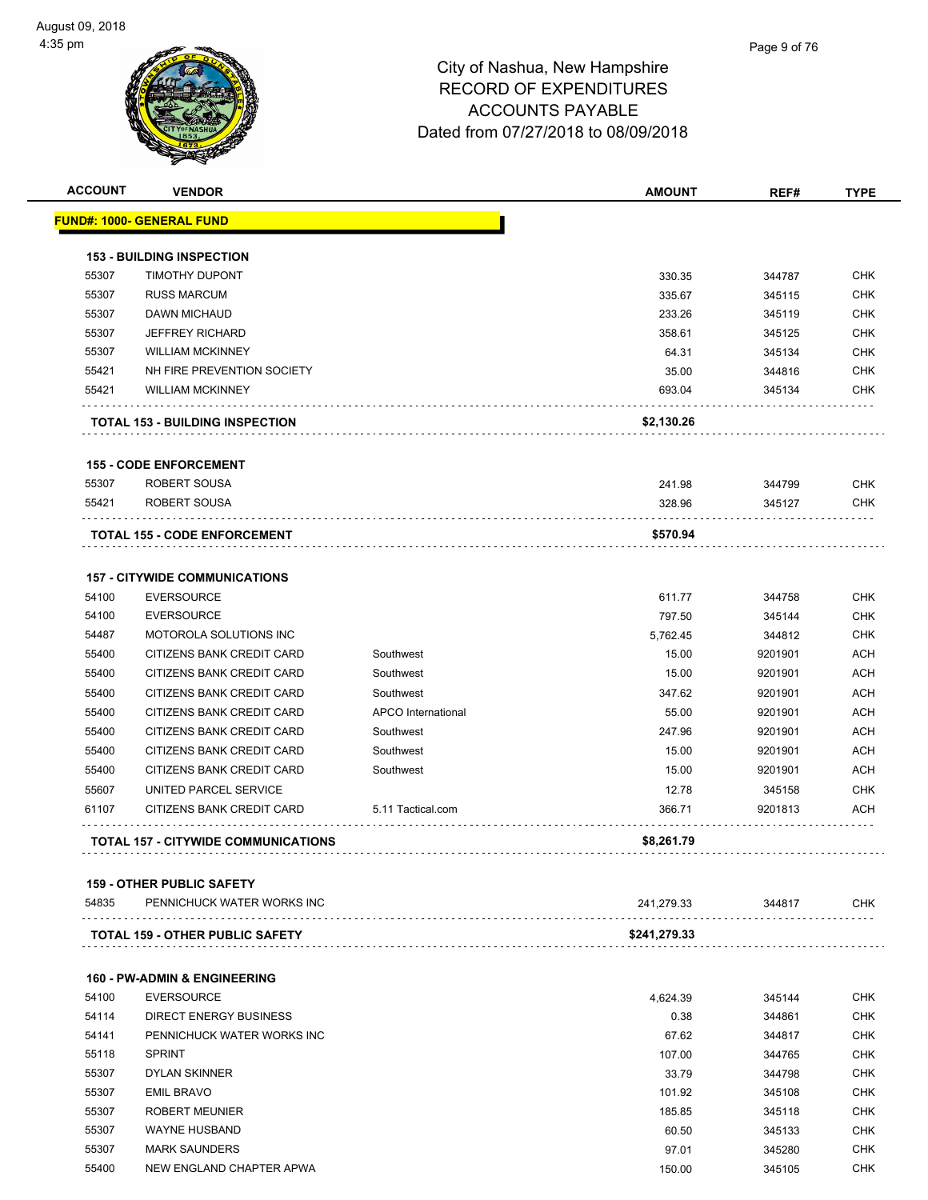| <b>ACCOUNT</b> | <b>VENDOR</b>                                                  |                    | <b>AMOUNT</b> | REF#    | <b>TYPE</b> |
|----------------|----------------------------------------------------------------|--------------------|---------------|---------|-------------|
|                | <b>FUND#: 1000- GENERAL FUND</b>                               |                    |               |         |             |
|                | <b>153 - BUILDING INSPECTION</b>                               |                    |               |         |             |
| 55307          | TIMOTHY DUPONT                                                 |                    | 330.35        | 344787  | <b>CHK</b>  |
| 55307          | <b>RUSS MARCUM</b>                                             |                    | 335.67        | 345115  | <b>CHK</b>  |
| 55307          | <b>DAWN MICHAUD</b>                                            |                    | 233.26        | 345119  | CHK         |
| 55307          | <b>JEFFREY RICHARD</b>                                         |                    | 358.61        | 345125  | <b>CHK</b>  |
| 55307          | <b>WILLIAM MCKINNEY</b>                                        |                    | 64.31         | 345134  | <b>CHK</b>  |
| 55421          | NH FIRE PREVENTION SOCIETY                                     |                    | 35.00         | 344816  | <b>CHK</b>  |
| 55421          | <b>WILLIAM MCKINNEY</b>                                        |                    | 693.04        | 345134  | <b>CHK</b>  |
|                | <b>TOTAL 153 - BUILDING INSPECTION</b>                         |                    | \$2,130.26    |         |             |
|                | <b>155 - CODE ENFORCEMENT</b>                                  |                    |               |         |             |
| 55307          | ROBERT SOUSA                                                   |                    | 241.98        | 344799  | CHK         |
| 55421          | ROBERT SOUSA                                                   |                    | 328.96        | 345127  | <b>CHK</b>  |
|                |                                                                |                    | \$570.94      |         |             |
|                | <b>TOTAL 155 - CODE ENFORCEMENT</b>                            |                    |               |         |             |
|                | <b>157 - CITYWIDE COMMUNICATIONS</b>                           |                    |               |         |             |
| 54100          | <b>EVERSOURCE</b>                                              |                    | 611.77        | 344758  | <b>CHK</b>  |
| 54100          | <b>EVERSOURCE</b>                                              |                    | 797.50        | 345144  | <b>CHK</b>  |
| 54487          | MOTOROLA SOLUTIONS INC                                         |                    | 5,762.45      | 344812  | <b>CHK</b>  |
| 55400          | CITIZENS BANK CREDIT CARD                                      | Southwest          | 15.00         | 9201901 | <b>ACH</b>  |
| 55400          | CITIZENS BANK CREDIT CARD                                      | Southwest          | 15.00         | 9201901 | <b>ACH</b>  |
| 55400          | CITIZENS BANK CREDIT CARD                                      | Southwest          | 347.62        | 9201901 | <b>ACH</b>  |
| 55400          | CITIZENS BANK CREDIT CARD                                      | APCO International | 55.00         | 9201901 | <b>ACH</b>  |
| 55400          | CITIZENS BANK CREDIT CARD                                      | Southwest          | 247.96        | 9201901 | <b>ACH</b>  |
| 55400          | CITIZENS BANK CREDIT CARD                                      | Southwest          | 15.00         | 9201901 | <b>ACH</b>  |
| 55400          | CITIZENS BANK CREDIT CARD                                      | Southwest          | 15.00         | 9201901 | <b>ACH</b>  |
| 55607          | UNITED PARCEL SERVICE                                          |                    | 12.78         | 345158  | <b>CHK</b>  |
| 61107          | CITIZENS BANK CREDIT CARD                                      | 5.11 Tactical.com  | 366.71        | 9201813 | ACH         |
|                | <b>TOTAL 157 - CITYWIDE COMMUNICATIONS</b>                     |                    | \$8,261.79    |         |             |
|                |                                                                |                    |               |         |             |
| 54835          | <b>159 - OTHER PUBLIC SAFETY</b><br>PENNICHUCK WATER WORKS INC |                    | 241,279.33    | 344817  | <b>CHK</b>  |
|                | <b>TOTAL 159 - OTHER PUBLIC SAFETY</b>                         |                    | \$241,279.33  |         |             |
|                |                                                                |                    |               |         |             |
|                | <b>160 - PW-ADMIN &amp; ENGINEERING</b>                        |                    |               |         |             |
| 54100          | <b>EVERSOURCE</b>                                              |                    | 4,624.39      | 345144  | <b>CHK</b>  |
| 54114          | DIRECT ENERGY BUSINESS                                         |                    | 0.38          | 344861  | CHK         |
| 54141          | PENNICHUCK WATER WORKS INC                                     |                    | 67.62         | 344817  | <b>CHK</b>  |
| 55118          | <b>SPRINT</b>                                                  |                    | 107.00        | 344765  | <b>CHK</b>  |
| 55307          | <b>DYLAN SKINNER</b>                                           |                    | 33.79         | 344798  | <b>CHK</b>  |
| 55307          | <b>EMIL BRAVO</b>                                              |                    | 101.92        | 345108  | <b>CHK</b>  |
| 55307          | <b>ROBERT MEUNIER</b>                                          |                    | 185.85        | 345118  | CHK         |
| 55307          | <b>WAYNE HUSBAND</b>                                           |                    | 60.50         | 345133  | <b>CHK</b>  |
| 55307          | <b>MARK SAUNDERS</b>                                           |                    | 97.01         | 345280  | <b>CHK</b>  |
| 55400          | NEW ENGLAND CHAPTER APWA                                       |                    | 150.00        | 345105  | CHK         |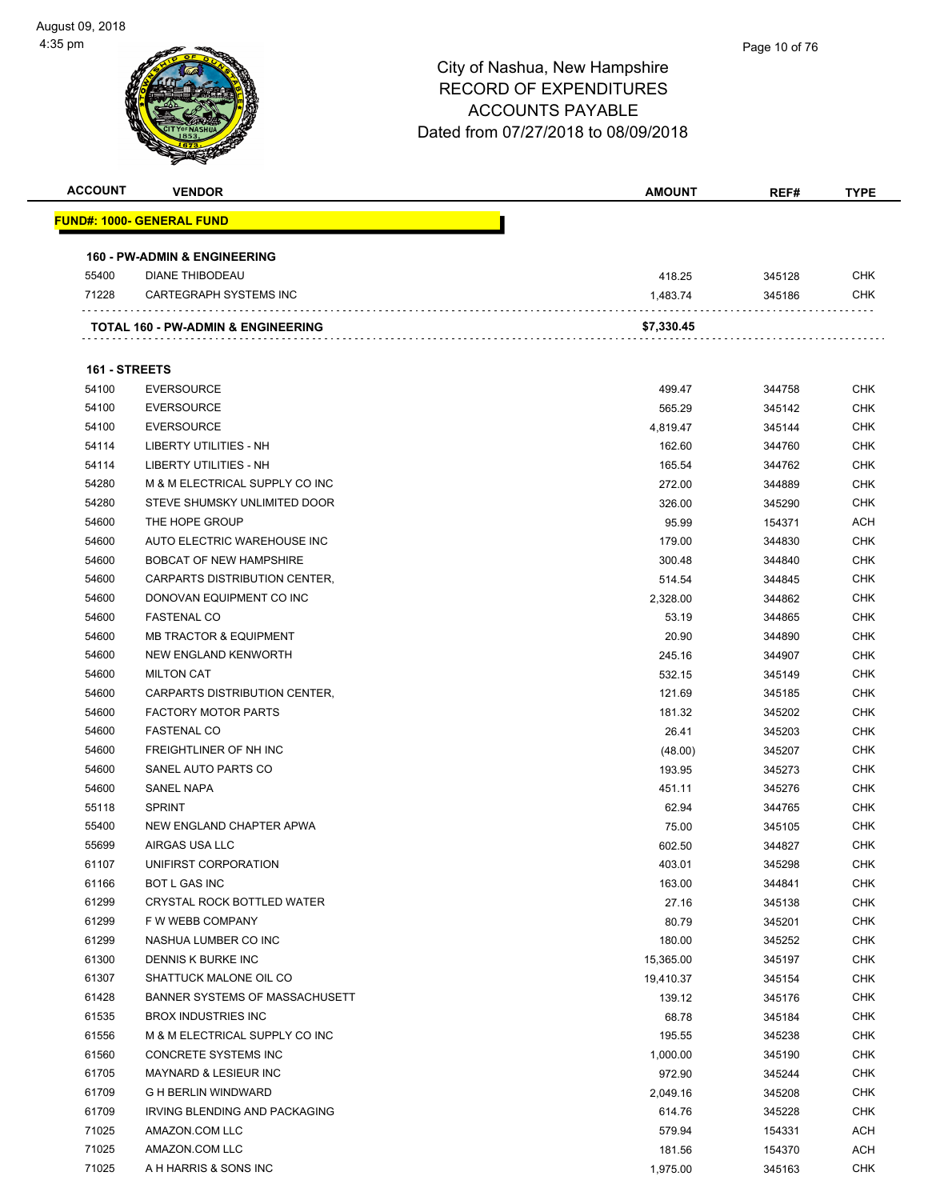| <b>ACCOUNT</b> | <b>VENDOR</b>                                 | <b>AMOUNT</b> | REF#   | <b>TYPE</b>              |
|----------------|-----------------------------------------------|---------------|--------|--------------------------|
|                | FUND#: 1000- GENERAL FUND                     |               |        |                          |
|                |                                               |               |        |                          |
|                | <b>160 - PW-ADMIN &amp; ENGINEERING</b>       |               |        |                          |
| 55400<br>71228 | <b>DIANE THIBODEAU</b>                        | 418.25        | 345128 | <b>CHK</b><br><b>CHK</b> |
|                | CARTEGRAPH SYSTEMS INC                        | 1,483.74      | 345186 |                          |
|                | <b>TOTAL 160 - PW-ADMIN &amp; ENGINEERING</b> | \$7,330.45    |        |                          |
| 161 - STREETS  |                                               |               |        |                          |
| 54100          | <b>EVERSOURCE</b>                             | 499.47        | 344758 | CHK                      |
| 54100          | <b>EVERSOURCE</b>                             | 565.29        | 345142 | <b>CHK</b>               |
| 54100          | <b>EVERSOURCE</b>                             | 4,819.47      | 345144 | CHK                      |
| 54114          | LIBERTY UTILITIES - NH                        | 162.60        | 344760 | CHK                      |
| 54114          | LIBERTY UTILITIES - NH                        | 165.54        | 344762 | <b>CHK</b>               |
| 54280          | M & M ELECTRICAL SUPPLY CO INC                | 272.00        | 344889 | CHK                      |
| 54280          | STEVE SHUMSKY UNLIMITED DOOR                  | 326.00        | 345290 | <b>CHK</b>               |
| 54600          | THE HOPE GROUP                                | 95.99         | 154371 | ACH                      |
| 54600          | AUTO ELECTRIC WAREHOUSE INC                   | 179.00        | 344830 | CHK                      |
| 54600          | <b>BOBCAT OF NEW HAMPSHIRE</b>                | 300.48        | 344840 | CHK                      |
| 54600          | CARPARTS DISTRIBUTION CENTER,                 | 514.54        | 344845 | CHK                      |
| 54600          | DONOVAN EQUIPMENT CO INC                      | 2,328.00      | 344862 | CHK                      |
| 54600          | <b>FASTENAL CO</b>                            | 53.19         | 344865 | <b>CHK</b>               |
| 54600          | <b>MB TRACTOR &amp; EQUIPMENT</b>             | 20.90         | 344890 | CHK                      |
| 54600          | NEW ENGLAND KENWORTH                          | 245.16        | 344907 | CHK                      |
| 54600          | <b>MILTON CAT</b>                             | 532.15        | 345149 | <b>CHK</b>               |
| 54600          | CARPARTS DISTRIBUTION CENTER,                 | 121.69        | 345185 | CHK                      |
| 54600          | <b>FACTORY MOTOR PARTS</b>                    | 181.32        | 345202 | <b>CHK</b>               |
| 54600          | <b>FASTENAL CO</b>                            | 26.41         | 345203 | <b>CHK</b>               |
| 54600          | FREIGHTLINER OF NH INC                        | (48.00)       | 345207 | CHK                      |
| 54600          | SANEL AUTO PARTS CO                           | 193.95        | 345273 | CHK                      |
| 54600          | <b>SANEL NAPA</b>                             | 451.11        | 345276 | CHK                      |
| 55118          | <b>SPRINT</b>                                 | 62.94         | 344765 | CHK                      |
| 55400          | NEW ENGLAND CHAPTER APWA                      | 75.00         | 345105 | CHK                      |
| 55699          | AIRGAS USA LLC                                | 602.50        | 344827 | CHK                      |
| 61107          | UNIFIRST CORPORATION                          | 403.01        | 345298 | CHK                      |
| 61166          | <b>BOT L GAS INC</b>                          | 163.00        | 344841 | <b>CHK</b>               |
| 61299          | <b>CRYSTAL ROCK BOTTLED WATER</b>             | 27.16         | 345138 | <b>CHK</b>               |
| 61299          | F W WEBB COMPANY                              | 80.79         | 345201 | <b>CHK</b>               |
| 61299          | NASHUA LUMBER CO INC                          | 180.00        | 345252 | <b>CHK</b>               |
| 61300          | DENNIS K BURKE INC                            | 15,365.00     | 345197 | <b>CHK</b>               |
| 61307          | SHATTUCK MALONE OIL CO                        | 19,410.37     | 345154 | <b>CHK</b>               |
| 61428          | BANNER SYSTEMS OF MASSACHUSETT                | 139.12        | 345176 | <b>CHK</b>               |
| 61535          | <b>BROX INDUSTRIES INC</b>                    | 68.78         | 345184 | <b>CHK</b>               |
| 61556          | M & M ELECTRICAL SUPPLY CO INC                | 195.55        | 345238 | <b>CHK</b>               |
| 61560          | CONCRETE SYSTEMS INC                          | 1,000.00      | 345190 | <b>CHK</b>               |
| 61705          | MAYNARD & LESIEUR INC                         | 972.90        | 345244 | <b>CHK</b>               |
| 61709          | <b>G H BERLIN WINDWARD</b>                    | 2,049.16      | 345208 | <b>CHK</b>               |
| 61709          | IRVING BLENDING AND PACKAGING                 | 614.76        | 345228 | <b>CHK</b>               |
| 71025          | AMAZON.COM LLC                                | 579.94        | 154331 | ACH                      |
| 71025          | AMAZON.COM LLC                                | 181.56        | 154370 | <b>ACH</b>               |
| 71025          | A H HARRIS & SONS INC                         | 1,975.00      | 345163 | <b>CHK</b>               |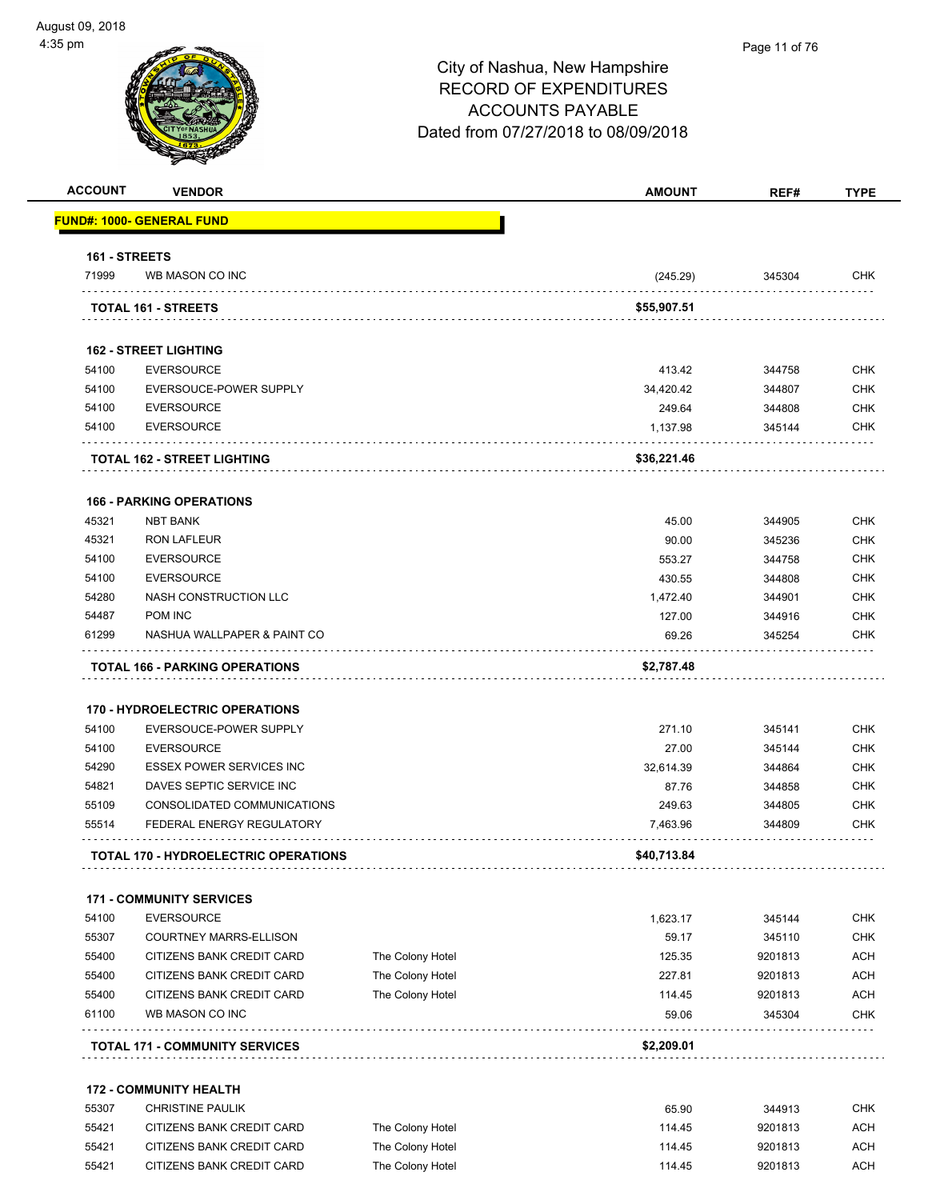| <b>ACCOUNT</b> | <b>VENDOR</b>                                            |                  | <b>AMOUNT</b>      | REF#             | <b>TYPE</b>              |
|----------------|----------------------------------------------------------|------------------|--------------------|------------------|--------------------------|
|                | <b>FUND#: 1000- GENERAL FUND</b>                         |                  |                    |                  |                          |
| 161 - STREETS  |                                                          |                  |                    |                  |                          |
| 71999          | WB MASON CO INC                                          |                  | (245.29)           | 345304           | CHK                      |
|                | TOTAL 161 - STREETS                                      |                  | \$55,907.51        |                  |                          |
|                |                                                          |                  |                    |                  |                          |
|                | <b>162 - STREET LIGHTING</b>                             |                  |                    |                  |                          |
| 54100          | <b>EVERSOURCE</b>                                        |                  | 413.42             | 344758           | <b>CHK</b>               |
| 54100          | EVERSOUCE-POWER SUPPLY                                   |                  | 34,420.42          | 344807           | <b>CHK</b>               |
| 54100          | <b>EVERSOURCE</b>                                        |                  | 249.64             | 344808           | <b>CHK</b>               |
| 54100          | <b>EVERSOURCE</b>                                        |                  | 1,137.98           | 345144           | CHK                      |
|                | <b>TOTAL 162 - STREET LIGHTING</b>                       |                  | \$36,221.46        |                  |                          |
|                | <b>166 - PARKING OPERATIONS</b>                          |                  |                    |                  |                          |
| 45321          | <b>NBT BANK</b>                                          |                  | 45.00              | 344905           | <b>CHK</b>               |
| 45321          | <b>RON LAFLEUR</b>                                       |                  | 90.00              | 345236           | <b>CHK</b>               |
| 54100          | <b>EVERSOURCE</b>                                        |                  | 553.27             | 344758           | <b>CHK</b>               |
| 54100          | <b>EVERSOURCE</b>                                        |                  | 430.55             | 344808           | <b>CHK</b>               |
| 54280          | NASH CONSTRUCTION LLC                                    |                  | 1,472.40           | 344901           | <b>CHK</b>               |
| 54487          | POM INC                                                  |                  | 127.00             | 344916           | CHK                      |
| 61299          | NASHUA WALLPAPER & PAINT CO                              |                  | 69.26              | 345254           | CHK                      |
|                | <b>TOTAL 166 - PARKING OPERATIONS</b>                    |                  | \$2,787.48         |                  |                          |
|                |                                                          |                  |                    |                  |                          |
| 54100          | <b>170 - HYDROELECTRIC OPERATIONS</b>                    |                  |                    |                  | <b>CHK</b>               |
|                | EVERSOUCE-POWER SUPPLY<br><b>EVERSOURCE</b>              |                  | 271.10<br>27.00    | 345141           | <b>CHK</b>               |
| 54100          |                                                          |                  |                    | 345144           |                          |
| 54290          | <b>ESSEX POWER SERVICES INC</b>                          |                  | 32,614.39          | 344864           | CHK                      |
| 54821          | DAVES SEPTIC SERVICE INC                                 |                  | 87.76              | 344858           | <b>CHK</b><br><b>CHK</b> |
| 55109<br>55514 | CONSOLIDATED COMMUNICATIONS<br>FEDERAL ENERGY REGULATORY |                  | 249.63<br>7,463.96 | 344805<br>344809 | CHK                      |
|                |                                                          |                  | \$40,713.84        |                  |                          |
|                | TOTAL 170 - HYDROELECTRIC OPERATIONS                     |                  |                    |                  |                          |
|                | <b>171 - COMMUNITY SERVICES</b>                          |                  |                    |                  |                          |
| 54100          | <b>EVERSOURCE</b>                                        |                  | 1.623.17           | 345144           | <b>CHK</b>               |
| 55307          | <b>COURTNEY MARRS-ELLISON</b>                            |                  | 59.17              | 345110           | <b>CHK</b>               |
| 55400          | CITIZENS BANK CREDIT CARD                                | The Colony Hotel | 125.35             | 9201813          | <b>ACH</b>               |
| 55400          | CITIZENS BANK CREDIT CARD                                | The Colony Hotel | 227.81             | 9201813          | <b>ACH</b>               |
| 55400          | CITIZENS BANK CREDIT CARD                                | The Colony Hotel | 114.45             | 9201813          | <b>ACH</b>               |
| 61100          | WB MASON CO INC                                          |                  | 59.06              | 345304           | <b>CHK</b>               |
|                | <b>TOTAL 171 - COMMUNITY SERVICES</b>                    |                  | \$2,209.01         |                  |                          |
|                | <b>172 - COMMUNITY HEALTH</b>                            |                  |                    |                  |                          |
| 55307          | <b>CHRISTINE PAULIK</b>                                  |                  | 65.90              | 344913           | CHK                      |
| 55421          | CITIZENS BANK CREDIT CARD                                | The Colony Hotel | 114.45             | 9201813          | <b>ACH</b>               |
| 55421          | CITIZENS BANK CREDIT CARD                                | The Colony Hotel | 114.45             | 9201813          | <b>ACH</b>               |
|                |                                                          |                  |                    |                  |                          |

55421 CITIZENS BANK CREDIT CARD The Colony Hotel COLONY HOTEL 114.45 9201813 ACH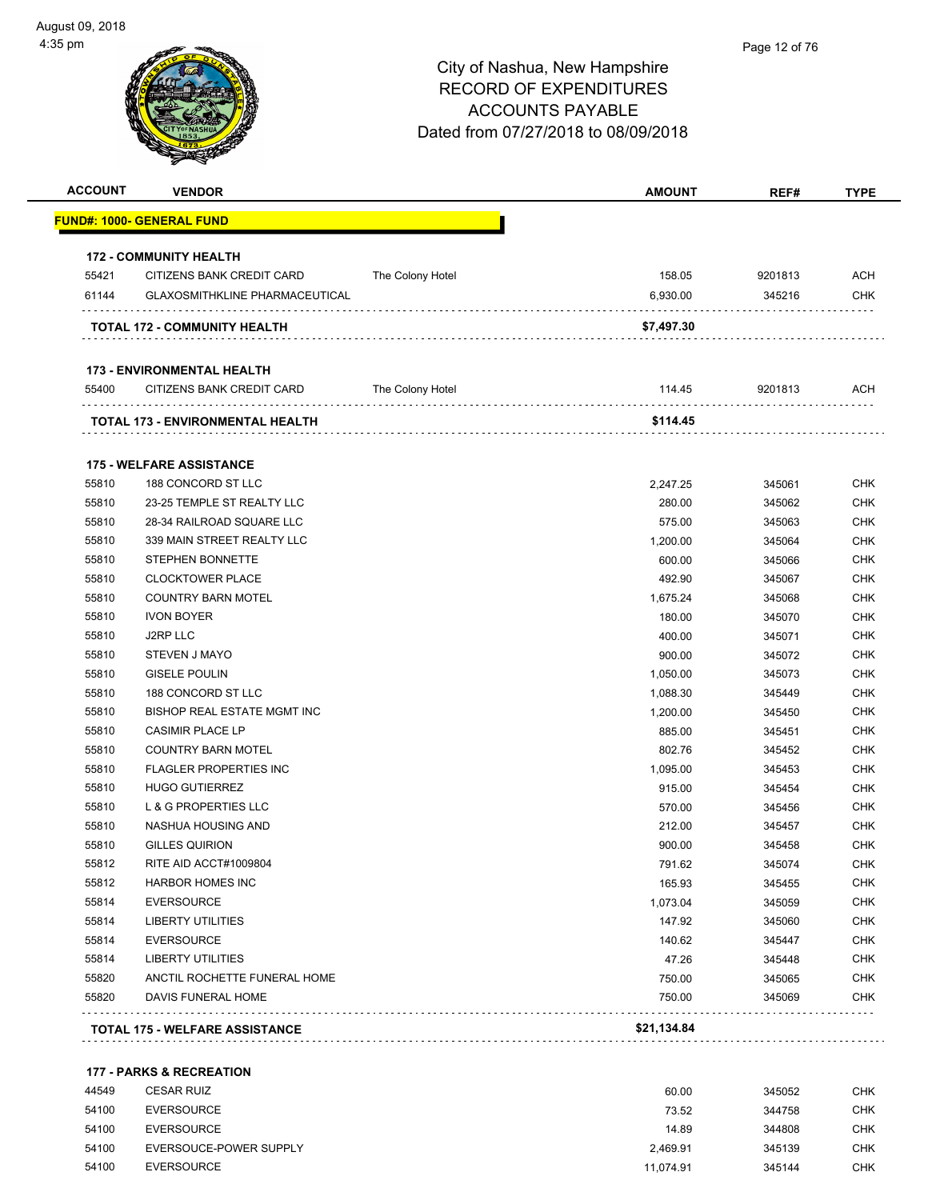| <b>ACCOUNT</b> | <b>VENDOR</b>                         |                  | <b>AMOUNT</b> | REF#    | <b>TYPE</b> |
|----------------|---------------------------------------|------------------|---------------|---------|-------------|
|                | <u> FUND#: 1000- GENERAL FUND</u>     |                  |               |         |             |
|                | <b>172 - COMMUNITY HEALTH</b>         |                  |               |         |             |
| 55421          | CITIZENS BANK CREDIT CARD             | The Colony Hotel | 158.05        | 9201813 | <b>ACH</b>  |
| 61144          | <b>GLAXOSMITHKLINE PHARMACEUTICAL</b> |                  | 6,930.00      | 345216  | <b>CHK</b>  |
|                | TOTAL 172 - COMMUNITY HEALTH          |                  | \$7,497.30    |         |             |
|                | <b>173 - ENVIRONMENTAL HEALTH</b>     |                  |               |         |             |
| 55400          | CITIZENS BANK CREDIT CARD             | The Colony Hotel | 114.45        | 9201813 | ACH         |
|                | TOTAL 173 - ENVIRONMENTAL HEALTH      |                  | \$114.45      |         |             |
|                | <b>175 - WELFARE ASSISTANCE</b>       |                  |               |         |             |
| 55810          | 188 CONCORD ST LLC                    |                  | 2,247.25      | 345061  | <b>CHK</b>  |
| 55810          | 23-25 TEMPLE ST REALTY LLC            |                  | 280.00        | 345062  | <b>CHK</b>  |
| 55810          | 28-34 RAILROAD SQUARE LLC             |                  | 575.00        | 345063  | <b>CHK</b>  |
| 55810          | 339 MAIN STREET REALTY LLC            |                  | 1,200.00      | 345064  | <b>CHK</b>  |
| 55810          | <b>STEPHEN BONNETTE</b>               |                  | 600.00        | 345066  | <b>CHK</b>  |
| 55810          | <b>CLOCKTOWER PLACE</b>               |                  | 492.90        | 345067  | <b>CHK</b>  |
| 55810          | <b>COUNTRY BARN MOTEL</b>             |                  | 1,675.24      | 345068  | <b>CHK</b>  |
| 55810          | <b>IVON BOYER</b>                     |                  | 180.00        | 345070  | <b>CHK</b>  |
| 55810          | J2RP LLC                              |                  | 400.00        | 345071  | <b>CHK</b>  |
| 55810          | STEVEN J MAYO                         |                  | 900.00        | 345072  | <b>CHK</b>  |
| 55810          | <b>GISELE POULIN</b>                  |                  | 1,050.00      | 345073  | <b>CHK</b>  |
| 55810          | 188 CONCORD ST LLC                    |                  | 1,088.30      | 345449  | <b>CHK</b>  |
| 55810          | BISHOP REAL ESTATE MGMT INC           |                  | 1,200.00      | 345450  | <b>CHK</b>  |
| 55810          | <b>CASIMIR PLACE LP</b>               |                  | 885.00        | 345451  | <b>CHK</b>  |
| 55810          | <b>COUNTRY BARN MOTEL</b>             |                  | 802.76        | 345452  | <b>CHK</b>  |
| 55810          | <b>FLAGLER PROPERTIES INC</b>         |                  | 1,095.00      | 345453  | <b>CHK</b>  |
| 55810          | <b>HUGO GUTIERREZ</b>                 |                  | 915.00        | 345454  | <b>CHK</b>  |
| 55810          | L & G PROPERTIES LLC                  |                  | 570.00        | 345456  | <b>CHK</b>  |
| 55810          | NASHUA HOUSING AND                    |                  | 212.00        | 345457  | <b>CHK</b>  |
| 55810          | <b>GILLES QUIRION</b>                 |                  | 900.00        | 345458  | <b>CHK</b>  |
| 55812          | RITE AID ACCT#1009804                 |                  | 791.62        | 345074  | <b>CHK</b>  |
| 55812          | <b>HARBOR HOMES INC</b>               |                  | 165.93        | 345455  | CHK         |
| 55814          | <b>EVERSOURCE</b>                     |                  | 1,073.04      | 345059  | <b>CHK</b>  |
| 55814          | <b>LIBERTY UTILITIES</b>              |                  | 147.92        | 345060  | <b>CHK</b>  |
| 55814          | <b>EVERSOURCE</b>                     |                  | 140.62        | 345447  | <b>CHK</b>  |
| 55814          | <b>LIBERTY UTILITIES</b>              |                  | 47.26         | 345448  | <b>CHK</b>  |
| 55820          | ANCTIL ROCHETTE FUNERAL HOME          |                  | 750.00        | 345065  | <b>CHK</b>  |
| 55820          | DAVIS FUNERAL HOME                    |                  | 750.00        | 345069  | <b>CHK</b>  |
|                |                                       |                  |               |         |             |

#### **177 - PARKS & RECREATION**

| 44549 | <b>CESAR RUIZ</b>      | 60.00     | 345052 | CHK |
|-------|------------------------|-----------|--------|-----|
| 54100 | EVERSOURCE             | 73.52     | 344758 | CHK |
| 54100 | EVERSOURCE             | 14.89     | 344808 | CHK |
| 54100 | EVERSOUCE-POWER SUPPLY | 2.469.91  | 345139 | CHK |
| 54100 | <b>EVERSOURCE</b>      | 11.074.91 | 345144 | CHK |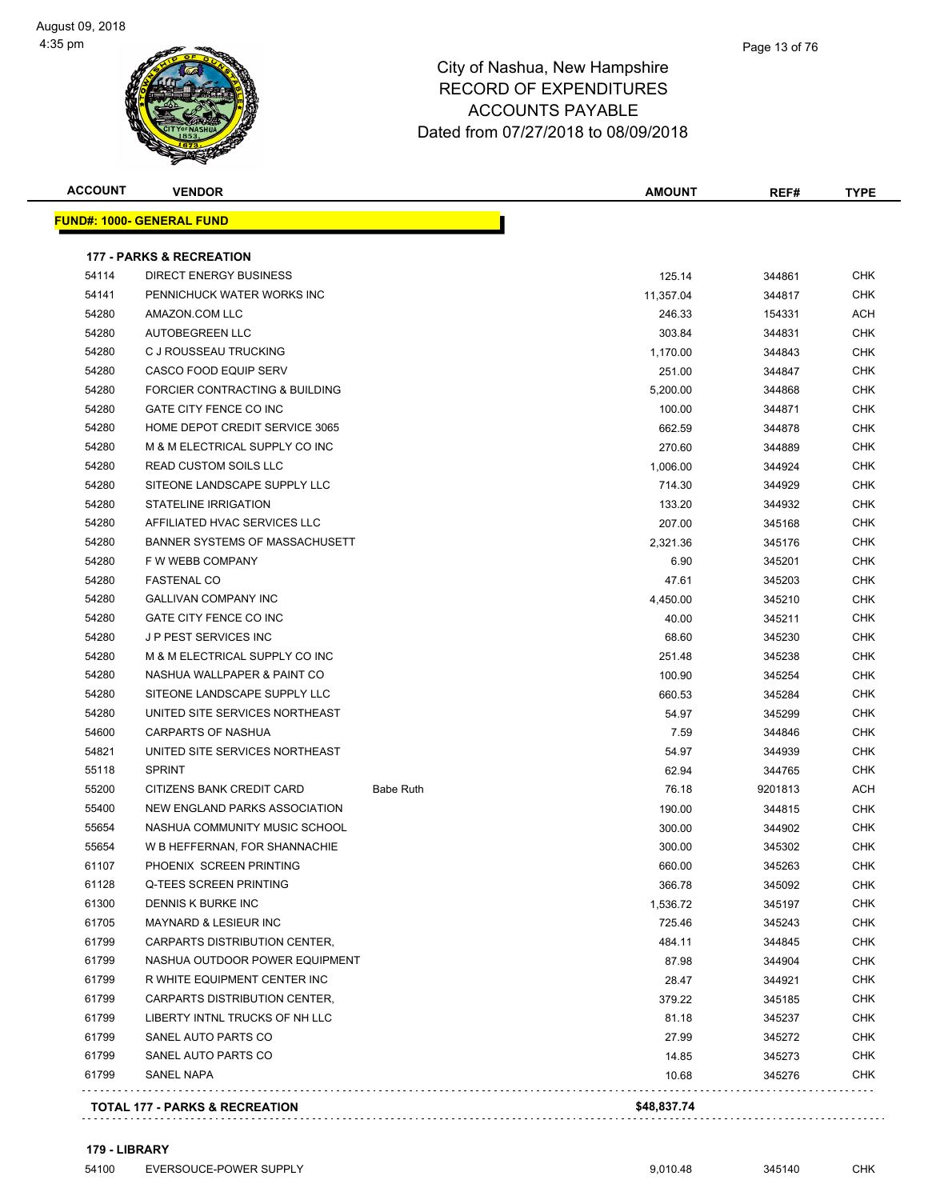| <b>ACCOUNT</b> | <b>VENDOR</b>                             |                  | <b>AMOUNT</b> | REF#    | <b>TYPE</b> |
|----------------|-------------------------------------------|------------------|---------------|---------|-------------|
|                | <u> FUND#: 1000- GENERAL FUND</u>         |                  |               |         |             |
|                | <b>177 - PARKS &amp; RECREATION</b>       |                  |               |         |             |
| 54114          | <b>DIRECT ENERGY BUSINESS</b>             |                  | 125.14        | 344861  | CHK         |
| 54141          | PENNICHUCK WATER WORKS INC                |                  | 11,357.04     | 344817  | CHK         |
| 54280          | AMAZON.COM LLC                            |                  | 246.33        | 154331  | ACH         |
| 54280          | AUTOBEGREEN LLC                           |                  | 303.84        | 344831  | CHK         |
| 54280          | C J ROUSSEAU TRUCKING                     |                  | 1,170.00      | 344843  | <b>CHK</b>  |
| 54280          | <b>CASCO FOOD EQUIP SERV</b>              |                  | 251.00        | 344847  | <b>CHK</b>  |
| 54280          | FORCIER CONTRACTING & BUILDING            |                  | 5,200.00      | 344868  | CHK         |
| 54280          | GATE CITY FENCE CO INC                    |                  | 100.00        | 344871  | CHK         |
| 54280          | HOME DEPOT CREDIT SERVICE 3065            |                  | 662.59        | 344878  | CHK         |
| 54280          | M & M ELECTRICAL SUPPLY CO INC            |                  | 270.60        | 344889  | CHK         |
| 54280          | <b>READ CUSTOM SOILS LLC</b>              |                  | 1,006.00      | 344924  | CHK         |
| 54280          | SITEONE LANDSCAPE SUPPLY LLC              |                  | 714.30        | 344929  | CHK         |
| 54280          | <b>STATELINE IRRIGATION</b>               |                  | 133.20        | 344932  | CHK         |
| 54280          | AFFILIATED HVAC SERVICES LLC              |                  | 207.00        | 345168  | <b>CHK</b>  |
| 54280          | BANNER SYSTEMS OF MASSACHUSETT            |                  | 2,321.36      | 345176  | CHK         |
| 54280          | F W WEBB COMPANY                          |                  | 6.90          | 345201  | CHK         |
| 54280          | <b>FASTENAL CO</b>                        |                  | 47.61         | 345203  | <b>CHK</b>  |
| 54280          | <b>GALLIVAN COMPANY INC</b>               |                  | 4,450.00      | 345210  | CHK         |
| 54280          | GATE CITY FENCE CO INC                    |                  | 40.00         | 345211  | CHK         |
| 54280          | J P PEST SERVICES INC                     |                  | 68.60         | 345230  | CHK         |
| 54280          | M & M ELECTRICAL SUPPLY CO INC            |                  | 251.48        | 345238  | CHK         |
| 54280          | NASHUA WALLPAPER & PAINT CO               |                  | 100.90        | 345254  | CHK         |
| 54280          | SITEONE LANDSCAPE SUPPLY LLC              |                  | 660.53        | 345284  | CHK         |
| 54280          | UNITED SITE SERVICES NORTHEAST            |                  | 54.97         | 345299  | CHK         |
| 54600          | CARPARTS OF NASHUA                        |                  | 7.59          | 344846  | <b>CHK</b>  |
| 54821          | UNITED SITE SERVICES NORTHEAST            |                  | 54.97         | 344939  | CHK         |
| 55118          | <b>SPRINT</b>                             |                  | 62.94         | 344765  | CHK         |
| 55200          | CITIZENS BANK CREDIT CARD                 | <b>Babe Ruth</b> | 76.18         | 9201813 | ACH         |
| 55400          | NEW ENGLAND PARKS ASSOCIATION             |                  | 190.00        | 344815  | CHK         |
| 55654          | NASHUA COMMUNITY MUSIC SCHOOL             |                  | 300.00        | 344902  | <b>CHK</b>  |
| 55654          | W B HEFFERNAN, FOR SHANNACHIE             |                  | 300.00        | 345302  | CHK         |
| 61107          | PHOENIX SCREEN PRINTING                   |                  | 660.00        | 345263  | <b>CHK</b>  |
| 61128          | Q-TEES SCREEN PRINTING                    |                  | 366.78        | 345092  | CHK         |
| 61300          | DENNIS K BURKE INC                        |                  | 1,536.72      | 345197  | CHK         |
| 61705          | MAYNARD & LESIEUR INC                     |                  | 725.46        | 345243  | CHK         |
| 61799          | CARPARTS DISTRIBUTION CENTER,             |                  | 484.11        | 344845  | CHK         |
| 61799          | NASHUA OUTDOOR POWER EQUIPMENT            |                  | 87.98         | 344904  | CHK         |
| 61799          | R WHITE EQUIPMENT CENTER INC              |                  | 28.47         | 344921  | CHK         |
| 61799          | CARPARTS DISTRIBUTION CENTER,             |                  | 379.22        | 345185  | CHK         |
| 61799          | LIBERTY INTNL TRUCKS OF NH LLC            |                  | 81.18         | 345237  | CHK         |
| 61799          | SANEL AUTO PARTS CO                       |                  | 27.99         | 345272  | CHK         |
| 61799          | SANEL AUTO PARTS CO                       |                  | 14.85         | 345273  | CHK         |
| 61799          | SANEL NAPA                                |                  | 10.68         | 345276  | <b>CHK</b>  |
|                |                                           |                  |               |         |             |
|                | <b>TOTAL 177 - PARKS &amp; RECREATION</b> |                  | \$48,837.74   |         |             |

**179 - LIBRARY**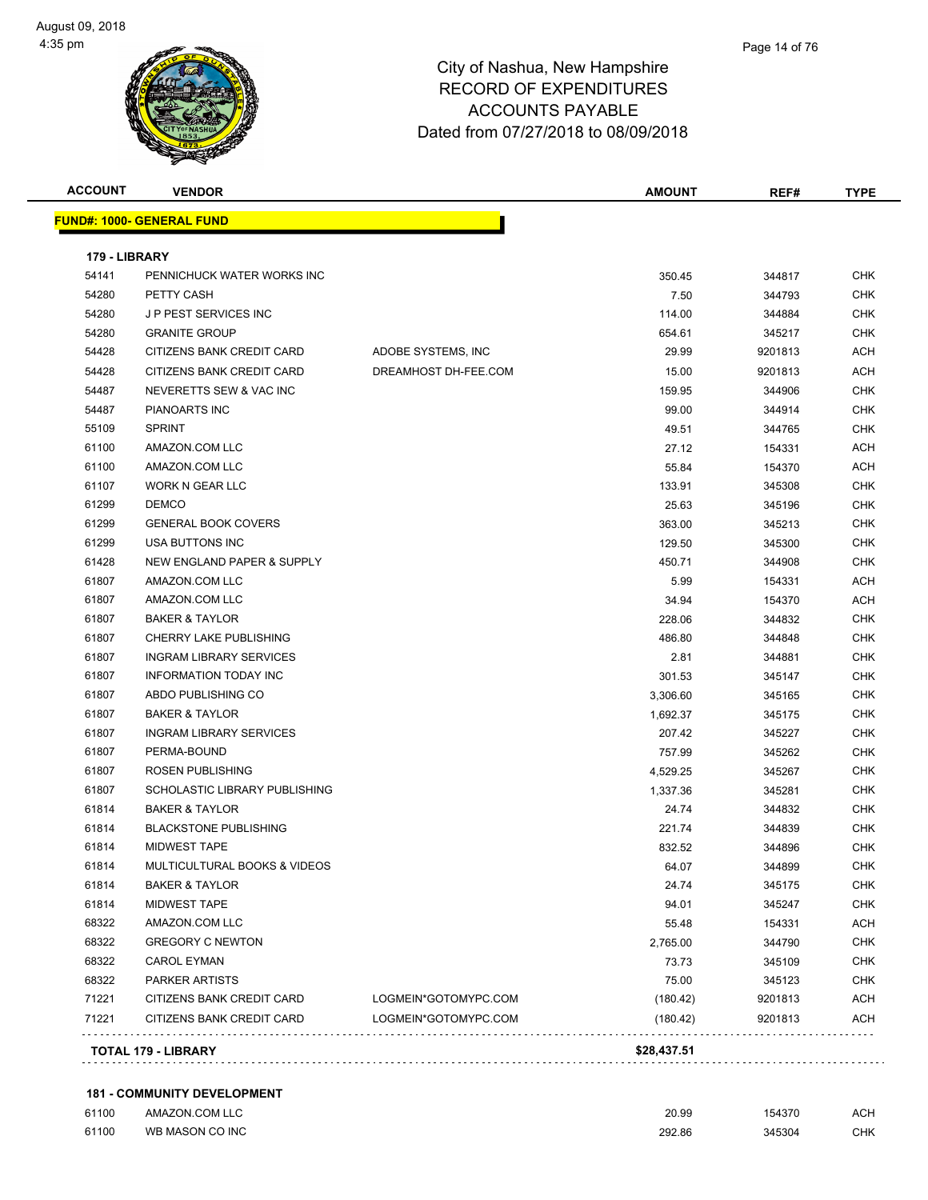#### Page 14 of 76

#### City of Nashua, New Hampshire RECORD OF EXPENDITURES ACCOUNTS PAYABLE Dated from 07/27/2018 to 08/09/2018

| <b>ACCOUNT</b> | <b>VENDOR</b>                    |                      | <b>AMOUNT</b> | REF#    | <b>TYPE</b> |
|----------------|----------------------------------|----------------------|---------------|---------|-------------|
|                | <b>FUND#: 1000- GENERAL FUND</b> |                      |               |         |             |
| 179 - LIBRARY  |                                  |                      |               |         |             |
| 54141          | PENNICHUCK WATER WORKS INC       |                      | 350.45        | 344817  | <b>CHK</b>  |
| 54280          | PETTY CASH                       |                      | 7.50          | 344793  | <b>CHK</b>  |
| 54280          | J P PEST SERVICES INC            |                      | 114.00        | 344884  | <b>CHK</b>  |
| 54280          | <b>GRANITE GROUP</b>             |                      | 654.61        | 345217  | CHK         |
| 54428          | CITIZENS BANK CREDIT CARD        | ADOBE SYSTEMS, INC   | 29.99         | 9201813 | ACH         |
| 54428          | CITIZENS BANK CREDIT CARD        | DREAMHOST DH-FEE.COM | 15.00         | 9201813 | ACH         |
| 54487          | NEVERETTS SEW & VAC INC          |                      | 159.95        | 344906  | CHK         |
| 54487          | PIANOARTS INC                    |                      | 99.00         | 344914  | <b>CHK</b>  |
| 55109          | <b>SPRINT</b>                    |                      | 49.51         | 344765  | CHK         |
| 61100          | AMAZON.COM LLC                   |                      | 27.12         | 154331  | ACH         |
| 61100          | AMAZON.COM LLC                   |                      | 55.84         | 154370  | ACH         |
| 61107          | <b>WORK N GEAR LLC</b>           |                      | 133.91        | 345308  | CHK         |
| 61299          | <b>DEMCO</b>                     |                      | 25.63         | 345196  | <b>CHK</b>  |
| 61299          | <b>GENERAL BOOK COVERS</b>       |                      | 363.00        | 345213  | CHK         |
| 61299          | USA BUTTONS INC                  |                      | 129.50        | 345300  | CHK         |
| 61428          | NEW ENGLAND PAPER & SUPPLY       |                      | 450.71        | 344908  | CHK         |
| 61807          | AMAZON.COM LLC                   |                      | 5.99          | 154331  | ACH         |
| 61807          | AMAZON.COM LLC                   |                      | 34.94         | 154370  | ACH         |
| 61807          | <b>BAKER &amp; TAYLOR</b>        |                      | 228.06        | 344832  | CHK         |
| 61807          | CHERRY LAKE PUBLISHING           |                      | 486.80        | 344848  | CHK         |
| 61807          | <b>INGRAM LIBRARY SERVICES</b>   |                      | 2.81          | 344881  | <b>CHK</b>  |
| 61807          | <b>INFORMATION TODAY INC</b>     |                      | 301.53        | 345147  | <b>CHK</b>  |
| 61807          | ABDO PUBLISHING CO               |                      | 3,306.60      | 345165  | CHK         |
| 61807          | <b>BAKER &amp; TAYLOR</b>        |                      | 1,692.37      | 345175  | <b>CHK</b>  |
| 61807          | <b>INGRAM LIBRARY SERVICES</b>   |                      | 207.42        | 345227  | CHK         |
| 61807          | PERMA-BOUND                      |                      | 757.99        | 345262  | CHK         |
| 61807          | ROSEN PUBLISHING                 |                      | 4,529.25      | 345267  | CHK         |
| 61807          | SCHOLASTIC LIBRARY PUBLISHING    |                      | 1,337.36      | 345281  | CHK         |
| 61814          | <b>BAKER &amp; TAYLOR</b>        |                      | 24.74         | 344832  | CHK         |
| 61814          | <b>BLACKSTONE PUBLISHING</b>     |                      | 221.74        | 344839  | <b>CHK</b>  |
| 61814          | <b>MIDWEST TAPE</b>              |                      | 832.52        | 344896  | <b>CHK</b>  |
| 61814          | MULTICULTURAL BOOKS & VIDEOS     |                      | 64.07         | 344899  | <b>CHK</b>  |
| 61814          | <b>BAKER &amp; TAYLOR</b>        |                      | 24.74         | 345175  | CHK         |
| 61814          | <b>MIDWEST TAPE</b>              |                      | 94.01         | 345247  | <b>CHK</b>  |
| 68322          | AMAZON.COM LLC                   |                      | 55.48         | 154331  | <b>ACH</b>  |
| 68322          | <b>GREGORY C NEWTON</b>          |                      | 2,765.00      | 344790  | <b>CHK</b>  |
| 68322          | <b>CAROL EYMAN</b>               |                      | 73.73         | 345109  | <b>CHK</b>  |
| 68322          | <b>PARKER ARTISTS</b>            |                      | 75.00         | 345123  | <b>CHK</b>  |
| 71221          | CITIZENS BANK CREDIT CARD        | LOGMEIN*GOTOMYPC.COM | (180.42)      | 9201813 | <b>ACH</b>  |
| 71221          | CITIZENS BANK CREDIT CARD        | LOGMEIN*GOTOMYPC.COM | (180.42)      | 9201813 | <b>ACH</b>  |

#### **181 - COMMUNITY DEVELOPMENT**

| 61100 | AMAZON.COM LLC  | 20.99  | 154370 | ACH        |
|-------|-----------------|--------|--------|------------|
| 61100 | WB MASON CO INC | 292.86 | 345304 | <b>CHK</b> |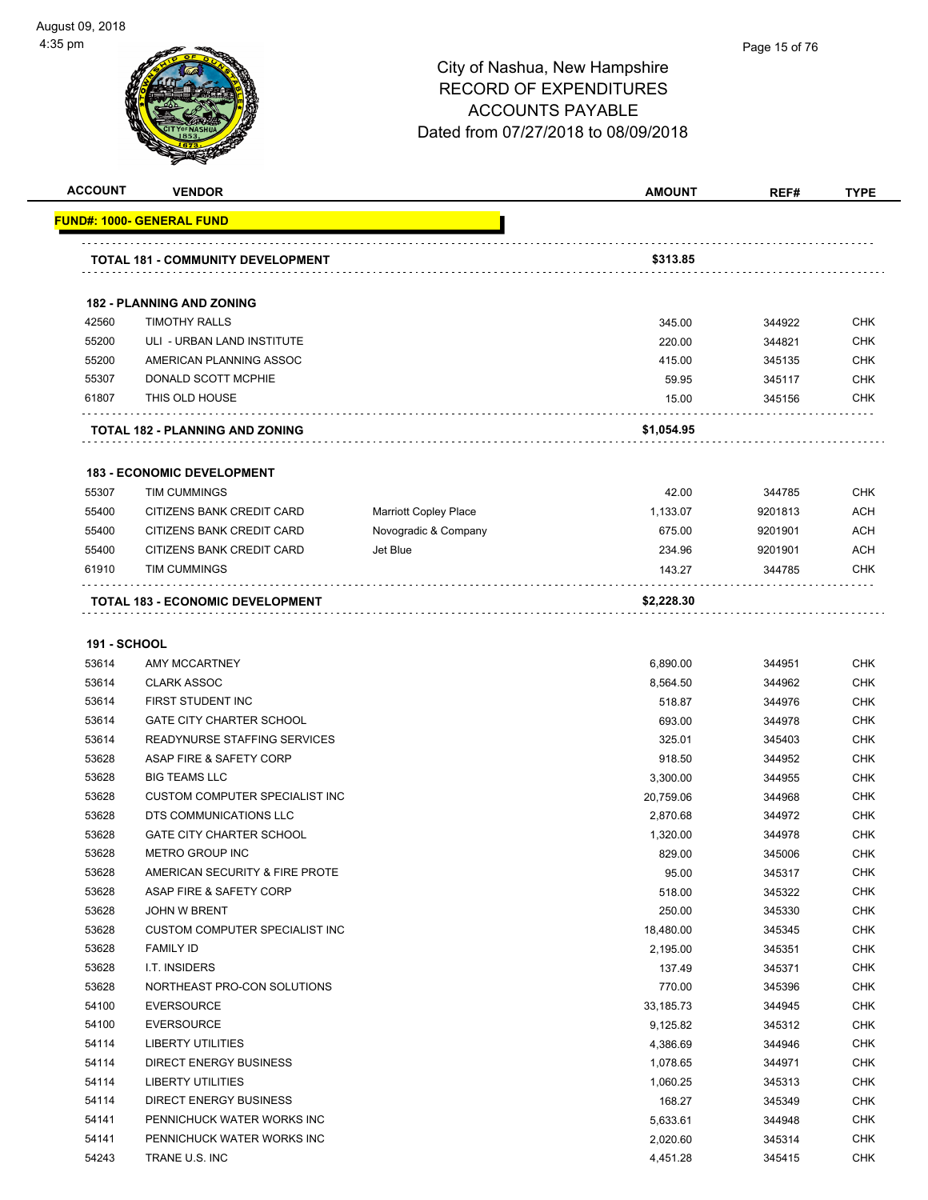

#### Page 15 of 76

| <b>ACCOUNT</b>      | <b>VENDOR</b>                            |                              | <b>AMOUNT</b> | REF#    | <b>TYPE</b> |
|---------------------|------------------------------------------|------------------------------|---------------|---------|-------------|
|                     | <u> FUND#: 1000- GENERAL FUND</u>        |                              |               |         |             |
|                     |                                          |                              |               |         |             |
|                     | <b>TOTAL 181 - COMMUNITY DEVELOPMENT</b> |                              | \$313.85      |         |             |
|                     | <b>182 - PLANNING AND ZONING</b>         |                              |               |         |             |
| 42560               | <b>TIMOTHY RALLS</b>                     |                              | 345.00        | 344922  | <b>CHK</b>  |
| 55200               | ULI - URBAN LAND INSTITUTE               |                              | 220.00        | 344821  | <b>CHK</b>  |
| 55200               | AMERICAN PLANNING ASSOC                  |                              | 415.00        | 345135  | <b>CHK</b>  |
| 55307               | DONALD SCOTT MCPHIE                      |                              | 59.95         | 345117  | <b>CHK</b>  |
| 61807               | THIS OLD HOUSE                           |                              | 15.00         | 345156  | <b>CHK</b>  |
|                     |                                          |                              |               |         |             |
|                     | <b>TOTAL 182 - PLANNING AND ZONING</b>   |                              | \$1,054.95    |         |             |
|                     | <b>183 - ECONOMIC DEVELOPMENT</b>        |                              |               |         |             |
| 55307               | <b>TIM CUMMINGS</b>                      |                              | 42.00         | 344785  | <b>CHK</b>  |
| 55400               | CITIZENS BANK CREDIT CARD                | <b>Marriott Copley Place</b> | 1,133.07      | 9201813 | <b>ACH</b>  |
| 55400               | CITIZENS BANK CREDIT CARD                | Novogradic & Company         | 675.00        | 9201901 | <b>ACH</b>  |
| 55400               | CITIZENS BANK CREDIT CARD                | Jet Blue                     | 234.96        | 9201901 | <b>ACH</b>  |
| 61910               | <b>TIM CUMMINGS</b>                      |                              | 143.27        | 344785  | CHK         |
|                     | <b>TOTAL 183 - ECONOMIC DEVELOPMENT</b>  |                              | \$2,228.30    |         |             |
|                     |                                          |                              |               |         |             |
| <b>191 - SCHOOL</b> |                                          |                              |               |         |             |
| 53614               | AMY MCCARTNEY                            |                              | 6,890.00      | 344951  | <b>CHK</b>  |
| 53614               | <b>CLARK ASSOC</b>                       |                              | 8,564.50      | 344962  | <b>CHK</b>  |
| 53614               | FIRST STUDENT INC                        |                              | 518.87        | 344976  | <b>CHK</b>  |
| 53614               | <b>GATE CITY CHARTER SCHOOL</b>          |                              | 693.00        | 344978  | <b>CHK</b>  |
| 53614               | READYNURSE STAFFING SERVICES             |                              | 325.01        | 345403  | <b>CHK</b>  |
| 53628               | ASAP FIRE & SAFETY CORP                  |                              | 918.50        | 344952  | <b>CHK</b>  |
| 53628               | <b>BIG TEAMS LLC</b>                     |                              | 3,300.00      | 344955  | <b>CHK</b>  |
| 53628               | CUSTOM COMPUTER SPECIALIST INC           |                              | 20,759.06     | 344968  | <b>CHK</b>  |
| 53628               | DTS COMMUNICATIONS LLC                   |                              | 2,870.68      | 344972  | <b>CHK</b>  |
| 53628               | <b>GATE CITY CHARTER SCHOOL</b>          |                              | 1,320.00      | 344978  | <b>CHK</b>  |
| 53628               | <b>METRO GROUP INC</b>                   |                              | 829.00        | 345006  | <b>CHK</b>  |
| 53628               | AMERICAN SECURITY & FIRE PROTE           |                              | 95.00         | 345317  | <b>CHK</b>  |
| 53628               | ASAP FIRE & SAFETY CORP                  |                              | 518.00        | 345322  | <b>CHK</b>  |
| 53628               | <b>JOHN W BRENT</b>                      |                              | 250.00        | 345330  | <b>CHK</b>  |
| 53628               | <b>CUSTOM COMPUTER SPECIALIST INC</b>    |                              | 18,480.00     | 345345  | <b>CHK</b>  |
| 53628               | <b>FAMILY ID</b>                         |                              | 2,195.00      | 345351  | <b>CHK</b>  |
| 53628               | I.T. INSIDERS                            |                              | 137.49        | 345371  | <b>CHK</b>  |
| 53628               | NORTHEAST PRO-CON SOLUTIONS              |                              | 770.00        | 345396  | <b>CHK</b>  |
| 54100               | <b>EVERSOURCE</b>                        |                              | 33,185.73     | 344945  | <b>CHK</b>  |
| 54100               | <b>EVERSOURCE</b>                        |                              | 9,125.82      | 345312  | <b>CHK</b>  |
| 54114               | LIBERTY UTILITIES                        |                              | 4,386.69      | 344946  | <b>CHK</b>  |
| 54114               | <b>DIRECT ENERGY BUSINESS</b>            |                              | 1,078.65      | 344971  | <b>CHK</b>  |
| 54114               | <b>LIBERTY UTILITIES</b>                 |                              | 1,060.25      | 345313  | <b>CHK</b>  |
| 54114               | DIRECT ENERGY BUSINESS                   |                              | 168.27        | 345349  | <b>CHK</b>  |
| 54141               | PENNICHUCK WATER WORKS INC               |                              | 5,633.61      | 344948  | CHK         |
| 54141               | PENNICHUCK WATER WORKS INC               |                              | 2,020.60      | 345314  | <b>CHK</b>  |
| 54243               | TRANE U.S. INC                           |                              | 4,451.28      | 345415  | <b>CHK</b>  |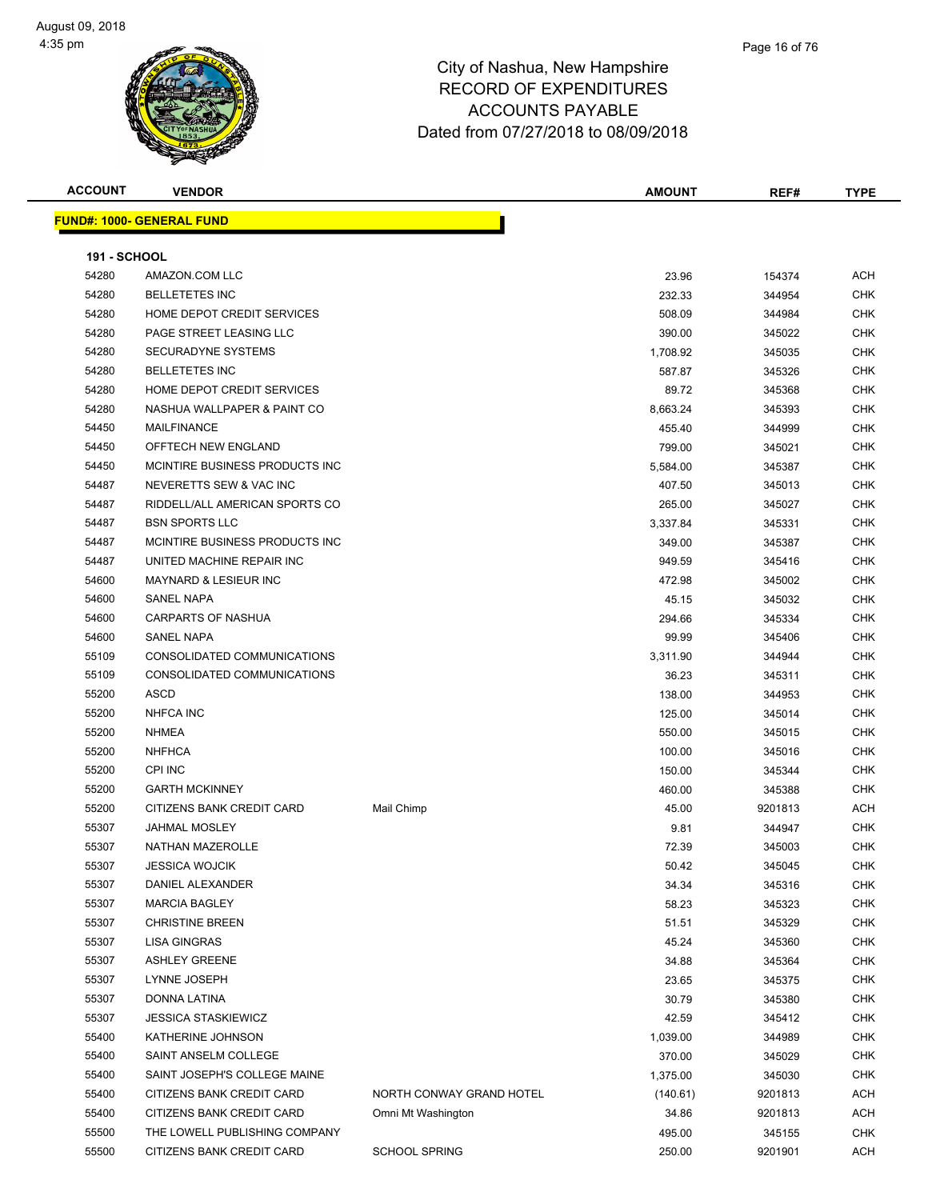#### Page 16 of 76

| <b>ACCOUNT</b>      | <b>VENDOR</b>                    |                          | <b>AMOUNT</b> | REF#    | <b>TYPE</b> |
|---------------------|----------------------------------|--------------------------|---------------|---------|-------------|
|                     | <b>FUND#: 1000- GENERAL FUND</b> |                          |               |         |             |
|                     |                                  |                          |               |         |             |
| <b>191 - SCHOOL</b> |                                  |                          |               |         |             |
| 54280               | AMAZON.COM LLC                   |                          | 23.96         | 154374  | ACH         |
| 54280               | <b>BELLETETES INC</b>            |                          | 232.33        | 344954  | CHK         |
| 54280               | HOME DEPOT CREDIT SERVICES       |                          | 508.09        | 344984  | <b>CHK</b>  |
| 54280               | PAGE STREET LEASING LLC          |                          | 390.00        | 345022  | CHK         |
| 54280               | <b>SECURADYNE SYSTEMS</b>        |                          | 1,708.92      | 345035  | CHK         |
| 54280               | <b>BELLETETES INC</b>            |                          | 587.87        | 345326  | CHK         |
| 54280               | HOME DEPOT CREDIT SERVICES       |                          | 89.72         | 345368  | <b>CHK</b>  |
| 54280               | NASHUA WALLPAPER & PAINT CO      |                          | 8,663.24      | 345393  | <b>CHK</b>  |
| 54450               | <b>MAILFINANCE</b>               |                          | 455.40        | 344999  | CHK         |
| 54450               | OFFTECH NEW ENGLAND              |                          | 799.00        | 345021  | CHK         |
| 54450               | MCINTIRE BUSINESS PRODUCTS INC   |                          | 5,584.00      | 345387  | <b>CHK</b>  |
| 54487               | NEVERETTS SEW & VAC INC          |                          | 407.50        | 345013  | CHK         |
| 54487               | RIDDELL/ALL AMERICAN SPORTS CO   |                          | 265.00        | 345027  | CHK         |
| 54487               | <b>BSN SPORTS LLC</b>            |                          | 3,337.84      | 345331  | CHK         |
| 54487               | MCINTIRE BUSINESS PRODUCTS INC.  |                          | 349.00        | 345387  | CHK         |
| 54487               | UNITED MACHINE REPAIR INC        |                          | 949.59        | 345416  | CHK         |
| 54600               | <b>MAYNARD &amp; LESIEUR INC</b> |                          | 472.98        | 345002  | CHK         |
| 54600               | SANEL NAPA                       |                          | 45.15         | 345032  | CHK         |
| 54600               | <b>CARPARTS OF NASHUA</b>        |                          | 294.66        | 345334  | CHK         |
| 54600               | <b>SANEL NAPA</b>                |                          | 99.99         | 345406  | CHK         |
| 55109               | CONSOLIDATED COMMUNICATIONS      |                          | 3,311.90      | 344944  | CHK         |
| 55109               | CONSOLIDATED COMMUNICATIONS      |                          | 36.23         | 345311  | <b>CHK</b>  |
| 55200               | <b>ASCD</b>                      |                          | 138.00        | 344953  | <b>CHK</b>  |
| 55200               | <b>NHFCA INC</b>                 |                          | 125.00        | 345014  | CHK         |
| 55200               | <b>NHMEA</b>                     |                          | 550.00        | 345015  | CHK         |
| 55200               | <b>NHFHCA</b>                    |                          | 100.00        | 345016  | CHK         |
| 55200               | <b>CPI INC</b>                   |                          | 150.00        | 345344  | CHK         |
| 55200               | <b>GARTH MCKINNEY</b>            |                          | 460.00        | 345388  | CHK         |
| 55200               | <b>CITIZENS BANK CREDIT CARD</b> | Mail Chimp               | 45.00         | 9201813 | <b>ACH</b>  |
| 55307               | <b>JAHMAL MOSLEY</b>             |                          | 9.81          | 344947  | <b>CHK</b>  |
| 55307               | <b>NATHAN MAZEROLLE</b>          |                          | 72.39         | 345003  | <b>CHK</b>  |
| 55307               | <b>JESSICA WOJCIK</b>            |                          | 50.42         | 345045  | CHK         |
| 55307               | DANIEL ALEXANDER                 |                          | 34.34         | 345316  | <b>CHK</b>  |
| 55307               | <b>MARCIA BAGLEY</b>             |                          | 58.23         | 345323  | <b>CHK</b>  |
| 55307               | <b>CHRISTINE BREEN</b>           |                          | 51.51         | 345329  | <b>CHK</b>  |
| 55307               | <b>LISA GINGRAS</b>              |                          | 45.24         | 345360  | <b>CHK</b>  |
| 55307               | <b>ASHLEY GREENE</b>             |                          | 34.88         | 345364  | CHK         |
| 55307               | LYNNE JOSEPH                     |                          | 23.65         | 345375  | <b>CHK</b>  |
| 55307               | DONNA LATINA                     |                          | 30.79         | 345380  | <b>CHK</b>  |
| 55307               | <b>JESSICA STASKIEWICZ</b>       |                          | 42.59         | 345412  | <b>CHK</b>  |
| 55400               | KATHERINE JOHNSON                |                          | 1,039.00      | 344989  | <b>CHK</b>  |
| 55400               | SAINT ANSELM COLLEGE             |                          | 370.00        | 345029  | <b>CHK</b>  |
| 55400               | SAINT JOSEPH'S COLLEGE MAINE     |                          | 1,375.00      | 345030  | <b>CHK</b>  |
| 55400               | CITIZENS BANK CREDIT CARD        | NORTH CONWAY GRAND HOTEL | (140.61)      | 9201813 | <b>ACH</b>  |
| 55400               | CITIZENS BANK CREDIT CARD        | Omni Mt Washington       | 34.86         | 9201813 | <b>ACH</b>  |
| 55500               | THE LOWELL PUBLISHING COMPANY    |                          | 495.00        | 345155  | <b>CHK</b>  |
| 55500               | CITIZENS BANK CREDIT CARD        | <b>SCHOOL SPRING</b>     | 250.00        | 9201901 | ACH         |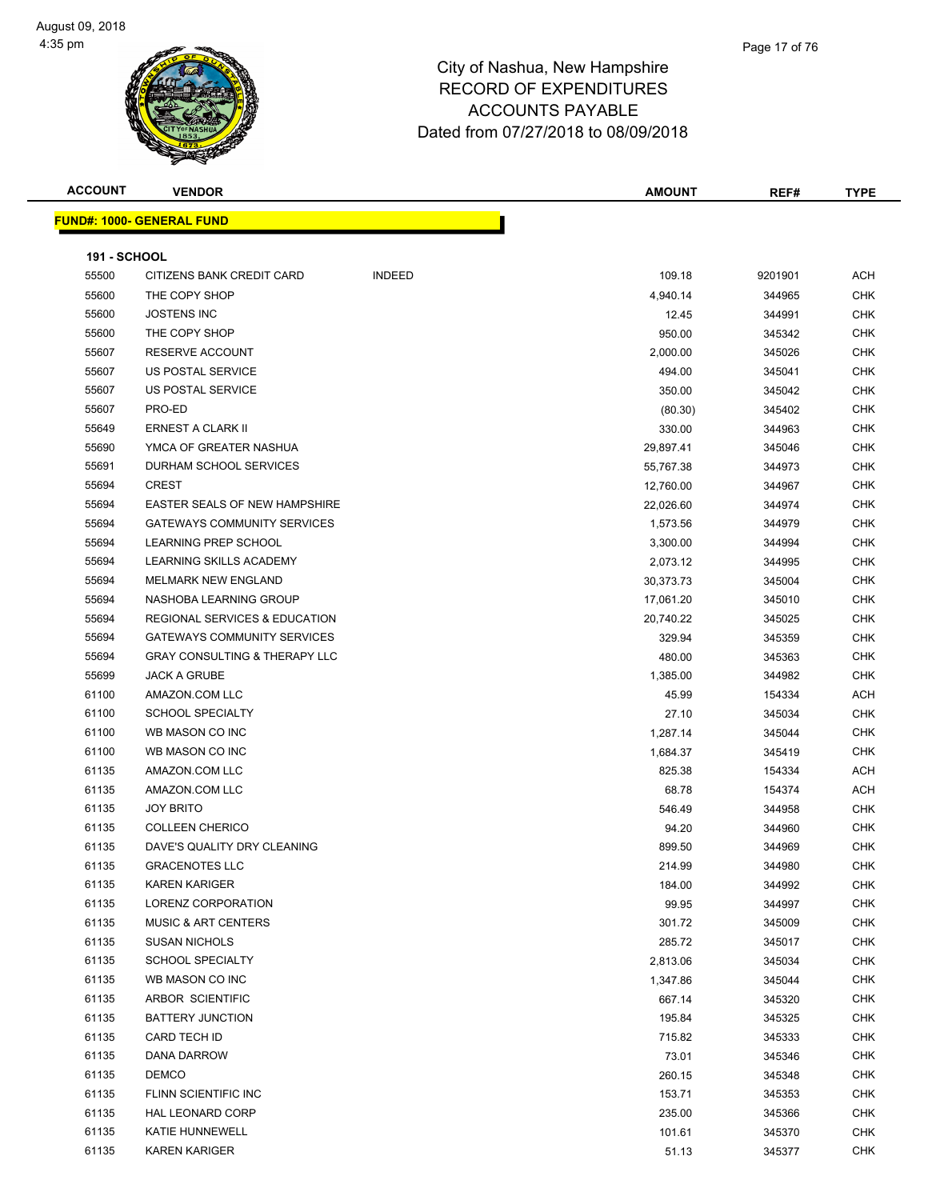| <b>ACCOUNT</b>      | <b>VENDOR</b>                            |               | <b>AMOUNT</b> | REF#    | <b>TYPE</b> |
|---------------------|------------------------------------------|---------------|---------------|---------|-------------|
|                     | <b>FUND#: 1000- GENERAL FUND</b>         |               |               |         |             |
|                     |                                          |               |               |         |             |
| <b>191 - SCHOOL</b> |                                          |               |               |         |             |
| 55500               | CITIZENS BANK CREDIT CARD                | <b>INDEED</b> | 109.18        | 9201901 | ACH         |
| 55600               | THE COPY SHOP                            |               | 4,940.14      | 344965  | <b>CHK</b>  |
| 55600               | <b>JOSTENS INC</b>                       |               | 12.45         | 344991  | CHK         |
| 55600               | THE COPY SHOP                            |               | 950.00        | 345342  | <b>CHK</b>  |
| 55607               | RESERVE ACCOUNT                          |               | 2,000.00      | 345026  | CHK         |
| 55607               | US POSTAL SERVICE                        |               | 494.00        | 345041  | <b>CHK</b>  |
| 55607               | US POSTAL SERVICE                        |               | 350.00        | 345042  | CHK         |
| 55607               | PRO-ED                                   |               | (80.30)       | 345402  | CHK         |
| 55649               | <b>ERNEST A CLARK II</b>                 |               | 330.00        | 344963  | CHK         |
| 55690               | YMCA OF GREATER NASHUA                   |               | 29,897.41     | 345046  | CHK         |
| 55691               | DURHAM SCHOOL SERVICES                   |               | 55,767.38     | 344973  | <b>CHK</b>  |
| 55694               | <b>CREST</b>                             |               | 12,760.00     | 344967  | CHK         |
| 55694               | <b>EASTER SEALS OF NEW HAMPSHIRE</b>     |               | 22,026.60     | 344974  | CHK         |
| 55694               | <b>GATEWAYS COMMUNITY SERVICES</b>       |               | 1,573.56      | 344979  | CHK         |
| 55694               | LEARNING PREP SCHOOL                     |               | 3,300.00      | 344994  | <b>CHK</b>  |
| 55694               | LEARNING SKILLS ACADEMY                  |               | 2,073.12      | 344995  | CHK         |
| 55694               | <b>MELMARK NEW ENGLAND</b>               |               | 30,373.73     | 345004  | CHK         |
| 55694               | NASHOBA LEARNING GROUP                   |               | 17,061.20     | 345010  | CHK         |
| 55694               | REGIONAL SERVICES & EDUCATION            |               | 20,740.22     | 345025  | CHK         |
| 55694               | <b>GATEWAYS COMMUNITY SERVICES</b>       |               | 329.94        | 345359  | CHK         |
| 55694               | <b>GRAY CONSULTING &amp; THERAPY LLC</b> |               | 480.00        | 345363  | CHK         |
| 55699               | <b>JACK A GRUBE</b>                      |               | 1,385.00      | 344982  | <b>CHK</b>  |
| 61100               | AMAZON.COM LLC                           |               | 45.99         | 154334  | ACH         |
| 61100               | <b>SCHOOL SPECIALTY</b>                  |               | 27.10         | 345034  | CHK         |
| 61100               | WB MASON CO INC                          |               | 1,287.14      | 345044  | <b>CHK</b>  |
| 61100               | WB MASON CO INC                          |               | 1,684.37      | 345419  | CHK         |
| 61135               | AMAZON.COM LLC                           |               | 825.38        | 154334  | ACH         |
| 61135               | AMAZON.COM LLC                           |               | 68.78         | 154374  | ACH         |
| 61135               | <b>JOY BRITO</b>                         |               | 546.49        | 344958  | CHK         |
| 61135               | <b>COLLEEN CHERICO</b>                   |               | 94.20         | 344960  | CHK         |
| 61135               | DAVE'S QUALITY DRY CLEANING              |               | 899.50        | 344969  | CHK         |
| 61135               | <b>GRACENOTES LLC</b>                    |               | 214.99        | 344980  | CHK         |
| 61135               | <b>KAREN KARIGER</b>                     |               | 184.00        | 344992  | <b>CHK</b>  |
| 61135               | LORENZ CORPORATION                       |               | 99.95         | 344997  | <b>CHK</b>  |
| 61135               | <b>MUSIC &amp; ART CENTERS</b>           |               | 301.72        | 345009  | CHK         |
| 61135               | <b>SUSAN NICHOLS</b>                     |               | 285.72        | 345017  | <b>CHK</b>  |
| 61135               | <b>SCHOOL SPECIALTY</b>                  |               | 2,813.06      | 345034  | CHK         |
| 61135               | WB MASON CO INC                          |               | 1,347.86      | 345044  | CHK         |
| 61135               | ARBOR SCIENTIFIC                         |               | 667.14        | 345320  | CHK         |
| 61135               | <b>BATTERY JUNCTION</b>                  |               | 195.84        | 345325  | CHK         |
| 61135               | CARD TECH ID                             |               | 715.82        | 345333  | CHK         |
| 61135               | DANA DARROW                              |               | 73.01         | 345346  | CHK         |
| 61135               | <b>DEMCO</b>                             |               | 260.15        | 345348  | CHK         |
| 61135               | FLINN SCIENTIFIC INC                     |               | 153.71        | 345353  | <b>CHK</b>  |
| 61135               | HAL LEONARD CORP                         |               | 235.00        | 345366  | CHK         |
| 61135               | KATIE HUNNEWELL                          |               | 101.61        | 345370  | CHK         |
| 61135               | <b>KAREN KARIGER</b>                     |               | 51.13         | 345377  | <b>CHK</b>  |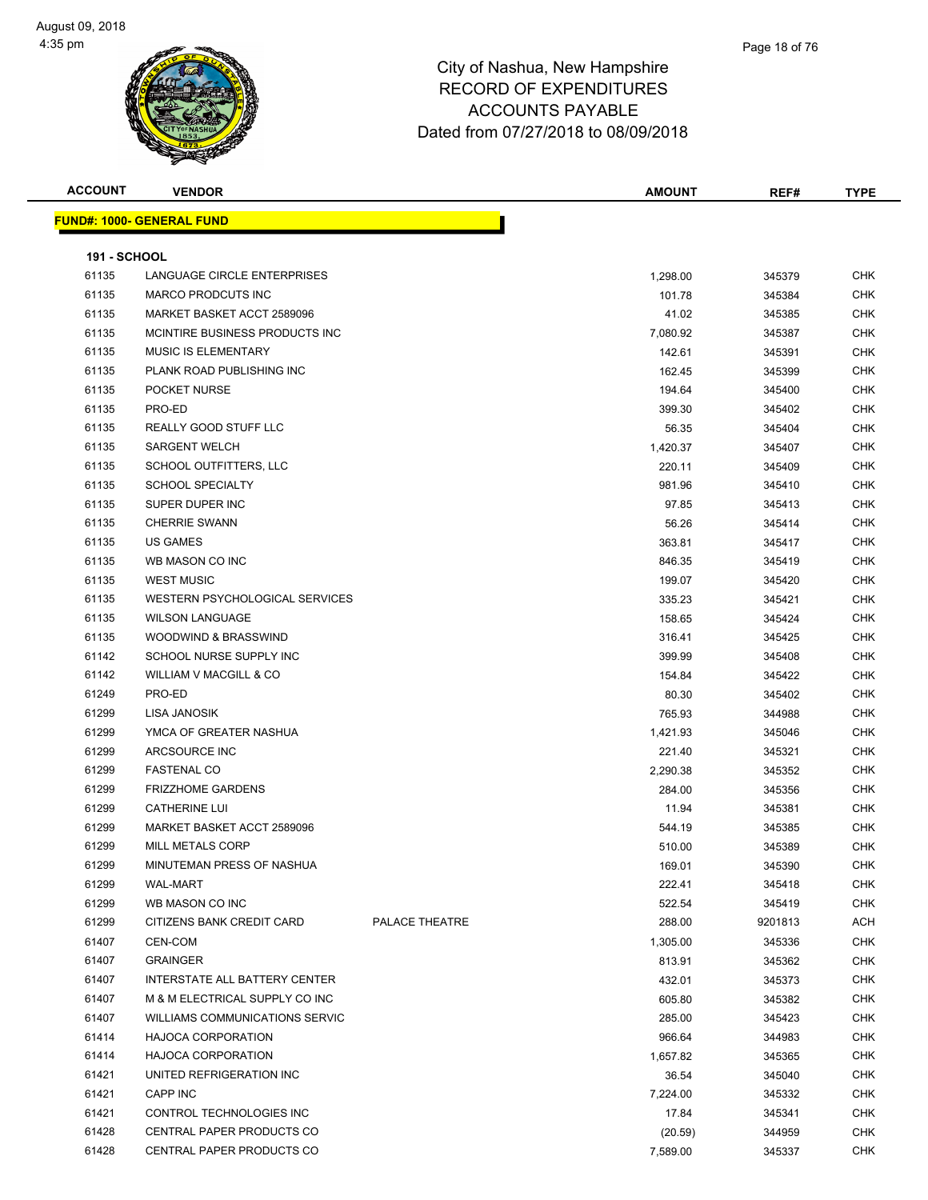# City of Nashua, New Hampshire RECORD OF EXPENDITURES

#### ACCOUNTS PAYABLE Dated from 07/27/2018 to 08/09/2018

| FUND#: 1000- GENERAL FUND<br><b>191 - SCHOOL</b><br>61135<br>LANGUAGE CIRCLE ENTERPRISES<br>1,298.00<br>61135<br><b>MARCO PRODCUTS INC</b><br>101.78<br>61135<br>MARKET BASKET ACCT 2589096<br>41.02<br>61135<br>MCINTIRE BUSINESS PRODUCTS INC<br>7,080.92<br>61135<br><b>MUSIC IS ELEMENTARY</b><br>142.61<br>61135<br>PLANK ROAD PUBLISHING INC<br>162.45<br>61135<br>POCKET NURSE<br>194.64<br>61135<br>PRO-ED<br>399.30<br>61135<br>REALLY GOOD STUFF LLC<br>56.35<br><b>SARGENT WELCH</b><br>61135<br>1,420.37<br>61135<br>SCHOOL OUTFITTERS, LLC<br>220.11<br>61135<br><b>SCHOOL SPECIALTY</b><br>981.96<br>61135<br>SUPER DUPER INC<br>97.85<br>61135<br><b>CHERRIE SWANN</b><br>56.26<br>61135<br>US GAMES<br>363.81<br>61135<br>WB MASON CO INC<br>846.35<br>61135<br><b>WEST MUSIC</b><br>199.07 |                       |
|-------------------------------------------------------------------------------------------------------------------------------------------------------------------------------------------------------------------------------------------------------------------------------------------------------------------------------------------------------------------------------------------------------------------------------------------------------------------------------------------------------------------------------------------------------------------------------------------------------------------------------------------------------------------------------------------------------------------------------------------------------------------------------------------------------------|-----------------------|
|                                                                                                                                                                                                                                                                                                                                                                                                                                                                                                                                                                                                                                                                                                                                                                                                             |                       |
|                                                                                                                                                                                                                                                                                                                                                                                                                                                                                                                                                                                                                                                                                                                                                                                                             |                       |
|                                                                                                                                                                                                                                                                                                                                                                                                                                                                                                                                                                                                                                                                                                                                                                                                             | <b>CHK</b>            |
|                                                                                                                                                                                                                                                                                                                                                                                                                                                                                                                                                                                                                                                                                                                                                                                                             | 345379<br><b>CHK</b>  |
|                                                                                                                                                                                                                                                                                                                                                                                                                                                                                                                                                                                                                                                                                                                                                                                                             | 345384                |
|                                                                                                                                                                                                                                                                                                                                                                                                                                                                                                                                                                                                                                                                                                                                                                                                             | <b>CHK</b><br>345385  |
|                                                                                                                                                                                                                                                                                                                                                                                                                                                                                                                                                                                                                                                                                                                                                                                                             | <b>CHK</b><br>345387  |
|                                                                                                                                                                                                                                                                                                                                                                                                                                                                                                                                                                                                                                                                                                                                                                                                             | <b>CHK</b><br>345391  |
|                                                                                                                                                                                                                                                                                                                                                                                                                                                                                                                                                                                                                                                                                                                                                                                                             | <b>CHK</b><br>345399  |
|                                                                                                                                                                                                                                                                                                                                                                                                                                                                                                                                                                                                                                                                                                                                                                                                             | <b>CHK</b><br>345400  |
|                                                                                                                                                                                                                                                                                                                                                                                                                                                                                                                                                                                                                                                                                                                                                                                                             | <b>CHK</b><br>345402  |
|                                                                                                                                                                                                                                                                                                                                                                                                                                                                                                                                                                                                                                                                                                                                                                                                             | <b>CHK</b><br>345404  |
|                                                                                                                                                                                                                                                                                                                                                                                                                                                                                                                                                                                                                                                                                                                                                                                                             | <b>CHK</b><br>345407  |
|                                                                                                                                                                                                                                                                                                                                                                                                                                                                                                                                                                                                                                                                                                                                                                                                             | <b>CHK</b><br>345409  |
|                                                                                                                                                                                                                                                                                                                                                                                                                                                                                                                                                                                                                                                                                                                                                                                                             | <b>CHK</b><br>345410  |
|                                                                                                                                                                                                                                                                                                                                                                                                                                                                                                                                                                                                                                                                                                                                                                                                             | <b>CHK</b><br>345413  |
|                                                                                                                                                                                                                                                                                                                                                                                                                                                                                                                                                                                                                                                                                                                                                                                                             | 345414<br><b>CHK</b>  |
|                                                                                                                                                                                                                                                                                                                                                                                                                                                                                                                                                                                                                                                                                                                                                                                                             | <b>CHK</b><br>345417  |
|                                                                                                                                                                                                                                                                                                                                                                                                                                                                                                                                                                                                                                                                                                                                                                                                             | <b>CHK</b><br>345419  |
|                                                                                                                                                                                                                                                                                                                                                                                                                                                                                                                                                                                                                                                                                                                                                                                                             | CHK<br>345420         |
| 61135<br><b>WESTERN PSYCHOLOGICAL SERVICES</b><br>335.23                                                                                                                                                                                                                                                                                                                                                                                                                                                                                                                                                                                                                                                                                                                                                    | <b>CHK</b><br>345421  |
| 61135<br><b>WILSON LANGUAGE</b><br>158.65                                                                                                                                                                                                                                                                                                                                                                                                                                                                                                                                                                                                                                                                                                                                                                   | <b>CHK</b><br>345424  |
| 61135<br>WOODWIND & BRASSWIND<br>316.41                                                                                                                                                                                                                                                                                                                                                                                                                                                                                                                                                                                                                                                                                                                                                                     | CHK<br>345425         |
| 61142<br>SCHOOL NURSE SUPPLY INC<br>399.99                                                                                                                                                                                                                                                                                                                                                                                                                                                                                                                                                                                                                                                                                                                                                                  | <b>CHK</b><br>345408  |
| 61142<br>WILLIAM V MACGILL & CO<br>154.84                                                                                                                                                                                                                                                                                                                                                                                                                                                                                                                                                                                                                                                                                                                                                                   | 345422<br><b>CHK</b>  |
| 61249<br>PRO-ED<br>80.30                                                                                                                                                                                                                                                                                                                                                                                                                                                                                                                                                                                                                                                                                                                                                                                    | <b>CHK</b><br>345402  |
| 61299<br>LISA JANOSIK<br>765.93                                                                                                                                                                                                                                                                                                                                                                                                                                                                                                                                                                                                                                                                                                                                                                             | <b>CHK</b><br>344988  |
| 61299<br>YMCA OF GREATER NASHUA<br>1,421.93                                                                                                                                                                                                                                                                                                                                                                                                                                                                                                                                                                                                                                                                                                                                                                 | <b>CHK</b><br>345046  |
| 61299<br>ARCSOURCE INC<br>221.40                                                                                                                                                                                                                                                                                                                                                                                                                                                                                                                                                                                                                                                                                                                                                                            | <b>CHK</b><br>345321  |
| 61299<br><b>FASTENAL CO</b><br>2,290.38                                                                                                                                                                                                                                                                                                                                                                                                                                                                                                                                                                                                                                                                                                                                                                     | <b>CHK</b><br>345352  |
| 61299<br><b>FRIZZHOME GARDENS</b><br>284.00                                                                                                                                                                                                                                                                                                                                                                                                                                                                                                                                                                                                                                                                                                                                                                 | <b>CHK</b><br>345356  |
| 61299<br><b>CATHERINE LUI</b><br>11.94                                                                                                                                                                                                                                                                                                                                                                                                                                                                                                                                                                                                                                                                                                                                                                      | <b>CHK</b><br>345381  |
| 61299<br>MARKET BASKET ACCT 2589096<br>544.19                                                                                                                                                                                                                                                                                                                                                                                                                                                                                                                                                                                                                                                                                                                                                               | <b>CHK</b><br>345385  |
| 61299<br><b>MILL METALS CORP</b><br>510.00                                                                                                                                                                                                                                                                                                                                                                                                                                                                                                                                                                                                                                                                                                                                                                  | <b>CHK</b><br>345389  |
| MINUTEMAN PRESS OF NASHUA<br>61299<br>169.01                                                                                                                                                                                                                                                                                                                                                                                                                                                                                                                                                                                                                                                                                                                                                                | <b>CHK</b><br>345390  |
| 61299<br>WAL-MART<br>222.41                                                                                                                                                                                                                                                                                                                                                                                                                                                                                                                                                                                                                                                                                                                                                                                 | <b>CHK</b><br>345418  |
| 61299<br>WB MASON CO INC<br>522.54                                                                                                                                                                                                                                                                                                                                                                                                                                                                                                                                                                                                                                                                                                                                                                          | <b>CHK</b><br>345419  |
| 61299<br>CITIZENS BANK CREDIT CARD<br><b>PALACE THEATRE</b><br>288.00                                                                                                                                                                                                                                                                                                                                                                                                                                                                                                                                                                                                                                                                                                                                       | <b>ACH</b><br>9201813 |
| 61407<br>CEN-COM<br>1,305.00                                                                                                                                                                                                                                                                                                                                                                                                                                                                                                                                                                                                                                                                                                                                                                                | <b>CHK</b><br>345336  |
| 61407<br><b>GRAINGER</b><br>813.91                                                                                                                                                                                                                                                                                                                                                                                                                                                                                                                                                                                                                                                                                                                                                                          | <b>CHK</b><br>345362  |
| 61407<br>INTERSTATE ALL BATTERY CENTER<br>432.01                                                                                                                                                                                                                                                                                                                                                                                                                                                                                                                                                                                                                                                                                                                                                            | <b>CHK</b><br>345373  |
| M & M ELECTRICAL SUPPLY CO INC<br>61407<br>605.80                                                                                                                                                                                                                                                                                                                                                                                                                                                                                                                                                                                                                                                                                                                                                           | <b>CHK</b><br>345382  |
| 61407<br><b>WILLIAMS COMMUNICATIONS SERVIC</b><br>285.00                                                                                                                                                                                                                                                                                                                                                                                                                                                                                                                                                                                                                                                                                                                                                    | <b>CHK</b><br>345423  |
| 61414<br><b>HAJOCA CORPORATION</b><br>966.64                                                                                                                                                                                                                                                                                                                                                                                                                                                                                                                                                                                                                                                                                                                                                                | <b>CHK</b><br>344983  |
| 61414<br><b>HAJOCA CORPORATION</b><br>1,657.82                                                                                                                                                                                                                                                                                                                                                                                                                                                                                                                                                                                                                                                                                                                                                              | <b>CHK</b><br>345365  |
| 61421<br>UNITED REFRIGERATION INC<br>36.54                                                                                                                                                                                                                                                                                                                                                                                                                                                                                                                                                                                                                                                                                                                                                                  | <b>CHK</b><br>345040  |
| 61421<br>CAPP INC<br>7,224.00                                                                                                                                                                                                                                                                                                                                                                                                                                                                                                                                                                                                                                                                                                                                                                               | <b>CHK</b><br>345332  |
| 61421<br>CONTROL TECHNOLOGIES INC<br>17.84                                                                                                                                                                                                                                                                                                                                                                                                                                                                                                                                                                                                                                                                                                                                                                  | <b>CHK</b><br>345341  |
| 61428<br>CENTRAL PAPER PRODUCTS CO<br>(20.59)                                                                                                                                                                                                                                                                                                                                                                                                                                                                                                                                                                                                                                                                                                                                                               | <b>CHK</b><br>344959  |
| 61428<br>CENTRAL PAPER PRODUCTS CO<br>7,589.00                                                                                                                                                                                                                                                                                                                                                                                                                                                                                                                                                                                                                                                                                                                                                              | <b>CHK</b><br>345337  |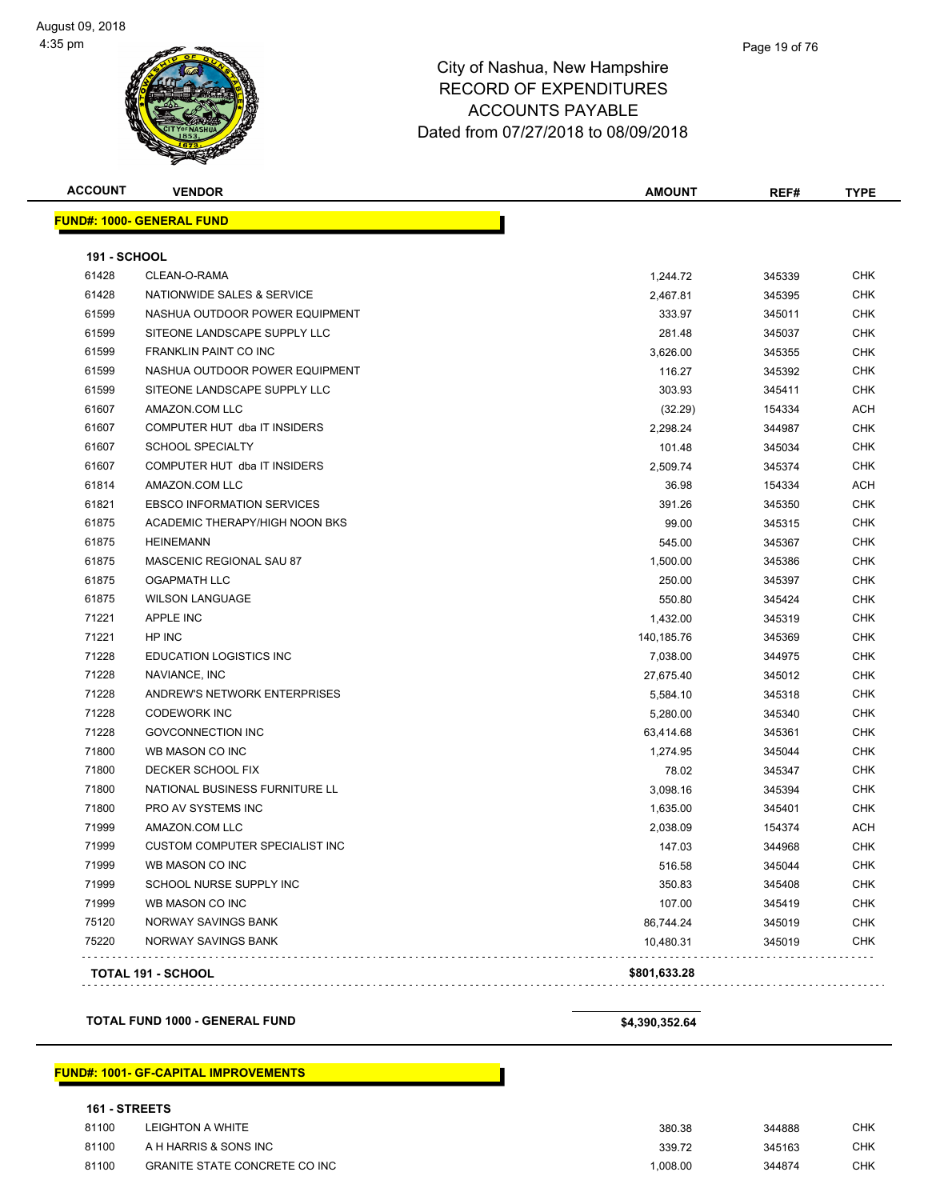| <b>ACCOUNT</b>      | <b>VENDOR</b>                         | <b>AMOUNT</b> | REF#   | <b>TYPE</b> |
|---------------------|---------------------------------------|---------------|--------|-------------|
|                     | <b>FUND#: 1000- GENERAL FUND</b>      |               |        |             |
| <b>191 - SCHOOL</b> |                                       |               |        |             |
| 61428               | CLEAN-O-RAMA                          | 1,244.72      | 345339 | <b>CHK</b>  |
| 61428               | NATIONWIDE SALES & SERVICE            | 2,467.81      | 345395 | <b>CHK</b>  |
| 61599               | NASHUA OUTDOOR POWER EQUIPMENT        | 333.97        | 345011 | <b>CHK</b>  |
| 61599               | SITEONE LANDSCAPE SUPPLY LLC          | 281.48        | 345037 | <b>CHK</b>  |
| 61599               | FRANKLIN PAINT CO INC                 | 3,626.00      | 345355 | <b>CHK</b>  |
| 61599               | NASHUA OUTDOOR POWER EQUIPMENT        | 116.27        | 345392 | <b>CHK</b>  |
| 61599               | SITEONE LANDSCAPE SUPPLY LLC          | 303.93        | 345411 | CHK         |
| 61607               | AMAZON.COM LLC                        | (32.29)       | 154334 | ACH         |
| 61607               | COMPUTER HUT dba IT INSIDERS          | 2,298.24      | 344987 | <b>CHK</b>  |
| 61607               | <b>SCHOOL SPECIALTY</b>               | 101.48        | 345034 | <b>CHK</b>  |
| 61607               | COMPUTER HUT dba IT INSIDERS          | 2,509.74      | 345374 | <b>CHK</b>  |
| 61814               | AMAZON.COM LLC                        | 36.98         | 154334 | ACH         |
| 61821               | <b>EBSCO INFORMATION SERVICES</b>     | 391.26        | 345350 | CHK         |
| 61875               | ACADEMIC THERAPY/HIGH NOON BKS        | 99.00         | 345315 | CHK         |
| 61875               | <b>HEINEMANN</b>                      | 545.00        | 345367 | <b>CHK</b>  |
| 61875               | MASCENIC REGIONAL SAU 87              | 1,500.00      | 345386 | CHK         |
| 61875               | <b>OGAPMATH LLC</b>                   | 250.00        | 345397 | CHK         |
| 61875               | <b>WILSON LANGUAGE</b>                | 550.80        | 345424 | CHK         |
| 71221               | <b>APPLE INC</b>                      | 1,432.00      | 345319 | CHK         |
| 71221               | HP INC                                | 140,185.76    | 345369 | CHK         |
| 71228               | EDUCATION LOGISTICS INC               | 7,038.00      | 344975 | <b>CHK</b>  |
| 71228               | NAVIANCE, INC                         | 27,675.40     | 345012 | <b>CHK</b>  |
| 71228               | ANDREW'S NETWORK ENTERPRISES          | 5,584.10      | 345318 | <b>CHK</b>  |
| 71228               | <b>CODEWORK INC</b>                   | 5,280.00      | 345340 | CHK         |
| 71228               | <b>GOVCONNECTION INC</b>              | 63,414.68     | 345361 | <b>CHK</b>  |
| 71800               | WB MASON CO INC                       | 1,274.95      | 345044 | <b>CHK</b>  |
| 71800               | DECKER SCHOOL FIX                     | 78.02         | 345347 | CHK         |
| 71800               | NATIONAL BUSINESS FURNITURE LL        | 3,098.16      | 345394 | CHK         |
| 71800               | PRO AV SYSTEMS INC                    | 1,635.00      | 345401 | CHK         |
| 71999               | AMAZON.COM LLC                        | 2,038.09      | 154374 | ACH         |
| 71999               | <b>CUSTOM COMPUTER SPECIALIST INC</b> | 147.03        | 344968 | <b>CHK</b>  |
| 71999               | WB MASON CO INC                       | 516.58        | 345044 | <b>CHK</b>  |
| 71999               | SCHOOL NURSE SUPPLY INC               | 350.83        | 345408 | <b>CHK</b>  |
| 71999               | WB MASON CO INC                       | 107.00        | 345419 | <b>CHK</b>  |
| 75120               | NORWAY SAVINGS BANK                   | 86,744.24     | 345019 | <b>CHK</b>  |
| 75220               | NORWAY SAVINGS BANK                   | 10,480.31     | 345019 | <b>CHK</b>  |
|                     | TOTAL 191 - SCHOOL                    | \$801,633.28  |        |             |
|                     |                                       |               |        |             |

**TOTAL FUND 1000 - GENERAL FUND \$4,390,352.64** 

#### **FUND#: 1001- GF-CAPITAL IMPROVEMENTS**

#### **161 - STREETS**

| 81100 | LEIGHTON A WHITE                     | 380.38  | 344888 | снк |
|-------|--------------------------------------|---------|--------|-----|
| 81100 | A H HARRIS & SONS INC                | 339.72  | 345163 | СНК |
| 81100 | <b>GRANITE STATE CONCRETE CO INC</b> | .008.00 | 344874 | СНК |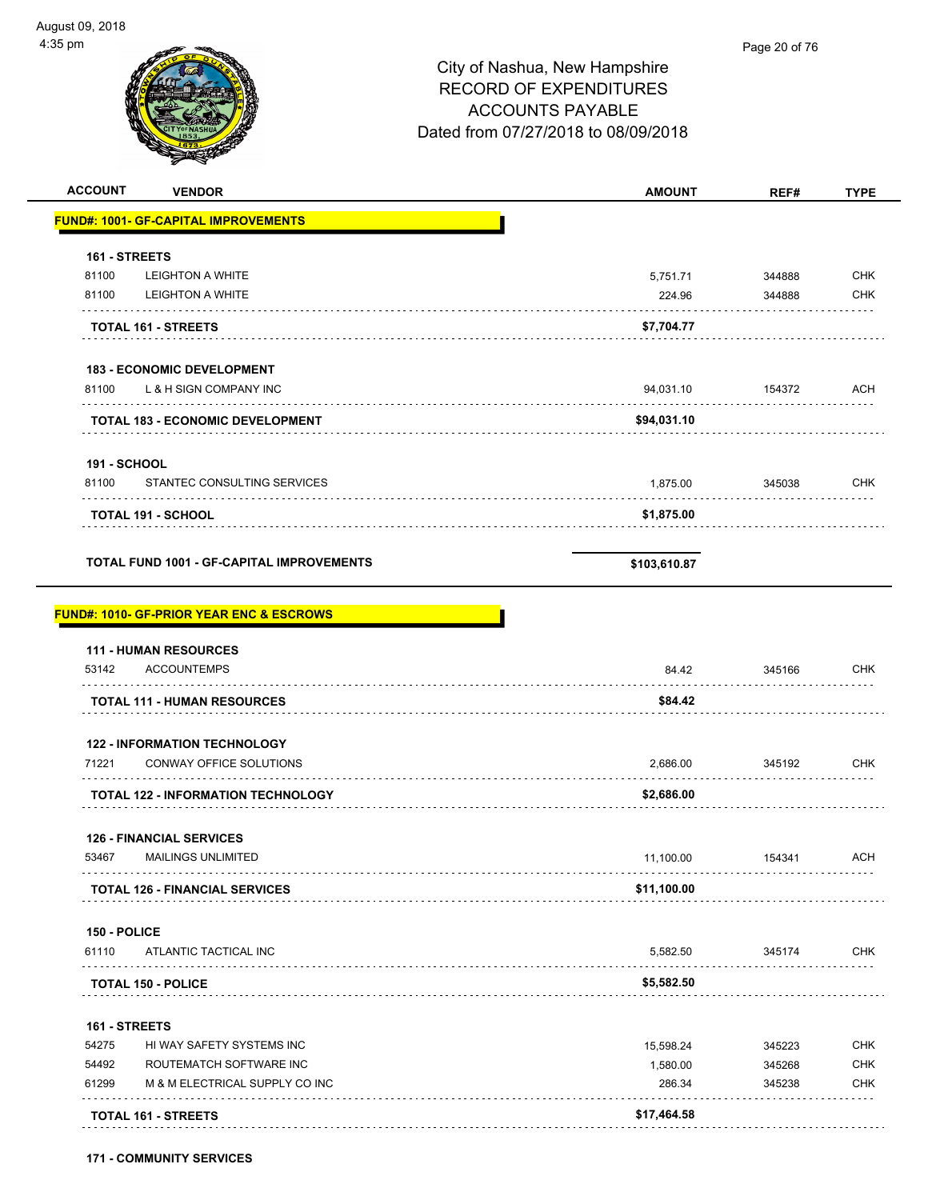$\overline{\phantom{0}}$ 

| 35 pm                                                        |                                     | Page 20 of 76    |                                                                           |
|--------------------------------------------------------------|-------------------------------------|------------------|---------------------------------------------------------------------------|
|                                                              | City of Nashua, New Hampshire       |                  |                                                                           |
|                                                              | <b>RECORD OF EXPENDITURES</b>       |                  |                                                                           |
|                                                              | <b>ACCOUNTS PAYABLE</b>             |                  |                                                                           |
|                                                              |                                     |                  |                                                                           |
|                                                              | Dated from 07/27/2018 to 08/09/2018 |                  |                                                                           |
| <b>ACCOUNT</b>                                               |                                     |                  |                                                                           |
| <b>VENDOR</b><br><b>FUND#: 1001- GF-CAPITAL IMPROVEMENTS</b> | <b>AMOUNT</b>                       | REF#             | <b>TYPE</b>                                                               |
|                                                              |                                     |                  |                                                                           |
| 161 - STREETS<br>81100                                       |                                     |                  | <b>CHK</b>                                                                |
| <b>LEIGHTON A WHITE</b><br>81100<br><b>LEIGHTON A WHITE</b>  | 5,751.71<br>224.96                  | 344888<br>344888 | <b>CHK</b>                                                                |
| .<br>TOTAL 161 - STREETS                                     | \$7,704.77                          |                  |                                                                           |
|                                                              |                                     |                  |                                                                           |
| <b>183 - ECONOMIC DEVELOPMENT</b>                            |                                     |                  |                                                                           |
| 81100<br>L & H SIGN COMPANY INC                              | 94,031.10                           | 154372           | ACH                                                                       |
| <b>TOTAL 183 - ECONOMIC DEVELOPMENT</b>                      | \$94,031.10                         |                  |                                                                           |
| <b>191 - SCHOOL</b>                                          |                                     |                  |                                                                           |
| STANTEC CONSULTING SERVICES<br>81100                         | 1,875.00                            | 345038           | <b>CHK</b>                                                                |
| <b>TOTAL 191 - SCHOOL</b>                                    | \$1,875.00                          |                  |                                                                           |
|                                                              |                                     |                  |                                                                           |
|                                                              |                                     |                  |                                                                           |
| <b>TOTAL FUND 1001 - GF-CAPITAL IMPROVEMENTS</b>             | \$103,610.87                        |                  |                                                                           |
|                                                              |                                     |                  |                                                                           |
| <b>FUND#: 1010- GF-PRIOR YEAR ENC &amp; ESCROWS</b>          |                                     |                  |                                                                           |
| <b>111 - HUMAN RESOURCES</b><br>53142<br><b>ACCOUNTEMPS</b>  | 84.42                               | 345166           |                                                                           |
|                                                              |                                     |                  |                                                                           |
| <b>TOTAL 111 - HUMAN RESOURCES</b>                           | \$84.42                             |                  |                                                                           |
| <b>122 - INFORMATION TECHNOLOGY</b>                          |                                     |                  |                                                                           |
| 71221<br>CONWAY OFFICE SOLUTIONS                             | 2,686.00                            | 345192<br>.      |                                                                           |
| <b>TOTAL 122 - INFORMATION TECHNOLOGY</b>                    | \$2,686.00                          |                  |                                                                           |
| <b>126 - FINANCIAL SERVICES</b>                              |                                     |                  |                                                                           |
| 53467<br><b>MAILINGS UNLIMITED</b>                           | 11,100.00                           | 154341           |                                                                           |
| <b>TOTAL 126 - FINANCIAL SERVICES</b>                        | \$11,100.00                         |                  |                                                                           |
| 150 - POLICE                                                 |                                     |                  |                                                                           |
| 61110<br>ATLANTIC TACTICAL INC                               | 5,582.50                            | 345174           |                                                                           |
| <b>TOTAL 150 - POLICE</b>                                    | \$5,582.50                          |                  |                                                                           |
| 161 - STREETS                                                |                                     |                  |                                                                           |
| 54275<br>HI WAY SAFETY SYSTEMS INC                           | 15,598.24                           | 345223           |                                                                           |
| 54492<br>ROUTEMATCH SOFTWARE INC                             | 1,580.00                            | 345268           | <b>CHK</b><br><b>CHK</b><br>ACH<br><b>CHK</b><br><b>CHK</b><br><b>CHK</b> |

**TOTAL 161 - STREETS \$17,464.58**

**171 - COMMUNITY SERVICES**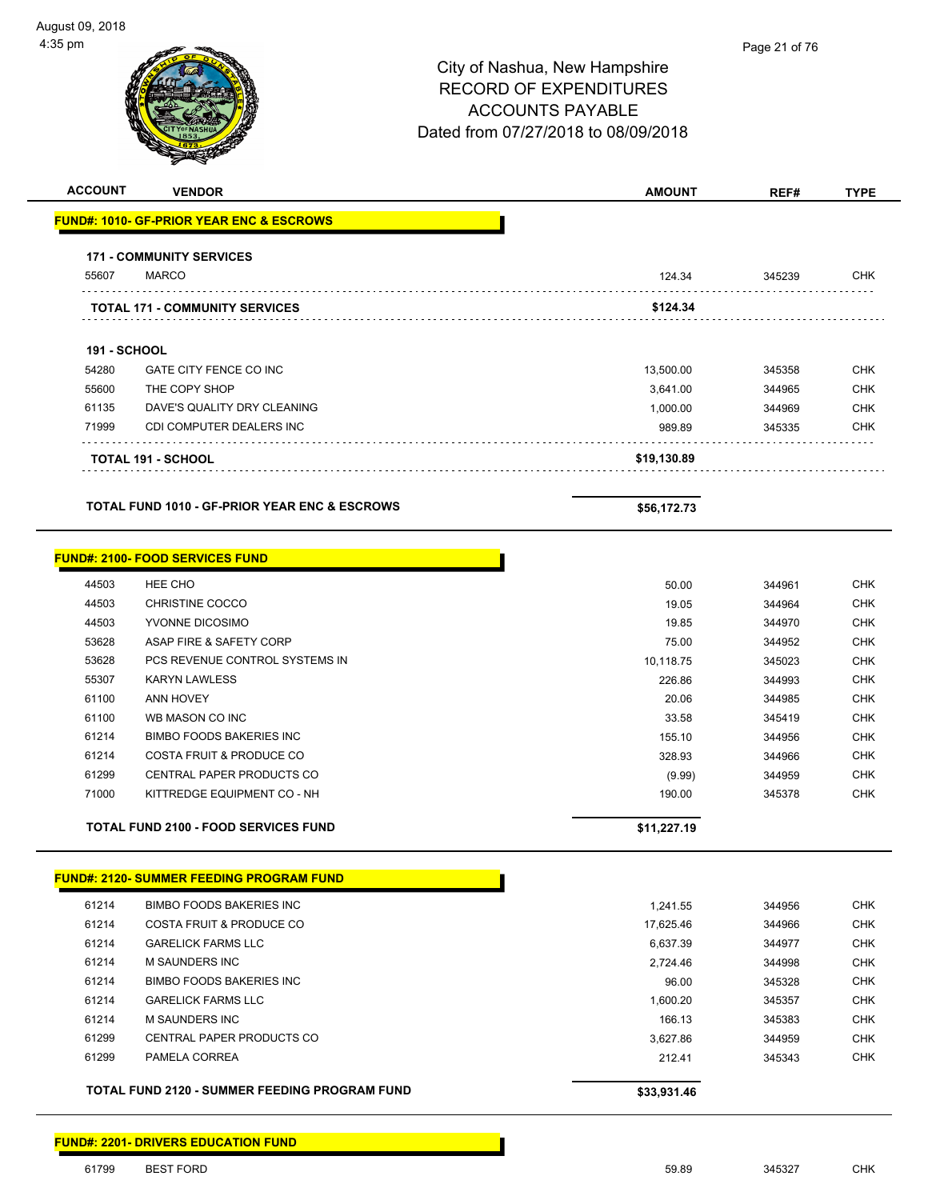| <b>ACCOUNT</b>      | <b>VENDOR</b>                                            | <b>AMOUNT</b>         | REF#             | <b>TYPE</b> |
|---------------------|----------------------------------------------------------|-----------------------|------------------|-------------|
|                     | <b>FUND#: 1010- GF-PRIOR YEAR ENC &amp; ESCROWS</b>      |                       |                  |             |
|                     |                                                          |                       |                  |             |
| 55607               | <b>171 - COMMUNITY SERVICES</b><br><b>MARCO</b>          | 124.34                | 345239           | <b>CHK</b>  |
|                     |                                                          |                       |                  |             |
|                     | <b>TOTAL 171 - COMMUNITY SERVICES</b>                    | \$124.34              |                  |             |
| <b>191 - SCHOOL</b> |                                                          |                       |                  |             |
| 54280               | GATE CITY FENCE CO INC                                   |                       | 345358           | <b>CHK</b>  |
| 55600               | THE COPY SHOP                                            | 13,500.00<br>3,641.00 | 344965           | <b>CHK</b>  |
| 61135               | DAVE'S QUALITY DRY CLEANING                              |                       |                  | <b>CHK</b>  |
| 71999               | CDI COMPUTER DEALERS INC                                 | 1,000.00<br>989.89    | 344969<br>345335 | <b>CHK</b>  |
|                     |                                                          |                       |                  |             |
|                     | <b>TOTAL 191 - SCHOOL</b>                                | \$19,130.89           |                  |             |
|                     | <b>TOTAL FUND 1010 - GF-PRIOR YEAR ENC &amp; ESCROWS</b> | \$56,172.73           |                  |             |
|                     |                                                          |                       |                  |             |
|                     | <b>FUND#: 2100- FOOD SERVICES FUND</b>                   |                       |                  |             |
| 44503               | HEE CHO                                                  | 50.00                 | 344961           | <b>CHK</b>  |
| 44503               | <b>CHRISTINE COCCO</b>                                   | 19.05                 | 344964           | <b>CHK</b>  |
| 44503               | YVONNE DICOSIMO                                          | 19.85                 | 344970           | <b>CHK</b>  |
| 53628               | ASAP FIRE & SAFETY CORP                                  | 75.00                 | 344952           | <b>CHK</b>  |
| 53628               | PCS REVENUE CONTROL SYSTEMS IN                           | 10,118.75             | 345023           | <b>CHK</b>  |
| 55307               | <b>KARYN LAWLESS</b>                                     | 226.86                | 344993           | <b>CHK</b>  |
| 61100               | <b>ANN HOVEY</b>                                         | 20.06                 | 344985           | <b>CHK</b>  |
| 61100               | WB MASON CO INC                                          | 33.58                 | 345419           | <b>CHK</b>  |
| 61214               | <b>BIMBO FOODS BAKERIES INC</b>                          | 155.10                | 344956           | <b>CHK</b>  |
| 61214               | <b>COSTA FRUIT &amp; PRODUCE CO</b>                      | 328.93                |                  | <b>CHK</b>  |
| 61299               | CENTRAL PAPER PRODUCTS CO                                |                       | 344966<br>344959 | <b>CHK</b>  |
| 71000               | KITTREDGE EQUIPMENT CO - NH                              | (9.99)<br>190.00      | 345378           | <b>CHK</b>  |
|                     |                                                          |                       |                  |             |
|                     | <b>TOTAL FUND 2100 - FOOD SERVICES FUND</b>              | \$11,227.19           |                  |             |
|                     |                                                          |                       |                  |             |
|                     | <b>FUND#: 2120- SUMMER FEEDING PROGRAM FUND</b>          |                       |                  |             |
| 61214               | <b>BIMBO FOODS BAKERIES INC</b>                          | 1,241.55              | 344956           | CHK         |
| 61214               | COSTA FRUIT & PRODUCE CO                                 | 17,625.46             | 344966           | <b>CHK</b>  |
| 61214               | <b>GARELICK FARMS LLC</b>                                | 6,637.39              | 344977           | <b>CHK</b>  |
| 61214               | <b>M SAUNDERS INC</b>                                    | 2,724.46              | 344998           | <b>CHK</b>  |
| 61214               | <b>BIMBO FOODS BAKERIES INC</b>                          | 96.00                 | 345328           | <b>CHK</b>  |
| 61214               | <b>GARELICK FARMS LLC</b>                                | 1,600.20              | 345357           | <b>CHK</b>  |
| 61214               | <b>M SAUNDERS INC</b>                                    | 166.13                | 345383           | <b>CHK</b>  |
| 61299               | CENTRAL PAPER PRODUCTS CO                                | 3,627.86              | 344959           | <b>CHK</b>  |
| 61299               | PAMELA CORREA                                            | 212.41                | 345343           | <b>CHK</b>  |
|                     | TOTAL FUND 2120 - SUMMER FEEDING PROGRAM FUND            | \$33,931.46           |                  |             |
|                     |                                                          |                       |                  |             |

#### **FUND#: 2201- DRIVERS EDUCATION FUND**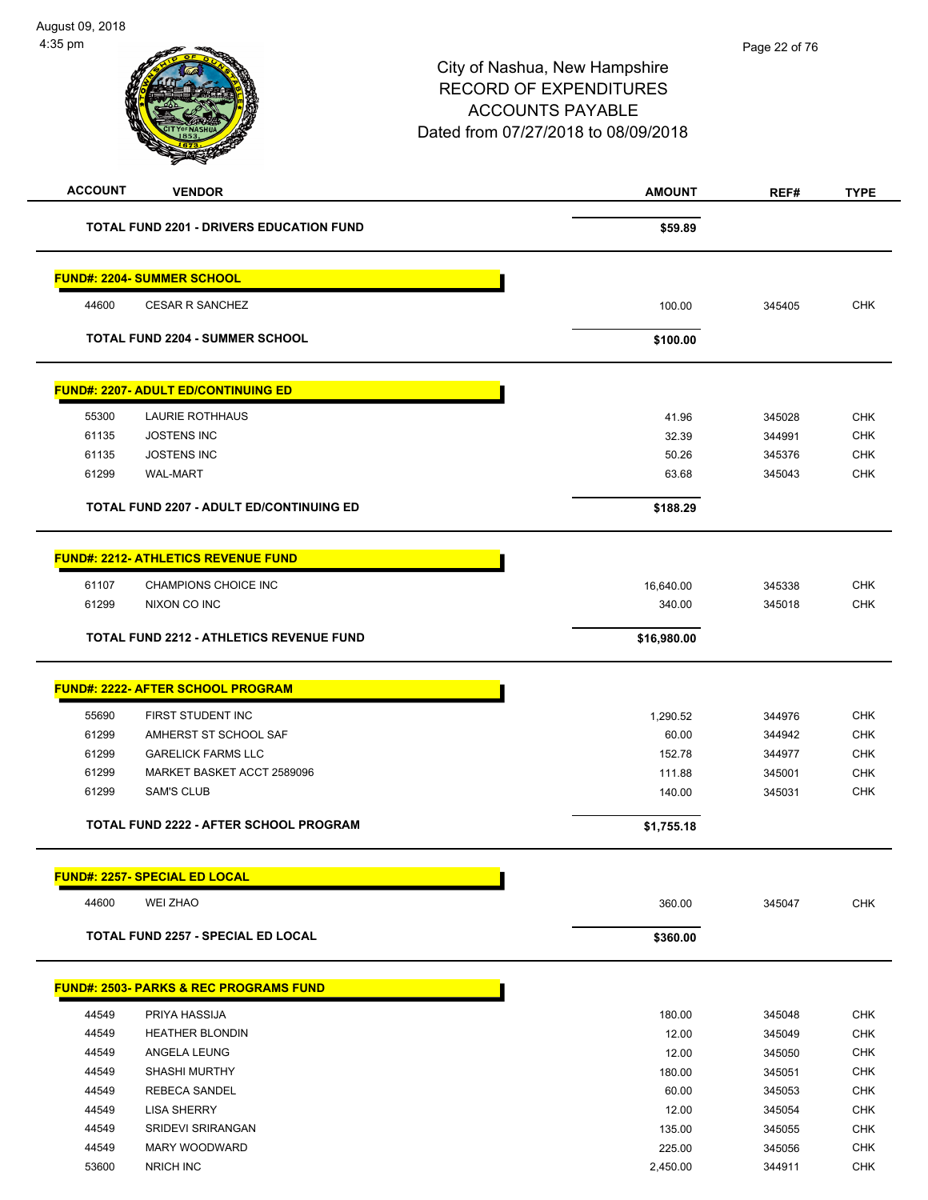| <b>ACCOUNT</b> | <b>VENDOR</b>                                     | <b>AMOUNT</b> | REF#   | <b>TYPE</b> |
|----------------|---------------------------------------------------|---------------|--------|-------------|
|                | TOTAL FUND 2201 - DRIVERS EDUCATION FUND          | \$59.89       |        |             |
|                | <b>FUND#: 2204- SUMMER SCHOOL</b>                 |               |        |             |
| 44600          | <b>CESAR R SANCHEZ</b>                            | 100.00        | 345405 | <b>CHK</b>  |
|                | <b>TOTAL FUND 2204 - SUMMER SCHOOL</b>            | \$100.00      |        |             |
|                | <b>FUND#: 2207- ADULT ED/CONTINUING ED</b>        |               |        |             |
| 55300          | <b>LAURIE ROTHHAUS</b>                            | 41.96         | 345028 | <b>CHK</b>  |
| 61135          | <b>JOSTENS INC</b>                                | 32.39         | 344991 | <b>CHK</b>  |
| 61135          | <b>JOSTENS INC</b>                                | 50.26         | 345376 | <b>CHK</b>  |
| 61299          | <b>WAL-MART</b>                                   | 63.68         | 345043 | <b>CHK</b>  |
|                |                                                   |               |        |             |
|                | <b>TOTAL FUND 2207 - ADULT ED/CONTINUING ED</b>   | \$188.29      |        |             |
|                | <b>FUND#: 2212- ATHLETICS REVENUE FUND</b>        |               |        |             |
| 61107          | CHAMPIONS CHOICE INC                              | 16,640.00     | 345338 | <b>CHK</b>  |
| 61299          | NIXON CO INC                                      | 340.00        | 345018 | <b>CHK</b>  |
|                | <b>TOTAL FUND 2212 - ATHLETICS REVENUE FUND</b>   | \$16,980.00   |        |             |
|                |                                                   |               |        |             |
|                | <b>FUND#: 2222- AFTER SCHOOL PROGRAM</b>          |               |        |             |
| 55690          | FIRST STUDENT INC                                 | 1,290.52      | 344976 | <b>CHK</b>  |
| 61299          | AMHERST ST SCHOOL SAF                             | 60.00         | 344942 | <b>CHK</b>  |
| 61299          | <b>GARELICK FARMS LLC</b>                         | 152.78        | 344977 | <b>CHK</b>  |
| 61299          | MARKET BASKET ACCT 2589096                        | 111.88        | 345001 | <b>CHK</b>  |
| 61299          | <b>SAM'S CLUB</b>                                 | 140.00        | 345031 | <b>CHK</b>  |
|                | TOTAL FUND 2222 - AFTER SCHOOL PROGRAM            | \$1,755.18    |        |             |
|                |                                                   |               |        |             |
|                | <b>FUND#: 2257- SPECIAL ED LOCAL</b>              |               |        |             |
| 44600          | <b>WEI ZHAO</b>                                   | 360.00        | 345047 | <b>CHK</b>  |
|                | <b>TOTAL FUND 2257 - SPECIAL ED LOCAL</b>         | \$360.00      |        |             |
|                | <b>FUND#: 2503- PARKS &amp; REC PROGRAMS FUND</b> |               |        |             |
| 44549          | PRIYA HASSIJA                                     | 180.00        | 345048 | <b>CHK</b>  |
| 44549          | <b>HEATHER BLONDIN</b>                            | 12.00         | 345049 | <b>CHK</b>  |
| 44549          | ANGELA LEUNG                                      | 12.00         | 345050 | <b>CHK</b>  |
| 44549          | <b>SHASHI MURTHY</b>                              | 180.00        | 345051 | <b>CHK</b>  |
| 44549          | <b>REBECA SANDEL</b>                              | 60.00         | 345053 | <b>CHK</b>  |
| 44549          | <b>LISA SHERRY</b>                                | 12.00         | 345054 | <b>CHK</b>  |
| 44549          | SRIDEVI SRIRANGAN                                 | 135.00        | 345055 | <b>CHK</b>  |
| 44549          | MARY WOODWARD                                     | 225.00        | 345056 | <b>CHK</b>  |
| 53600          | <b>NRICH INC</b>                                  | 2,450.00      | 344911 | <b>CHK</b>  |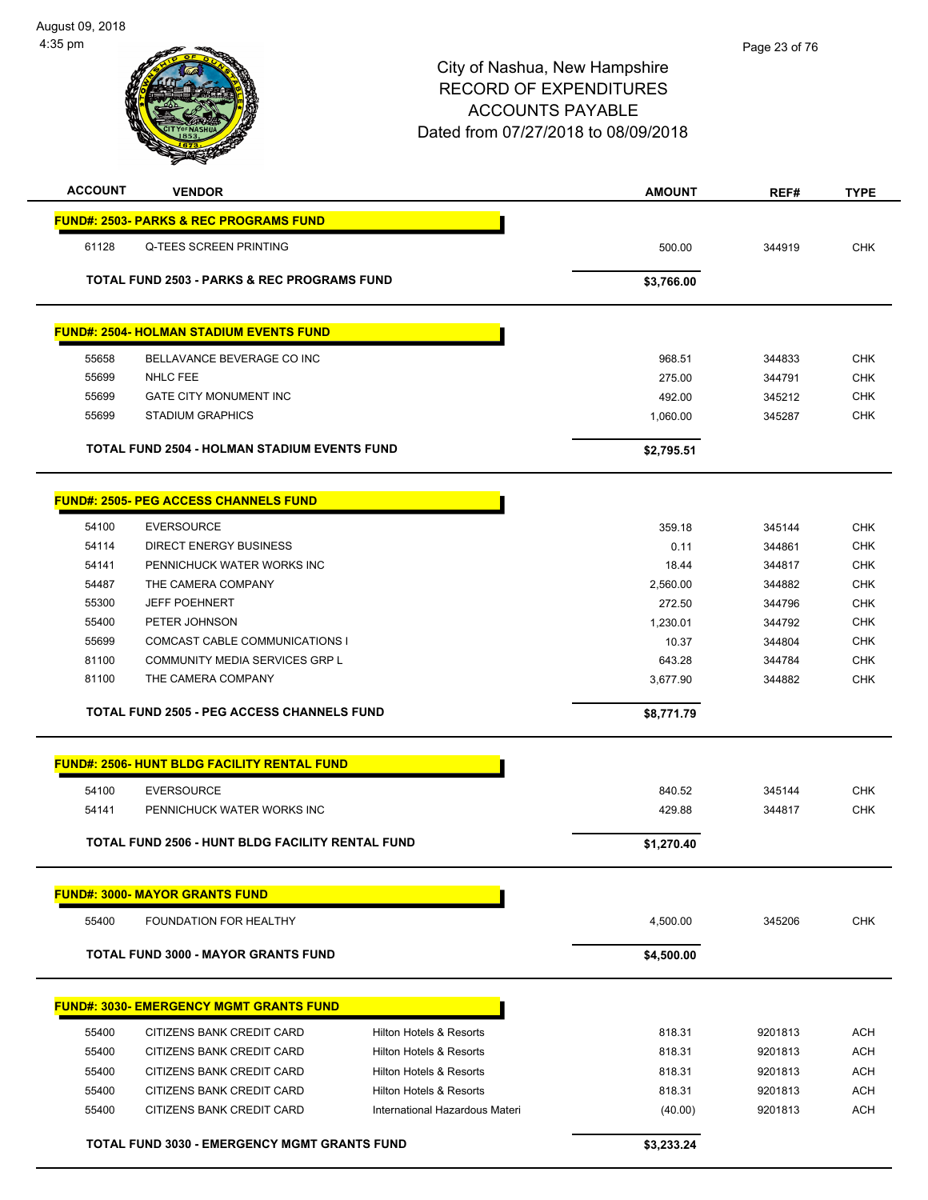| <b>ACCOUNT</b> | <b>VENDOR</b>                                          |                                    | <b>AMOUNT</b>    | REF#               | <b>TYPE</b>              |
|----------------|--------------------------------------------------------|------------------------------------|------------------|--------------------|--------------------------|
|                | <b>FUND#: 2503- PARKS &amp; REC PROGRAMS FUND</b>      |                                    |                  |                    |                          |
| 61128          | <b>Q-TEES SCREEN PRINTING</b>                          |                                    | 500.00           | 344919             | <b>CHK</b>               |
|                |                                                        |                                    |                  |                    |                          |
|                | <b>TOTAL FUND 2503 - PARKS &amp; REC PROGRAMS FUND</b> |                                    | \$3,766.00       |                    |                          |
|                |                                                        |                                    |                  |                    |                          |
|                | <b>FUND#: 2504- HOLMAN STADIUM EVENTS FUND</b>         |                                    |                  |                    |                          |
| 55658          | BELLAVANCE BEVERAGE CO INC                             |                                    | 968.51           | 344833             | <b>CHK</b>               |
| 55699          | <b>NHLC FEE</b>                                        |                                    | 275.00           | 344791             | <b>CHK</b>               |
| 55699          | <b>GATE CITY MONUMENT INC</b>                          |                                    | 492.00           | 345212             | <b>CHK</b>               |
| 55699          | <b>STADIUM GRAPHICS</b>                                |                                    | 1,060.00         | 345287             | <b>CHK</b>               |
|                | <b>TOTAL FUND 2504 - HOLMAN STADIUM EVENTS FUND</b>    |                                    | \$2,795.51       |                    |                          |
|                | <b>FUND#: 2505- PEG ACCESS CHANNELS FUND</b>           |                                    |                  |                    |                          |
| 54100          | <b>EVERSOURCE</b>                                      |                                    | 359.18           | 345144             | <b>CHK</b>               |
| 54114          | <b>DIRECT ENERGY BUSINESS</b>                          |                                    | 0.11             | 344861             | <b>CHK</b>               |
| 54141          | PENNICHUCK WATER WORKS INC                             |                                    | 18.44            | 344817             | <b>CHK</b>               |
| 54487          | THE CAMERA COMPANY                                     |                                    | 2,560.00         | 344882             | <b>CHK</b>               |
| 55300          | <b>JEFF POEHNERT</b>                                   |                                    | 272.50           | 344796             | <b>CHK</b>               |
| 55400          | PETER JOHNSON                                          |                                    | 1,230.01         | 344792             | <b>CHK</b>               |
| 55699          | COMCAST CABLE COMMUNICATIONS I                         |                                    | 10.37            | 344804             | <b>CHK</b>               |
| 81100          | COMMUNITY MEDIA SERVICES GRP L                         |                                    | 643.28           | 344784             | <b>CHK</b>               |
| 81100          | THE CAMERA COMPANY                                     |                                    | 3,677.90         | 344882             | <b>CHK</b>               |
|                | <b>TOTAL FUND 2505 - PEG ACCESS CHANNELS FUND</b>      |                                    | \$8,771.79       |                    |                          |
|                | <b>FUND#: 2506- HUNT BLDG FACILITY RENTAL FUND</b>     |                                    |                  |                    |                          |
| 54100          | <b>EVERSOURCE</b>                                      |                                    | 840.52           | 345144             | <b>CHK</b>               |
| 54141          | PENNICHUCK WATER WORKS INC                             |                                    | 429.88           | 344817             | <b>CHK</b>               |
|                |                                                        |                                    |                  |                    |                          |
|                | TOTAL FUND 2506 - HUNT BLDG FACILITY RENTAL FUND       |                                    | \$1,270.40       |                    |                          |
|                | <b>FUND#: 3000- MAYOR GRANTS FUND</b>                  |                                    |                  |                    |                          |
| 55400          | <b>FOUNDATION FOR HEALTHY</b>                          |                                    | 4,500.00         | 345206             | <b>CHK</b>               |
|                | <b>TOTAL FUND 3000 - MAYOR GRANTS FUND</b>             |                                    | \$4,500.00       |                    |                          |
|                | <b>FUND#: 3030- EMERGENCY MGMT GRANTS FUND</b>         |                                    |                  |                    |                          |
|                |                                                        | <b>Hilton Hotels &amp; Resorts</b> |                  |                    |                          |
| 55400<br>55400 | CITIZENS BANK CREDIT CARD<br>CITIZENS BANK CREDIT CARD | Hilton Hotels & Resorts            | 818.31<br>818.31 | 9201813<br>9201813 | <b>ACH</b><br><b>ACH</b> |
| 55400          | CITIZENS BANK CREDIT CARD                              | <b>Hilton Hotels &amp; Resorts</b> | 818.31           | 9201813            | <b>ACH</b>               |
| 55400          | CITIZENS BANK CREDIT CARD                              | <b>Hilton Hotels &amp; Resorts</b> | 818.31           | 9201813            | <b>ACH</b>               |
| 55400          | CITIZENS BANK CREDIT CARD                              | International Hazardous Materi     | (40.00)          | 9201813            | <b>ACH</b>               |
|                |                                                        |                                    |                  |                    |                          |
|                | <b>TOTAL FUND 3030 - EMERGENCY MGMT GRANTS FUND</b>    |                                    | \$3,233.24       |                    |                          |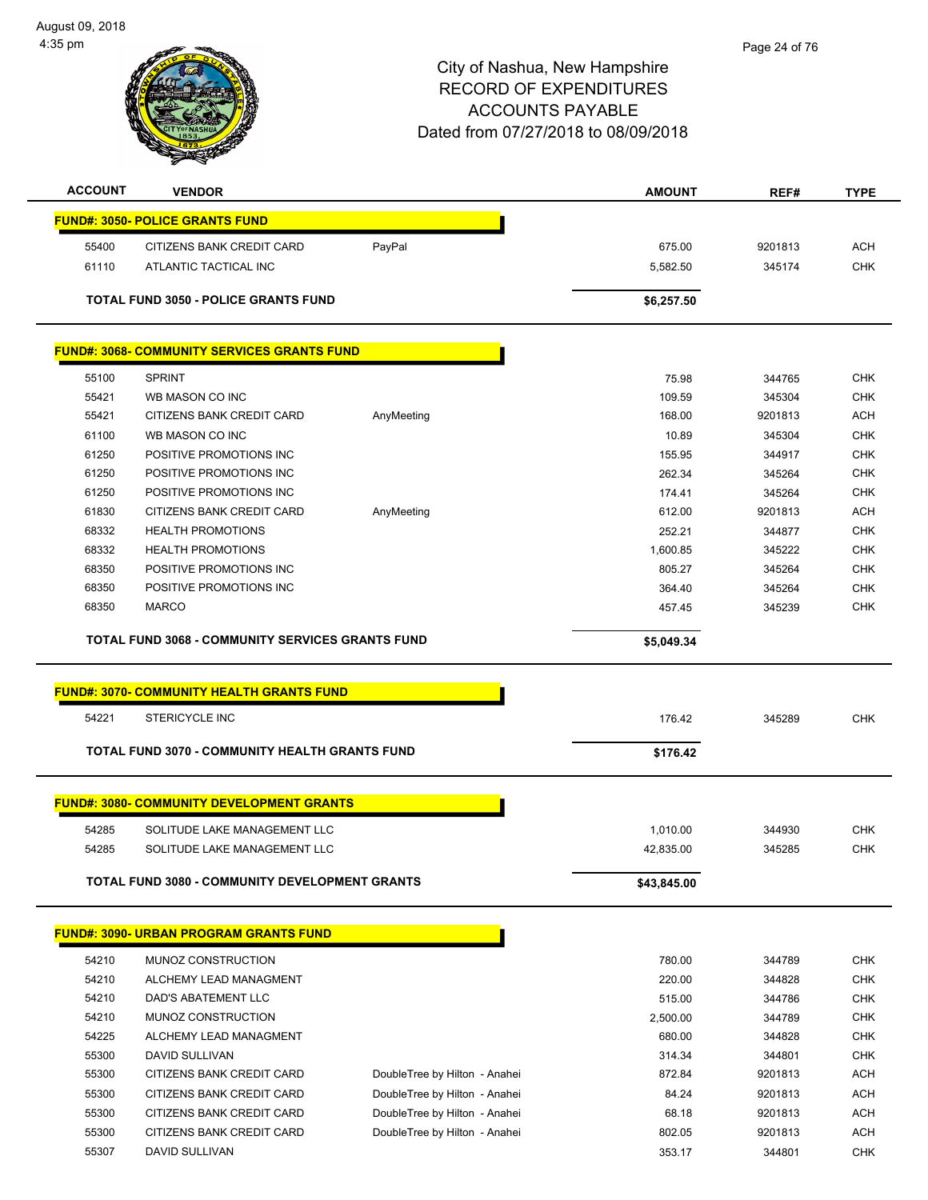August 09, 2018 4:35 pm



| <b>ACCOUNT</b> | <b>VENDOR</b>                                           |                               | <b>AMOUNT</b> | REF#    | <b>TYPE</b> |
|----------------|---------------------------------------------------------|-------------------------------|---------------|---------|-------------|
|                | <b>FUND#: 3050- POLICE GRANTS FUND</b>                  |                               |               |         |             |
| 55400          | CITIZENS BANK CREDIT CARD                               | PayPal                        | 675.00        | 9201813 | ACH         |
| 61110          | ATLANTIC TACTICAL INC                                   |                               | 5,582.50      | 345174  | <b>CHK</b>  |
|                | <b>TOTAL FUND 3050 - POLICE GRANTS FUND</b>             |                               | \$6,257.50    |         |             |
|                |                                                         |                               |               |         |             |
|                | <b>FUND#: 3068- COMMUNITY SERVICES GRANTS FUND</b>      |                               |               |         |             |
| 55100          | <b>SPRINT</b>                                           |                               | 75.98         | 344765  | <b>CHK</b>  |
| 55421          | WB MASON CO INC                                         |                               | 109.59        | 345304  | <b>CHK</b>  |
| 55421          | CITIZENS BANK CREDIT CARD                               | AnyMeeting                    | 168.00        | 9201813 | <b>ACH</b>  |
| 61100          | WB MASON CO INC                                         |                               | 10.89         | 345304  | <b>CHK</b>  |
| 61250          | POSITIVE PROMOTIONS INC                                 |                               | 155.95        | 344917  | <b>CHK</b>  |
| 61250          | POSITIVE PROMOTIONS INC                                 |                               | 262.34        | 345264  | <b>CHK</b>  |
| 61250          | POSITIVE PROMOTIONS INC                                 |                               | 174.41        | 345264  | <b>CHK</b>  |
| 61830          | CITIZENS BANK CREDIT CARD                               | AnyMeeting                    | 612.00        | 9201813 | <b>ACH</b>  |
| 68332          | <b>HEALTH PROMOTIONS</b>                                |                               | 252.21        | 344877  | <b>CHK</b>  |
| 68332          | <b>HEALTH PROMOTIONS</b>                                |                               | 1,600.85      | 345222  | <b>CHK</b>  |
| 68350          | POSITIVE PROMOTIONS INC                                 |                               | 805.27        | 345264  | <b>CHK</b>  |
| 68350          | POSITIVE PROMOTIONS INC                                 |                               | 364.40        | 345264  | <b>CHK</b>  |
| 68350          | <b>MARCO</b>                                            |                               | 457.45        | 345239  | <b>CHK</b>  |
|                |                                                         |                               |               |         |             |
|                | <b>TOTAL FUND 3068 - COMMUNITY SERVICES GRANTS FUND</b> |                               | \$5,049.34    |         |             |
|                |                                                         |                               |               |         |             |
|                | <b>FUND#: 3070- COMMUNITY HEALTH GRANTS FUND</b>        |                               |               |         |             |
| 54221          | <b>STERICYCLE INC</b>                                   |                               | 176.42        | 345289  | <b>CHK</b>  |
|                | <b>TOTAL FUND 3070 - COMMUNITY HEALTH GRANTS FUND</b>   |                               |               |         |             |
|                |                                                         |                               | \$176.42      |         |             |
|                | <b>FUND#: 3080- COMMUNITY DEVELOPMENT GRANTS</b>        |                               |               |         |             |
| 54285          | SOLITUDE LAKE MANAGEMENT LLC                            |                               | 1,010.00      | 344930  | <b>CHK</b>  |
| 54285          | SOLITUDE LAKE MANAGEMENT LLC                            |                               | 42,835.00     | 345285  | <b>CHK</b>  |
|                |                                                         |                               |               |         |             |
|                | <b>TOTAL FUND 3080 - COMMUNITY DEVELOPMENT GRANTS</b>   |                               | \$43,845.00   |         |             |
|                |                                                         |                               |               |         |             |
|                | <b>FUND#: 3090- URBAN PROGRAM GRANTS FUND</b>           |                               |               |         |             |
| 54210          | MUNOZ CONSTRUCTION                                      |                               | 780.00        | 344789  | <b>CHK</b>  |
| 54210          | ALCHEMY LEAD MANAGMENT                                  |                               | 220.00        | 344828  | <b>CHK</b>  |
| 54210          | DAD'S ABATEMENT LLC                                     |                               | 515.00        | 344786  | <b>CHK</b>  |
| 54210          | MUNOZ CONSTRUCTION                                      |                               | 2,500.00      | 344789  | <b>CHK</b>  |
| 54225          | ALCHEMY LEAD MANAGMENT                                  |                               | 680.00        | 344828  | <b>CHK</b>  |
| 55300          | DAVID SULLIVAN                                          |                               | 314.34        | 344801  | <b>CHK</b>  |
| 55300          | CITIZENS BANK CREDIT CARD                               | DoubleTree by Hilton - Anahei | 872.84        | 9201813 | <b>ACH</b>  |
| 55300          | CITIZENS BANK CREDIT CARD                               | DoubleTree by Hilton - Anahei | 84.24         | 9201813 | <b>ACH</b>  |
| 55300          | CITIZENS BANK CREDIT CARD                               | DoubleTree by Hilton - Anahei | 68.18         | 9201813 | <b>ACH</b>  |
| 55300          | CITIZENS BANK CREDIT CARD                               | DoubleTree by Hilton - Anahei | 802.05        | 9201813 | <b>ACH</b>  |
| 55307          | DAVID SULLIVAN                                          |                               | 353.17        | 344801  | <b>CHK</b>  |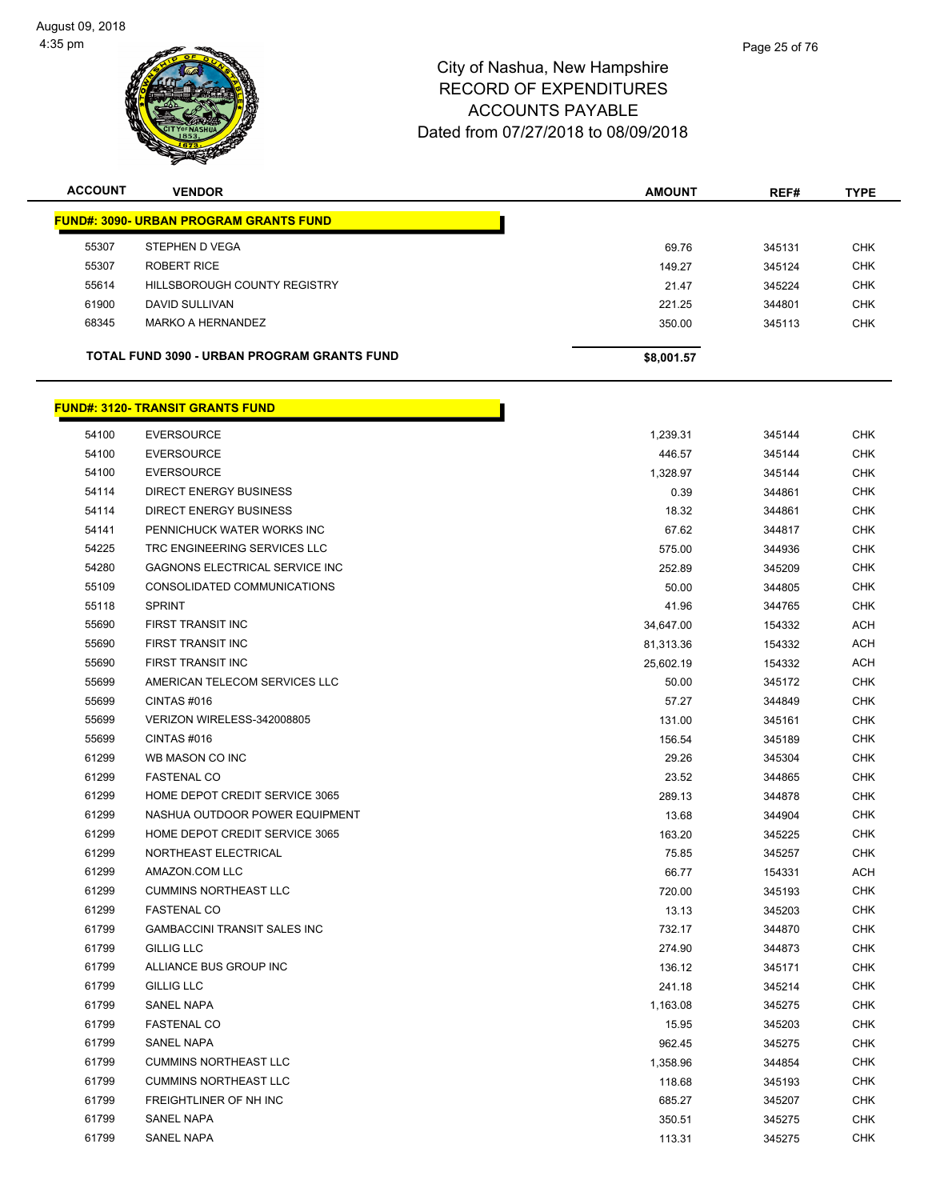

| <b>ACCOUNT</b> | <b>VENDOR</b>                                 | <b>AMOUNT</b>      | REF#   | <b>TYPE</b> |
|----------------|-----------------------------------------------|--------------------|--------|-------------|
|                | <b>FUND#: 3090- URBAN PROGRAM GRANTS FUND</b> |                    |        |             |
| 55307          | STEPHEN D VEGA                                | 69.76              | 345131 | <b>CHK</b>  |
| 55307          | <b>ROBERT RICE</b>                            | 149.27             | 345124 | <b>CHK</b>  |
| 55614          | HILLSBOROUGH COUNTY REGISTRY                  | 21.47              | 345224 | <b>CHK</b>  |
| 61900          | DAVID SULLIVAN                                | 221.25             | 344801 | <b>CHK</b>  |
| 68345          | <b>MARKO A HERNANDEZ</b>                      | 350.00             | 345113 | <b>CHK</b>  |
|                | TOTAL FUND 3090 - URBAN PROGRAM GRANTS FUND   | \$8,001.57         |        |             |
|                | <b>FUND#: 3120- TRANSIT GRANTS FUND</b>       |                    |        |             |
| 54100          | <b>EVERSOURCE</b>                             | 1,239.31           | 345144 | <b>CHK</b>  |
| 54100          | <b>EVERSOURCE</b>                             | 446.57             | 345144 | <b>CHK</b>  |
| 54100          | <b>EVERSOURCE</b>                             | 1,328.97           | 345144 | <b>CHK</b>  |
| 54114          | DIRECT ENERGY BUSINESS                        | 0.39               | 344861 | <b>CHK</b>  |
| 54114          | <b>DIRECT ENERGY BUSINESS</b>                 | 18.32              | 344861 | <b>CHK</b>  |
| 54141          | PENNICHUCK WATER WORKS INC                    | 67.62              | 344817 | <b>CHK</b>  |
| 54225          | TRC ENGINEERING SERVICES LLC                  | 575.00             | 344936 | <b>CHK</b>  |
| 54280          | <b>GAGNONS ELECTRICAL SERVICE INC</b>         | 252.89             | 345209 | <b>CHK</b>  |
| 55109          | CONSOLIDATED COMMUNICATIONS                   | 50.00              | 344805 | <b>CHK</b>  |
| 55118          | <b>SPRINT</b>                                 | 41.96              | 344765 | <b>CHK</b>  |
| 55690          | FIRST TRANSIT INC                             | 34,647.00          | 154332 | <b>ACH</b>  |
| 55690          | FIRST TRANSIT INC                             | 81,313.36          | 154332 | <b>ACH</b>  |
| 55690          | FIRST TRANSIT INC                             | 25,602.19          | 154332 | <b>ACH</b>  |
| 55699          | AMERICAN TELECOM SERVICES LLC                 | 50.00              | 345172 | <b>CHK</b>  |
| 55699          | CINTAS#016                                    | 57.27              | 344849 | <b>CHK</b>  |
| 55699          | VERIZON WIRELESS-342008805                    | 131.00             | 345161 | <b>CHK</b>  |
| 55699          | CINTAS#016                                    | 156.54             | 345189 | <b>CHK</b>  |
| 61299          | WB MASON CO INC                               | 29.26              | 345304 | <b>CHK</b>  |
| 61299          | <b>FASTENAL CO</b>                            | 23.52              | 344865 | <b>CHK</b>  |
| 61299          | HOME DEPOT CREDIT SERVICE 3065                | 289.13             | 344878 | <b>CHK</b>  |
| 61299          | NASHUA OUTDOOR POWER EQUIPMENT                | 13.68              | 344904 | <b>CHK</b>  |
| 61299          | HOME DEPOT CREDIT SERVICE 3065                | 163.20             | 345225 | <b>CHK</b>  |
| 61299          | NORTHEAST ELECTRICAL                          | 75.85              | 345257 | <b>CHK</b>  |
| 61299          | AMAZON.COM LLC                                | 66.77              | 154331 | <b>ACH</b>  |
| 61299          | <b>CUMMINS NORTHEAST LLC</b>                  | 720.00             | 345193 | <b>CHK</b>  |
| 61299          | <b>FASTENAL CO</b>                            | 13.13              | 345203 | <b>CHK</b>  |
| 61799          | <b>GAMBACCINI TRANSIT SALES INC</b>           | 732.17             | 344870 | <b>CHK</b>  |
| 61799          | <b>GILLIG LLC</b>                             | 274.90             | 344873 | <b>CHK</b>  |
| 61799          | ALLIANCE BUS GROUP INC                        | 136.12             | 345171 | <b>CHK</b>  |
| 61799          | <b>GILLIG LLC</b>                             | 241.18             | 345214 | <b>CHK</b>  |
| 61799          | <b>SANEL NAPA</b>                             | 1,163.08           | 345275 | <b>CHK</b>  |
| 61799          | <b>FASTENAL CO</b>                            | 15.95              | 345203 | <b>CHK</b>  |
| 61799          | <b>SANEL NAPA</b>                             |                    |        | <b>CHK</b>  |
| 61799          | <b>CUMMINS NORTHEAST LLC</b>                  | 962.45<br>1,358.96 | 345275 | <b>CHK</b>  |
| 61799          | <b>CUMMINS NORTHEAST LLC</b>                  |                    | 344854 | <b>CHK</b>  |
| 61799          |                                               | 118.68             | 345193 |             |
|                | FREIGHTLINER OF NH INC                        | 685.27             | 345207 | <b>CHK</b>  |
| 61799          | SANEL NAPA                                    | 350.51             | 345275 | <b>CHK</b>  |
| 61799          | SANEL NAPA                                    | 113.31             | 345275 | <b>CHK</b>  |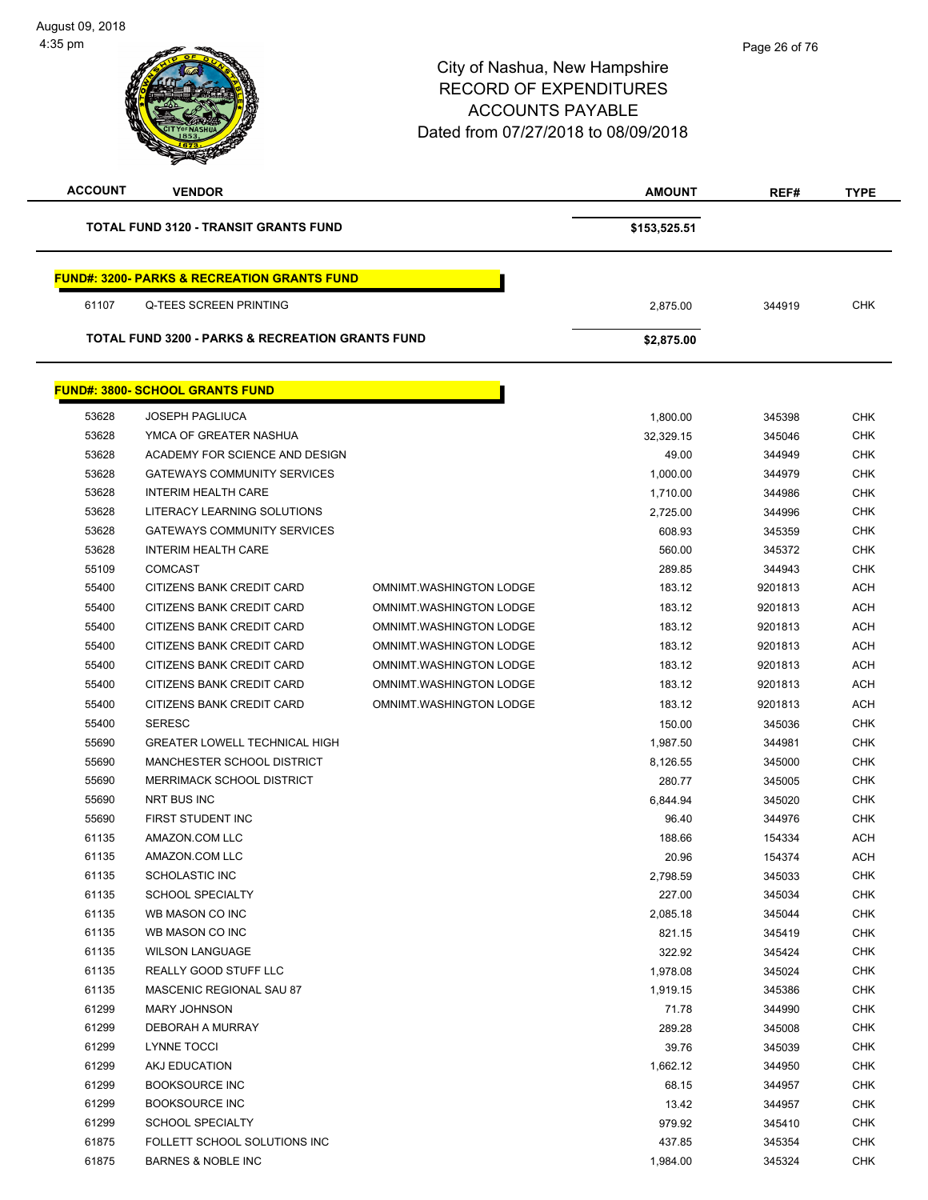$\overline{\phantom{a}}$ 

| <b>ACCOUNT</b> | <b>VENDOR</b>                                               |                         | <b>AMOUNT</b>      | REF#             | <b>TYPE</b>              |
|----------------|-------------------------------------------------------------|-------------------------|--------------------|------------------|--------------------------|
|                | <b>TOTAL FUND 3120 - TRANSIT GRANTS FUND</b>                |                         | \$153,525.51       |                  |                          |
|                | <b>FUND#: 3200- PARKS &amp; RECREATION GRANTS FUND</b>      |                         |                    |                  |                          |
| 61107          | Q-TEES SCREEN PRINTING                                      |                         | 2,875.00           | 344919           | <b>CHK</b>               |
|                | <b>TOTAL FUND 3200 - PARKS &amp; RECREATION GRANTS FUND</b> |                         | \$2,875.00         |                  |                          |
|                | <b>FUND#: 3800- SCHOOL GRANTS FUND</b>                      |                         |                    |                  |                          |
| 53628          | <b>JOSEPH PAGLIUCA</b>                                      |                         | 1,800.00           | 345398           | <b>CHK</b>               |
| 53628          | YMCA OF GREATER NASHUA                                      |                         | 32,329.15          | 345046           | <b>CHK</b>               |
| 53628          | ACADEMY FOR SCIENCE AND DESIGN                              |                         | 49.00              | 344949           | <b>CHK</b>               |
| 53628          | <b>GATEWAYS COMMUNITY SERVICES</b>                          |                         | 1,000.00           | 344979           | <b>CHK</b>               |
| 53628          | <b>INTERIM HEALTH CARE</b>                                  |                         | 1,710.00           | 344986           | <b>CHK</b>               |
| 53628          | LITERACY LEARNING SOLUTIONS                                 |                         | 2,725.00           | 344996           | <b>CHK</b>               |
| 53628          | <b>GATEWAYS COMMUNITY SERVICES</b>                          |                         | 608.93             | 345359           | CHK                      |
| 53628          | <b>INTERIM HEALTH CARE</b>                                  |                         | 560.00             | 345372           | <b>CHK</b>               |
| 55109          | <b>COMCAST</b>                                              |                         | 289.85             | 344943           | <b>CHK</b>               |
| 55400          | CITIZENS BANK CREDIT CARD                                   | OMNIMT.WASHINGTON LODGE | 183.12             | 9201813          | <b>ACH</b>               |
| 55400          | CITIZENS BANK CREDIT CARD                                   | OMNIMT.WASHINGTON LODGE | 183.12             | 9201813          | <b>ACH</b>               |
| 55400          | CITIZENS BANK CREDIT CARD                                   | OMNIMT.WASHINGTON LODGE | 183.12             | 9201813          | <b>ACH</b>               |
| 55400          | CITIZENS BANK CREDIT CARD                                   | OMNIMT.WASHINGTON LODGE | 183.12             | 9201813          | <b>ACH</b>               |
| 55400          | CITIZENS BANK CREDIT CARD                                   | OMNIMT.WASHINGTON LODGE | 183.12             | 9201813          | <b>ACH</b>               |
| 55400          | CITIZENS BANK CREDIT CARD                                   | OMNIMT.WASHINGTON LODGE | 183.12             | 9201813          | <b>ACH</b>               |
| 55400          | CITIZENS BANK CREDIT CARD                                   | OMNIMT.WASHINGTON LODGE | 183.12             | 9201813          | <b>ACH</b>               |
| 55400          | <b>SERESC</b>                                               |                         | 150.00             | 345036           | <b>CHK</b>               |
| 55690          | <b>GREATER LOWELL TECHNICAL HIGH</b>                        |                         | 1,987.50           | 344981           | <b>CHK</b>               |
| 55690          | MANCHESTER SCHOOL DISTRICT                                  |                         | 8,126.55           | 345000           | <b>CHK</b>               |
| 55690          | MERRIMACK SCHOOL DISTRICT                                   |                         | 280.77             | 345005           | <b>CHK</b>               |
| 55690          | NRT BUS INC                                                 |                         | 6,844.94           | 345020           | <b>CHK</b>               |
| 55690          | FIRST STUDENT INC                                           |                         | 96.40              |                  | <b>CHK</b>               |
| 61135          | AMAZON.COM LLC                                              |                         | 188.66             | 344976<br>154334 | <b>ACH</b>               |
| 61135          | AMAZON.COM LLC                                              |                         | 20.96              | 154374           | ACH                      |
| 61135          | <b>SCHOLASTIC INC</b>                                       |                         |                    |                  | CHK                      |
| 61135          | <b>SCHOOL SPECIALTY</b>                                     |                         | 2,798.59           | 345033           | <b>CHK</b>               |
| 61135          | WB MASON CO INC                                             |                         | 227.00<br>2,085.18 | 345034           | <b>CHK</b>               |
| 61135          | WB MASON CO INC                                             |                         |                    | 345044           | <b>CHK</b>               |
| 61135          | <b>WILSON LANGUAGE</b>                                      |                         | 821.15             | 345419           | <b>CHK</b>               |
|                | REALLY GOOD STUFF LLC                                       |                         | 322.92             | 345424           |                          |
| 61135          |                                                             |                         | 1,978.08           | 345024           | <b>CHK</b><br><b>CHK</b> |
| 61135          | MASCENIC REGIONAL SAU 87                                    |                         | 1,919.15           | 345386           |                          |
| 61299          | <b>MARY JOHNSON</b>                                         |                         | 71.78              | 344990           | <b>CHK</b>               |
| 61299<br>61299 | DEBORAH A MURRAY                                            |                         | 289.28             | 345008           | <b>CHK</b>               |
|                | LYNNE TOCCI                                                 |                         | 39.76              | 345039           | <b>CHK</b>               |
| 61299          | AKJ EDUCATION                                               |                         | 1,662.12           | 344950           | <b>CHK</b>               |
| 61299          | <b>BOOKSOURCE INC</b>                                       |                         | 68.15              | 344957           | CHK                      |
| 61299          | <b>BOOKSOURCE INC</b>                                       |                         | 13.42              | 344957           | CHK                      |
| 61299          | <b>SCHOOL SPECIALTY</b>                                     |                         | 979.92             | 345410           | <b>CHK</b>               |
| 61875          | FOLLETT SCHOOL SOLUTIONS INC                                |                         | 437.85             | 345354           | <b>CHK</b>               |
| 61875          | <b>BARNES &amp; NOBLE INC</b>                               |                         | 1,984.00           | 345324           | <b>CHK</b>               |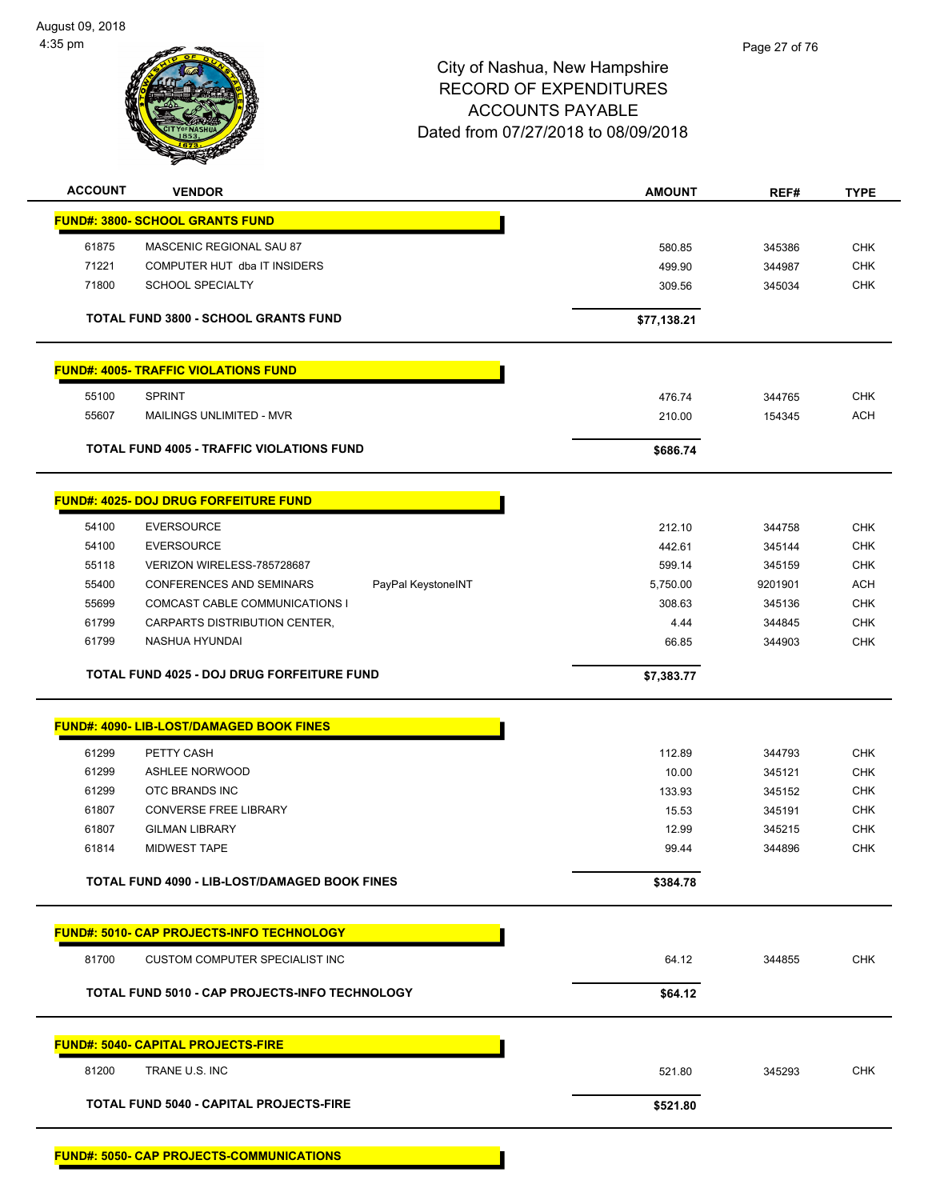August 09, 2018 4:35 pm



## City of Nashua, New Hampshire RECORD OF EXPENDITURES ACCOUNTS PAYABLE Dated from 07/27/2018 to 08/09/2018

| <b>ACCOUNT</b> | <b>VENDOR</b>                                         | <b>AMOUNT</b> | REF#    | <b>TYPE</b> |
|----------------|-------------------------------------------------------|---------------|---------|-------------|
|                | <b>FUND#: 3800- SCHOOL GRANTS FUND</b>                |               |         |             |
| 61875          | MASCENIC REGIONAL SAU 87                              | 580.85        | 345386  | <b>CHK</b>  |
| 71221          | COMPUTER HUT dba IT INSIDERS                          | 499.90        | 344987  | <b>CHK</b>  |
| 71800          | <b>SCHOOL SPECIALTY</b>                               | 309.56        | 345034  | <b>CHK</b>  |
|                |                                                       |               |         |             |
|                | <b>TOTAL FUND 3800 - SCHOOL GRANTS FUND</b>           | \$77,138.21   |         |             |
|                | <b>FUND#: 4005- TRAFFIC VIOLATIONS FUND</b>           |               |         |             |
| 55100          | <b>SPRINT</b>                                         | 476.74        | 344765  | <b>CHK</b>  |
| 55607          | MAILINGS UNLIMITED - MVR                              | 210.00        | 154345  | <b>ACH</b>  |
|                |                                                       |               |         |             |
|                | <b>TOTAL FUND 4005 - TRAFFIC VIOLATIONS FUND</b>      | \$686.74      |         |             |
|                | <b>FUND#: 4025- DOJ DRUG FORFEITURE FUND</b>          |               |         |             |
| 54100          | <b>EVERSOURCE</b>                                     | 212.10        | 344758  | <b>CHK</b>  |
| 54100          | <b>EVERSOURCE</b>                                     | 442.61        | 345144  | <b>CHK</b>  |
| 55118          | VERIZON WIRELESS-785728687                            | 599.14        | 345159  | <b>CHK</b>  |
| 55400          | <b>CONFERENCES AND SEMINARS</b><br>PayPal KeystoneINT | 5,750.00      | 9201901 | <b>ACH</b>  |
| 55699          | COMCAST CABLE COMMUNICATIONS I                        | 308.63        | 345136  | <b>CHK</b>  |
| 61799          | CARPARTS DISTRIBUTION CENTER,                         | 4.44          | 344845  | CHK         |
| 61799          | NASHUA HYUNDAI                                        | 66.85         | 344903  | <b>CHK</b>  |
|                | <b>TOTAL FUND 4025 - DOJ DRUG FORFEITURE FUND</b>     | \$7,383.77    |         |             |
|                |                                                       |               |         |             |
|                | <b>FUND#: 4090- LIB-LOST/DAMAGED BOOK FINES</b>       |               |         |             |
|                |                                                       |               |         |             |
| 61299          | PETTY CASH                                            | 112.89        | 344793  | <b>CHK</b>  |
| 61299          | ASHLEE NORWOOD                                        | 10.00         | 345121  | <b>CHK</b>  |
| 61299          | OTC BRANDS INC                                        | 133.93        | 345152  | <b>CHK</b>  |
| 61807          | <b>CONVERSE FREE LIBRARY</b>                          | 15.53         | 345191  | <b>CHK</b>  |
| 61807          | <b>GILMAN LIBRARY</b>                                 | 12.99         | 345215  | <b>CHK</b>  |
| 61814          | <b>MIDWEST TAPE</b>                                   | 99.44         | 344896  | <b>CHK</b>  |
|                | TOTAL FUND 4090 - LIB-LOST/DAMAGED BOOK FINES         | \$384.78      |         |             |
|                | <b>FUND#: 5010- CAP PROJECTS-INFO TECHNOLOGY</b>      |               |         |             |
|                |                                                       |               |         |             |
| 81700          | CUSTOM COMPUTER SPECIALIST INC                        | 64.12         | 344855  | <b>CHK</b>  |
|                | <b>TOTAL FUND 5010 - CAP PROJECTS-INFO TECHNOLOGY</b> | \$64.12       |         |             |
|                | <b>FUND#: 5040- CAPITAL PROJECTS-FIRE</b>             |               |         |             |
| 81200          | TRANE U.S. INC                                        | 521.80        | 345293  | <b>CHK</b>  |
|                | <b>TOTAL FUND 5040 - CAPITAL PROJECTS-FIRE</b>        | \$521.80      |         |             |
|                |                                                       |               |         |             |

**FUND#: 5050- CAP PROJECTS-COMMUNICATIONS**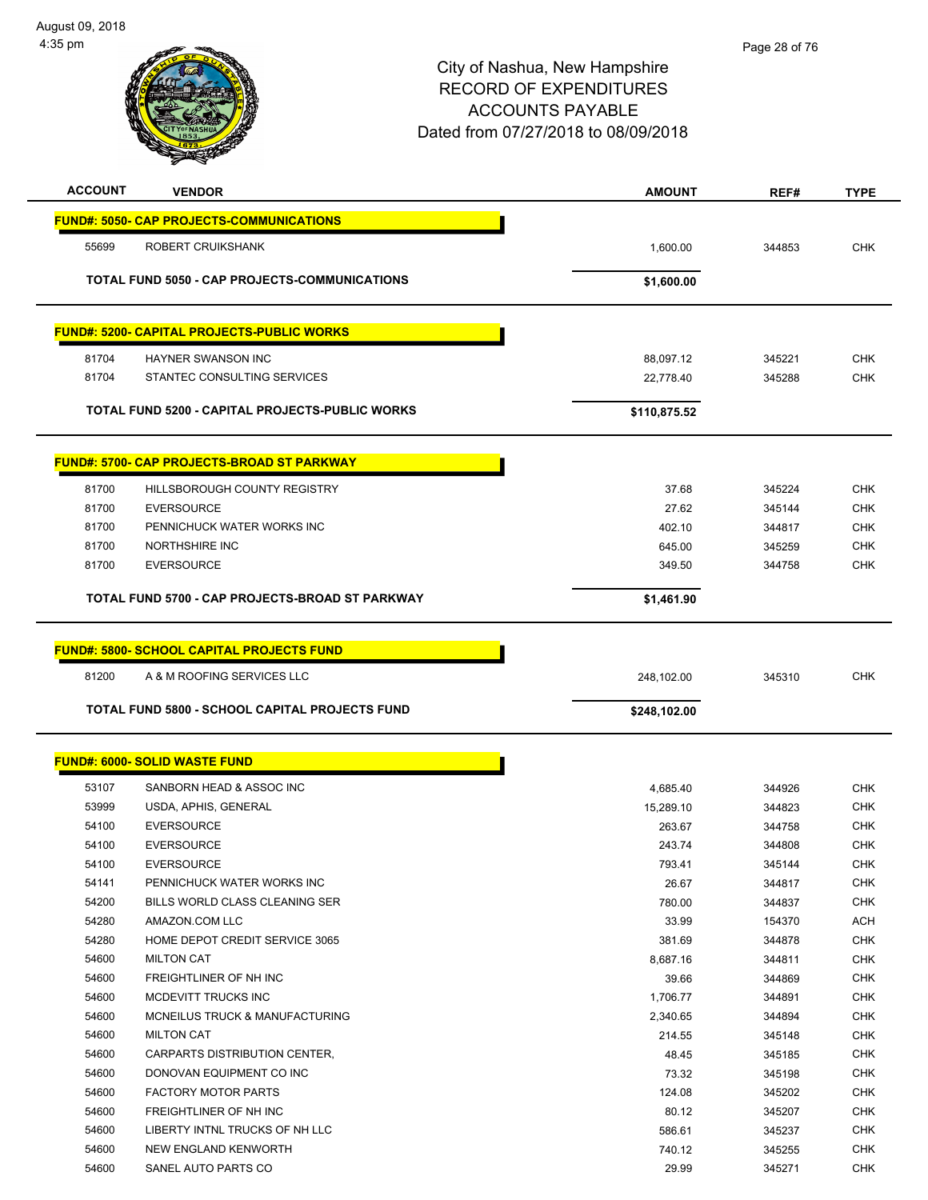

| <b>ACCOUNT</b> | <b>VENDOR</b>                                         | <b>AMOUNT</b>   | REF#             | <b>TYPE</b>              |
|----------------|-------------------------------------------------------|-----------------|------------------|--------------------------|
|                | <b>FUND#: 5050- CAP PROJECTS-COMMUNICATIONS</b>       |                 |                  |                          |
| 55699          | ROBERT CRUIKSHANK                                     | 1,600.00        | 344853           | <b>CHK</b>               |
|                |                                                       |                 |                  |                          |
|                | <b>TOTAL FUND 5050 - CAP PROJECTS-COMMUNICATIONS</b>  | \$1,600.00      |                  |                          |
|                | <b>FUND#: 5200- CAPITAL PROJECTS-PUBLIC WORKS</b>     |                 |                  |                          |
|                |                                                       |                 |                  |                          |
| 81704          | <b>HAYNER SWANSON INC</b>                             | 88,097.12       | 345221           | <b>CHK</b>               |
| 81704          | STANTEC CONSULTING SERVICES                           | 22,778.40       | 345288           | <b>CHK</b>               |
|                | TOTAL FUND 5200 - CAPITAL PROJECTS-PUBLIC WORKS       | \$110,875.52    |                  |                          |
|                | <b>FUND#: 5700- CAP PROJECTS-BROAD ST PARKWAY</b>     |                 |                  |                          |
|                |                                                       |                 |                  |                          |
| 81700          | HILLSBOROUGH COUNTY REGISTRY                          | 37.68           | 345224           | <b>CHK</b>               |
| 81700          | <b>EVERSOURCE</b><br>PENNICHUCK WATER WORKS INC       | 27.62           | 345144           | <b>CHK</b>               |
| 81700          | <b>NORTHSHIRE INC</b>                                 | 402.10          | 344817           | <b>CHK</b>               |
| 81700          |                                                       | 645.00          | 345259           | <b>CHK</b>               |
| 81700          | <b>EVERSOURCE</b>                                     | 349.50          | 344758           | <b>CHK</b>               |
|                | TOTAL FUND 5700 - CAP PROJECTS-BROAD ST PARKWAY       | \$1,461.90      |                  |                          |
|                |                                                       |                 |                  |                          |
|                |                                                       |                 |                  |                          |
|                | <b>FUND#: 5800- SCHOOL CAPITAL PROJECTS FUND</b>      |                 |                  |                          |
| 81200          | A & M ROOFING SERVICES LLC                            | 248,102.00      | 345310           | <b>CHK</b>               |
|                | <b>TOTAL FUND 5800 - SCHOOL CAPITAL PROJECTS FUND</b> | \$248,102.00    |                  |                          |
|                |                                                       |                 |                  |                          |
|                | <b>FUND#: 6000- SOLID WASTE FUND</b>                  |                 |                  |                          |
| 53107          | SANBORN HEAD & ASSOC INC                              | 4,685.40        | 344926           | <b>CHK</b>               |
| 53999          | USDA, APHIS, GENERAL                                  | 15,289.10       | 344823           | <b>CHK</b>               |
| 54100          | <b>EVERSOURCE</b>                                     | 263.67          | 344758           | <b>CHK</b>               |
| 54100          | <b>EVERSOURCE</b>                                     | 243.74          | 344808           | <b>CHK</b>               |
| 54100          | <b>EVERSOURCE</b>                                     | 793.41          | 345144           | <b>CHK</b>               |
| 54141          | PENNICHUCK WATER WORKS INC                            | 26.67           | 344817           | CHK                      |
| 54200          | BILLS WORLD CLASS CLEANING SER                        | 780.00          | 344837           | <b>CHK</b>               |
| 54280          | AMAZON.COM LLC                                        | 33.99           | 154370           | <b>ACH</b>               |
| 54280          | HOME DEPOT CREDIT SERVICE 3065                        | 381.69          | 344878           | CHK                      |
| 54600          | <b>MILTON CAT</b>                                     | 8,687.16        | 344811           | <b>CHK</b>               |
| 54600          | FREIGHTLINER OF NH INC                                | 39.66           | 344869           | <b>CHK</b>               |
| 54600          | MCDEVITT TRUCKS INC                                   | 1,706.77        | 344891           | <b>CHK</b>               |
| 54600          | MCNEILUS TRUCK & MANUFACTURING                        | 2,340.65        | 344894           | <b>CHK</b>               |
| 54600          | <b>MILTON CAT</b>                                     | 214.55          | 345148           | <b>CHK</b>               |
| 54600          | CARPARTS DISTRIBUTION CENTER,                         | 48.45           | 345185           | <b>CHK</b>               |
| 54600          | DONOVAN EQUIPMENT CO INC                              |                 |                  |                          |
|                |                                                       | 73.32           | 345198           | <b>CHK</b>               |
| 54600          | <b>FACTORY MOTOR PARTS</b>                            | 124.08          | 345202           | <b>CHK</b>               |
| 54600          | FREIGHTLINER OF NH INC                                | 80.12           | 345207           | <b>CHK</b>               |
| 54600          | LIBERTY INTNL TRUCKS OF NH LLC                        | 586.61          | 345237           | <b>CHK</b>               |
| 54600<br>54600 | NEW ENGLAND KENWORTH<br>SANEL AUTO PARTS CO           | 740.12<br>29.99 | 345255<br>345271 | <b>CHK</b><br><b>CHK</b> |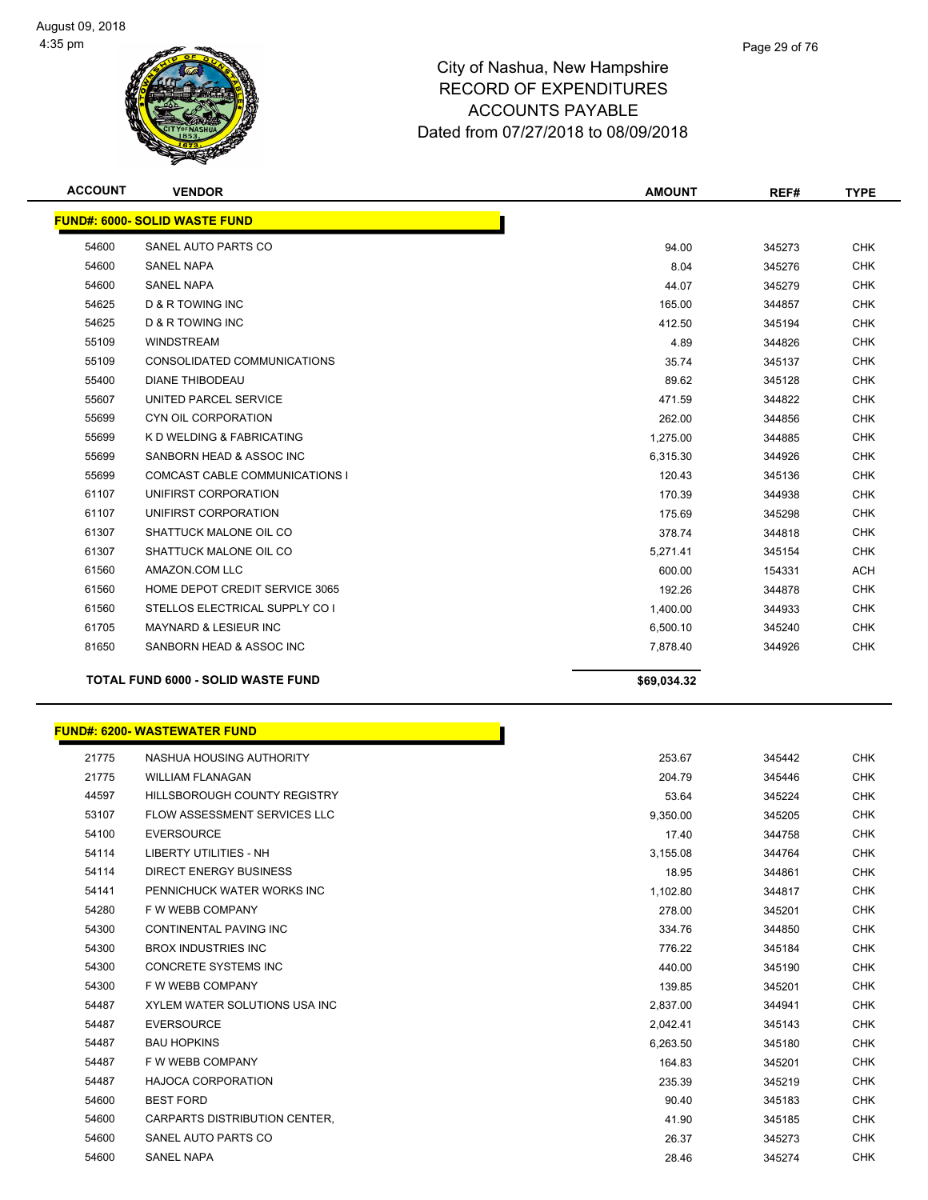

| <b>ACCOUNT</b> | <b>VENDOR</b>                             | <b>AMOUNT</b> | REF#   | <b>TYPE</b> |
|----------------|-------------------------------------------|---------------|--------|-------------|
|                | <b>FUND#: 6000- SOLID WASTE FUND</b>      |               |        |             |
| 54600          | SANEL AUTO PARTS CO                       | 94.00         | 345273 | <b>CHK</b>  |
| 54600          | <b>SANEL NAPA</b>                         | 8.04          | 345276 | <b>CHK</b>  |
| 54600          | <b>SANEL NAPA</b>                         | 44.07         | 345279 | <b>CHK</b>  |
| 54625          | <b>D &amp; R TOWING INC</b>               | 165.00        | 344857 | <b>CHK</b>  |
| 54625          | D & R TOWING INC                          | 412.50        | 345194 | <b>CHK</b>  |
| 55109          | <b>WINDSTREAM</b>                         | 4.89          | 344826 | <b>CHK</b>  |
| 55109          | CONSOLIDATED COMMUNICATIONS               | 35.74         | 345137 | <b>CHK</b>  |
| 55400          | <b>DIANE THIBODEAU</b>                    | 89.62         | 345128 | <b>CHK</b>  |
| 55607          | UNITED PARCEL SERVICE                     | 471.59        | 344822 | <b>CHK</b>  |
| 55699          | CYN OIL CORPORATION                       | 262.00        | 344856 | <b>CHK</b>  |
| 55699          | K D WELDING & FABRICATING                 | 1,275.00      | 344885 | <b>CHK</b>  |
| 55699          | SANBORN HEAD & ASSOC INC                  | 6,315.30      | 344926 | <b>CHK</b>  |
| 55699          | <b>COMCAST CABLE COMMUNICATIONS I</b>     | 120.43        | 345136 | <b>CHK</b>  |
| 61107          | UNIFIRST CORPORATION                      | 170.39        | 344938 | <b>CHK</b>  |
| 61107          | UNIFIRST CORPORATION                      | 175.69        | 345298 | <b>CHK</b>  |
| 61307          | SHATTUCK MALONE OIL CO                    | 378.74        | 344818 | <b>CHK</b>  |
| 61307          | SHATTUCK MALONE OIL CO                    | 5,271.41      | 345154 | <b>CHK</b>  |
| 61560          | AMAZON.COM LLC                            | 600.00        | 154331 | <b>ACH</b>  |
| 61560          | HOME DEPOT CREDIT SERVICE 3065            | 192.26        | 344878 | <b>CHK</b>  |
| 61560          | STELLOS ELECTRICAL SUPPLY CO I            | 1,400.00      | 344933 | <b>CHK</b>  |
| 61705          | <b>MAYNARD &amp; LESIEUR INC</b>          | 6,500.10      | 345240 | <b>CHK</b>  |
| 81650          | SANBORN HEAD & ASSOC INC                  | 7,878.40      | 344926 | <b>CHK</b>  |
|                | <b>TOTAL FUND 6000 - SOLID WASTE FUND</b> | \$69,034.32   |        |             |

|       | <u> FUND#: 6200- WASTEWATER FUND</u> |          |        |            |
|-------|--------------------------------------|----------|--------|------------|
| 21775 | NASHUA HOUSING AUTHORITY             | 253.67   | 345442 | <b>CHK</b> |
| 21775 | <b>WILLIAM FLANAGAN</b>              | 204.79   | 345446 | <b>CHK</b> |
| 44597 | <b>HILLSBOROUGH COUNTY REGISTRY</b>  | 53.64    | 345224 | <b>CHK</b> |
| 53107 | <b>FLOW ASSESSMENT SERVICES LLC</b>  | 9,350.00 | 345205 | <b>CHK</b> |
| 54100 | <b>EVERSOURCE</b>                    | 17.40    | 344758 | <b>CHK</b> |
| 54114 | <b>LIBERTY UTILITIES - NH</b>        | 3,155.08 | 344764 | <b>CHK</b> |
| 54114 | <b>DIRECT ENERGY BUSINESS</b>        | 18.95    | 344861 | <b>CHK</b> |
| 54141 | PENNICHUCK WATER WORKS INC           | 1,102.80 | 344817 | <b>CHK</b> |
| 54280 | F W WEBB COMPANY                     | 278.00   | 345201 | <b>CHK</b> |
| 54300 | <b>CONTINENTAL PAVING INC</b>        | 334.76   | 344850 | <b>CHK</b> |
| 54300 | <b>BROX INDUSTRIES INC</b>           | 776.22   | 345184 | <b>CHK</b> |
| 54300 | <b>CONCRETE SYSTEMS INC</b>          | 440.00   | 345190 | <b>CHK</b> |
| 54300 | F W WEBB COMPANY                     | 139.85   | 345201 | <b>CHK</b> |
| 54487 | XYLEM WATER SOLUTIONS USA INC        | 2,837.00 | 344941 | <b>CHK</b> |
| 54487 | <b>EVERSOURCE</b>                    | 2,042.41 | 345143 | <b>CHK</b> |
| 54487 | <b>BAU HOPKINS</b>                   | 6,263.50 | 345180 | <b>CHK</b> |
| 54487 | F W WEBB COMPANY                     | 164.83   | 345201 | <b>CHK</b> |
| 54487 | <b>HAJOCA CORPORATION</b>            | 235.39   | 345219 | CHK        |
| 54600 | <b>BEST FORD</b>                     | 90.40    | 345183 | <b>CHK</b> |
| 54600 | <b>CARPARTS DISTRIBUTION CENTER,</b> | 41.90    | 345185 | <b>CHK</b> |
| 54600 | SANEL AUTO PARTS CO                  | 26.37    | 345273 | CHK        |
| 54600 | <b>SANEL NAPA</b>                    | 28.46    | 345274 | <b>CHK</b> |
|       |                                      |          |        |            |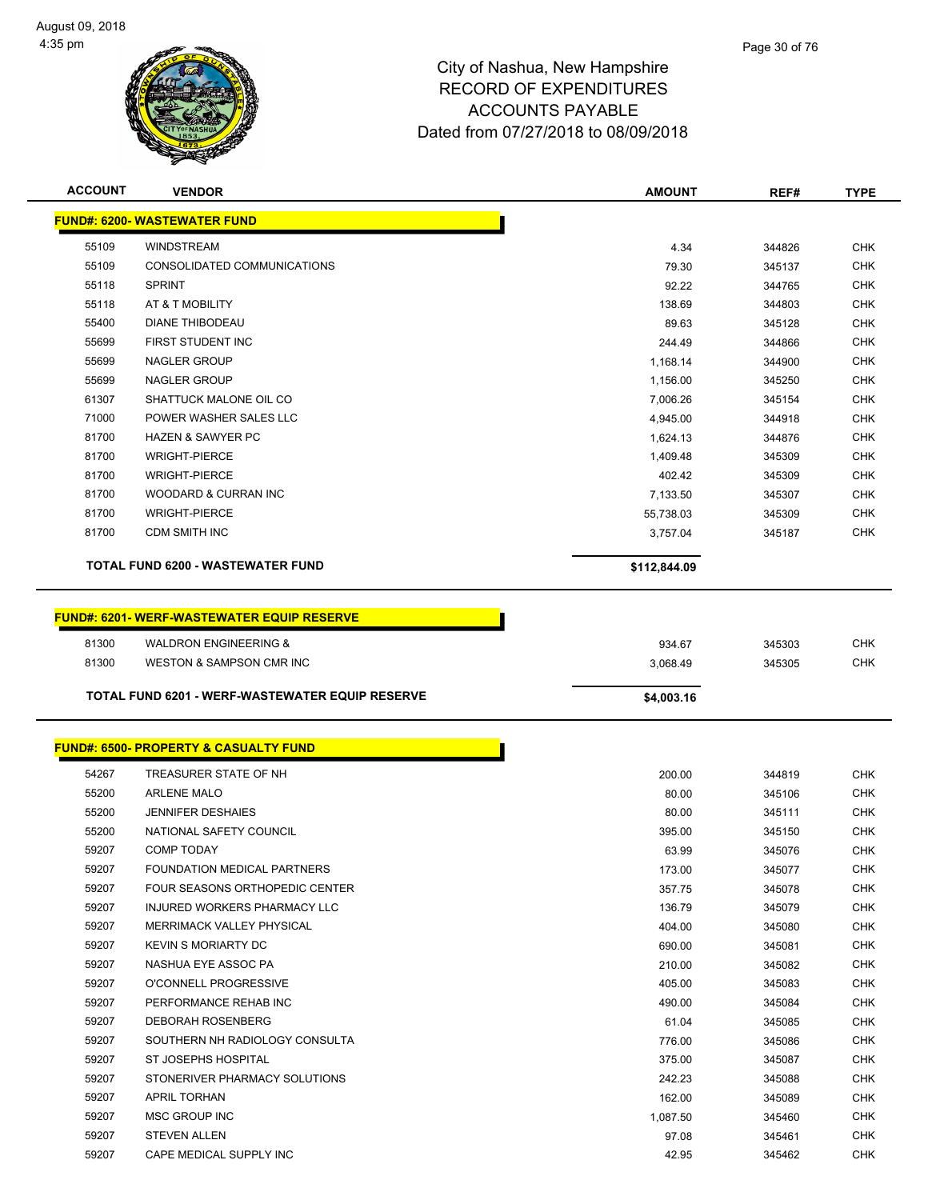

| <b>ACCOUNT</b>                      | <b>VENDOR</b>                                          | <b>AMOUNT</b> | REF#   | TYPE       |  |  |
|-------------------------------------|--------------------------------------------------------|---------------|--------|------------|--|--|
| <b>FUND#: 6200- WASTEWATER FUND</b> |                                                        |               |        |            |  |  |
| 55109                               | <b>WINDSTREAM</b>                                      | 4.34          | 344826 | <b>CHK</b> |  |  |
| 55109                               | CONSOLIDATED COMMUNICATIONS                            | 79.30         | 345137 | <b>CHK</b> |  |  |
| 55118                               | <b>SPRINT</b>                                          | 92.22         | 344765 | <b>CHK</b> |  |  |
| 55118                               | AT & T MOBILITY                                        | 138.69        | 344803 | CHK        |  |  |
| 55400                               | <b>DIANE THIBODEAU</b>                                 | 89.63         | 345128 | <b>CHK</b> |  |  |
| 55699                               | FIRST STUDENT INC                                      | 244.49        | 344866 | <b>CHK</b> |  |  |
| 55699                               | <b>NAGLER GROUP</b>                                    | 1,168.14      | 344900 | <b>CHK</b> |  |  |
| 55699                               | <b>NAGLER GROUP</b>                                    | 1,156.00      | 345250 | <b>CHK</b> |  |  |
| 61307                               | SHATTUCK MALONE OIL CO                                 | 7,006.26      | 345154 | <b>CHK</b> |  |  |
| 71000                               | POWER WASHER SALES LLC                                 | 4,945.00      | 344918 | <b>CHK</b> |  |  |
| 81700                               | <b>HAZEN &amp; SAWYER PC</b>                           | 1,624.13      | 344876 | <b>CHK</b> |  |  |
| 81700                               | <b>WRIGHT-PIERCE</b>                                   | 1,409.48      | 345309 | CHK        |  |  |
| 81700                               | <b>WRIGHT-PIERCE</b>                                   | 402.42        | 345309 | <b>CHK</b> |  |  |
| 81700                               | <b>WOODARD &amp; CURRAN INC</b>                        | 7,133.50      | 345307 | <b>CHK</b> |  |  |
| 81700                               | <b>WRIGHT-PIERCE</b>                                   | 55,738.03     | 345309 | CHK        |  |  |
| 81700                               | <b>CDM SMITH INC</b>                                   | 3,757.04      | 345187 | <b>CHK</b> |  |  |
|                                     |                                                        |               |        |            |  |  |
|                                     | <b>TOTAL FUND 6200 - WASTEWATER FUND</b>               | \$112,844.09  |        |            |  |  |
|                                     | <b>FUND#: 6201-WERF-WASTEWATER EQUIP RESERVE</b>       |               |        |            |  |  |
| 81300                               | <b>WALDRON ENGINEERING &amp;</b>                       | 934.67        | 345303 | <b>CHK</b> |  |  |
| 81300                               | WESTON & SAMPSON CMR INC                               |               | 345305 | <b>CHK</b> |  |  |
|                                     |                                                        | 3,068.49      |        |            |  |  |
|                                     |                                                        |               |        |            |  |  |
|                                     | <b>TOTAL FUND 6201 - WERF-WASTEWATER EQUIP RESERVE</b> | \$4,003.16    |        |            |  |  |
|                                     |                                                        |               |        |            |  |  |
|                                     | <b>FUND#: 6500- PROPERTY &amp; CASUALTY FUND</b>       |               |        |            |  |  |
| 54267                               | TREASURER STATE OF NH                                  | 200.00        | 344819 | <b>CHK</b> |  |  |
| 55200                               | <b>ARLENE MALO</b>                                     | 80.00         | 345106 | <b>CHK</b> |  |  |
| 55200                               | <b>JENNIFER DESHAIES</b>                               | 80.00         | 345111 | CHK        |  |  |
| 55200                               | NATIONAL SAFETY COUNCIL                                | 395.00        | 345150 | <b>CHK</b> |  |  |
| 59207                               | <b>COMP TODAY</b>                                      | 63.99         | 345076 | <b>CHK</b> |  |  |
| 59207                               | FOUNDATION MEDICAL PARTNERS                            | 173.00        | 345077 | <b>CHK</b> |  |  |
| 59207                               | FOUR SEASONS ORTHOPEDIC CENTER                         | 357.75        | 345078 | <b>CHK</b> |  |  |
| 59207                               | INJURED WORKERS PHARMACY LLC                           | 136.79        | 345079 | <b>CHK</b> |  |  |
| 59207                               | MERRIMACK VALLEY PHYSICAL                              | 404.00        | 345080 | <b>CHK</b> |  |  |
| 59207                               | <b>KEVIN S MORIARTY DC</b>                             | 690.00        | 345081 | <b>CHK</b> |  |  |
| 59207                               | NASHUA EYE ASSOC PA                                    | 210.00        | 345082 | <b>CHK</b> |  |  |
| 59207                               | O'CONNELL PROGRESSIVE                                  | 405.00        | 345083 | <b>CHK</b> |  |  |
| 59207                               | PERFORMANCE REHAB INC                                  | 490.00        | 345084 | <b>CHK</b> |  |  |
| 59207                               | <b>DEBORAH ROSENBERG</b>                               | 61.04         | 345085 | <b>CHK</b> |  |  |
| 59207                               | SOUTHERN NH RADIOLOGY CONSULTA                         | 776.00        | 345086 | <b>CHK</b> |  |  |
| 59207                               | ST JOSEPHS HOSPITAL                                    | 375.00        | 345087 | <b>CHK</b> |  |  |
| 59207                               | STONERIVER PHARMACY SOLUTIONS                          | 242.23        | 345088 | <b>CHK</b> |  |  |
| 59207                               | <b>APRIL TORHAN</b>                                    | 162.00        | 345089 | <b>CHK</b> |  |  |
| 59207                               | MSC GROUP INC                                          | 1,087.50      | 345460 | <b>CHK</b> |  |  |
| 59207                               | <b>STEVEN ALLEN</b>                                    | 97.08         | 345461 | <b>CHK</b> |  |  |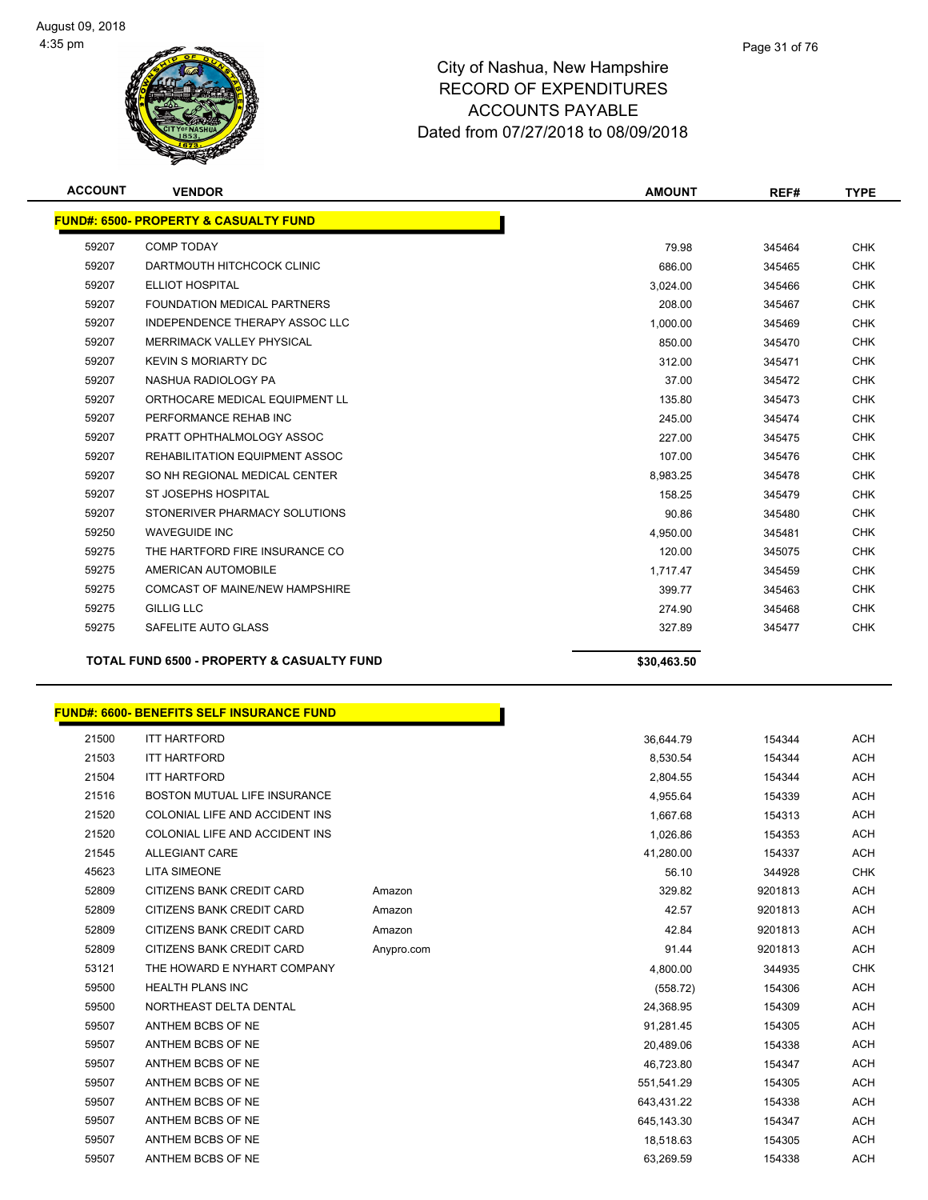

| <b>ACCOUNT</b> | <b>VENDOR</b>                                         | <b>AMOUNT</b> | REF#   | <b>TYPE</b> |  |  |
|----------------|-------------------------------------------------------|---------------|--------|-------------|--|--|
|                | <b>FUND#: 6500- PROPERTY &amp; CASUALTY FUND</b>      |               |        |             |  |  |
| 59207          | <b>COMP TODAY</b>                                     | 79.98         | 345464 | <b>CHK</b>  |  |  |
| 59207          | DARTMOUTH HITCHCOCK CLINIC                            | 686.00        | 345465 | <b>CHK</b>  |  |  |
| 59207          | <b>ELLIOT HOSPITAL</b>                                | 3,024.00      | 345466 | <b>CHK</b>  |  |  |
| 59207          | FOUNDATION MEDICAL PARTNERS                           | 208.00        | 345467 | <b>CHK</b>  |  |  |
| 59207          | INDEPENDENCE THERAPY ASSOC LLC                        | 1,000.00      | 345469 | <b>CHK</b>  |  |  |
| 59207          | <b>MERRIMACK VALLEY PHYSICAL</b>                      | 850.00        | 345470 | <b>CHK</b>  |  |  |
| 59207          | <b>KEVIN S MORIARTY DC</b>                            | 312.00        | 345471 | <b>CHK</b>  |  |  |
| 59207          | NASHUA RADIOLOGY PA                                   | 37.00         | 345472 | <b>CHK</b>  |  |  |
| 59207          | ORTHOCARE MEDICAL EQUIPMENT LL                        | 135.80        | 345473 | <b>CHK</b>  |  |  |
| 59207          | PERFORMANCE REHAB INC                                 | 245.00        | 345474 | <b>CHK</b>  |  |  |
| 59207          | PRATT OPHTHALMOLOGY ASSOC                             | 227.00        | 345475 | <b>CHK</b>  |  |  |
| 59207          | REHABILITATION EQUIPMENT ASSOC                        | 107.00        | 345476 | <b>CHK</b>  |  |  |
| 59207          | SO NH REGIONAL MEDICAL CENTER                         | 8.983.25      | 345478 | <b>CHK</b>  |  |  |
| 59207          | ST JOSEPHS HOSPITAL                                   | 158.25        | 345479 | <b>CHK</b>  |  |  |
| 59207          | STONERIVER PHARMACY SOLUTIONS                         | 90.86         | 345480 | <b>CHK</b>  |  |  |
| 59250          | <b>WAVEGUIDE INC</b>                                  | 4,950.00      | 345481 | <b>CHK</b>  |  |  |
| 59275          | THE HARTFORD FIRE INSURANCE CO.                       | 120.00        | 345075 | <b>CHK</b>  |  |  |
| 59275          | AMERICAN AUTOMOBILE                                   | 1.717.47      | 345459 | <b>CHK</b>  |  |  |
| 59275          | COMCAST OF MAINE/NEW HAMPSHIRE                        | 399.77        | 345463 | <b>CHK</b>  |  |  |
| 59275          | <b>GILLIG LLC</b>                                     | 274.90        | 345468 | <b>CHK</b>  |  |  |
| 59275          | SAFELITE AUTO GLASS                                   | 327.89        | 345477 | <b>CHK</b>  |  |  |
|                | <b>TOTAL FUND 6500 - PROPERTY &amp; CASUALTY FUND</b> | \$30,463.50   |        |             |  |  |

|       | FUND#: 6600- BENEFITS SELF INSURANCE FUND_ |            |            |         |            |
|-------|--------------------------------------------|------------|------------|---------|------------|
| 21500 | <b>ITT HARTFORD</b>                        |            | 36,644.79  | 154344  | <b>ACH</b> |
| 21503 | <b>ITT HARTFORD</b>                        |            | 8,530.54   | 154344  | <b>ACH</b> |
| 21504 | <b>ITT HARTFORD</b>                        |            | 2,804.55   | 154344  | <b>ACH</b> |
| 21516 | BOSTON MUTUAL LIFE INSURANCE               |            | 4,955.64   | 154339  | <b>ACH</b> |
| 21520 | COLONIAL LIFE AND ACCIDENT INS             |            | 1,667.68   | 154313  | <b>ACH</b> |
| 21520 | COLONIAL LIFE AND ACCIDENT INS             |            | 1,026.86   | 154353  | <b>ACH</b> |
| 21545 | <b>ALLEGIANT CARE</b>                      |            | 41,280.00  | 154337  | <b>ACH</b> |
| 45623 | <b>LITA SIMEONE</b>                        |            | 56.10      | 344928  | <b>CHK</b> |
| 52809 | CITIZENS BANK CREDIT CARD                  | Amazon     | 329.82     | 9201813 | <b>ACH</b> |
| 52809 | CITIZENS BANK CREDIT CARD                  | Amazon     | 42.57      | 9201813 | <b>ACH</b> |
| 52809 | CITIZENS BANK CREDIT CARD                  | Amazon     | 42.84      | 9201813 | <b>ACH</b> |
| 52809 | CITIZENS BANK CREDIT CARD                  | Anypro.com | 91.44      | 9201813 | <b>ACH</b> |
| 53121 | THE HOWARD E NYHART COMPANY                |            | 4,800.00   | 344935  | <b>CHK</b> |
| 59500 | <b>HEALTH PLANS INC</b>                    |            | (558.72)   | 154306  | <b>ACH</b> |
| 59500 | NORTHEAST DELTA DENTAL                     |            | 24,368.95  | 154309  | <b>ACH</b> |
| 59507 | ANTHEM BCBS OF NE                          |            | 91,281.45  | 154305  | <b>ACH</b> |
| 59507 | ANTHEM BCBS OF NE                          |            | 20,489.06  | 154338  | <b>ACH</b> |
| 59507 | ANTHEM BCBS OF NE                          |            | 46,723.80  | 154347  | <b>ACH</b> |
| 59507 | ANTHEM BCBS OF NE                          |            | 551,541.29 | 154305  | <b>ACH</b> |
| 59507 | ANTHEM BCBS OF NE                          |            | 643.431.22 | 154338  | <b>ACH</b> |
| 59507 | ANTHEM BCBS OF NE                          |            | 645,143.30 | 154347  | <b>ACH</b> |
| 59507 | ANTHEM BCBS OF NE                          |            | 18,518.63  | 154305  | <b>ACH</b> |
| 59507 | ANTHEM BCBS OF NE                          |            | 63,269.59  | 154338  | <b>ACH</b> |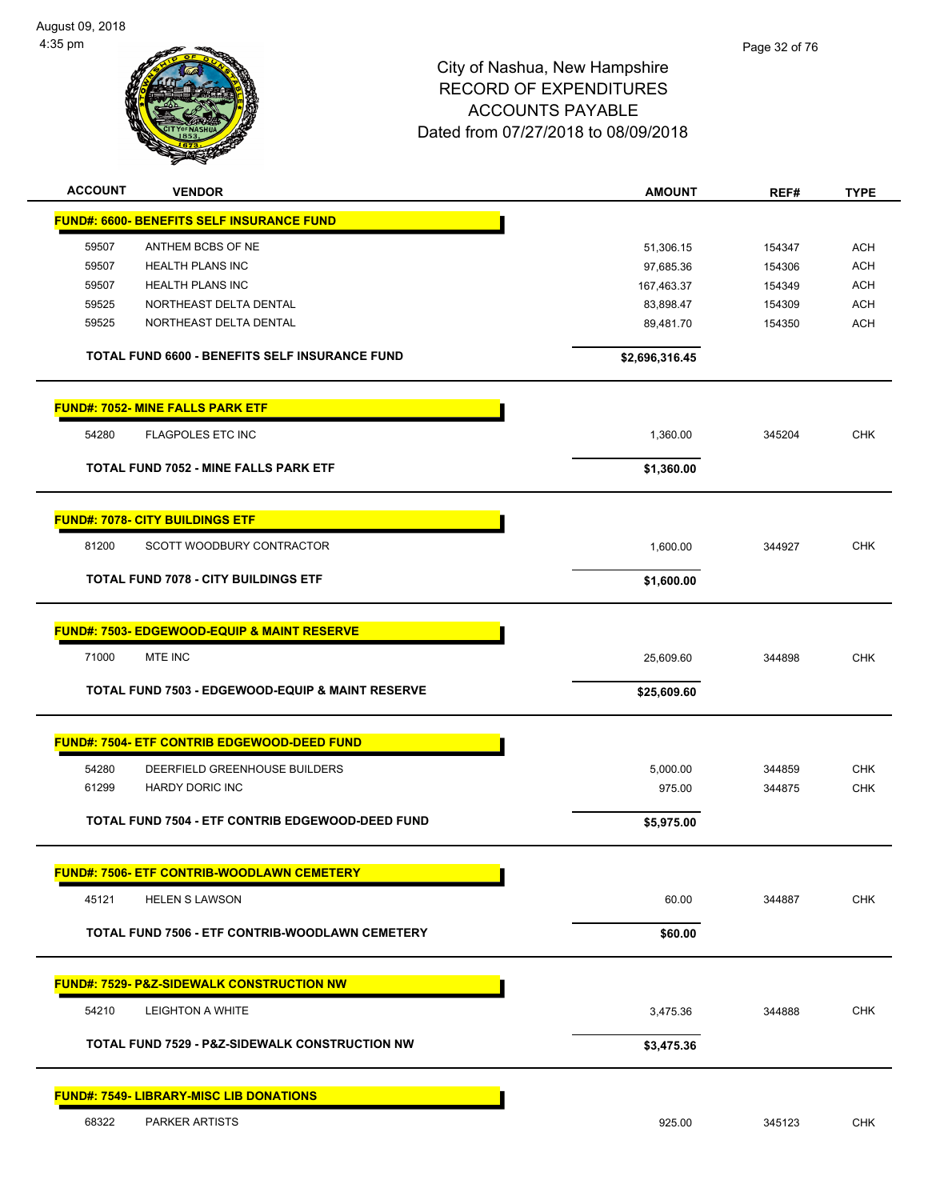

| <b>ACCOUNT</b> | <b>VENDOR</b>                                               | <b>AMOUNT</b>  | REF#   | <b>TYPE</b> |
|----------------|-------------------------------------------------------------|----------------|--------|-------------|
|                | <b>FUND#: 6600- BENEFITS SELF INSURANCE FUND</b>            |                |        |             |
| 59507          | ANTHEM BCBS OF NE                                           | 51,306.15      | 154347 | <b>ACH</b>  |
| 59507          | <b>HEALTH PLANS INC</b>                                     | 97,685.36      | 154306 | <b>ACH</b>  |
| 59507          | <b>HEALTH PLANS INC</b>                                     | 167,463.37     | 154349 | <b>ACH</b>  |
| 59525          | NORTHEAST DELTA DENTAL                                      | 83,898.47      | 154309 | <b>ACH</b>  |
| 59525          | NORTHEAST DELTA DENTAL                                      | 89,481.70      | 154350 | <b>ACH</b>  |
|                | TOTAL FUND 6600 - BENEFITS SELF INSURANCE FUND              | \$2,696,316.45 |        |             |
|                | <b>FUND#: 7052- MINE FALLS PARK ETF</b>                     |                |        |             |
| 54280          | <b>FLAGPOLES ETC INC</b>                                    | 1,360.00       | 345204 | <b>CHK</b>  |
|                | <b>TOTAL FUND 7052 - MINE FALLS PARK ETF</b>                | \$1,360.00     |        |             |
|                | <b>FUND#: 7078- CITY BUILDINGS ETF</b>                      |                |        |             |
| 81200          | SCOTT WOODBURY CONTRACTOR                                   | 1,600.00       | 344927 | <b>CHK</b>  |
|                | <b>TOTAL FUND 7078 - CITY BUILDINGS ETF</b>                 | \$1,600.00     |        |             |
|                | FUND#: 7503- EDGEWOOD-EQUIP & MAINT RESERVE                 |                |        |             |
| 71000          | MTE INC                                                     | 25,609.60      | 344898 | <b>CHK</b>  |
|                | <b>TOTAL FUND 7503 - EDGEWOOD-EQUIP &amp; MAINT RESERVE</b> | \$25,609.60    |        |             |
|                |                                                             |                |        |             |
|                | FUND#: 7504- ETF CONTRIB EDGEWOOD-DEED FUND                 |                |        |             |
| 54280          | DEERFIELD GREENHOUSE BUILDERS                               | 5,000.00       | 344859 | <b>CHK</b>  |
| 61299          | HARDY DORIC INC                                             | 975.00         | 344875 | <b>CHK</b>  |
|                | TOTAL FUND 7504 - ETF CONTRIB EDGEWOOD-DEED FUND            | \$5,975.00     |        |             |
|                | <b>FUND#: 7506- ETF CONTRIB-WOODLAWN CEMETERY</b>           |                |        |             |
| 45121          | <b>HELEN S LAWSON</b>                                       | 60.00          | 344887 | <b>CHK</b>  |
|                | TOTAL FUND 7506 - ETF CONTRIB-WOODLAWN CEMETERY             | \$60.00        |        |             |
|                | <b>FUND#: 7529- P&amp;Z-SIDEWALK CONSTRUCTION NW</b>        |                |        |             |
| 54210          | <b>LEIGHTON A WHITE</b>                                     | 3,475.36       | 344888 | <b>CHK</b>  |
|                | <b>TOTAL FUND 7529 - P&amp;Z-SIDEWALK CONSTRUCTION NW</b>   | \$3,475.36     |        |             |
|                | <b>FUND#: 7549- LIBRARY-MISC LIB DONATIONS</b>              |                |        |             |
| 68322          | PARKER ARTISTS                                              | 925.00         | 345123 | <b>CHK</b>  |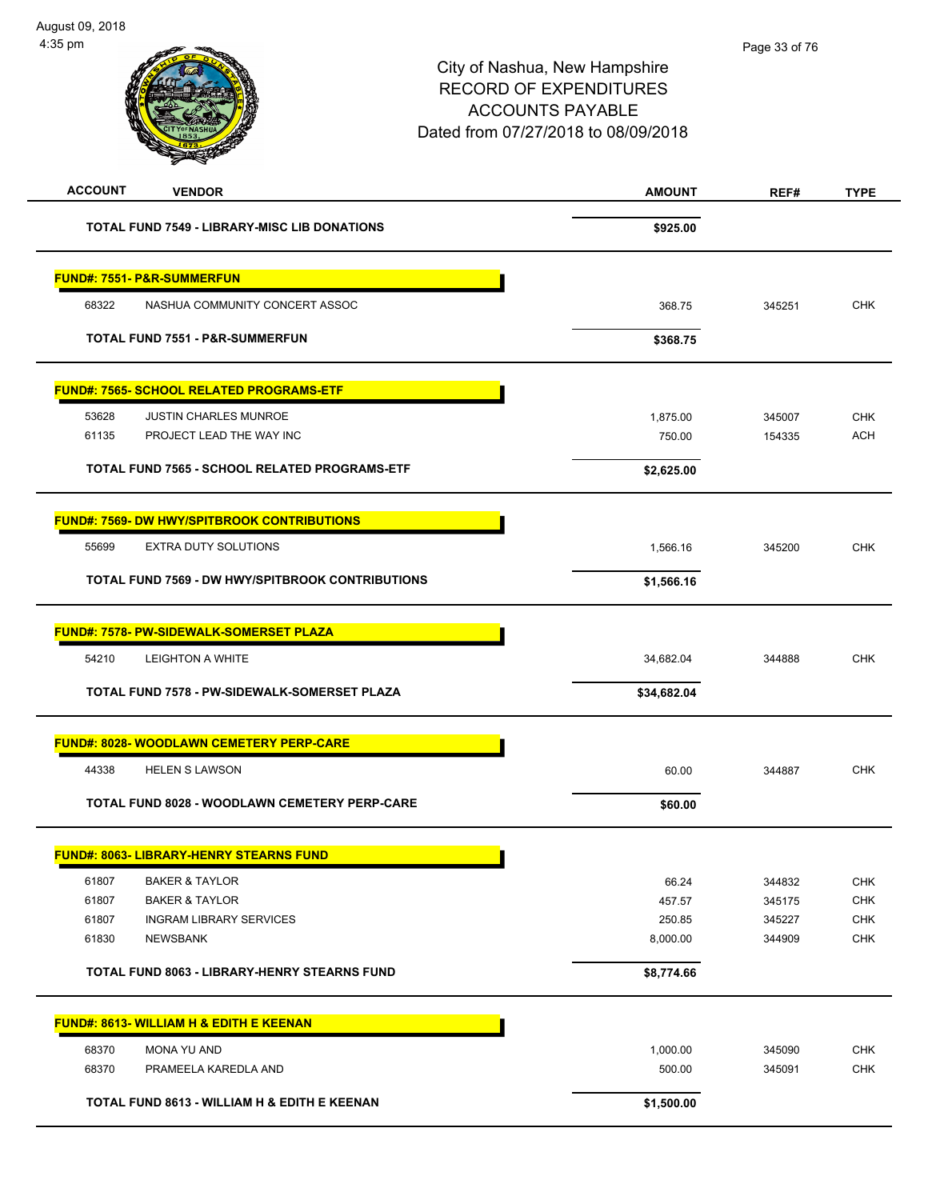| <b>ACCOUNT</b><br><b>VENDOR</b>                    | <b>AMOUNT</b> | REF#   | <b>TYPE</b> |
|----------------------------------------------------|---------------|--------|-------------|
| TOTAL FUND 7549 - LIBRARY-MISC LIB DONATIONS       | \$925.00      |        |             |
|                                                    |               |        |             |
| <b>FUND#: 7551- P&amp;R-SUMMERFUN</b>              |               |        |             |
| 68322<br>NASHUA COMMUNITY CONCERT ASSOC            | 368.75        | 345251 | <b>CHK</b>  |
| TOTAL FUND 7551 - P&R-SUMMERFUN                    | \$368.75      |        |             |
| <b>FUND#: 7565- SCHOOL RELATED PROGRAMS-ETF</b>    |               |        |             |
| 53628<br><b>JUSTIN CHARLES MUNROE</b>              | 1,875.00      | 345007 | <b>CHK</b>  |
| 61135<br>PROJECT LEAD THE WAY INC                  | 750.00        | 154335 | <b>ACH</b>  |
| TOTAL FUND 7565 - SCHOOL RELATED PROGRAMS-ETF      | \$2,625.00    |        |             |
| <b>FUND#: 7569- DW HWY/SPITBROOK CONTRIBUTIONS</b> |               |        |             |
| 55699<br><b>EXTRA DUTY SOLUTIONS</b>               | 1,566.16      | 345200 | <b>CHK</b>  |
| TOTAL FUND 7569 - DW HWY/SPITBROOK CONTRIBUTIONS   | \$1,566.16    |        |             |
| <b>FUND#: 7578- PW-SIDEWALK-SOMERSET PLAZA</b>     |               |        |             |
| 54210<br><b>LEIGHTON A WHITE</b>                   | 34,682.04     | 344888 | <b>CHK</b>  |
| TOTAL FUND 7578 - PW-SIDEWALK-SOMERSET PLAZA       | \$34,682.04   |        |             |
| <b>FUND#: 8028- WOODLAWN CEMETERY PERP-CARE</b>    |               |        |             |
| 44338<br><b>HELEN S LAWSON</b>                     | 60.00         | 344887 | <b>CHK</b>  |
| TOTAL FUND 8028 - WOODLAWN CEMETERY PERP-CARE      | \$60.00       |        |             |
| FUND#: 8063- LIBRARY-HENRY STEARNS FUND<br>г       |               |        |             |
| 61807<br><b>BAKER &amp; TAYLOR</b>                 | 66.24         | 344832 | CHK         |
| 61807<br><b>BAKER &amp; TAYLOR</b>                 | 457.57        | 345175 | <b>CHK</b>  |
| 61807<br><b>INGRAM LIBRARY SERVICES</b>            | 250.85        | 345227 | CHK         |
| 61830<br>NEWSBANK                                  | 8,000.00      | 344909 | <b>CHK</b>  |
| TOTAL FUND 8063 - LIBRARY-HENRY STEARNS FUND       | \$8,774.66    |        |             |
| <b>FUND#: 8613- WILLIAM H &amp; EDITH E KEENAN</b> |               |        |             |
| 68370<br>MONA YU AND                               | 1,000.00      | 345090 | CHK         |
| 68370<br>PRAMEELA KAREDLA AND                      | 500.00        | 345091 | <b>CHK</b>  |
| TOTAL FUND 8613 - WILLIAM H & EDITH E KEENAN       | \$1,500.00    |        |             |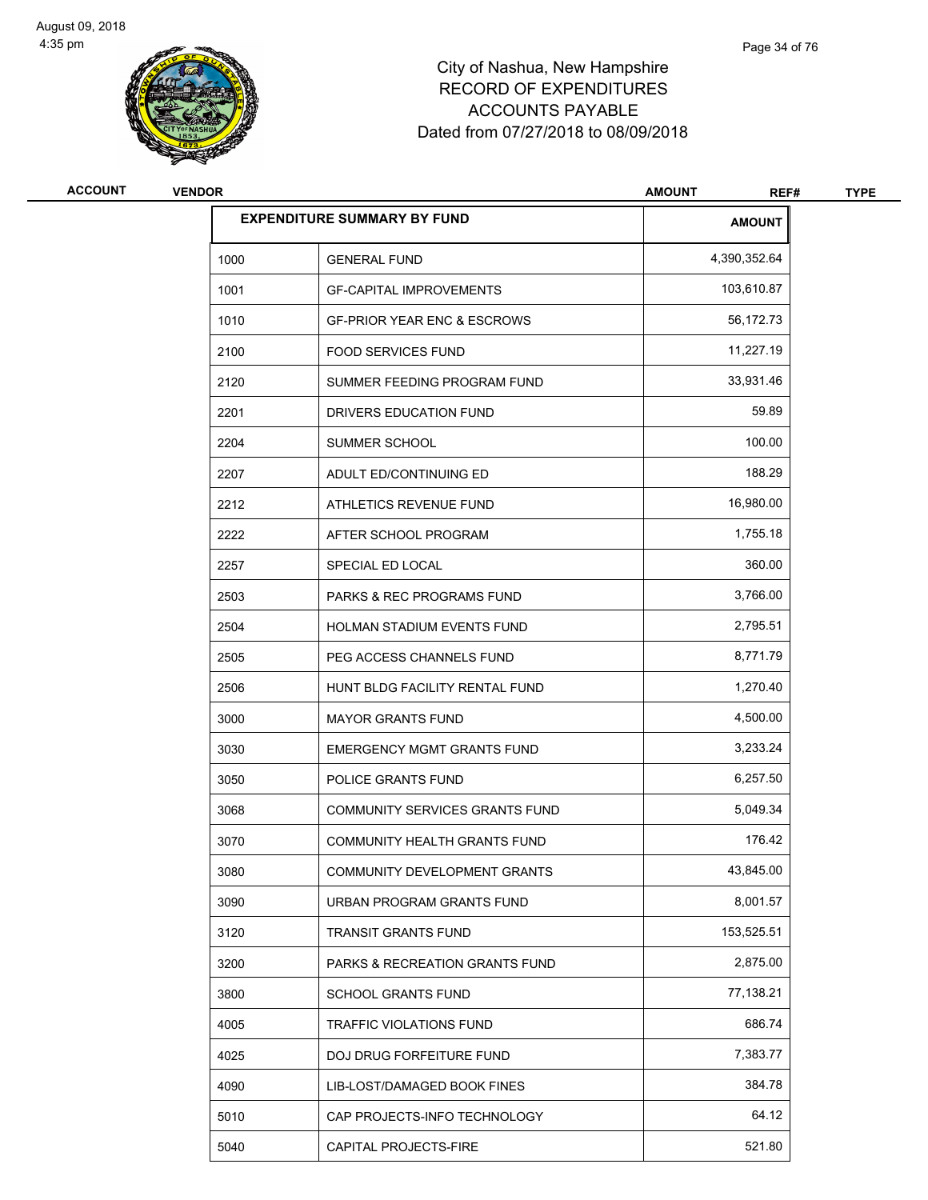

| <b>ACCOUNT</b> | <b>VENDOR</b> |                                           | <b>AMOUNT</b><br>REF# | <b>TYPE</b> |  |
|----------------|---------------|-------------------------------------------|-----------------------|-------------|--|
|                |               | <b>EXPENDITURE SUMMARY BY FUND</b>        | <b>AMOUNT</b>         |             |  |
|                | 1000          | <b>GENERAL FUND</b>                       | 4,390,352.64          |             |  |
|                | 1001          | <b>GF-CAPITAL IMPROVEMENTS</b>            | 103,610.87            |             |  |
|                | 1010          | <b>GF-PRIOR YEAR ENC &amp; ESCROWS</b>    | 56,172.73             |             |  |
|                | 2100          | <b>FOOD SERVICES FUND</b>                 | 11,227.19             |             |  |
|                | 2120          | SUMMER FEEDING PROGRAM FUND               | 33,931.46             |             |  |
|                | 2201          | DRIVERS EDUCATION FUND                    | 59.89                 |             |  |
|                | 2204          | SUMMER SCHOOL                             | 100.00                |             |  |
|                | 2207          | ADULT ED/CONTINUING ED                    | 188.29                |             |  |
|                | 2212          | ATHLETICS REVENUE FUND                    | 16,980.00             |             |  |
|                | 2222          | AFTER SCHOOL PROGRAM                      | 1,755.18              |             |  |
|                | 2257          | SPECIAL ED LOCAL                          | 360.00                |             |  |
|                | 2503          | <b>PARKS &amp; REC PROGRAMS FUND</b>      | 3,766.00              |             |  |
|                | 2504          | HOLMAN STADIUM EVENTS FUND                | 2,795.51              |             |  |
|                | 2505          | PEG ACCESS CHANNELS FUND                  | 8,771.79              |             |  |
|                | 2506          | HUNT BLDG FACILITY RENTAL FUND            | 1,270.40              |             |  |
|                | 3000          | <b>MAYOR GRANTS FUND</b>                  | 4,500.00              |             |  |
|                | 3030          | <b>EMERGENCY MGMT GRANTS FUND</b>         | 3,233.24              |             |  |
|                | 3050          | POLICE GRANTS FUND                        | 6,257.50              |             |  |
|                | 3068          | COMMUNITY SERVICES GRANTS FUND            | 5,049.34              |             |  |
|                | 3070          | COMMUNITY HEALTH GRANTS FUND              | 176.42                |             |  |
|                | 3080          | COMMUNITY DEVELOPMENT GRANTS              | 43,845.00             |             |  |
|                | 3090          | URBAN PROGRAM GRANTS FUND                 | 8,001.57              |             |  |
|                | 3120          | TRANSIT GRANTS FUND                       | 153,525.51            |             |  |
|                | 3200          | <b>PARKS &amp; RECREATION GRANTS FUND</b> | 2,875.00              |             |  |
|                | 3800          | <b>SCHOOL GRANTS FUND</b>                 | 77,138.21             |             |  |
|                | 4005          | <b>TRAFFIC VIOLATIONS FUND</b>            | 686.74                |             |  |
|                | 4025          | DOJ DRUG FORFEITURE FUND                  | 7,383.77              |             |  |
|                | 4090          | LIB-LOST/DAMAGED BOOK FINES               | 384.78                |             |  |
|                | 5010          | CAP PROJECTS-INFO TECHNOLOGY              | 64.12                 |             |  |
|                | 5040          | CAPITAL PROJECTS-FIRE                     | 521.80                |             |  |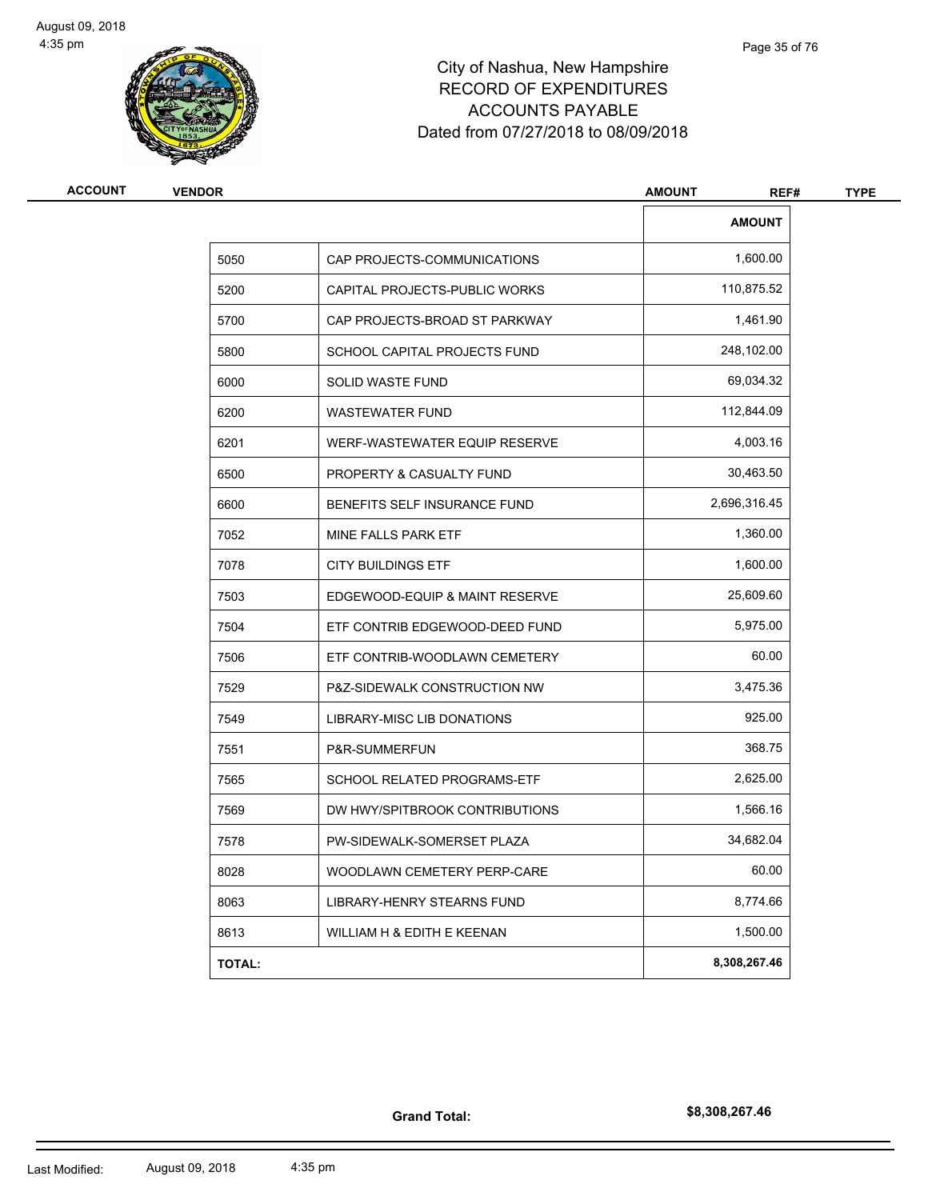

| <b>ACCOUNT</b> | <b>VENDOR</b> |                                | <b>AMOUNT</b><br>REF# | <b>TYPE</b> |
|----------------|---------------|--------------------------------|-----------------------|-------------|
|                |               |                                | <b>AMOUNT</b>         |             |
|                | 5050          | CAP PROJECTS-COMMUNICATIONS    | 1,600.00              |             |
|                | 5200          | CAPITAL PROJECTS-PUBLIC WORKS  | 110,875.52            |             |
|                | 5700          | CAP PROJECTS-BROAD ST PARKWAY  | 1,461.90              |             |
|                | 5800          | SCHOOL CAPITAL PROJECTS FUND   | 248,102.00            |             |
|                | 6000          | <b>SOLID WASTE FUND</b>        | 69,034.32             |             |
|                | 6200          | <b>WASTEWATER FUND</b>         | 112,844.09            |             |
|                | 6201          | WERF-WASTEWATER EQUIP RESERVE  | 4,003.16              |             |
|                | 6500          | PROPERTY & CASUALTY FUND       | 30,463.50             |             |
|                | 6600          | BENEFITS SELF INSURANCE FUND   | 2,696,316.45          |             |
|                | 7052          | MINE FALLS PARK ETF            | 1,360.00              |             |
|                | 7078          | <b>CITY BUILDINGS ETF</b>      | 1,600.00              |             |
|                | 7503          | EDGEWOOD-EQUIP & MAINT RESERVE | 25,609.60             |             |
|                | 7504          | ETF CONTRIB EDGEWOOD-DEED FUND | 5,975.00              |             |
|                | 7506          | ETF CONTRIB-WOODLAWN CEMETERY  | 60.00                 |             |
|                | 7529          | P&Z-SIDEWALK CONSTRUCTION NW   | 3,475.36              |             |
|                | 7549          | LIBRARY-MISC LIB DONATIONS     | 925.00                |             |
|                | 7551          | P&R-SUMMERFUN                  | 368.75                |             |
|                | 7565          | SCHOOL RELATED PROGRAMS-ETF    | 2,625.00              |             |
|                | 7569          | DW HWY/SPITBROOK CONTRIBUTIONS | 1,566.16              |             |
|                | 7578          | PW-SIDEWALK-SOMERSET PLAZA     | 34,682.04             |             |
|                | 8028          | WOODLAWN CEMETERY PERP-CARE    | 60.00                 |             |
|                | 8063          | LIBRARY-HENRY STEARNS FUND     | 8,774.66              |             |
|                | 8613          | WILLIAM H & EDITH E KEENAN     | 1,500.00              |             |
|                | <b>TOTAL:</b> |                                | 8,308,267.46          |             |

**Grand Total:**

**\$8,308,267.46**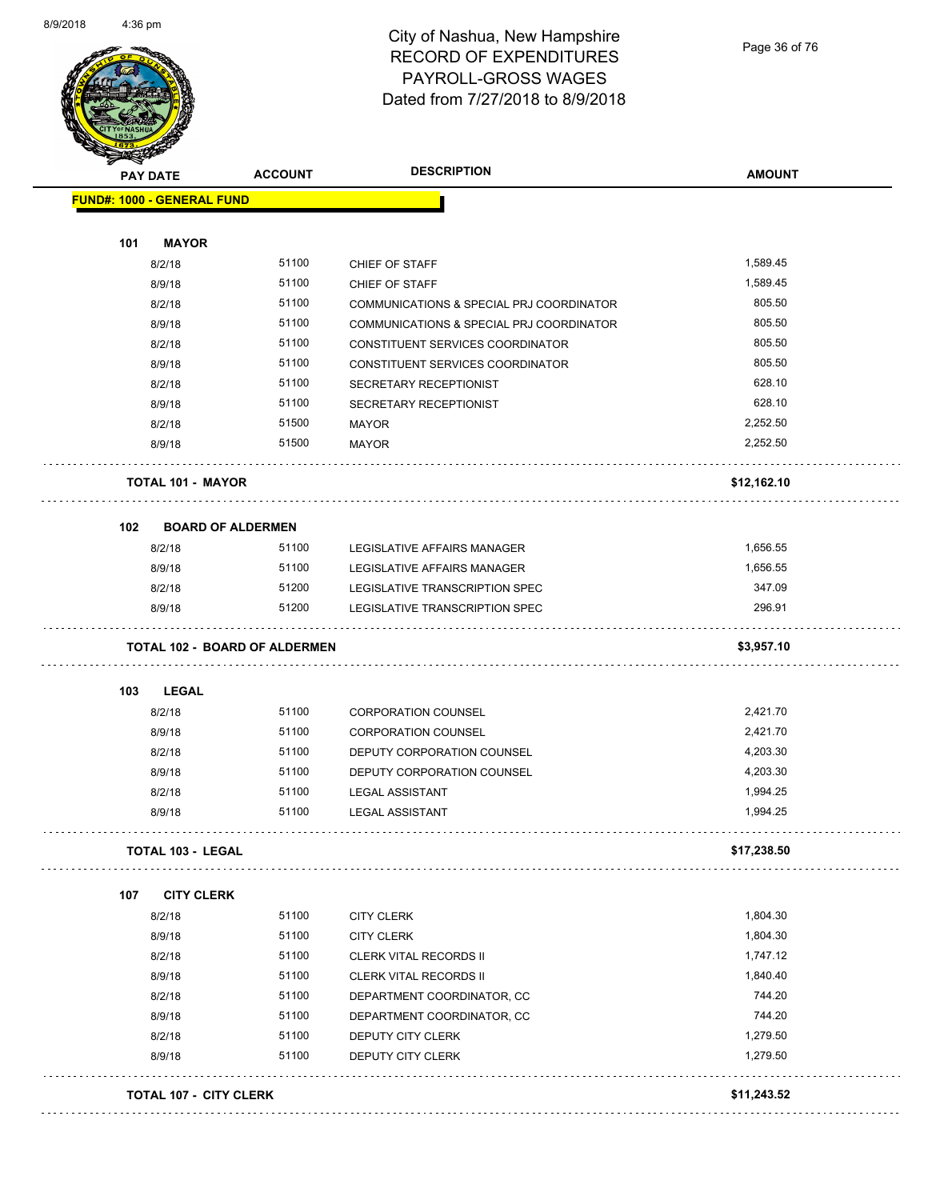

#### City of Nashua, New Hampshire RECORD OF EXPENDITURES PAYROLL-GROSS WAGES Dated from 7/27/2018 to 8/9/2018

Page 36 of 76

|     | <b>PAY DATE</b>                      | <b>ACCOUNT</b> | <b>DESCRIPTION</b>                       | <b>AMOUNT</b> |
|-----|--------------------------------------|----------------|------------------------------------------|---------------|
|     | <b>FUND#: 1000 - GENERAL FUND</b>    |                |                                          |               |
| 101 | <b>MAYOR</b>                         |                |                                          |               |
|     | 8/2/18                               | 51100          | CHIEF OF STAFF                           | 1,589.45      |
|     | 8/9/18                               | 51100          | CHIEF OF STAFF                           | 1,589.45      |
|     | 8/2/18                               | 51100          | COMMUNICATIONS & SPECIAL PRJ COORDINATOR | 805.50        |
|     | 8/9/18                               | 51100          | COMMUNICATIONS & SPECIAL PRJ COORDINATOR | 805.50        |
|     | 8/2/18                               | 51100          | CONSTITUENT SERVICES COORDINATOR         | 805.50        |
|     | 8/9/18                               | 51100          | CONSTITUENT SERVICES COORDINATOR         | 805.50        |
|     | 8/2/18                               | 51100          | SECRETARY RECEPTIONIST                   | 628.10        |
|     | 8/9/18                               | 51100          | SECRETARY RECEPTIONIST                   | 628.10        |
|     | 8/2/18                               | 51500          | <b>MAYOR</b>                             | 2,252.50      |
|     | 8/9/18                               | 51500          | <b>MAYOR</b>                             | 2,252.50      |
|     | <b>TOTAL 101 - MAYOR</b><br>.        |                |                                          | \$12,162.10   |
| 102 | <b>BOARD OF ALDERMEN</b>             |                |                                          |               |
|     | 8/2/18                               | 51100          | LEGISLATIVE AFFAIRS MANAGER              | 1,656.55      |
|     | 8/9/18                               | 51100          | LEGISLATIVE AFFAIRS MANAGER              | 1,656.55      |
|     | 8/2/18                               | 51200          | LEGISLATIVE TRANSCRIPTION SPEC           | 347.09        |
|     | 8/9/18                               | 51200          | LEGISLATIVE TRANSCRIPTION SPEC           | 296.91        |
|     | <b>TOTAL 102 - BOARD OF ALDERMEN</b> |                |                                          | \$3,957.10    |
| 103 | <b>LEGAL</b>                         |                |                                          |               |
|     | 8/2/18                               | 51100          | <b>CORPORATION COUNSEL</b>               | 2,421.70      |
|     | 8/9/18                               | 51100          | <b>CORPORATION COUNSEL</b>               | 2,421.70      |
|     | 8/2/18                               | 51100          | DEPUTY CORPORATION COUNSEL               | 4,203.30      |
|     | 8/9/18                               | 51100          | DEPUTY CORPORATION COUNSEL               | 4,203.30      |
|     | 8/2/18                               | 51100          | <b>LEGAL ASSISTANT</b>                   | 1,994.25      |
|     | 8/9/18                               | 51100          | <b>LEGAL ASSISTANT</b>                   | 1,994.25      |
|     | <b>TOTAL 103 - LEGAL</b>             |                |                                          | \$17,238.50   |
| 107 | <b>CITY CLERK</b>                    |                |                                          |               |
|     | 8/2/18                               | 51100          | <b>CITY CLERK</b>                        | 1,804.30      |
|     | 8/9/18                               | 51100          | <b>CITY CLERK</b>                        | 1,804.30      |
|     | 8/2/18                               | 51100          | CLERK VITAL RECORDS II                   | 1,747.12      |
|     | 8/9/18                               | 51100          | CLERK VITAL RECORDS II                   | 1,840.40      |
|     | 8/2/18                               | 51100          | DEPARTMENT COORDINATOR, CC               | 744.20        |
|     | 8/9/18                               | 51100          | DEPARTMENT COORDINATOR, CC               | 744.20        |
|     | 8/2/18                               | 51100          | DEPUTY CITY CLERK                        | 1,279.50      |
|     | 8/9/18                               | 51100          | DEPUTY CITY CLERK                        | 1,279.50      |
|     | <b>TOTAL 107 - CITY CLERK</b>        |                |                                          | \$11,243.52   |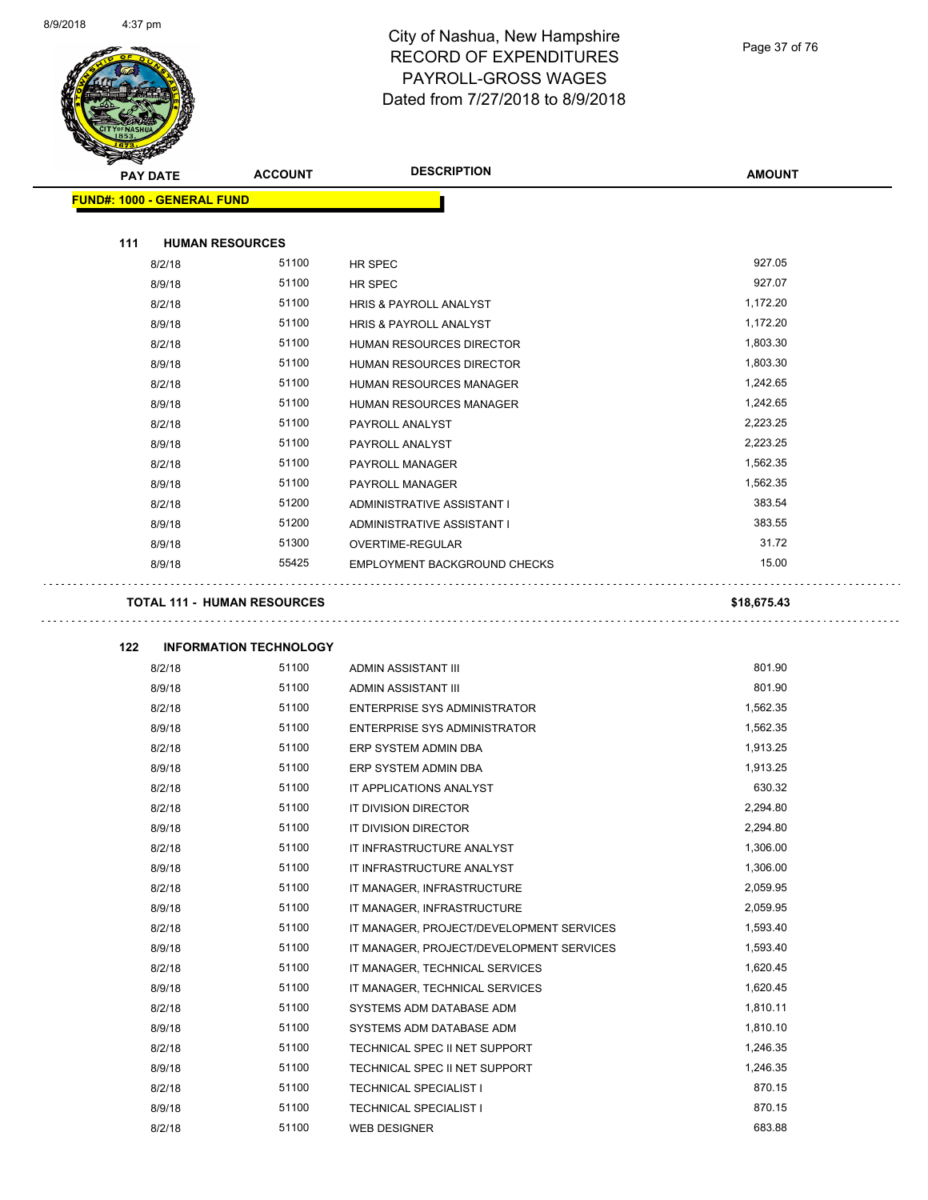

Page 37 of 76

| <b>PAY DATE</b>                   | <b>ACCOUNT</b>                     | <b>DESCRIPTION</b>                       | <b>AMOUNT</b> |
|-----------------------------------|------------------------------------|------------------------------------------|---------------|
| <b>FUND#: 1000 - GENERAL FUND</b> |                                    |                                          |               |
|                                   |                                    |                                          |               |
| 111                               | <b>HUMAN RESOURCES</b>             |                                          |               |
| 8/2/18                            | 51100                              | HR SPEC                                  | 927.05        |
| 8/9/18                            | 51100                              | HR SPEC                                  | 927.07        |
| 8/2/18                            | 51100                              | <b>HRIS &amp; PAYROLL ANALYST</b>        | 1,172.20      |
| 8/9/18                            | 51100                              | <b>HRIS &amp; PAYROLL ANALYST</b>        | 1,172.20      |
| 8/2/18                            | 51100                              | HUMAN RESOURCES DIRECTOR                 | 1,803.30      |
| 8/9/18                            | 51100                              | HUMAN RESOURCES DIRECTOR                 | 1,803.30      |
| 8/2/18                            | 51100                              | HUMAN RESOURCES MANAGER                  | 1,242.65      |
| 8/9/18                            | 51100                              | HUMAN RESOURCES MANAGER                  | 1,242.65      |
| 8/2/18                            | 51100                              | PAYROLL ANALYST                          | 2,223.25      |
| 8/9/18                            | 51100                              | PAYROLL ANALYST                          | 2,223.25      |
| 8/2/18                            | 51100                              | PAYROLL MANAGER                          | 1,562.35      |
| 8/9/18                            | 51100                              | PAYROLL MANAGER                          | 1,562.35      |
| 8/2/18                            | 51200                              | ADMINISTRATIVE ASSISTANT I               | 383.54        |
| 8/9/18                            | 51200                              | ADMINISTRATIVE ASSISTANT I               | 383.55        |
| 8/9/18                            | 51300                              | OVERTIME-REGULAR                         | 31.72         |
| 8/9/18                            | 55425                              | EMPLOYMENT BACKGROUND CHECKS             | 15.00         |
|                                   | <b>TOTAL 111 - HUMAN RESOURCES</b> |                                          | \$18,675.43   |
|                                   |                                    |                                          |               |
| 122                               | <b>INFORMATION TECHNOLOGY</b>      |                                          |               |
| 8/2/18                            | 51100                              | ADMIN ASSISTANT III                      | 801.90        |
| 8/9/18                            | 51100                              | ADMIN ASSISTANT III                      | 801.90        |
| 8/2/18                            | 51100                              | ENTERPRISE SYS ADMINISTRATOR             | 1,562.35      |
| 8/9/18                            | 51100                              | ENTERPRISE SYS ADMINISTRATOR             | 1,562.35      |
| 8/2/18                            | 51100                              | ERP SYSTEM ADMIN DBA                     | 1,913.25      |
| 8/9/18                            | 51100                              | ERP SYSTEM ADMIN DBA                     | 1,913.25      |
| 8/2/18                            | 51100                              | IT APPLICATIONS ANALYST                  | 630.32        |
| 8/2/18                            | 51100                              | IT DIVISION DIRECTOR                     | 2,294.80      |
| 8/9/18                            | 51100                              | IT DIVISION DIRECTOR                     | 2,294.80      |
| 8/2/18                            | 51100                              | IT INFRASTRUCTURE ANALYST                | 1,306.00      |
| 8/9/18                            | 51100                              | IT INFRASTRUCTURE ANALYST                | 1,306.00      |
| 8/2/18                            | 51100                              | IT MANAGER, INFRASTRUCTURE               | 2,059.95      |
| 8/9/18                            | 51100                              | IT MANAGER, INFRASTRUCTURE               | 2,059.95      |
| 8/2/18                            | 51100                              | IT MANAGER, PROJECT/DEVELOPMENT SERVICES | 1,593.40      |
| 8/9/18                            | 51100                              | IT MANAGER, PROJECT/DEVELOPMENT SERVICES | 1,593.40      |
| 8/2/18                            | 51100                              | IT MANAGER, TECHNICAL SERVICES           | 1,620.45      |
| 8/9/18                            | 51100                              | IT MANAGER, TECHNICAL SERVICES           | 1,620.45      |
| 8/2/18                            | 51100                              | SYSTEMS ADM DATABASE ADM                 | 1,810.11      |
| 8/9/18                            | 51100                              | SYSTEMS ADM DATABASE ADM                 | 1,810.10      |
| 8/2/18                            | 51100                              | TECHNICAL SPEC II NET SUPPORT            | 1,246.35      |
| 8/9/18                            | 51100                              | TECHNICAL SPEC II NET SUPPORT            | 1,246.35      |
| 8/2/18                            | 51100                              | <b>TECHNICAL SPECIALIST I</b>            | 870.15        |
| 8/9/18                            | 51100                              | <b>TECHNICAL SPECIALIST I</b>            | 870.15        |
| 8/2/18                            | 51100                              | WEB DESIGNER                             | 683.88        |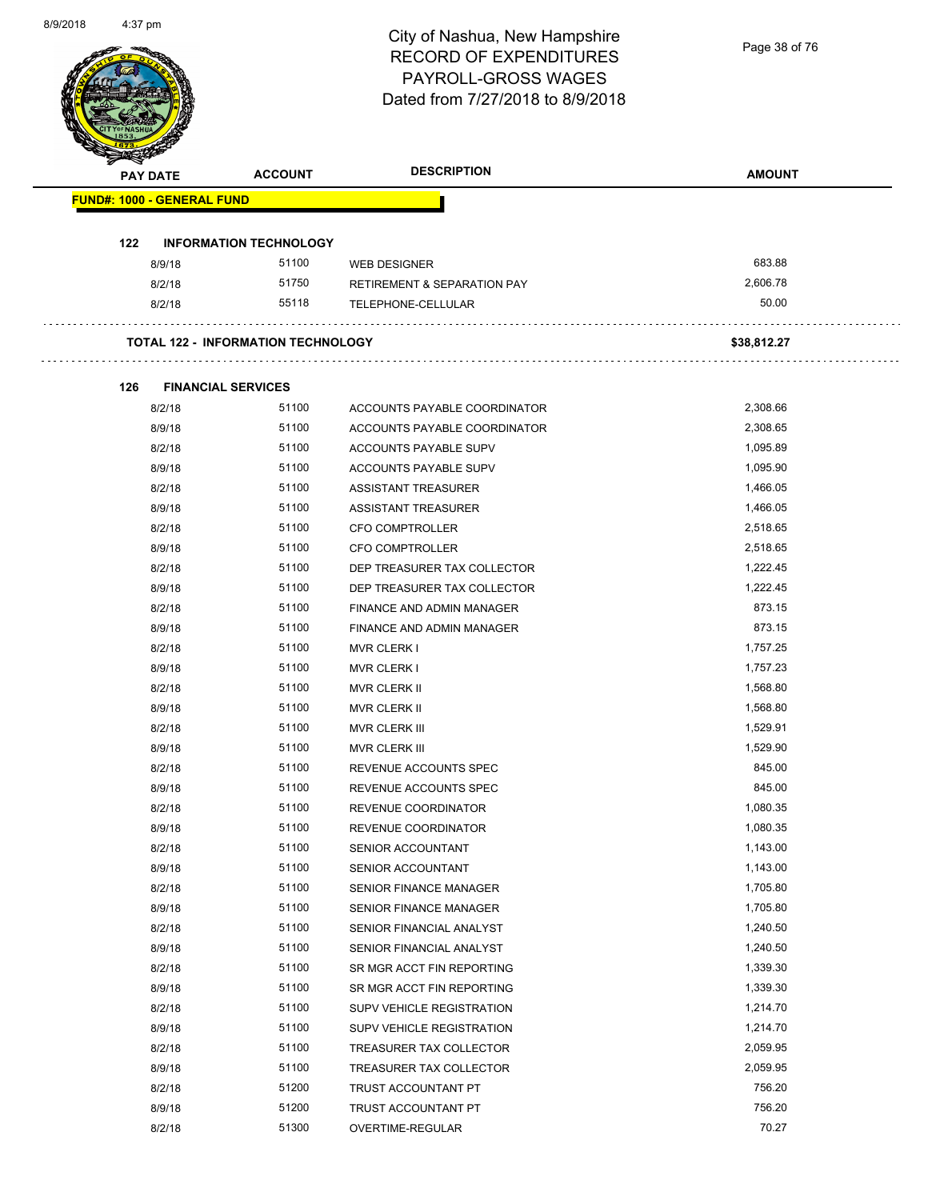| Page 38 of 76 |  |  |
|---------------|--|--|
|---------------|--|--|

| <b>PAY DATE</b>                   | <b>ACCOUNT</b>                            | <b>DESCRIPTION</b>                                       | <b>AMOUNT</b>        |
|-----------------------------------|-------------------------------------------|----------------------------------------------------------|----------------------|
| <b>FUND#: 1000 - GENERAL FUND</b> |                                           |                                                          |                      |
| 122                               | <b>INFORMATION TECHNOLOGY</b>             |                                                          |                      |
| 8/9/18                            | 51100                                     | <b>WEB DESIGNER</b>                                      | 683.88               |
| 8/2/18                            | 51750                                     | <b>RETIREMENT &amp; SEPARATION PAY</b>                   | 2,606.78             |
| 8/2/18                            | 55118                                     | TELEPHONE-CELLULAR                                       | 50.00                |
|                                   | <b>TOTAL 122 - INFORMATION TECHNOLOGY</b> |                                                          | \$38,812.27          |
|                                   |                                           |                                                          |                      |
| 126                               | <b>FINANCIAL SERVICES</b>                 |                                                          |                      |
| 8/2/18                            | 51100                                     | ACCOUNTS PAYABLE COORDINATOR                             | 2,308.66             |
| 8/9/18                            | 51100                                     | ACCOUNTS PAYABLE COORDINATOR                             | 2,308.65             |
| 8/2/18                            | 51100<br>51100                            | ACCOUNTS PAYABLE SUPV                                    | 1,095.89<br>1,095.90 |
| 8/9/18                            | 51100                                     | ACCOUNTS PAYABLE SUPV                                    | 1,466.05             |
| 8/2/18<br>8/9/18                  | 51100                                     | <b>ASSISTANT TREASURER</b><br><b>ASSISTANT TREASURER</b> | 1,466.05             |
| 8/2/18                            | 51100                                     | <b>CFO COMPTROLLER</b>                                   | 2,518.65             |
| 8/9/18                            | 51100                                     | <b>CFO COMPTROLLER</b>                                   | 2,518.65             |
| 8/2/18                            | 51100                                     | DEP TREASURER TAX COLLECTOR                              | 1,222.45             |
| 8/9/18                            | 51100                                     | DEP TREASURER TAX COLLECTOR                              | 1,222.45             |
| 8/2/18                            | 51100                                     | FINANCE AND ADMIN MANAGER                                | 873.15               |
| 8/9/18                            | 51100                                     | FINANCE AND ADMIN MANAGER                                | 873.15               |
| 8/2/18                            | 51100                                     | <b>MVR CLERK I</b>                                       | 1,757.25             |
| 8/9/18                            | 51100                                     | <b>MVR CLERK I</b>                                       | 1,757.23             |
| 8/2/18                            | 51100                                     | MVR CLERK II                                             | 1,568.80             |
| 8/9/18                            | 51100                                     | MVR CLERK II                                             | 1,568.80             |
| 8/2/18                            | 51100                                     | MVR CLERK III                                            | 1,529.91             |
| 8/9/18                            | 51100                                     | MVR CLERK III                                            | 1,529.90             |
| 8/2/18                            | 51100                                     | REVENUE ACCOUNTS SPEC                                    | 845.00               |
| 8/9/18                            | 51100                                     | REVENUE ACCOUNTS SPEC                                    | 845.00               |
| 8/2/18                            | 51100                                     | REVENUE COORDINATOR                                      | 1,080.35             |
| 8/9/18                            | 51100                                     | REVENUE COORDINATOR                                      | 1,080.35             |
| 8/2/18                            | 51100                                     | SENIOR ACCOUNTANT                                        | 1,143.00             |
| 8/9/18                            | 51100                                     | SENIOR ACCOUNTANT                                        | 1,143.00             |
| 8/2/18                            | 51100                                     | SENIOR FINANCE MANAGER                                   | 1,705.80             |
| 8/9/18                            | 51100                                     | SENIOR FINANCE MANAGER                                   | 1,705.80             |
| 8/2/18                            | 51100                                     | SENIOR FINANCIAL ANALYST                                 | 1,240.50             |
| 8/9/18                            | 51100                                     | SENIOR FINANCIAL ANALYST                                 | 1,240.50             |
| 8/2/18                            | 51100                                     | SR MGR ACCT FIN REPORTING                                | 1,339.30             |
| 8/9/18                            | 51100                                     | SR MGR ACCT FIN REPORTING                                | 1,339.30             |
| 8/2/18                            | 51100                                     | SUPV VEHICLE REGISTRATION                                | 1,214.70             |
| 8/9/18                            | 51100                                     | SUPV VEHICLE REGISTRATION                                | 1,214.70             |
| 8/2/18                            | 51100                                     | TREASURER TAX COLLECTOR                                  | 2,059.95             |
| 8/9/18                            | 51100                                     | TREASURER TAX COLLECTOR                                  | 2,059.95             |
| 8/2/18                            | 51200                                     | TRUST ACCOUNTANT PT                                      | 756.20               |
| 8/9/18                            | 51200                                     | TRUST ACCOUNTANT PT                                      | 756.20               |
| 8/2/18                            | 51300                                     |                                                          | 70.27                |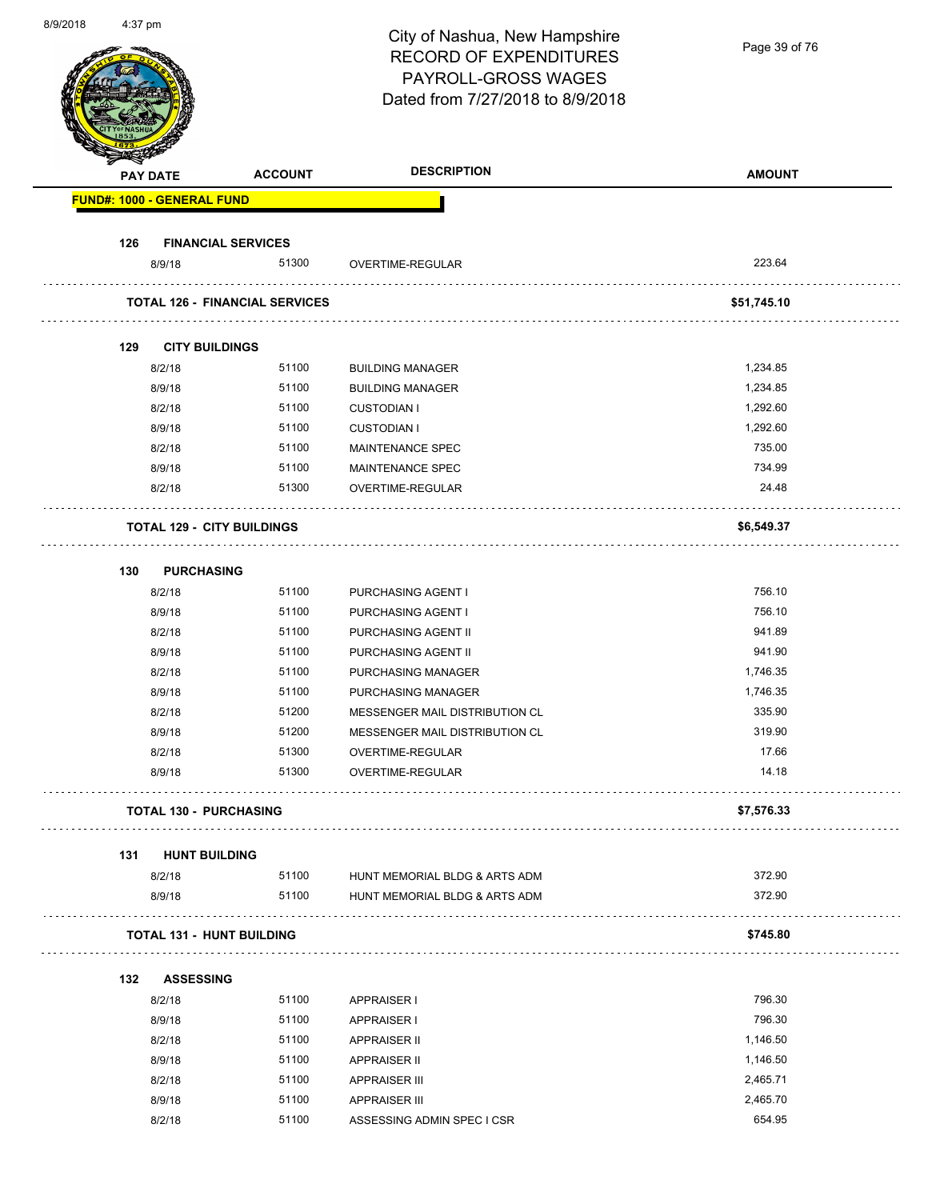| 0.92010 | וווµ <i>ו</i> ט. <del>ד</del> |                                   |                                       | City of Nashua, New Hampshire<br><b>RECORD OF EXPENDITURES</b><br>PAYROLL-GROSS WAGES | Page 39 of 76        |
|---------|-------------------------------|-----------------------------------|---------------------------------------|---------------------------------------------------------------------------------------|----------------------|
|         |                               |                                   |                                       | Dated from 7/27/2018 to 8/9/2018                                                      |                      |
|         |                               | <b>PAY DATE</b>                   | <b>ACCOUNT</b>                        | <b>DESCRIPTION</b>                                                                    | <b>AMOUNT</b>        |
|         |                               | <b>FUND#: 1000 - GENERAL FUND</b> |                                       |                                                                                       |                      |
|         | 126                           |                                   | <b>FINANCIAL SERVICES</b>             |                                                                                       |                      |
|         |                               | 8/9/18                            | 51300                                 | OVERTIME-REGULAR                                                                      | 223.64               |
|         |                               |                                   | <b>TOTAL 126 - FINANCIAL SERVICES</b> |                                                                                       | \$51,745.10          |
|         |                               |                                   |                                       |                                                                                       |                      |
|         | 129                           | <b>CITY BUILDINGS</b>             |                                       |                                                                                       |                      |
|         |                               | 8/2/18                            | 51100<br>51100                        | <b>BUILDING MANAGER</b><br><b>BUILDING MANAGER</b>                                    | 1,234.85<br>1,234.85 |
|         |                               | 8/9/18<br>8/2/18                  | 51100                                 | <b>CUSTODIAN I</b>                                                                    | 1,292.60             |
|         |                               | 8/9/18                            | 51100                                 | <b>CUSTODIAN I</b>                                                                    | 1,292.60             |
|         |                               | 8/2/18                            | 51100                                 | MAINTENANCE SPEC                                                                      | 735.00               |
|         |                               | 8/9/18                            | 51100                                 | MAINTENANCE SPEC                                                                      | 734.99               |
|         |                               | 8/2/18                            | 51300                                 | OVERTIME-REGULAR                                                                      | 24.48                |
|         |                               |                                   | <b>TOTAL 129 - CITY BUILDINGS</b>     |                                                                                       | \$6,549.37           |
|         | 130                           |                                   |                                       |                                                                                       |                      |
|         |                               | <b>PURCHASING</b><br>8/2/18       | 51100                                 | PURCHASING AGENT I                                                                    | 756.10               |
|         |                               | 8/9/18                            | 51100                                 | PURCHASING AGENT I                                                                    | 756.10               |
|         |                               | 8/2/18                            | 51100                                 | PURCHASING AGENT II                                                                   | 941.89               |
|         |                               | 8/9/18                            | 51100                                 | PURCHASING AGENT II                                                                   | 941.90               |
|         |                               | 8/2/18                            | 51100                                 | PURCHASING MANAGER                                                                    | 1,746.35             |
|         |                               | 8/9/18                            | 51100                                 | PURCHASING MANAGER                                                                    | 1,746.35             |
|         |                               | 8/2/18                            | 51200                                 | MESSENGER MAIL DISTRIBUTION CL                                                        | 335.90               |
|         |                               | 8/9/18                            | 51200                                 | MESSENGER MAIL DISTRIBUTION CL                                                        | 319.90               |
|         |                               | 8/2/18                            | 51300                                 | OVERTIME-REGULAR                                                                      | 17.66                |
|         |                               | 8/9/18                            | 51300                                 | OVERTIME-REGULAR                                                                      | 14.18                |
|         |                               |                                   | <b>TOTAL 130 - PURCHASING</b>         |                                                                                       | \$7,576.33           |
|         | 131                           | <b>HUNT BUILDING</b>              |                                       |                                                                                       |                      |
|         |                               | 8/2/18                            | 51100                                 | HUNT MEMORIAL BLDG & ARTS ADM                                                         | 372.90               |
|         |                               | 8/9/18                            | 51100                                 | HUNT MEMORIAL BLDG & ARTS ADM                                                         | 372.90               |
|         |                               |                                   | <b>TOTAL 131 - HUNT BUILDING</b>      |                                                                                       | \$745.80             |
|         | 132                           | <b>ASSESSING</b>                  |                                       |                                                                                       |                      |
|         |                               | 8/2/18                            | 51100                                 | <b>APPRAISER I</b>                                                                    | 796.30               |
|         |                               | 8/9/18                            | 51100                                 | <b>APPRAISER I</b>                                                                    | 796.30               |
|         |                               | 8/2/18                            | 51100                                 | <b>APPRAISER II</b>                                                                   | 1,146.50             |
|         |                               | 8/9/18                            | 51100                                 | <b>APPRAISER II</b>                                                                   | 1,146.50             |
|         |                               | 8/2/18                            | 51100                                 | <b>APPRAISER III</b>                                                                  | 2,465.71             |
|         |                               | 8/9/18                            | 51100                                 | <b>APPRAISER III</b>                                                                  | 2,465.70             |
|         |                               | 8/2/18                            | 51100                                 | ASSESSING ADMIN SPEC I CSR                                                            | 654.95               |

8/9/2018 4:37 pm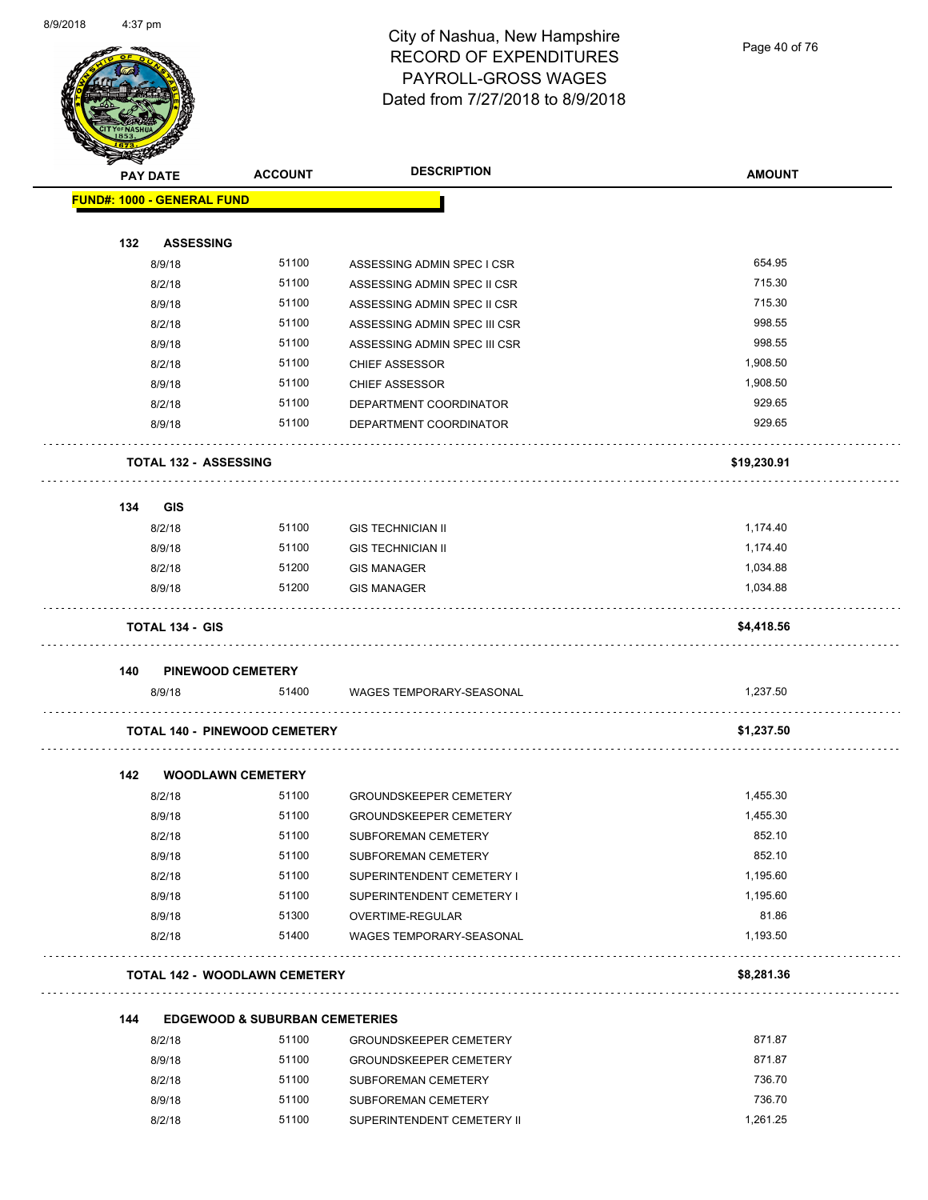Page 40 of 76

|     | PAY DATE                          | <b>ACCOUNT</b>                            | <b>DESCRIPTION</b>            | <b>AMOUNT</b> |
|-----|-----------------------------------|-------------------------------------------|-------------------------------|---------------|
|     | <b>FUND#: 1000 - GENERAL FUND</b> |                                           |                               |               |
| 132 | <b>ASSESSING</b>                  |                                           |                               |               |
|     | 8/9/18                            | 51100                                     | ASSESSING ADMIN SPEC I CSR    | 654.95        |
|     | 8/2/18                            | 51100                                     | ASSESSING ADMIN SPEC II CSR   | 715.30        |
|     | 8/9/18                            | 51100                                     | ASSESSING ADMIN SPEC II CSR   | 715.30        |
|     | 8/2/18                            | 51100                                     | ASSESSING ADMIN SPEC III CSR  | 998.55        |
|     | 8/9/18                            | 51100                                     | ASSESSING ADMIN SPEC III CSR  | 998.55        |
|     | 8/2/18                            | 51100                                     | <b>CHIEF ASSESSOR</b>         | 1,908.50      |
|     | 8/9/18                            | 51100                                     | <b>CHIEF ASSESSOR</b>         | 1,908.50      |
|     | 8/2/18                            | 51100                                     | DEPARTMENT COORDINATOR        | 929.65        |
|     | 8/9/18                            | 51100                                     | DEPARTMENT COORDINATOR        | 929.65        |
|     | <b>TOTAL 132 - ASSESSING</b>      |                                           |                               | \$19,230.91   |
| 134 | <b>GIS</b>                        |                                           |                               |               |
|     | 8/2/18                            | 51100                                     | <b>GIS TECHNICIAN II</b>      | 1,174.40      |
|     | 8/9/18                            | 51100                                     | <b>GIS TECHNICIAN II</b>      | 1,174.40      |
|     | 8/2/18                            | 51200                                     | <b>GIS MANAGER</b>            | 1,034.88      |
|     | 8/9/18                            | 51200                                     | <b>GIS MANAGER</b>            | 1,034.88      |
|     | <b>TOTAL 134 - GIS</b>            |                                           |                               | \$4,418.56    |
| 140 | <b>PINEWOOD CEMETERY</b>          |                                           |                               |               |
|     | 8/9/18                            | 51400                                     | WAGES TEMPORARY-SEASONAL      | 1,237.50      |
|     |                                   | <b>TOTAL 140 - PINEWOOD CEMETERY</b>      |                               | \$1,237.50    |
| 142 |                                   | <b>WOODLAWN CEMETERY</b>                  |                               |               |
|     | 8/2/18                            | 51100                                     | <b>GROUNDSKEEPER CEMETERY</b> | 1,455.30      |
|     | 8/9/18                            | 51100                                     | <b>GROUNDSKEEPER CEMETERY</b> | 1,455.30      |
|     | 8/2/18                            | 51100                                     | SUBFOREMAN CEMETERY           | 852.10        |
|     | 8/9/18                            | 51100                                     | SUBFOREMAN CEMETERY           | 852.10        |
|     | 8/2/18                            | 51100                                     | SUPERINTENDENT CEMETERY I     | 1,195.60      |
|     | 8/9/18                            | 51100                                     | SUPERINTENDENT CEMETERY I     | 1,195.60      |
|     | 8/9/18                            | 51300                                     | OVERTIME-REGULAR              | 81.86         |
|     | 8/2/18                            | 51400                                     | WAGES TEMPORARY-SEASONAL      | 1,193.50      |
|     |                                   | <b>TOTAL 142 - WOODLAWN CEMETERY</b>      |                               | \$8,281.36    |
| 144 |                                   | <b>EDGEWOOD &amp; SUBURBAN CEMETERIES</b> |                               |               |
|     | 8/2/18                            | 51100                                     | <b>GROUNDSKEEPER CEMETERY</b> | 871.87        |
|     | 8/9/18                            | 51100                                     | <b>GROUNDSKEEPER CEMETERY</b> | 871.87        |
|     |                                   | 51100                                     | SUBFOREMAN CEMETERY           | 736.70        |
|     | 8/2/18                            |                                           |                               |               |
|     | 8/9/18                            | 51100                                     | SUBFOREMAN CEMETERY           | 736.70        |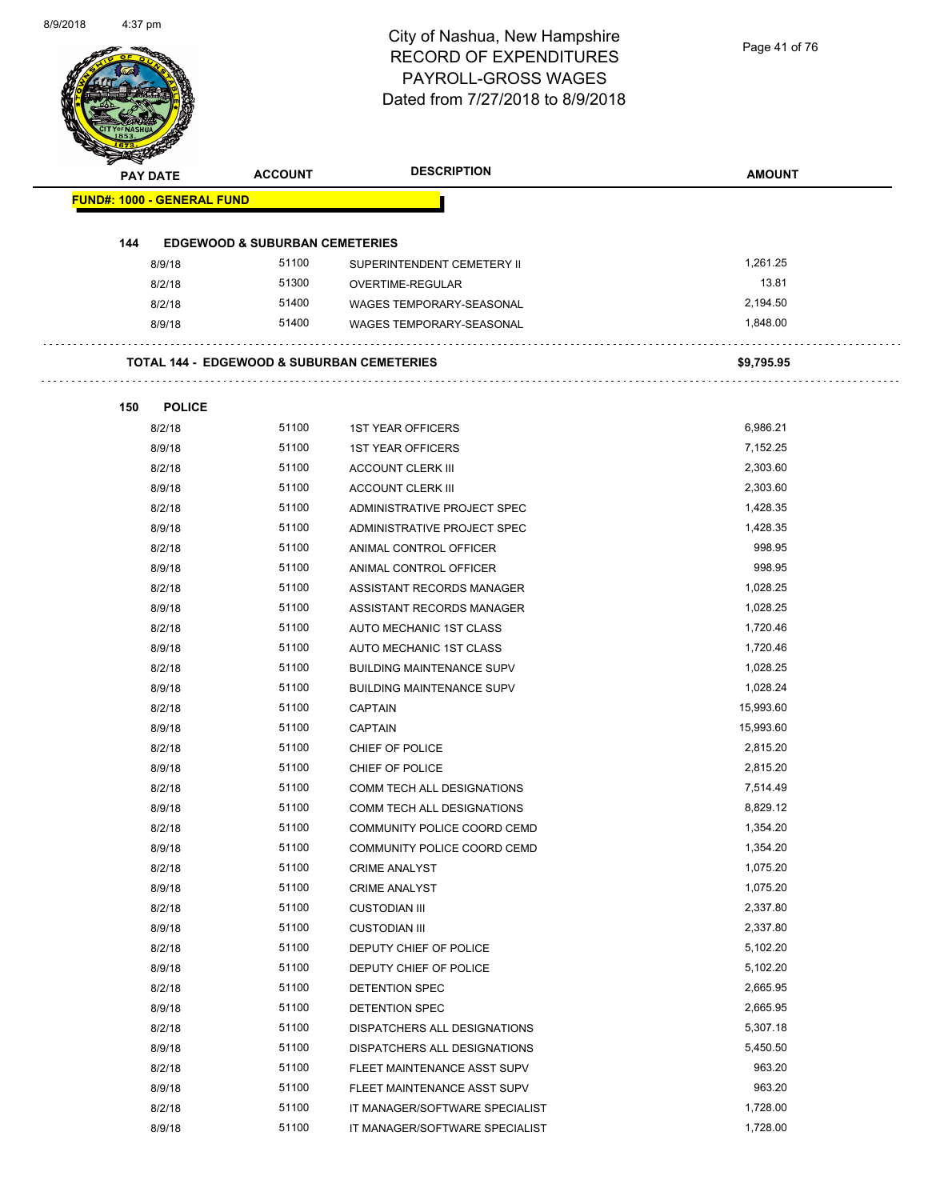| Page 41 of 76 |  |
|---------------|--|
|               |  |

| <b>PAY DATE</b> |                                   | <b>ACCOUNT</b>                            | <b>DESCRIPTION</b>                                    | <b>AMOUNT</b> |
|-----------------|-----------------------------------|-------------------------------------------|-------------------------------------------------------|---------------|
|                 | <b>FUND#: 1000 - GENERAL FUND</b> |                                           |                                                       |               |
| 144             |                                   | <b>EDGEWOOD &amp; SUBURBAN CEMETERIES</b> |                                                       |               |
|                 | 8/9/18                            | 51100                                     | SUPERINTENDENT CEMETERY II                            | 1,261.25      |
|                 | 8/2/18                            | 51300                                     | <b>OVERTIME-REGULAR</b>                               | 13.81         |
|                 | 8/2/18                            | 51400                                     | WAGES TEMPORARY-SEASONAL                              | 2,194.50      |
|                 | 8/9/18                            | 51400                                     | <b>WAGES TEMPORARY-SEASONAL</b>                       | 1,848.00      |
|                 |                                   |                                           | <b>TOTAL 144 - EDGEWOOD &amp; SUBURBAN CEMETERIES</b> | \$9,795.95    |
| 150             | <b>POLICE</b>                     |                                           |                                                       |               |
|                 | 8/2/18                            | 51100                                     | <b>1ST YEAR OFFICERS</b>                              | 6,986.21      |
|                 | 8/9/18                            | 51100                                     | <b>1ST YEAR OFFICERS</b>                              | 7,152.25      |
|                 | 8/2/18                            | 51100                                     | <b>ACCOUNT CLERK III</b>                              | 2,303.60      |
|                 | 8/9/18                            | 51100                                     | <b>ACCOUNT CLERK III</b>                              | 2,303.60      |
|                 | 8/2/18                            | 51100                                     | ADMINISTRATIVE PROJECT SPEC                           | 1,428.35      |
|                 | 8/9/18                            | 51100                                     | ADMINISTRATIVE PROJECT SPEC                           | 1,428.35      |
|                 | 8/2/18                            | 51100                                     | ANIMAL CONTROL OFFICER                                | 998.95        |
|                 | 8/9/18                            | 51100                                     | ANIMAL CONTROL OFFICER                                | 998.95        |
|                 | 8/2/18                            | 51100                                     | ASSISTANT RECORDS MANAGER                             | 1,028.25      |
|                 | 8/9/18                            | 51100                                     | ASSISTANT RECORDS MANAGER                             | 1,028.25      |
|                 | 8/2/18                            | 51100                                     | AUTO MECHANIC 1ST CLASS                               | 1,720.46      |
|                 | 8/9/18                            | 51100                                     | AUTO MECHANIC 1ST CLASS                               | 1,720.46      |
|                 | 8/2/18                            | 51100                                     | <b>BUILDING MAINTENANCE SUPV</b>                      | 1,028.25      |
|                 | 8/9/18                            | 51100                                     | <b>BUILDING MAINTENANCE SUPV</b>                      | 1,028.24      |
|                 | 8/2/18                            | 51100                                     | <b>CAPTAIN</b>                                        | 15,993.60     |
|                 | 8/9/18                            | 51100                                     | <b>CAPTAIN</b>                                        | 15,993.60     |
|                 | 8/2/18                            | 51100                                     | CHIEF OF POLICE                                       | 2,815.20      |
|                 | 8/9/18                            | 51100                                     | CHIEF OF POLICE                                       | 2,815.20      |
|                 | 8/2/18                            | 51100                                     | COMM TECH ALL DESIGNATIONS                            | 7,514.49      |
|                 | 8/9/18                            | 51100                                     | COMM TECH ALL DESIGNATIONS                            | 8,829.12      |
|                 | 8/2/18                            | 51100                                     | COMMUNITY POLICE COORD CEMD                           | 1,354.20      |
|                 | 8/9/18                            | 51100                                     | COMMUNITY POLICE COORD CEMD                           | 1,354.20      |
|                 | 8/2/18                            | 51100                                     | <b>CRIME ANALYST</b>                                  | 1,075.20      |
|                 | 8/9/18                            | 51100                                     | <b>CRIME ANALYST</b>                                  | 1,075.20      |
|                 | 8/2/18                            | 51100                                     | <b>CUSTODIAN III</b>                                  | 2,337.80      |
|                 | 8/9/18                            | 51100                                     | <b>CUSTODIAN III</b>                                  | 2,337.80      |
|                 | 8/2/18                            | 51100                                     | DEPUTY CHIEF OF POLICE                                | 5,102.20      |
|                 | 8/9/18                            | 51100                                     | DEPUTY CHIEF OF POLICE                                | 5,102.20      |
|                 | 8/2/18                            | 51100                                     | DETENTION SPEC                                        | 2,665.95      |
|                 | 8/9/18                            | 51100                                     | DETENTION SPEC                                        | 2,665.95      |
|                 | 8/2/18                            | 51100                                     | DISPATCHERS ALL DESIGNATIONS                          | 5,307.18      |
|                 | 8/9/18                            | 51100                                     | DISPATCHERS ALL DESIGNATIONS                          | 5,450.50      |
|                 | 8/2/18                            | 51100                                     | FLEET MAINTENANCE ASST SUPV                           | 963.20        |
|                 | 8/9/18                            | 51100                                     | FLEET MAINTENANCE ASST SUPV                           | 963.20        |
|                 | 8/2/18                            | 51100                                     | IT MANAGER/SOFTWARE SPECIALIST                        | 1,728.00      |
|                 | 8/9/18                            | 51100                                     | IT MANAGER/SOFTWARE SPECIALIST                        | 1,728.00      |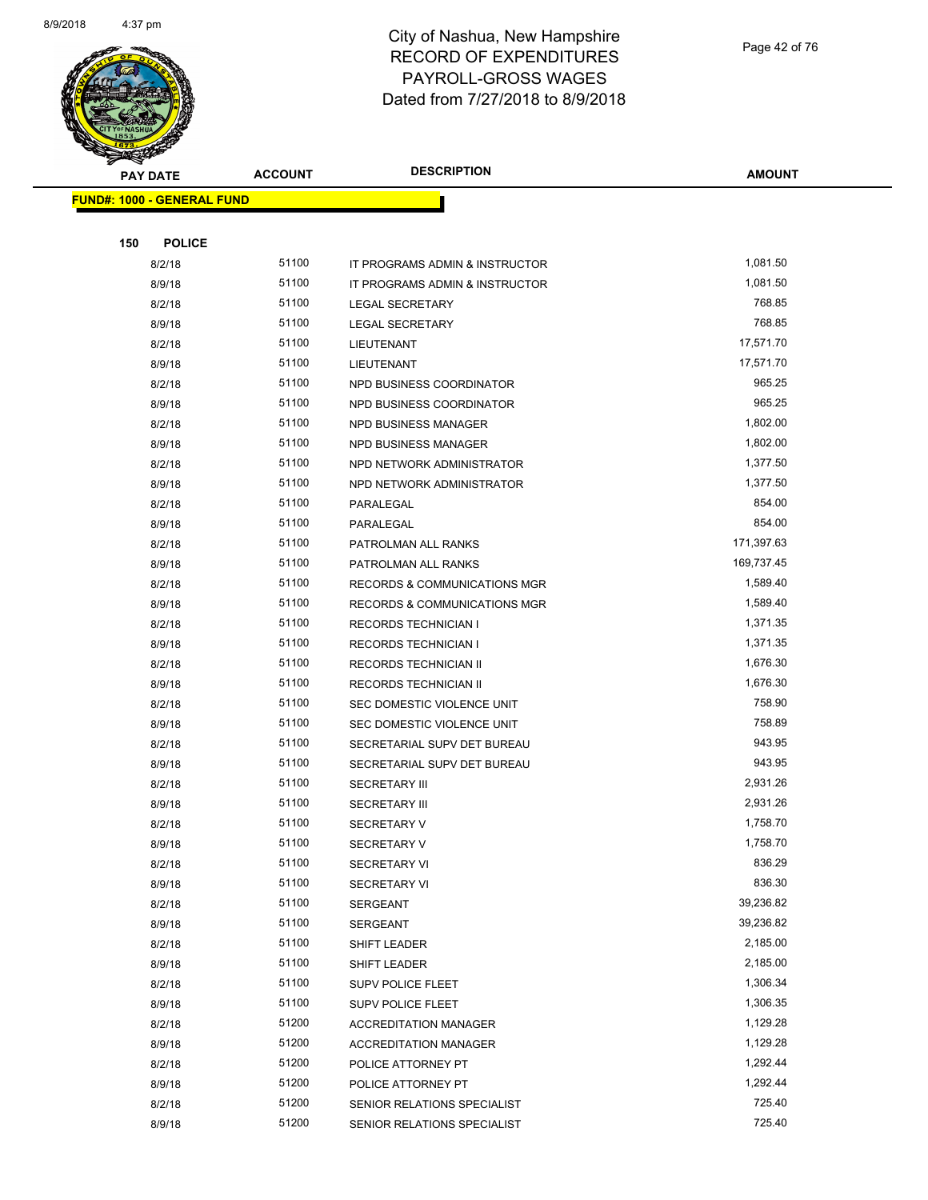

Page 42 of 76

| G<br>$\tilde{\phantom{a}}$<br><b>PAY DATE</b> | <b>ACCOUNT</b> | <b>DESCRIPTION</b>                                | <b>AMOUNT</b>        |
|-----------------------------------------------|----------------|---------------------------------------------------|----------------------|
| <b>FUND#: 1000 - GENERAL FUND</b>             |                |                                                   |                      |
|                                               |                |                                                   |                      |
| 150<br><b>POLICE</b>                          |                |                                                   |                      |
| 8/2/18                                        | 51100          | IT PROGRAMS ADMIN & INSTRUCTOR                    | 1,081.50             |
| 8/9/18                                        | 51100          | IT PROGRAMS ADMIN & INSTRUCTOR                    | 1,081.50             |
| 8/2/18                                        | 51100          | <b>LEGAL SECRETARY</b>                            | 768.85               |
| 8/9/18                                        | 51100          | <b>LEGAL SECRETARY</b>                            | 768.85               |
| 8/2/18                                        | 51100          | LIEUTENANT                                        | 17,571.70            |
| 8/9/18                                        | 51100          | LIEUTENANT                                        | 17,571.70            |
| 8/2/18                                        | 51100          | NPD BUSINESS COORDINATOR                          | 965.25               |
| 8/9/18                                        | 51100          | NPD BUSINESS COORDINATOR                          | 965.25               |
| 8/2/18                                        | 51100          | NPD BUSINESS MANAGER                              | 1,802.00             |
| 8/9/18                                        | 51100          | NPD BUSINESS MANAGER                              | 1,802.00             |
| 8/2/18                                        | 51100          | NPD NETWORK ADMINISTRATOR                         | 1,377.50             |
| 8/9/18                                        | 51100          | NPD NETWORK ADMINISTRATOR                         | 1,377.50             |
| 8/2/18                                        | 51100          | PARALEGAL                                         | 854.00               |
| 8/9/18                                        | 51100          | PARALEGAL                                         | 854.00               |
| 8/2/18                                        | 51100          | PATROLMAN ALL RANKS                               | 171,397.63           |
| 8/9/18                                        | 51100          | PATROLMAN ALL RANKS                               | 169,737.45           |
| 8/2/18                                        | 51100          | RECORDS & COMMUNICATIONS MGR                      | 1,589.40             |
| 8/9/18                                        | 51100          | RECORDS & COMMUNICATIONS MGR                      | 1,589.40             |
| 8/2/18                                        | 51100          | <b>RECORDS TECHNICIAN I</b>                       | 1,371.35             |
| 8/9/18                                        | 51100          | <b>RECORDS TECHNICIAN I</b>                       | 1,371.35             |
| 8/2/18                                        | 51100          | RECORDS TECHNICIAN II                             | 1,676.30             |
| 8/9/18                                        | 51100          | RECORDS TECHNICIAN II                             | 1,676.30             |
| 8/2/18                                        | 51100          | SEC DOMESTIC VIOLENCE UNIT                        | 758.90               |
| 8/9/18                                        | 51100          | SEC DOMESTIC VIOLENCE UNIT                        | 758.89               |
| 8/2/18                                        | 51100          | SECRETARIAL SUPV DET BUREAU                       | 943.95               |
| 8/9/18                                        | 51100          | SECRETARIAL SUPV DET BUREAU                       | 943.95               |
| 8/2/18                                        | 51100          | <b>SECRETARY III</b>                              | 2,931.26             |
| 8/9/18                                        | 51100          | <b>SECRETARY III</b>                              | 2,931.26             |
| 8/2/18                                        | 51100          | <b>SECRETARY V</b>                                | 1,758.70             |
| 8/9/18                                        | 51100          | SECRETARY V                                       | 1,758.70             |
| 8/2/18                                        | 51100          | <b>SECRETARY VI</b>                               | 836.29               |
| 8/9/18                                        | 51100          | <b>SECRETARY VI</b>                               | 836.30               |
| 8/2/18                                        | 51100          | <b>SERGEANT</b>                                   | 39,236.82            |
| 8/9/18                                        | 51100          | SERGEANT                                          | 39,236.82            |
| 8/2/18                                        | 51100          | SHIFT LEADER                                      | 2,185.00             |
| 8/9/18                                        | 51100<br>51100 | SHIFT LEADER                                      | 2,185.00             |
| 8/2/18                                        |                | <b>SUPV POLICE FLEET</b>                          | 1,306.34             |
| 8/9/18                                        | 51100          | <b>SUPV POLICE FLEET</b>                          | 1,306.35             |
| 8/2/18                                        | 51200          | <b>ACCREDITATION MANAGER</b>                      | 1,129.28             |
| 8/9/18                                        | 51200<br>51200 | <b>ACCREDITATION MANAGER</b>                      | 1,129.28<br>1,292.44 |
| 8/2/18                                        | 51200          | POLICE ATTORNEY PT                                | 1,292.44             |
| 8/9/18<br>8/2/18                              | 51200          | POLICE ATTORNEY PT<br>SENIOR RELATIONS SPECIALIST | 725.40               |
| 8/9/18                                        | 51200          | SENIOR RELATIONS SPECIALIST                       | 725.40               |
|                                               |                |                                                   |                      |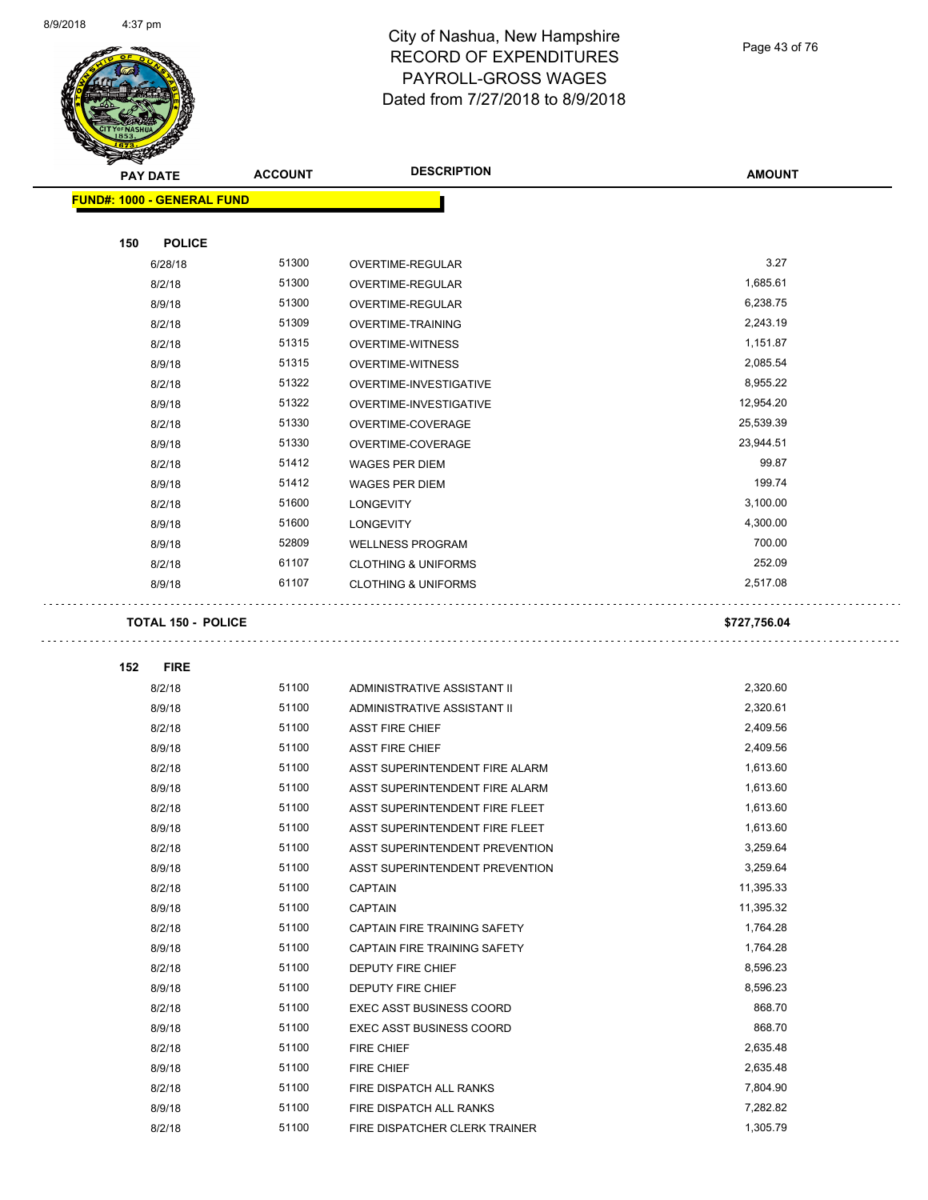

Page 43 of 76

| <b>STATE OF</b>                   |                |                                 |               |
|-----------------------------------|----------------|---------------------------------|---------------|
| <b>PAY DATE</b>                   | <b>ACCOUNT</b> | <b>DESCRIPTION</b>              | <b>AMOUNT</b> |
| <b>FUND#: 1000 - GENERAL FUND</b> |                |                                 |               |
|                                   |                |                                 |               |
| 150<br><b>POLICE</b>              |                |                                 |               |
| 6/28/18                           | 51300          | OVERTIME-REGULAR                | 3.27          |
| 8/2/18                            | 51300          | OVERTIME-REGULAR                | 1,685.61      |
| 8/9/18                            | 51300          | OVERTIME-REGULAR                | 6,238.75      |
| 8/2/18                            | 51309          | OVERTIME-TRAINING               | 2,243.19      |
| 8/2/18                            | 51315          | <b>OVERTIME-WITNESS</b>         | 1,151.87      |
| 8/9/18                            | 51315          | <b>OVERTIME-WITNESS</b>         | 2,085.54      |
| 8/2/18                            | 51322          | OVERTIME-INVESTIGATIVE          | 8,955.22      |
| 8/9/18                            | 51322          | OVERTIME-INVESTIGATIVE          | 12,954.20     |
| 8/2/18                            | 51330          | OVERTIME-COVERAGE               | 25,539.39     |
| 8/9/18                            | 51330          | OVERTIME-COVERAGE               | 23,944.51     |
| 8/2/18                            | 51412          | <b>WAGES PER DIEM</b>           | 99.87         |
| 8/9/18                            | 51412          | <b>WAGES PER DIEM</b>           | 199.74        |
| 8/2/18                            | 51600          | <b>LONGEVITY</b>                | 3,100.00      |
| 8/9/18                            | 51600          | <b>LONGEVITY</b>                | 4,300.00      |
| 8/9/18                            | 52809          | <b>WELLNESS PROGRAM</b>         | 700.00        |
| 8/2/18                            | 61107          | <b>CLOTHING &amp; UNIFORMS</b>  | 252.09        |
| 8/9/18                            | 61107          | <b>CLOTHING &amp; UNIFORMS</b>  | 2,517.08      |
|                                   |                |                                 |               |
| <b>TOTAL 150 - POLICE</b>         |                |                                 | \$727,756.04  |
| <b>FIRE</b><br>152                |                |                                 |               |
| 8/2/18                            | 51100          | ADMINISTRATIVE ASSISTANT II     | 2,320.60      |
| 8/9/18                            | 51100          | ADMINISTRATIVE ASSISTANT II     | 2,320.61      |
| 8/2/18                            | 51100          | <b>ASST FIRE CHIEF</b>          | 2,409.56      |
| 8/9/18                            | 51100          | <b>ASST FIRE CHIEF</b>          | 2,409.56      |
| 8/2/18                            | 51100          | ASST SUPERINTENDENT FIRE ALARM  | 1,613.60      |
| 8/9/18                            | 51100          | ASST SUPERINTENDENT FIRE ALARM  | 1,613.60      |
| 8/2/18                            | 51100          | ASST SUPERINTENDENT FIRE FLEET  | 1,613.60      |
| 8/9/18                            | 51100          | ASST SUPERINTENDENT FIRE FLEET  | 1,613.60      |
| 8/2/18                            | 51100          | ASST SUPERINTENDENT PREVENTION  | 3,259.64      |
| 8/9/18                            | 51100          | ASST SUPERINTENDENT PREVENTION  | 3,259.64      |
| 8/2/18                            | 51100          | <b>CAPTAIN</b>                  | 11,395.33     |
| 8/9/18                            | 51100          | <b>CAPTAIN</b>                  | 11,395.32     |
| 8/2/18                            | 51100          | CAPTAIN FIRE TRAINING SAFETY    | 1,764.28      |
| 8/9/18                            | 51100          | CAPTAIN FIRE TRAINING SAFETY    | 1,764.28      |
| 8/2/18                            | 51100          | DEPUTY FIRE CHIEF               | 8,596.23      |
| 8/9/18                            | 51100          | DEPUTY FIRE CHIEF               | 8,596.23      |
| 8/2/18                            | 51100          | <b>EXEC ASST BUSINESS COORD</b> | 868.70        |
| 8/9/18                            | 51100          | <b>EXEC ASST BUSINESS COORD</b> | 868.70        |
| 8/2/18                            | 51100          | FIRE CHIEF                      | 2,635.48      |
| 8/9/18                            | 51100          | FIRE CHIEF                      | 2,635.48      |
|                                   | 51100          | FIRE DISPATCH ALL RANKS         | 7,804.90      |
| 8/2/18                            | 51100          |                                 |               |
| 8/9/18                            |                | FIRE DISPATCH ALL RANKS         | 7,282.82      |

8/2/18 51100 FIRE DISPATCHER CLERK TRAINER 1,305.79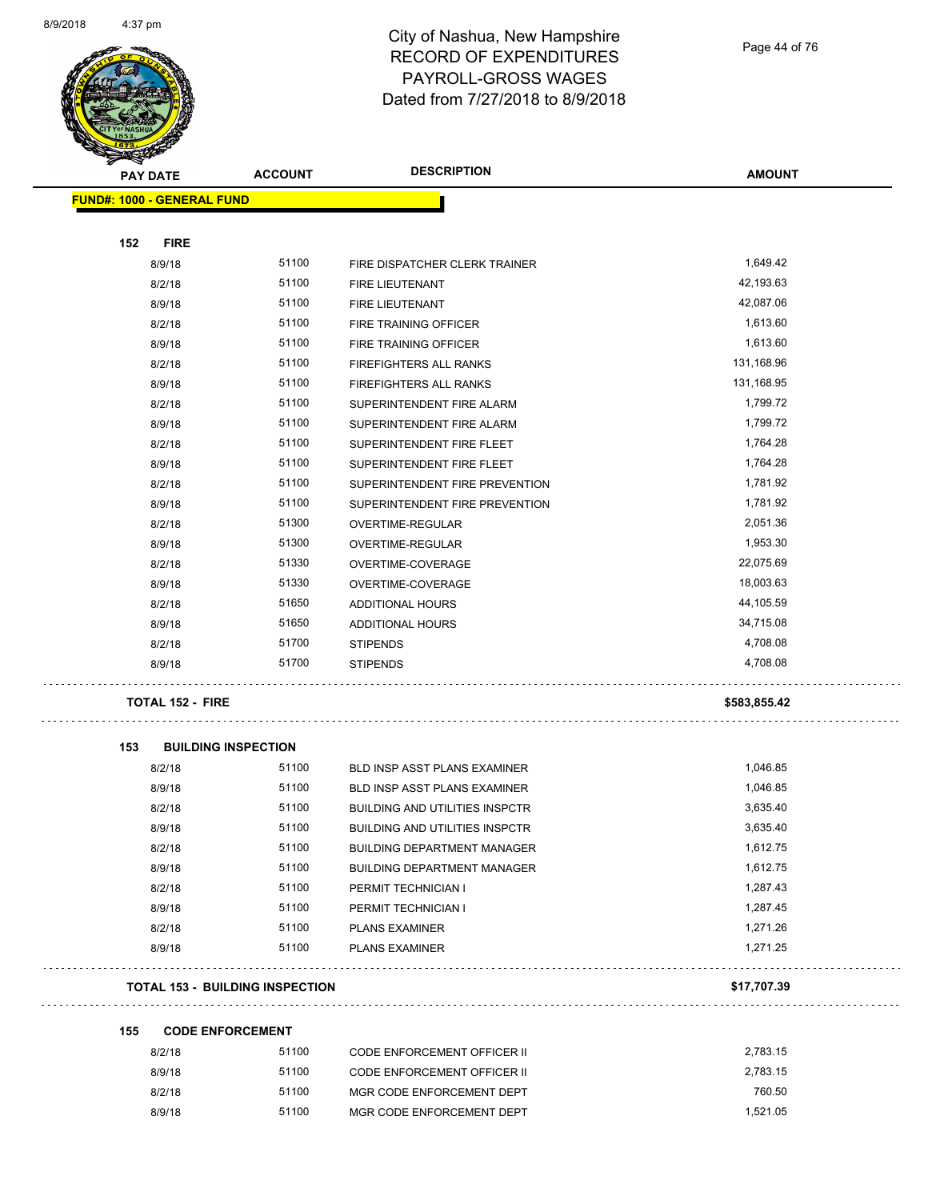

Page 44 of 76

| Ð<br>B.<br><b>PAY DATE</b>        | <b>ACCOUNT</b>                         | <b>DESCRIPTION</b>                    | <b>AMOUNT</b> |
|-----------------------------------|----------------------------------------|---------------------------------------|---------------|
| <b>FUND#: 1000 - GENERAL FUND</b> |                                        |                                       |               |
|                                   |                                        |                                       |               |
| 152<br><b>FIRE</b>                |                                        |                                       |               |
| 8/9/18                            | 51100                                  | FIRE DISPATCHER CLERK TRAINER         | 1,649.42      |
| 8/2/18                            | 51100                                  | <b>FIRE LIEUTENANT</b>                | 42,193.63     |
| 8/9/18                            | 51100                                  | FIRE LIEUTENANT                       | 42,087.06     |
| 8/2/18                            | 51100                                  | FIRE TRAINING OFFICER                 | 1,613.60      |
| 8/9/18                            | 51100                                  | FIRE TRAINING OFFICER                 | 1,613.60      |
| 8/2/18                            | 51100                                  | FIREFIGHTERS ALL RANKS                | 131,168.96    |
| 8/9/18                            | 51100                                  | FIREFIGHTERS ALL RANKS                | 131,168.95    |
| 8/2/18                            | 51100                                  | SUPERINTENDENT FIRE ALARM             | 1,799.72      |
| 8/9/18                            | 51100                                  | SUPERINTENDENT FIRE ALARM             | 1,799.72      |
| 8/2/18                            | 51100                                  | SUPERINTENDENT FIRE FLEET             | 1,764.28      |
| 8/9/18                            | 51100                                  | SUPERINTENDENT FIRE FLEET             | 1,764.28      |
| 8/2/18                            | 51100                                  | SUPERINTENDENT FIRE PREVENTION        | 1,781.92      |
| 8/9/18                            | 51100                                  | SUPERINTENDENT FIRE PREVENTION        | 1,781.92      |
| 8/2/18                            | 51300                                  | OVERTIME-REGULAR                      | 2,051.36      |
| 8/9/18                            | 51300                                  | OVERTIME-REGULAR                      | 1,953.30      |
| 8/2/18                            | 51330                                  | OVERTIME-COVERAGE                     | 22,075.69     |
| 8/9/18                            | 51330                                  | OVERTIME-COVERAGE                     | 18,003.63     |
| 8/2/18                            | 51650                                  | ADDITIONAL HOURS                      | 44,105.59     |
| 8/9/18                            | 51650                                  | ADDITIONAL HOURS                      | 34,715.08     |
| 8/2/18                            | 51700                                  | <b>STIPENDS</b>                       | 4,708.08      |
| 8/9/18                            | 51700                                  | <b>STIPENDS</b>                       | 4,708.08      |
| <b>TOTAL 152 - FIRE</b>           |                                        |                                       | \$583,855.42  |
| 153                               | <b>BUILDING INSPECTION</b>             |                                       |               |
| 8/2/18                            | 51100                                  | <b>BLD INSP ASST PLANS EXAMINER</b>   | 1,046.85      |
| 8/9/18                            | 51100                                  | BLD INSP ASST PLANS EXAMINER          | 1,046.85      |
| 8/2/18                            | 51100                                  | <b>BUILDING AND UTILITIES INSPCTR</b> | 3,635.40      |
| 8/9/18                            | 51100                                  | <b>BUILDING AND UTILITIES INSPCTR</b> | 3,635.40      |
| 8/2/18                            | 51100                                  | <b>BUILDING DEPARTMENT MANAGER</b>    | 1,612.75      |
| 8/9/18                            | 51100                                  | <b>BUILDING DEPARTMENT MANAGER</b>    | 1,612.75      |
| 8/2/18                            | 51100                                  | PERMIT TECHNICIAN I                   | 1,287.43      |
| 8/9/18                            | 51100                                  | PERMIT TECHNICIAN I                   | 1,287.45      |
| 8/2/18                            | 51100                                  | <b>PLANS EXAMINER</b>                 | 1,271.26      |
| 8/9/18                            | 51100                                  | <b>PLANS EXAMINER</b>                 | 1,271.25      |
|                                   | <b>TOTAL 153 - BUILDING INSPECTION</b> |                                       | \$17,707.39   |
| 155                               | <b>CODE ENFORCEMENT</b>                |                                       |               |
| 8/2/18                            | 51100                                  | <b>CODE ENFORCEMENT OFFICER II</b>    | 2,783.15      |
| 8/9/18                            | 51100                                  | <b>CODE ENFORCEMENT OFFICER II</b>    | 2,783.15      |
| 8/2/18                            | 51100                                  | MGR CODE ENFORCEMENT DEPT             | 760.50        |
| 8/9/18                            | 51100                                  | MGR CODE ENFORCEMENT DEPT             | 1,521.05      |
|                                   |                                        |                                       |               |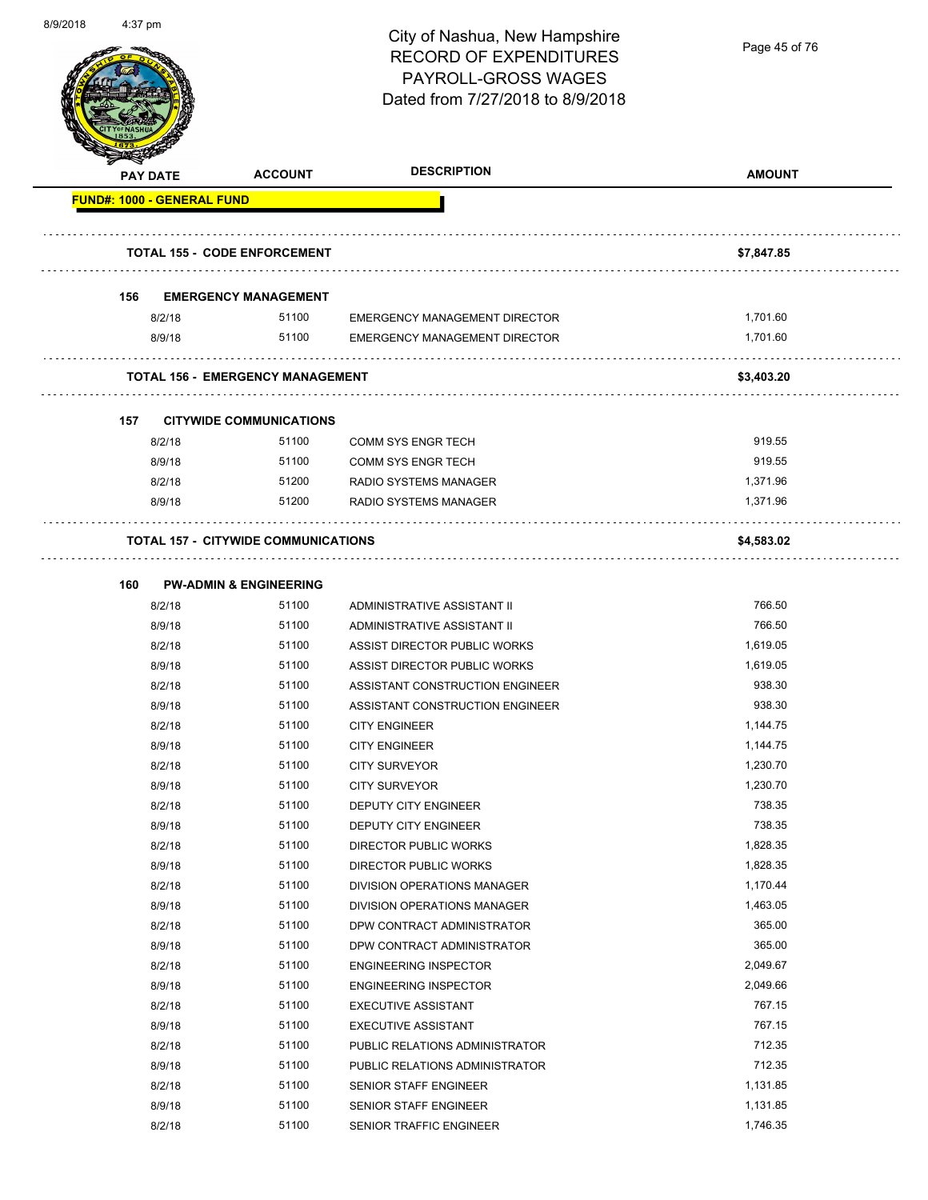

Page 45 of 76

|                                   | <b>PAY DATE</b> | <b>ACCOUNT</b>                             | <b>DESCRIPTION</b>                   | <b>AMOUNT</b>        |
|-----------------------------------|-----------------|--------------------------------------------|--------------------------------------|----------------------|
| <b>FUND#: 1000 - GENERAL FUND</b> |                 |                                            |                                      |                      |
|                                   |                 |                                            |                                      |                      |
|                                   |                 | <b>TOTAL 155 - CODE ENFORCEMENT</b>        |                                      | \$7,847.85           |
|                                   |                 |                                            |                                      |                      |
| 156                               |                 | <b>EMERGENCY MANAGEMENT</b>                |                                      |                      |
|                                   | 8/2/18          | 51100<br>51100                             | <b>EMERGENCY MANAGEMENT DIRECTOR</b> | 1,701.60<br>1,701.60 |
|                                   | 8/9/18          |                                            | <b>EMERGENCY MANAGEMENT DIRECTOR</b> |                      |
|                                   |                 | <b>TOTAL 156 - EMERGENCY MANAGEMENT</b>    |                                      | \$3,403.20           |
|                                   |                 |                                            |                                      |                      |
| 157                               |                 | <b>CITYWIDE COMMUNICATIONS</b>             |                                      |                      |
|                                   | 8/2/18          | 51100                                      | <b>COMM SYS ENGR TECH</b>            | 919.55               |
|                                   | 8/9/18          | 51100                                      | <b>COMM SYS ENGR TECH</b>            | 919.55               |
|                                   | 8/2/18          | 51200                                      | RADIO SYSTEMS MANAGER                | 1,371.96             |
|                                   | 8/9/18          | 51200                                      | RADIO SYSTEMS MANAGER                | 1,371.96             |
|                                   |                 | <b>TOTAL 157 - CITYWIDE COMMUNICATIONS</b> |                                      | \$4,583.02           |
|                                   |                 |                                            |                                      |                      |
| 160                               |                 | <b>PW-ADMIN &amp; ENGINEERING</b>          |                                      |                      |
|                                   | 8/2/18          | 51100                                      | ADMINISTRATIVE ASSISTANT II          | 766.50               |
|                                   | 8/9/18          | 51100                                      | ADMINISTRATIVE ASSISTANT II          | 766.50               |
|                                   | 8/2/18          | 51100                                      | ASSIST DIRECTOR PUBLIC WORKS         | 1,619.05             |
|                                   | 8/9/18          | 51100                                      | ASSIST DIRECTOR PUBLIC WORKS         | 1,619.05             |
|                                   | 8/2/18          | 51100                                      | ASSISTANT CONSTRUCTION ENGINEER      | 938.30               |
|                                   | 8/9/18          | 51100                                      | ASSISTANT CONSTRUCTION ENGINEER      | 938.30               |
|                                   | 8/2/18          | 51100                                      | <b>CITY ENGINEER</b>                 | 1,144.75             |
|                                   | 8/9/18          | 51100                                      | <b>CITY ENGINEER</b>                 | 1,144.75             |
|                                   | 8/2/18          | 51100                                      | <b>CITY SURVEYOR</b>                 | 1,230.70             |
|                                   | 8/9/18          | 51100                                      | <b>CITY SURVEYOR</b>                 | 1,230.70             |
|                                   | 8/2/18          | 51100                                      | DEPUTY CITY ENGINEER                 | 738.35               |
|                                   | 8/9/18          | 51100                                      | <b>DEPUTY CITY ENGINEER</b>          | 738.35               |
|                                   | 8/2/18          | 51100                                      | <b>DIRECTOR PUBLIC WORKS</b>         | 1,828.35             |
|                                   | 8/9/18          | 51100                                      | DIRECTOR PUBLIC WORKS                | 1,828.35             |
|                                   | 8/2/18          | 51100                                      | DIVISION OPERATIONS MANAGER          | 1,170.44             |
|                                   | 8/9/18          | 51100                                      | DIVISION OPERATIONS MANAGER          | 1,463.05             |
|                                   | 8/2/18          | 51100                                      | DPW CONTRACT ADMINISTRATOR           | 365.00               |
|                                   | 8/9/18          | 51100                                      | DPW CONTRACT ADMINISTRATOR           | 365.00               |
|                                   | 8/2/18          | 51100                                      | <b>ENGINEERING INSPECTOR</b>         | 2,049.67             |
|                                   | 8/9/18          | 51100                                      | <b>ENGINEERING INSPECTOR</b>         | 2,049.66             |
|                                   | 8/2/18          | 51100                                      | <b>EXECUTIVE ASSISTANT</b>           | 767.15               |
|                                   | 8/9/18          | 51100                                      | <b>EXECUTIVE ASSISTANT</b>           | 767.15               |
|                                   | 8/2/18          | 51100                                      | PUBLIC RELATIONS ADMINISTRATOR       | 712.35               |
|                                   | 8/9/18          | 51100                                      | PUBLIC RELATIONS ADMINISTRATOR       | 712.35               |
|                                   | 8/2/18          | 51100                                      | SENIOR STAFF ENGINEER                | 1,131.85             |
|                                   | 8/9/18          | 51100                                      | SENIOR STAFF ENGINEER                | 1,131.85             |
|                                   | 8/2/18          | 51100                                      | SENIOR TRAFFIC ENGINEER              | 1,746.35             |
|                                   |                 |                                            |                                      |                      |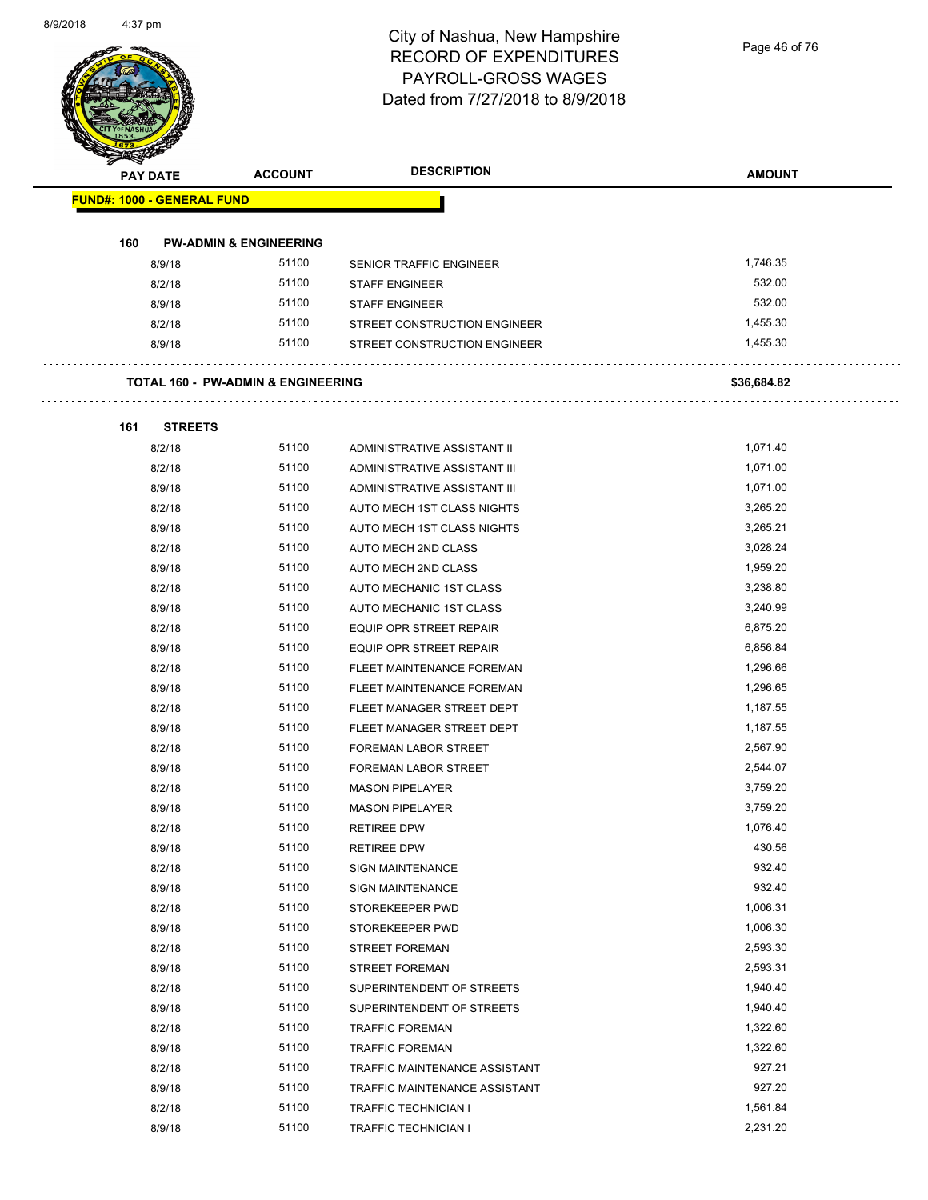Page 46 of 76

|     | <b>PAY DATE</b>                   | <b>ACCOUNT</b>                                | <b>DESCRIPTION</b>             | <b>AMOUNT</b> |
|-----|-----------------------------------|-----------------------------------------------|--------------------------------|---------------|
|     | <b>FUND#: 1000 - GENERAL FUND</b> |                                               |                                |               |
|     |                                   |                                               |                                |               |
| 160 |                                   | <b>PW-ADMIN &amp; ENGINEERING</b>             |                                |               |
|     | 8/9/18                            | 51100                                         | <b>SENIOR TRAFFIC ENGINEER</b> | 1,746.35      |
|     | 8/2/18                            | 51100                                         | <b>STAFF ENGINEER</b>          | 532.00        |
|     | 8/9/18                            | 51100                                         | <b>STAFF ENGINEER</b>          | 532.00        |
|     | 8/2/18                            | 51100                                         | STREET CONSTRUCTION ENGINEER   | 1,455.30      |
|     | 8/9/18                            | 51100                                         | STREET CONSTRUCTION ENGINEER   | 1,455.30      |
|     |                                   | <b>TOTAL 160 - PW-ADMIN &amp; ENGINEERING</b> |                                | \$36,684.82   |
| 161 | <b>STREETS</b>                    |                                               |                                |               |
|     | 8/2/18                            | 51100                                         | ADMINISTRATIVE ASSISTANT II    | 1,071.40      |
|     | 8/2/18                            | 51100                                         | ADMINISTRATIVE ASSISTANT III   | 1,071.00      |
|     | 8/9/18                            | 51100                                         | ADMINISTRATIVE ASSISTANT III   | 1,071.00      |
|     | 8/2/18                            | 51100                                         | AUTO MECH 1ST CLASS NIGHTS     | 3,265.20      |
|     | 8/9/18                            | 51100                                         | AUTO MECH 1ST CLASS NIGHTS     | 3,265.21      |
|     | 8/2/18                            | 51100                                         | <b>AUTO MECH 2ND CLASS</b>     | 3,028.24      |
|     | 8/9/18                            | 51100                                         | AUTO MECH 2ND CLASS            | 1,959.20      |
|     | 8/2/18                            | 51100                                         | AUTO MECHANIC 1ST CLASS        | 3,238.80      |
|     | 8/9/18                            | 51100                                         | AUTO MECHANIC 1ST CLASS        | 3,240.99      |
|     | 8/2/18                            | 51100                                         | EQUIP OPR STREET REPAIR        | 6,875.20      |
|     | 8/9/18                            | 51100                                         | <b>EQUIP OPR STREET REPAIR</b> | 6,856.84      |
|     | 8/2/18                            | 51100                                         | FLEET MAINTENANCE FOREMAN      | 1,296.66      |
|     | 8/9/18                            | 51100                                         | FLEET MAINTENANCE FOREMAN      | 1,296.65      |
|     | 8/2/18                            | 51100                                         | FLEET MANAGER STREET DEPT      | 1,187.55      |
|     | 8/9/18                            | 51100                                         | FLEET MANAGER STREET DEPT      | 1,187.55      |
|     | 8/2/18                            | 51100                                         | FOREMAN LABOR STREET           | 2,567.90      |
|     | 8/9/18                            | 51100                                         | <b>FOREMAN LABOR STREET</b>    | 2,544.07      |
|     | 8/2/18                            | 51100                                         | <b>MASON PIPELAYER</b>         | 3,759.20      |
|     | 8/9/18                            | 51100                                         | <b>MASON PIPELAYER</b>         | 3,759.20      |
|     | 8/2/18                            | 51100                                         | <b>RETIREE DPW</b>             | 1,076.40      |
|     | 8/9/18                            | 51100                                         | <b>RETIREE DPW</b>             | 430.56        |
|     | 8/2/18                            | 51100                                         | SIGN MAINTENANCE               | 932.40        |
|     | 8/9/18                            | 51100                                         | SIGN MAINTENANCE               | 932.40        |
|     | 8/2/18                            | 51100                                         | STOREKEEPER PWD                | 1,006.31      |
|     | 8/9/18                            | 51100                                         | STOREKEEPER PWD                | 1,006.30      |
|     | 8/2/18                            | 51100                                         | STREET FOREMAN                 | 2,593.30      |
|     | 8/9/18                            | 51100                                         | <b>STREET FOREMAN</b>          | 2,593.31      |
|     | 8/2/18                            | 51100                                         | SUPERINTENDENT OF STREETS      | 1,940.40      |
|     | 8/9/18                            | 51100                                         | SUPERINTENDENT OF STREETS      | 1,940.40      |
|     | 8/2/18                            | 51100                                         | <b>TRAFFIC FOREMAN</b>         | 1,322.60      |
|     | 8/9/18                            | 51100                                         | <b>TRAFFIC FOREMAN</b>         | 1,322.60      |
|     | 8/2/18                            | 51100                                         | TRAFFIC MAINTENANCE ASSISTANT  | 927.21        |
|     | 8/9/18                            | 51100                                         | TRAFFIC MAINTENANCE ASSISTANT  | 927.20        |
|     | 8/2/18                            | 51100                                         | TRAFFIC TECHNICIAN I           | 1,561.84      |
|     | 8/9/18                            | 51100                                         | TRAFFIC TECHNICIAN I           | 2,231.20      |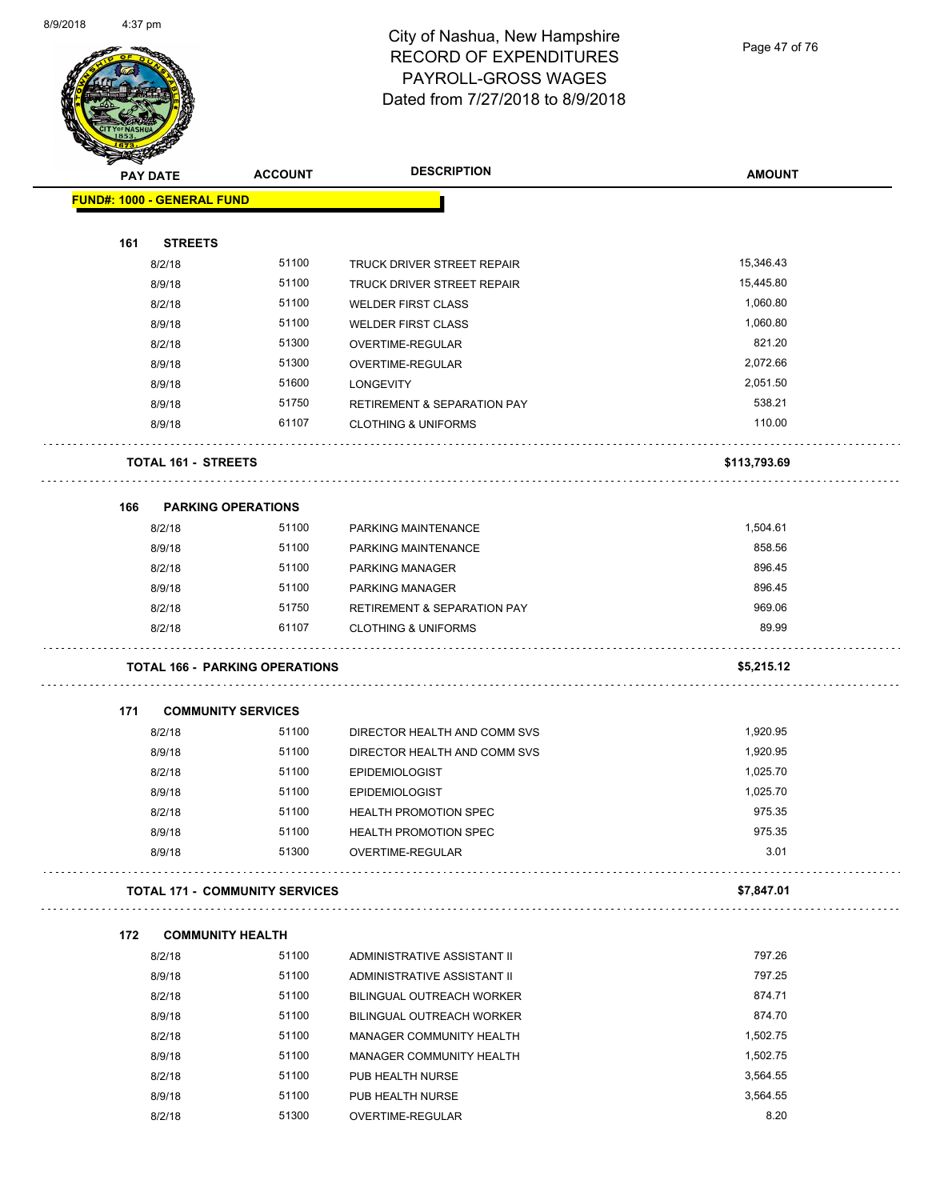Page 47 of 76

| <b>PAY DATE</b>                   | <b>ACCOUNT</b>                        | <b>DESCRIPTION</b>                     | <b>AMOUNT</b> |
|-----------------------------------|---------------------------------------|----------------------------------------|---------------|
| <b>FUND#: 1000 - GENERAL FUND</b> |                                       |                                        |               |
| 161                               | <b>STREETS</b>                        |                                        |               |
| 8/2/18                            | 51100                                 | TRUCK DRIVER STREET REPAIR             | 15,346.43     |
| 8/9/18                            | 51100                                 | TRUCK DRIVER STREET REPAIR             | 15,445.80     |
| 8/2/18                            | 51100                                 | <b>WELDER FIRST CLASS</b>              | 1,060.80      |
| 8/9/18                            | 51100                                 | <b>WELDER FIRST CLASS</b>              | 1,060.80      |
| 8/2/18                            | 51300                                 | OVERTIME-REGULAR                       | 821.20        |
| 8/9/18                            | 51300                                 | OVERTIME-REGULAR                       | 2,072.66      |
| 8/9/18                            | 51600                                 | <b>LONGEVITY</b>                       | 2,051.50      |
| 8/9/18                            | 51750                                 | <b>RETIREMENT &amp; SEPARATION PAY</b> | 538.21        |
| 8/9/18                            | 61107                                 | <b>CLOTHING &amp; UNIFORMS</b>         | 110.00        |
|                                   | TOTAL 161 - STREETS                   |                                        | \$113,793.69  |
| 166                               | <b>PARKING OPERATIONS</b>             |                                        |               |
| 8/2/18                            | 51100                                 | PARKING MAINTENANCE                    | 1,504.61      |
| 8/9/18                            | 51100                                 | PARKING MAINTENANCE                    | 858.56        |
| 8/2/18                            | 51100                                 | <b>PARKING MANAGER</b>                 | 896.45        |
| 8/9/18                            | 51100                                 | PARKING MANAGER                        | 896.45        |
| 8/2/18                            | 51750                                 | <b>RETIREMENT &amp; SEPARATION PAY</b> | 969.06        |
| 8/2/18                            | 61107                                 | <b>CLOTHING &amp; UNIFORMS</b>         | 89.99         |
|                                   | <b>TOTAL 166 - PARKING OPERATIONS</b> |                                        | \$5,215.12    |
| 171                               | <b>COMMUNITY SERVICES</b>             |                                        |               |
| 8/2/18                            | 51100                                 | DIRECTOR HEALTH AND COMM SVS           | 1,920.95      |
| 8/9/18                            | 51100                                 | DIRECTOR HEALTH AND COMM SVS           | 1,920.95      |
| 8/2/18                            | 51100                                 | <b>EPIDEMIOLOGIST</b>                  | 1,025.70      |
| 8/9/18                            | 51100                                 | <b>EPIDEMIOLOGIST</b>                  | 1,025.70      |
| 8/2/18                            | 51100                                 | <b>HEALTH PROMOTION SPEC</b>           | 975.35        |
| 8/9/18                            | 51100                                 | HEALTH PROMOTION SPEC                  | 975.35        |
| 8/9/18                            | 51300                                 | OVERTIME-REGULAR                       | 3.01          |
|                                   | <b>TOTAL 171 - COMMUNITY SERVICES</b> |                                        | \$7,847.01    |
| 172                               | <b>COMMUNITY HEALTH</b>               |                                        |               |
| 8/2/18                            | 51100                                 | ADMINISTRATIVE ASSISTANT II            | 797.26        |
| 8/9/18                            | 51100                                 | ADMINISTRATIVE ASSISTANT II            | 797.25        |
| 8/2/18                            | 51100                                 | <b>BILINGUAL OUTREACH WORKER</b>       | 874.71        |
| 8/9/18                            | 51100                                 | <b>BILINGUAL OUTREACH WORKER</b>       | 874.70        |
| 8/2/18                            | 51100                                 | MANAGER COMMUNITY HEALTH               | 1,502.75      |
| 8/9/18                            | 51100                                 | MANAGER COMMUNITY HEALTH               | 1,502.75      |
| 8/2/18                            | 51100                                 | PUB HEALTH NURSE                       | 3,564.55      |
| 8/9/18                            | 51100                                 | PUB HEALTH NURSE                       | 3,564.55      |
| 8/2/18                            | 51300                                 | OVERTIME-REGULAR                       | 8.20          |
|                                   |                                       |                                        |               |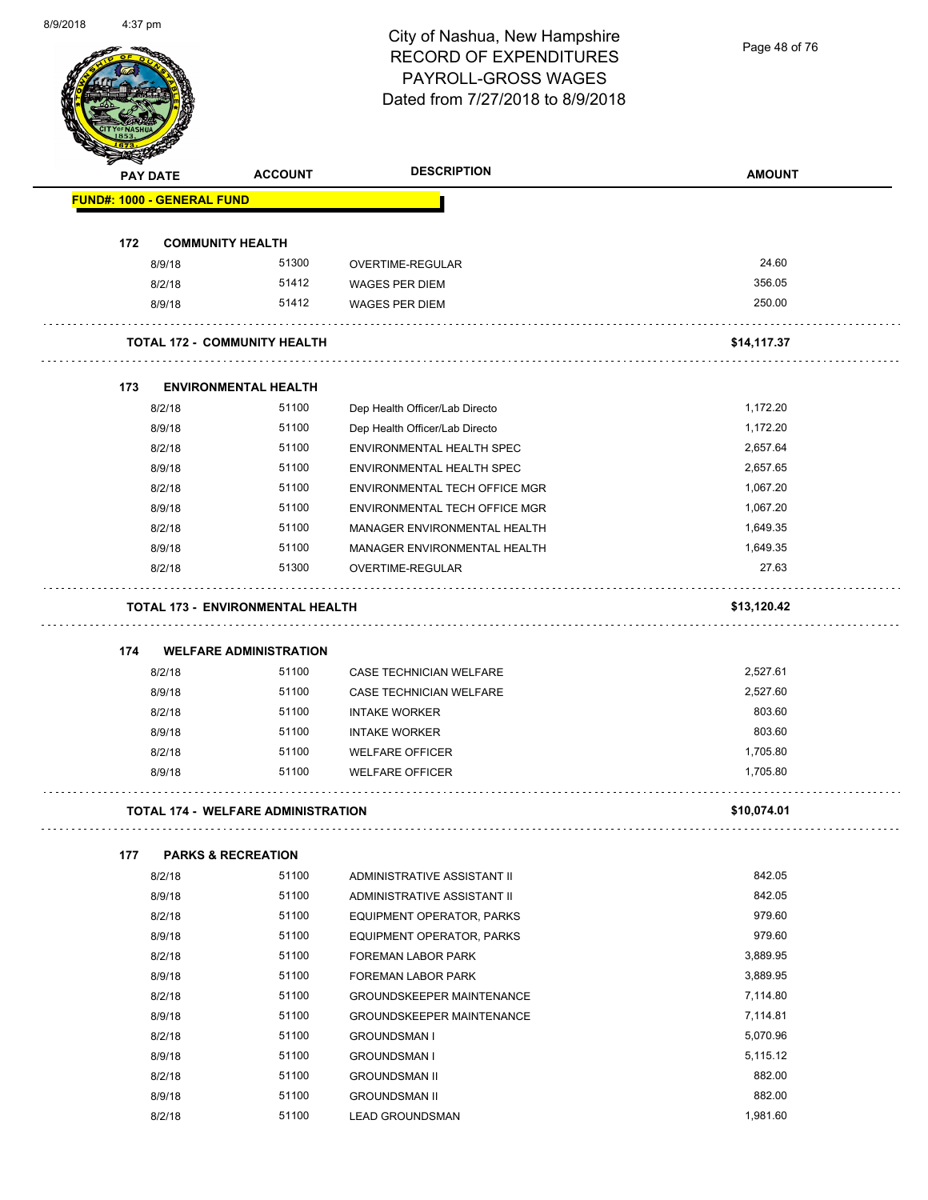Page 48 of 76

| <b>PAY DATE</b>                   | <b>ACCOUNT</b>                            | <b>DESCRIPTION</b>               | <b>AMOUNT</b> |
|-----------------------------------|-------------------------------------------|----------------------------------|---------------|
| <b>FUND#: 1000 - GENERAL FUND</b> |                                           |                                  |               |
| 172                               | <b>COMMUNITY HEALTH</b>                   |                                  |               |
| 8/9/18                            | 51300                                     | OVERTIME-REGULAR                 | 24.60         |
| 8/2/18                            | 51412                                     | <b>WAGES PER DIEM</b>            | 356.05        |
| 8/9/18                            | 51412                                     | <b>WAGES PER DIEM</b>            | 250.00        |
|                                   | <b>TOTAL 172 - COMMUNITY HEALTH</b>       |                                  | \$14,117.37   |
| 173                               | <b>ENVIRONMENTAL HEALTH</b>               |                                  |               |
| 8/2/18                            | 51100                                     | Dep Health Officer/Lab Directo   | 1,172.20      |
| 8/9/18                            | 51100                                     | Dep Health Officer/Lab Directo   | 1,172.20      |
| 8/2/18                            | 51100                                     | <b>ENVIRONMENTAL HEALTH SPEC</b> | 2,657.64      |
| 8/9/18                            | 51100                                     | ENVIRONMENTAL HEALTH SPEC        | 2,657.65      |
| 8/2/18                            | 51100                                     | ENVIRONMENTAL TECH OFFICE MGR    | 1,067.20      |
| 8/9/18                            | 51100                                     | ENVIRONMENTAL TECH OFFICE MGR    | 1,067.20      |
| 8/2/18                            | 51100                                     | MANAGER ENVIRONMENTAL HEALTH     | 1,649.35      |
| 8/9/18                            | 51100                                     | MANAGER ENVIRONMENTAL HEALTH     | 1,649.35      |
| 8/2/18                            | 51300                                     | OVERTIME-REGULAR                 | 27.63         |
|                                   | <b>TOTAL 173 - ENVIRONMENTAL HEALTH</b>   |                                  | \$13,120.42   |
| 174                               | <b>WELFARE ADMINISTRATION</b>             |                                  |               |
| 8/2/18                            | 51100                                     | <b>CASE TECHNICIAN WELFARE</b>   | 2,527.61      |
| 8/9/18                            | 51100                                     | CASE TECHNICIAN WELFARE          | 2,527.60      |
| 8/2/18                            | 51100                                     | <b>INTAKE WORKER</b>             | 803.60        |
| 8/9/18                            | 51100                                     | <b>INTAKE WORKER</b>             | 803.60        |
| 8/2/18                            | 51100                                     | <b>WELFARE OFFICER</b>           | 1,705.80      |
| 8/9/18                            | 51100                                     | <b>WELFARE OFFICER</b>           | 1,705.80      |
|                                   | <b>TOTAL 174 - WELFARE ADMINISTRATION</b> |                                  | \$10,074.01   |
| 177                               | <b>PARKS &amp; RECREATION</b>             |                                  |               |
| 8/2/18                            | 51100                                     | ADMINISTRATIVE ASSISTANT II      | 842.05        |
| 8/9/18                            | 51100                                     | ADMINISTRATIVE ASSISTANT II      | 842.05        |
| 8/2/18                            | 51100                                     | EQUIPMENT OPERATOR, PARKS        | 979.60        |
| 8/9/18                            | 51100                                     | EQUIPMENT OPERATOR, PARKS        | 979.60        |
| 8/2/18                            | 51100                                     | FOREMAN LABOR PARK               | 3,889.95      |
| 8/9/18                            | 51100                                     | FOREMAN LABOR PARK               | 3,889.95      |
| 8/2/18                            | 51100                                     | <b>GROUNDSKEEPER MAINTENANCE</b> | 7,114.80      |
| 8/9/18                            | 51100                                     | <b>GROUNDSKEEPER MAINTENANCE</b> | 7,114.81      |
| 8/2/18                            | 51100                                     | <b>GROUNDSMAN I</b>              | 5,070.96      |
| 8/9/18                            | 51100                                     | <b>GROUNDSMAN I</b>              | 5,115.12      |
| 8/2/18                            | 51100                                     | <b>GROUNDSMAN II</b>             | 882.00        |
| 8/9/18                            | 51100                                     | <b>GROUNDSMAN II</b>             | 882.00        |
| 8/2/18                            | 51100                                     | <b>LEAD GROUNDSMAN</b>           | 1,981.60      |
|                                   |                                           |                                  |               |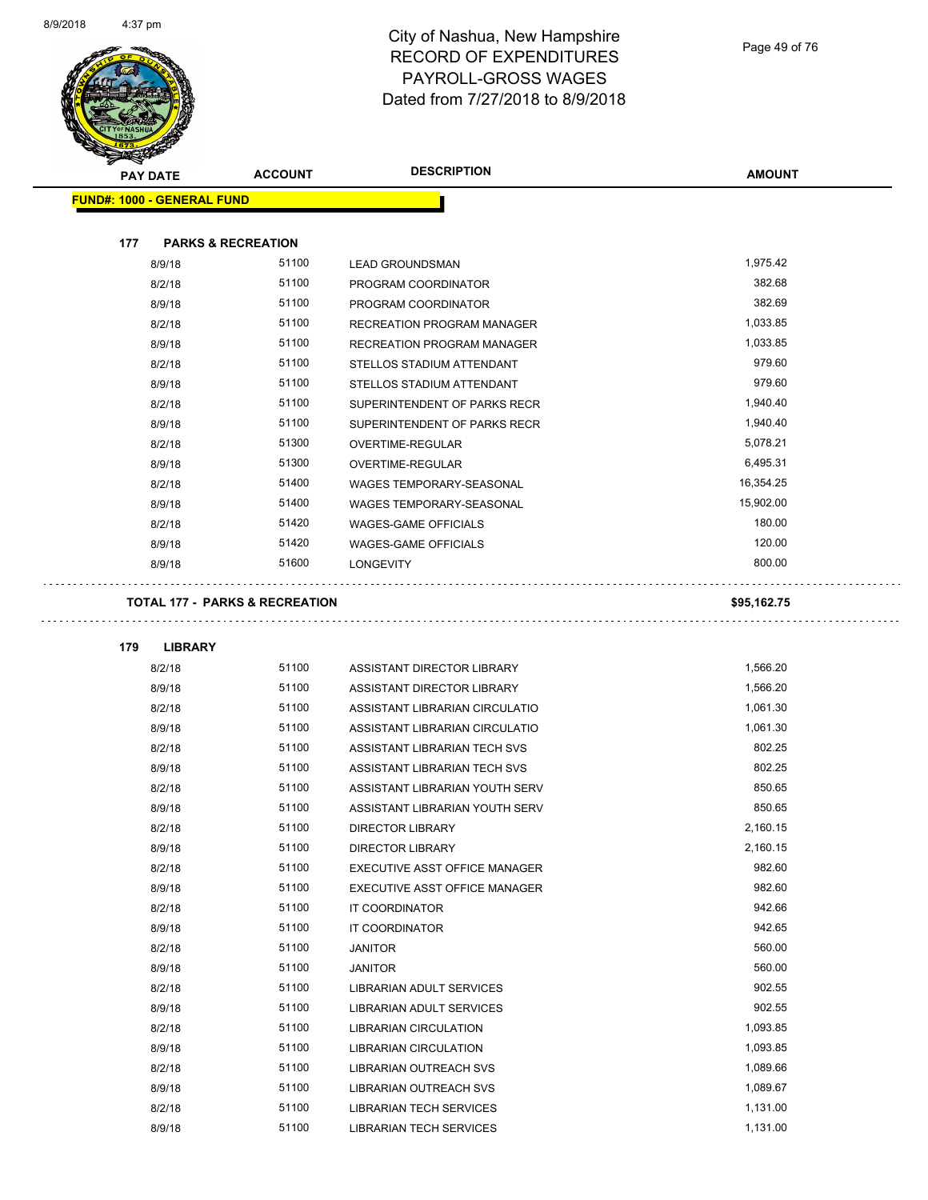

Page 49 of 76

| <b>PAY DATE</b>                   | <b>ACCOUNT</b>                            | <b>DESCRIPTION</b>                   | <b>AMOUNT</b> |
|-----------------------------------|-------------------------------------------|--------------------------------------|---------------|
| <b>FUND#: 1000 - GENERAL FUND</b> |                                           |                                      |               |
| 177                               | <b>PARKS &amp; RECREATION</b>             |                                      |               |
| 8/9/18                            | 51100                                     | <b>LEAD GROUNDSMAN</b>               | 1,975.42      |
| 8/2/18                            | 51100                                     | PROGRAM COORDINATOR                  | 382.68        |
| 8/9/18                            | 51100                                     | PROGRAM COORDINATOR                  | 382.69        |
| 8/2/18                            | 51100                                     | RECREATION PROGRAM MANAGER           | 1,033.85      |
| 8/9/18                            | 51100                                     | <b>RECREATION PROGRAM MANAGER</b>    | 1,033.85      |
| 8/2/18                            | 51100                                     | STELLOS STADIUM ATTENDANT            | 979.60        |
| 8/9/18                            | 51100                                     | STELLOS STADIUM ATTENDANT            | 979.60        |
| 8/2/18                            | 51100                                     | SUPERINTENDENT OF PARKS RECR         | 1,940.40      |
| 8/9/18                            | 51100                                     | SUPERINTENDENT OF PARKS RECR         | 1,940.40      |
| 8/2/18                            | 51300                                     | OVERTIME-REGULAR                     | 5,078.21      |
| 8/9/18                            | 51300                                     | OVERTIME-REGULAR                     | 6,495.31      |
| 8/2/18                            | 51400                                     | <b>WAGES TEMPORARY-SEASONAL</b>      | 16,354.25     |
| 8/9/18                            | 51400                                     | WAGES TEMPORARY-SEASONAL             | 15.902.00     |
| 8/2/18                            | 51420                                     | <b>WAGES-GAME OFFICIALS</b>          | 180.00        |
| 8/9/18                            | 51420                                     | <b>WAGES-GAME OFFICIALS</b>          | 120.00        |
| 8/9/18                            | 51600                                     | <b>LONGEVITY</b>                     | 800.00        |
|                                   | <b>TOTAL 177 - PARKS &amp; RECREATION</b> |                                      | \$95,162.75   |
|                                   |                                           |                                      |               |
| 179<br><b>LIBRARY</b>             |                                           |                                      |               |
| 8/2/18                            | 51100                                     | ASSISTANT DIRECTOR LIBRARY           | 1,566.20      |
| 8/9/18                            | 51100                                     | ASSISTANT DIRECTOR LIBRARY           | 1,566.20      |
| 8/2/18                            | 51100                                     | ASSISTANT LIBRARIAN CIRCULATIO       | 1,061.30      |
| 8/9/18                            | 51100                                     | ASSISTANT LIBRARIAN CIRCULATIO       | 1,061.30      |
| 8/2/18                            | 51100                                     | ASSISTANT LIBRARIAN TECH SVS         | 802.25        |
| 8/9/18                            | 51100                                     | ASSISTANT LIBRARIAN TECH SVS         | 802.25        |
| 8/2/18                            | 51100                                     | ASSISTANT LIBRARIAN YOUTH SERV       | 850.65        |
| 8/9/18                            | 51100                                     | ASSISTANT LIBRARIAN YOUTH SERV       | 850.65        |
| 8/2/18                            | 51100                                     | DIRECTOR LIBRARY                     | 2,160.15      |
| 8/9/18                            | 51100                                     | <b>DIRECTOR LIBRARY</b>              | 2,160.15      |
| 8/2/18                            | 51100                                     | EXECUTIVE ASST OFFICE MANAGER        | 982.60        |
| 8/9/18                            | 51100                                     | <b>EXECUTIVE ASST OFFICE MANAGER</b> | 982.60        |
| 8/2/18                            | 51100                                     | IT COORDINATOR                       | 942.66        |
| 8/9/18                            | 51100                                     | IT COORDINATOR                       | 942.65        |
| 8/2/18                            | 51100                                     | <b>JANITOR</b>                       | 560.00        |
| 8/9/18                            | 51100                                     | <b>JANITOR</b>                       | 560.00        |
| 8/2/18                            | 51100                                     | LIBRARIAN ADULT SERVICES             | 902.55        |
| 8/9/18                            | 51100                                     | LIBRARIAN ADULT SERVICES             | 902.55        |
| 8/2/18                            | 51100                                     | LIBRARIAN CIRCULATION                | 1,093.85      |
| 8/9/18                            | 51100                                     | LIBRARIAN CIRCULATION                | 1,093.85      |
| 8/2/18                            | 51100                                     | LIBRARIAN OUTREACH SVS               | 1,089.66      |
| 8/9/18                            | 51100                                     | LIBRARIAN OUTREACH SVS               | 1,089.67      |
| 8/2/18                            | 51100                                     | LIBRARIAN TECH SERVICES              | 1,131.00      |

8/9/18 51100 LIBRARIAN TECH SERVICES 1,131.00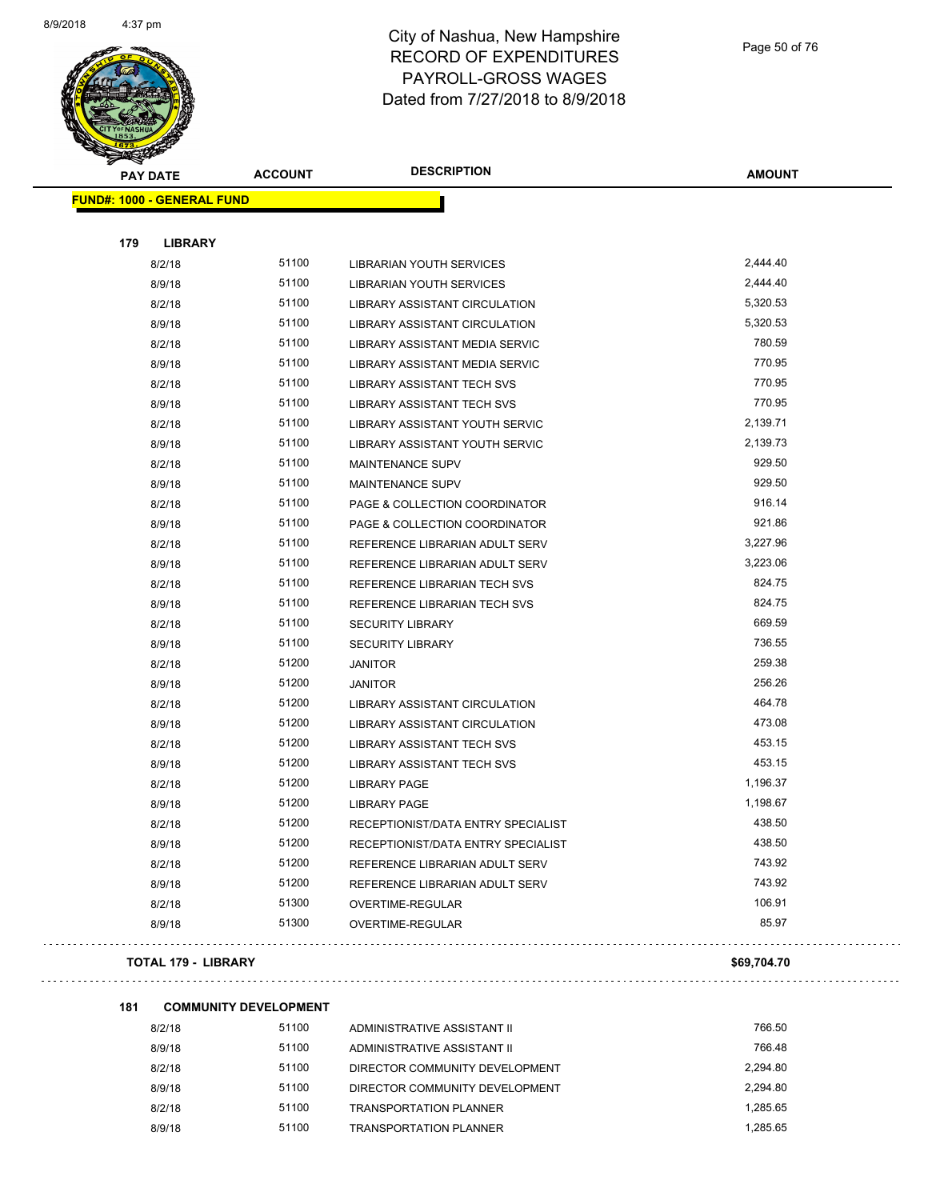

Page 50 of 76

i vila

 $\bar{\psi}$ 

| <b>PAY DATE</b>                   | <b>ACCOUNT</b> | <b>DESCRIPTION</b>                 | <b>AMOUNT</b> |
|-----------------------------------|----------------|------------------------------------|---------------|
| <b>FUND#: 1000 - GENERAL FUND</b> |                |                                    |               |
| 179<br><b>LIBRARY</b>             |                |                                    |               |
| 8/2/18                            | 51100          | LIBRARIAN YOUTH SERVICES           | 2,444.40      |
| 8/9/18                            | 51100          | LIBRARIAN YOUTH SERVICES           | 2,444.40      |
| 8/2/18                            | 51100          | LIBRARY ASSISTANT CIRCULATION      | 5,320.53      |
| 8/9/18                            | 51100          | LIBRARY ASSISTANT CIRCULATION      | 5,320.53      |
| 8/2/18                            | 51100          | LIBRARY ASSISTANT MEDIA SERVIC     | 780.59        |
| 8/9/18                            | 51100          | LIBRARY ASSISTANT MEDIA SERVIC     | 770.95        |
| 8/2/18                            | 51100          | LIBRARY ASSISTANT TECH SVS         | 770.95        |
| 8/9/18                            | 51100          | LIBRARY ASSISTANT TECH SVS         | 770.95        |
| 8/2/18                            | 51100          | LIBRARY ASSISTANT YOUTH SERVIC     | 2,139.71      |
| 8/9/18                            | 51100          | LIBRARY ASSISTANT YOUTH SERVIC     | 2,139.73      |
| 8/2/18                            | 51100          | MAINTENANCE SUPV                   | 929.50        |
| 8/9/18                            | 51100          | <b>MAINTENANCE SUPV</b>            | 929.50        |
| 8/2/18                            | 51100          | PAGE & COLLECTION COORDINATOR      | 916.14        |
| 8/9/18                            | 51100          | PAGE & COLLECTION COORDINATOR      | 921.86        |
| 8/2/18                            | 51100          | REFERENCE LIBRARIAN ADULT SERV     | 3,227.96      |
| 8/9/18                            | 51100          | REFERENCE LIBRARIAN ADULT SERV     | 3,223.06      |
| 8/2/18                            | 51100          | REFERENCE LIBRARIAN TECH SVS       | 824.75        |
| 8/9/18                            | 51100          | REFERENCE LIBRARIAN TECH SVS       | 824.75        |
| 8/2/18                            | 51100          | <b>SECURITY LIBRARY</b>            | 669.59        |
| 8/9/18                            | 51100          | <b>SECURITY LIBRARY</b>            | 736.55        |
| 8/2/18                            | 51200          | <b>JANITOR</b>                     | 259.38        |
| 8/9/18                            | 51200          | <b>JANITOR</b>                     | 256.26        |
| 8/2/18                            | 51200          | LIBRARY ASSISTANT CIRCULATION      | 464.78        |
| 8/9/18                            | 51200          | LIBRARY ASSISTANT CIRCULATION      | 473.08        |
| 8/2/18                            | 51200          | LIBRARY ASSISTANT TECH SVS         | 453.15        |
| 8/9/18                            | 51200          | LIBRARY ASSISTANT TECH SVS         | 453.15        |
| 8/2/18                            | 51200          | <b>LIBRARY PAGE</b>                | 1,196.37      |
| 8/9/18                            | 51200          | <b>LIBRARY PAGE</b>                | 1,198.67      |
| 8/2/18                            | 51200          | RECEPTIONIST/DATA ENTRY SPECIALIST | 438.50        |
| 8/9/18                            | 51200          | RECEPTIONIST/DATA ENTRY SPECIALIST | 438.50        |
| 8/2/18                            | 51200          | REFERENCE LIBRARIAN ADULT SERV     | 743.92        |
| 8/9/18                            | 51200          | REFERENCE LIBRARIAN ADULT SERV     | 743.92        |
| 8/2/18                            | 51300          | OVERTIME-REGULAR                   | 106.91        |
| 8/9/18                            | 51300          | OVERTIME-REGULAR                   | 85.97         |
| <b>TOTAL 179 - LIBRARY</b>        |                |                                    | \$69,704.70   |

| 8/2/18 | 51100 | ADMINISTRATIVE ASSISTANT II    | 766.50   |
|--------|-------|--------------------------------|----------|
| 8/9/18 | 51100 | ADMINISTRATIVE ASSISTANT II    | 766.48   |
| 8/2/18 | 51100 | DIRECTOR COMMUNITY DEVELOPMENT | 2.294.80 |
| 8/9/18 | 51100 | DIRECTOR COMMUNITY DEVELOPMENT | 2.294.80 |
| 8/2/18 | 51100 | <b>TRANSPORTATION PLANNER</b>  | 1.285.65 |
| 8/9/18 | 51100 | <b>TRANSPORTATION PLANNER</b>  | 1.285.65 |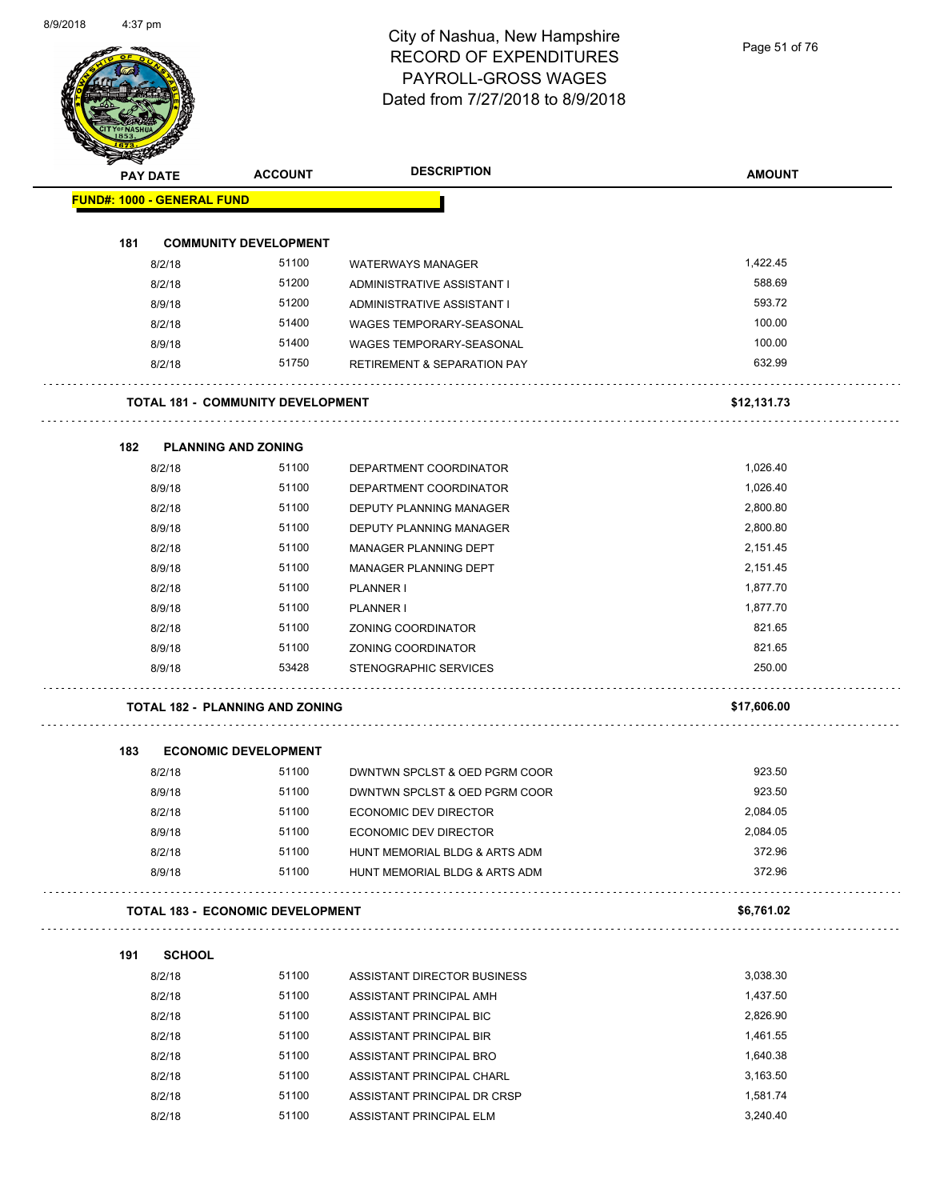Page 51 of 76

| <b>PAY DATE</b>                   | <b>ACCOUNT</b>                           | <b>DESCRIPTION</b>                     | <b>AMOUNT</b> |
|-----------------------------------|------------------------------------------|----------------------------------------|---------------|
| <b>FUND#: 1000 - GENERAL FUND</b> |                                          |                                        |               |
|                                   |                                          |                                        |               |
| 181                               | <b>COMMUNITY DEVELOPMENT</b>             |                                        |               |
| 8/2/18                            | 51100                                    | <b>WATERWAYS MANAGER</b>               | 1,422.45      |
| 8/2/18                            | 51200                                    | ADMINISTRATIVE ASSISTANT I             | 588.69        |
| 8/9/18                            | 51200                                    | ADMINISTRATIVE ASSISTANT I             | 593.72        |
| 8/2/18                            | 51400                                    | WAGES TEMPORARY-SEASONAL               | 100.00        |
| 8/9/18                            | 51400                                    | WAGES TEMPORARY-SEASONAL               | 100.00        |
| 8/2/18                            | 51750                                    | <b>RETIREMENT &amp; SEPARATION PAY</b> | 632.99        |
|                                   | <b>TOTAL 181 - COMMUNITY DEVELOPMENT</b> |                                        | \$12,131.73   |
| 182                               | <b>PLANNING AND ZONING</b>               |                                        |               |
| 8/2/18                            | 51100                                    | DEPARTMENT COORDINATOR                 | 1,026.40      |
| 8/9/18                            | 51100                                    | DEPARTMENT COORDINATOR                 | 1,026.40      |
| 8/2/18                            | 51100                                    | DEPUTY PLANNING MANAGER                | 2,800.80      |
| 8/9/18                            | 51100                                    | <b>DEPUTY PLANNING MANAGER</b>         | 2,800.80      |
| 8/2/18                            | 51100                                    | MANAGER PLANNING DEPT                  | 2,151.45      |
| 8/9/18                            | 51100                                    | MANAGER PLANNING DEPT                  | 2,151.45      |
| 8/2/18                            | 51100                                    | PLANNER I                              | 1,877.70      |
| 8/9/18                            | 51100                                    | PLANNER I                              | 1,877.70      |
| 8/2/18                            | 51100                                    | ZONING COORDINATOR                     | 821.65        |
| 8/9/18                            | 51100                                    | ZONING COORDINATOR                     | 821.65        |
| 8/9/18                            | 53428                                    | STENOGRAPHIC SERVICES                  | 250.00        |
|                                   | <b>TOTAL 182 - PLANNING AND ZONING</b>   |                                        | \$17,606.00   |
| 183                               | <b>ECONOMIC DEVELOPMENT</b>              |                                        |               |
| 8/2/18                            | 51100                                    | DWNTWN SPCLST & OED PGRM COOR          | 923.50        |
| 8/9/18                            | 51100                                    | DWNTWN SPCLST & OED PGRM COOR          | 923.50        |
| 8/2/18                            | 51100                                    | ECONOMIC DEV DIRECTOR                  | 2,084.05      |
| 8/9/18                            | 51100                                    | ECONOMIC DEV DIRECTOR                  | 2,084.05      |
| 8/2/18                            | 51100                                    | HUNT MEMORIAL BLDG & ARTS ADM          | 372.96        |
| 8/9/18                            | 51100                                    | HUNT MEMORIAL BLDG & ARTS ADM          | 372.96        |
|                                   | <b>TOTAL 183 - ECONOMIC DEVELOPMENT</b>  |                                        | \$6,761.02    |
| 191<br><b>SCHOOL</b>              |                                          |                                        |               |
| 8/2/18                            | 51100                                    | ASSISTANT DIRECTOR BUSINESS            | 3,038.30      |
| 8/2/18                            | 51100                                    | ASSISTANT PRINCIPAL AMH                | 1,437.50      |
| 8/2/18                            | 51100                                    | ASSISTANT PRINCIPAL BIC                | 2,826.90      |
| 8/2/18                            | 51100                                    | ASSISTANT PRINCIPAL BIR                | 1,461.55      |
| 8/2/18                            | 51100                                    | ASSISTANT PRINCIPAL BRO                | 1,640.38      |
| 8/2/18                            | 51100                                    | ASSISTANT PRINCIPAL CHARL              | 3,163.50      |
|                                   | 51100                                    | ASSISTANT PRINCIPAL DR CRSP            | 1,581.74      |
| 8/2/18                            |                                          |                                        |               |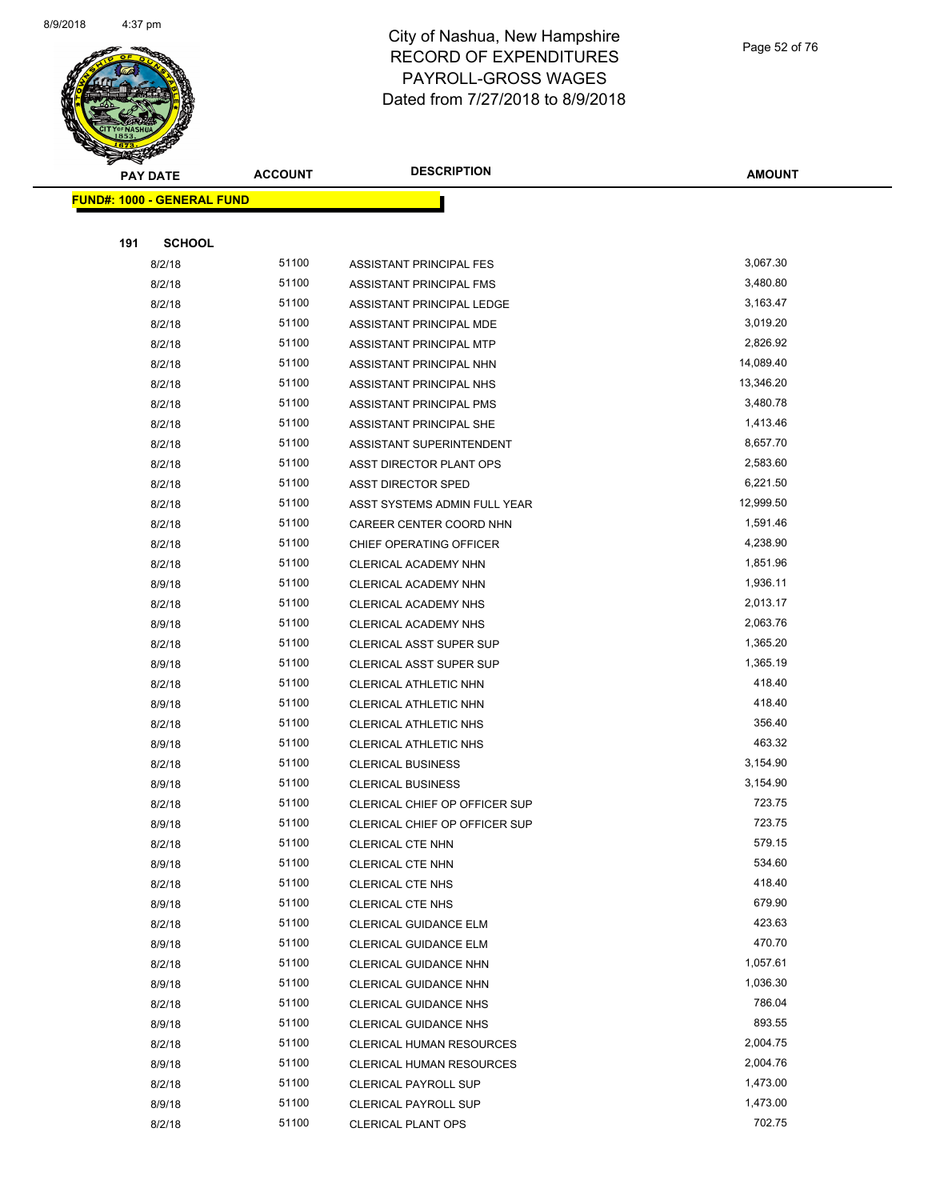

| ॼ<br><b>PAY DATE</b>              | <b>ACCOUNT</b> | <b>DESCRIPTION</b>             | <b>AMOUNT</b> |
|-----------------------------------|----------------|--------------------------------|---------------|
| <b>FUND#: 1000 - GENERAL FUND</b> |                |                                |               |
|                                   |                |                                |               |
| 191<br><b>SCHOOL</b>              |                |                                |               |
| 8/2/18                            | 51100          | ASSISTANT PRINCIPAL FES        | 3,067.30      |
| 8/2/18                            | 51100          | ASSISTANT PRINCIPAL FMS        | 3,480.80      |
| 8/2/18                            | 51100          | ASSISTANT PRINCIPAL LEDGE      | 3,163.47      |
| 8/2/18                            | 51100          | ASSISTANT PRINCIPAL MDE        | 3,019.20      |
| 8/2/18                            | 51100          | ASSISTANT PRINCIPAL MTP        | 2,826.92      |
| 8/2/18                            | 51100          | ASSISTANT PRINCIPAL NHN        | 14,089.40     |
| 8/2/18                            | 51100          | ASSISTANT PRINCIPAL NHS        | 13,346.20     |
| 8/2/18                            | 51100          | ASSISTANT PRINCIPAL PMS        | 3,480.78      |
| 8/2/18                            | 51100          | ASSISTANT PRINCIPAL SHE        | 1,413.46      |
| 8/2/18                            | 51100          | ASSISTANT SUPERINTENDENT       | 8,657.70      |
| 8/2/18                            | 51100          | <b>ASST DIRECTOR PLANT OPS</b> | 2,583.60      |
| 8/2/18                            | 51100          | <b>ASST DIRECTOR SPED</b>      | 6,221.50      |
| 8/2/18                            | 51100          | ASST SYSTEMS ADMIN FULL YEAR   | 12,999.50     |
| 8/2/18                            | 51100          | CAREER CENTER COORD NHN        | 1,591.46      |
| 8/2/18                            | 51100          | CHIEF OPERATING OFFICER        | 4,238.90      |
| 8/2/18                            | 51100          | CLERICAL ACADEMY NHN           | 1,851.96      |
| 8/9/18                            | 51100          | CLERICAL ACADEMY NHN           | 1,936.11      |
| 8/2/18                            | 51100          | CLERICAL ACADEMY NHS           | 2,013.17      |
| 8/9/18                            | 51100          | CLERICAL ACADEMY NHS           | 2,063.76      |
| 8/2/18                            | 51100          | <b>CLERICAL ASST SUPER SUP</b> | 1,365.20      |
| 8/9/18                            | 51100          | <b>CLERICAL ASST SUPER SUP</b> | 1,365.19      |
| 8/2/18                            | 51100          | CLERICAL ATHLETIC NHN          | 418.40        |
| 8/9/18                            | 51100          | CLERICAL ATHLETIC NHN          | 418.40        |
| 8/2/18                            | 51100          | <b>CLERICAL ATHLETIC NHS</b>   | 356.40        |
| 8/9/18                            | 51100          | <b>CLERICAL ATHLETIC NHS</b>   | 463.32        |
| 8/2/18                            | 51100          | <b>CLERICAL BUSINESS</b>       | 3,154.90      |
| 8/9/18                            | 51100          | <b>CLERICAL BUSINESS</b>       | 3,154.90      |
| 8/2/18                            | 51100          | CLERICAL CHIEF OP OFFICER SUP  | 723.75        |
| 8/9/18                            | 51100          | CLERICAL CHIEF OP OFFICER SUP  | 723.75        |
|                                   | 51100          | CLERICAL CTE NHN               | 579.15        |
| 8/2/18<br>8/9/18                  | 51100          | <b>CLERICAL CTE NHN</b>        | 534.60        |
| 8/2/18                            | 51100          | CLERICAL CTE NHS               | 418.40        |
| 8/9/18                            | 51100          | CLERICAL CTE NHS               | 679.90        |
| 8/2/18                            | 51100          | CLERICAL GUIDANCE ELM          | 423.63        |
| 8/9/18                            | 51100          | CLERICAL GUIDANCE ELM          | 470.70        |
| 8/2/18                            | 51100          | CLERICAL GUIDANCE NHN          | 1,057.61      |
| 8/9/18                            | 51100          | CLERICAL GUIDANCE NHN          | 1,036.30      |
| 8/2/18                            | 51100          | <b>CLERICAL GUIDANCE NHS</b>   | 786.04        |
|                                   | 51100          | <b>CLERICAL GUIDANCE NHS</b>   | 893.55        |
| 8/9/18                            |                |                                | 2,004.75      |
| 8/2/18                            | 51100<br>51100 | CLERICAL HUMAN RESOURCES       | 2,004.76      |
| 8/9/18                            | 51100          | CLERICAL HUMAN RESOURCES       | 1,473.00      |
| 8/2/18                            |                | <b>CLERICAL PAYROLL SUP</b>    |               |
| 8/9/18                            | 51100          | <b>CLERICAL PAYROLL SUP</b>    | 1,473.00      |
| 8/2/18                            | 51100          | <b>CLERICAL PLANT OPS</b>      | 702.75        |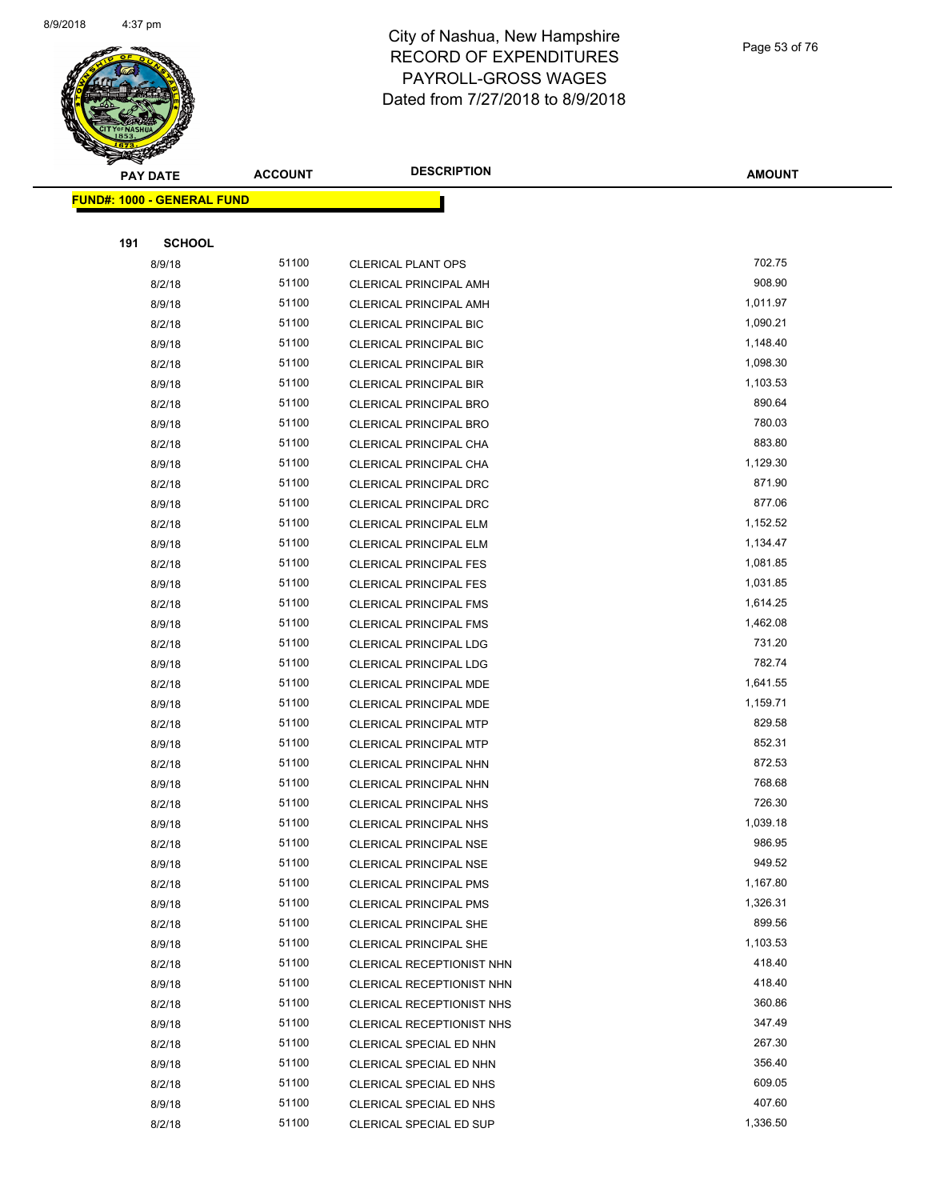

Page 53 of 76

| T<br>B.<br><b>PAY DATE</b>        | <b>ACCOUNT</b> | <b>DESCRIPTION</b>                                     | <b>AMOUNT</b>      |
|-----------------------------------|----------------|--------------------------------------------------------|--------------------|
| <b>FUND#: 1000 - GENERAL FUND</b> |                |                                                        |                    |
|                                   |                |                                                        |                    |
| 191<br><b>SCHOOL</b>              |                |                                                        |                    |
| 8/9/18                            | 51100          | <b>CLERICAL PLANT OPS</b>                              | 702.75             |
| 8/2/18                            | 51100          | <b>CLERICAL PRINCIPAL AMH</b>                          | 908.90             |
| 8/9/18                            | 51100          | <b>CLERICAL PRINCIPAL AMH</b>                          | 1,011.97           |
| 8/2/18                            | 51100          | <b>CLERICAL PRINCIPAL BIC</b>                          | 1,090.21           |
| 8/9/18                            | 51100          | <b>CLERICAL PRINCIPAL BIC</b>                          | 1,148.40           |
| 8/2/18                            | 51100          | <b>CLERICAL PRINCIPAL BIR</b>                          | 1,098.30           |
| 8/9/18                            | 51100          | <b>CLERICAL PRINCIPAL BIR</b>                          | 1,103.53           |
| 8/2/18                            | 51100          | <b>CLERICAL PRINCIPAL BRO</b>                          | 890.64             |
| 8/9/18                            | 51100          | <b>CLERICAL PRINCIPAL BRO</b>                          | 780.03             |
| 8/2/18                            | 51100          | CLERICAL PRINCIPAL CHA                                 | 883.80             |
| 8/9/18                            | 51100          | CLERICAL PRINCIPAL CHA                                 | 1,129.30           |
| 8/2/18                            | 51100          | <b>CLERICAL PRINCIPAL DRC</b>                          | 871.90             |
| 8/9/18                            | 51100          | CLERICAL PRINCIPAL DRC                                 | 877.06             |
| 8/2/18                            | 51100          | CLERICAL PRINCIPAL ELM                                 | 1,152.52           |
| 8/9/18                            | 51100          | <b>CLERICAL PRINCIPAL ELM</b>                          | 1,134.47           |
| 8/2/18                            | 51100          | <b>CLERICAL PRINCIPAL FES</b>                          | 1,081.85           |
| 8/9/18                            | 51100          | <b>CLERICAL PRINCIPAL FES</b>                          | 1,031.85           |
| 8/2/18                            | 51100          | <b>CLERICAL PRINCIPAL FMS</b>                          | 1,614.25           |
| 8/9/18                            | 51100          | <b>CLERICAL PRINCIPAL FMS</b>                          | 1,462.08           |
| 8/2/18                            | 51100          | <b>CLERICAL PRINCIPAL LDG</b>                          | 731.20             |
| 8/9/18                            | 51100          | CLERICAL PRINCIPAL LDG                                 | 782.74             |
| 8/2/18                            | 51100          | CLERICAL PRINCIPAL MDE                                 | 1,641.55           |
| 8/9/18                            | 51100          | CLERICAL PRINCIPAL MDE                                 | 1,159.71           |
| 8/2/18                            | 51100          | <b>CLERICAL PRINCIPAL MTP</b>                          | 829.58             |
| 8/9/18                            | 51100          | <b>CLERICAL PRINCIPAL MTP</b>                          | 852.31             |
| 8/2/18                            | 51100          | CLERICAL PRINCIPAL NHN                                 | 872.53             |
| 8/9/18                            | 51100          | CLERICAL PRINCIPAL NHN                                 | 768.68             |
| 8/2/18                            | 51100          | <b>CLERICAL PRINCIPAL NHS</b>                          | 726.30             |
| 8/9/18                            | 51100          | <b>CLERICAL PRINCIPAL NHS</b>                          | 1,039.18           |
| 8/2/18                            | 51100          | CLERICAL PRINCIPAL NSE                                 | 986.95             |
| 8/9/18                            | 51100          | CLERICAL PRINCIPAL NSE                                 | 949.52             |
| 8/2/18                            | 51100          | <b>CLERICAL PRINCIPAL PMS</b>                          | 1,167.80           |
| 8/9/18                            | 51100          | <b>CLERICAL PRINCIPAL PMS</b>                          | 1,326.31           |
| 8/2/18                            | 51100          | <b>CLERICAL PRINCIPAL SHE</b>                          | 899.56             |
| 8/9/18                            | 51100<br>51100 | CLERICAL PRINCIPAL SHE                                 | 1,103.53<br>418.40 |
| 8/2/18                            | 51100          | CLERICAL RECEPTIONIST NHN                              | 418.40             |
| 8/9/18                            |                | CLERICAL RECEPTIONIST NHN                              |                    |
| 8/2/18<br>8/9/18                  | 51100<br>51100 | CLERICAL RECEPTIONIST NHS<br>CLERICAL RECEPTIONIST NHS | 360.86<br>347.49   |
|                                   | 51100          | CLERICAL SPECIAL ED NHN                                | 267.30             |
| 8/2/18<br>8/9/18                  | 51100          | CLERICAL SPECIAL ED NHN                                | 356.40             |
| 8/2/18                            | 51100          | CLERICAL SPECIAL ED NHS                                | 609.05             |
| 8/9/18                            | 51100          | CLERICAL SPECIAL ED NHS                                | 407.60             |
| 8/2/18                            | 51100          | CLERICAL SPECIAL ED SUP                                | 1,336.50           |
|                                   |                |                                                        |                    |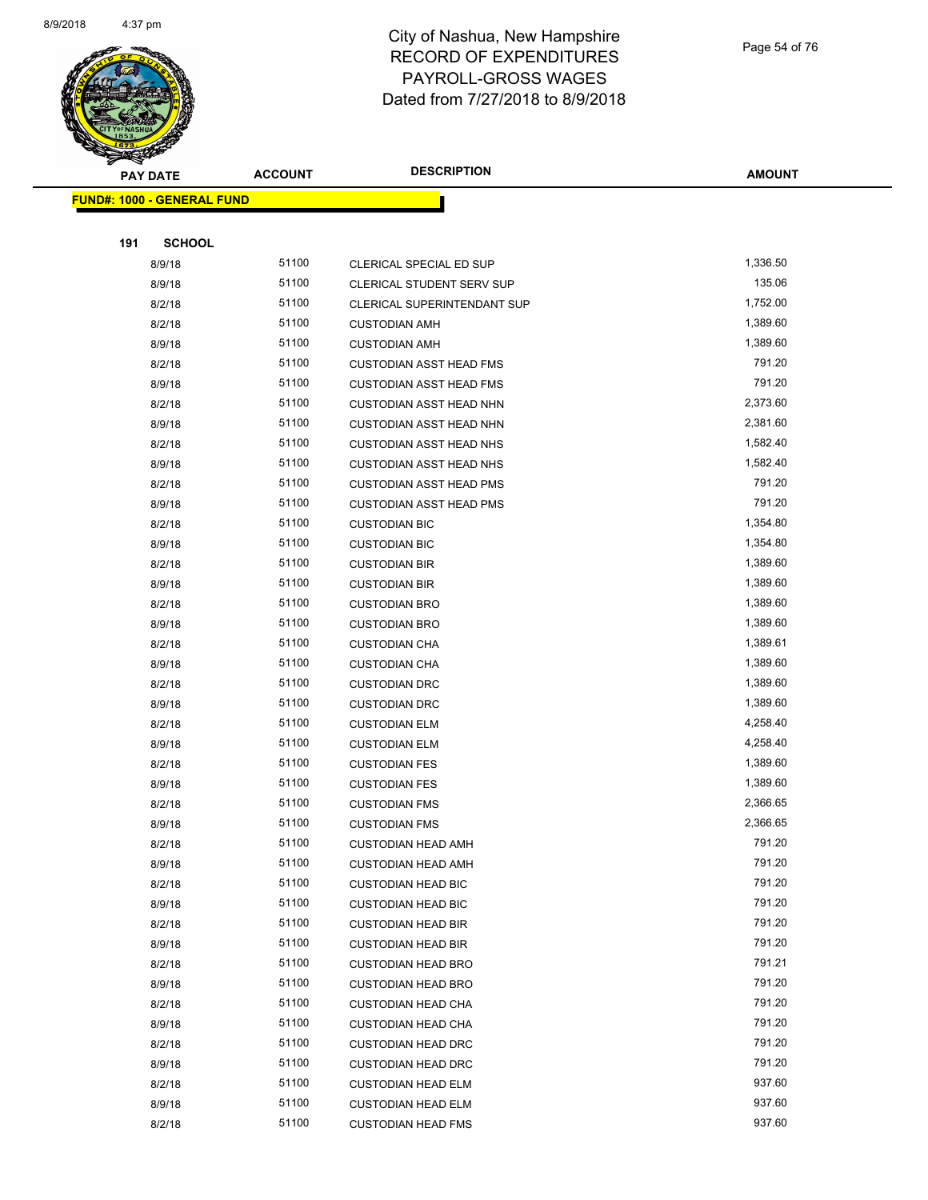

Page 54 of 76

| <b>PAY DATE</b>            | <b>ACCOUNT</b> | <b>DESCRIPTION</b>                 | <b>AMOUNT</b>    |
|----------------------------|----------------|------------------------------------|------------------|
| FUND#: 1000 - GENERAL FUND |                |                                    |                  |
|                            |                |                                    |                  |
| <b>SCHOOL</b><br>191       |                |                                    |                  |
| 8/9/18                     | 51100          | CLERICAL SPECIAL ED SUP            | 1,336.50         |
| 8/9/18                     | 51100          | CLERICAL STUDENT SERV SUP          | 135.06           |
| 8/2/18                     | 51100          | <b>CLERICAL SUPERINTENDANT SUP</b> | 1,752.00         |
| 8/2/18                     | 51100          | <b>CUSTODIAN AMH</b>               | 1,389.60         |
| 8/9/18                     | 51100          | <b>CUSTODIAN AMH</b>               | 1,389.60         |
| 8/2/18                     | 51100          | <b>CUSTODIAN ASST HEAD FMS</b>     | 791.20           |
| 8/9/18                     | 51100          | <b>CUSTODIAN ASST HEAD FMS</b>     | 791.20           |
| 8/2/18                     | 51100          | <b>CUSTODIAN ASST HEAD NHN</b>     | 2,373.60         |
| 8/9/18                     | 51100          | <b>CUSTODIAN ASST HEAD NHN</b>     | 2,381.60         |
| 8/2/18                     | 51100          | <b>CUSTODIAN ASST HEAD NHS</b>     | 1,582.40         |
| 8/9/18                     | 51100          | <b>CUSTODIAN ASST HEAD NHS</b>     | 1,582.40         |
| 8/2/18                     | 51100          | <b>CUSTODIAN ASST HEAD PMS</b>     | 791.20           |
| 8/9/18                     | 51100          | <b>CUSTODIAN ASST HEAD PMS</b>     | 791.20           |
| 8/2/18                     | 51100          | <b>CUSTODIAN BIC</b>               | 1,354.80         |
| 8/9/18                     | 51100          | <b>CUSTODIAN BIC</b>               | 1,354.80         |
| 8/2/18                     | 51100          | <b>CUSTODIAN BIR</b>               | 1,389.60         |
| 8/9/18                     | 51100          | <b>CUSTODIAN BIR</b>               | 1,389.60         |
| 8/2/18                     | 51100          | <b>CUSTODIAN BRO</b>               | 1,389.60         |
| 8/9/18                     | 51100          | <b>CUSTODIAN BRO</b>               | 1,389.60         |
| 8/2/18                     | 51100          | <b>CUSTODIAN CHA</b>               | 1,389.61         |
| 8/9/18                     | 51100          | <b>CUSTODIAN CHA</b>               | 1,389.60         |
| 8/2/18                     | 51100          | <b>CUSTODIAN DRC</b>               | 1,389.60         |
| 8/9/18                     | 51100          | <b>CUSTODIAN DRC</b>               | 1,389.60         |
| 8/2/18                     | 51100          | <b>CUSTODIAN ELM</b>               | 4,258.40         |
| 8/9/18                     | 51100          | <b>CUSTODIAN ELM</b>               | 4,258.40         |
| 8/2/18                     | 51100          | <b>CUSTODIAN FES</b>               | 1,389.60         |
| 8/9/18                     | 51100          | <b>CUSTODIAN FES</b>               | 1,389.60         |
| 8/2/18                     | 51100          | <b>CUSTODIAN FMS</b>               | 2,366.65         |
| 8/9/18                     | 51100          | <b>CUSTODIAN FMS</b>               | 2,366.65         |
| 8/2/18                     | 51100          | CUSTODIAN HEAD AMH                 | 791.20           |
| 8/9/18                     | 51100          | <b>CUSTODIAN HEAD AMH</b>          | 791.20           |
| 8/2/18                     | 51100          | <b>CUSTODIAN HEAD BIC</b>          | 791.20           |
| 8/9/18                     | 51100          | <b>CUSTODIAN HEAD BIC</b>          | 791.20           |
| 8/2/18                     | 51100          | <b>CUSTODIAN HEAD BIR</b>          | 791.20           |
| 8/9/18                     | 51100          | <b>CUSTODIAN HEAD BIR</b>          | 791.20           |
| 8/2/18                     | 51100          | <b>CUSTODIAN HEAD BRO</b>          | 791.21           |
| 8/9/18                     | 51100          | <b>CUSTODIAN HEAD BRO</b>          | 791.20           |
| 8/2/18                     | 51100          | <b>CUSTODIAN HEAD CHA</b>          | 791.20           |
| 8/9/18                     | 51100          | <b>CUSTODIAN HEAD CHA</b>          | 791.20           |
| 8/2/18                     | 51100          | <b>CUSTODIAN HEAD DRC</b>          | 791.20<br>791.20 |
| 8/9/18                     | 51100<br>51100 | <b>CUSTODIAN HEAD DRC</b>          | 937.60           |
| 8/2/18                     | 51100          | <b>CUSTODIAN HEAD ELM</b>          | 937.60           |
| 8/9/18                     |                | <b>CUSTODIAN HEAD ELM</b>          |                  |
| 8/2/18                     | 51100          | <b>CUSTODIAN HEAD FMS</b>          | 937.60           |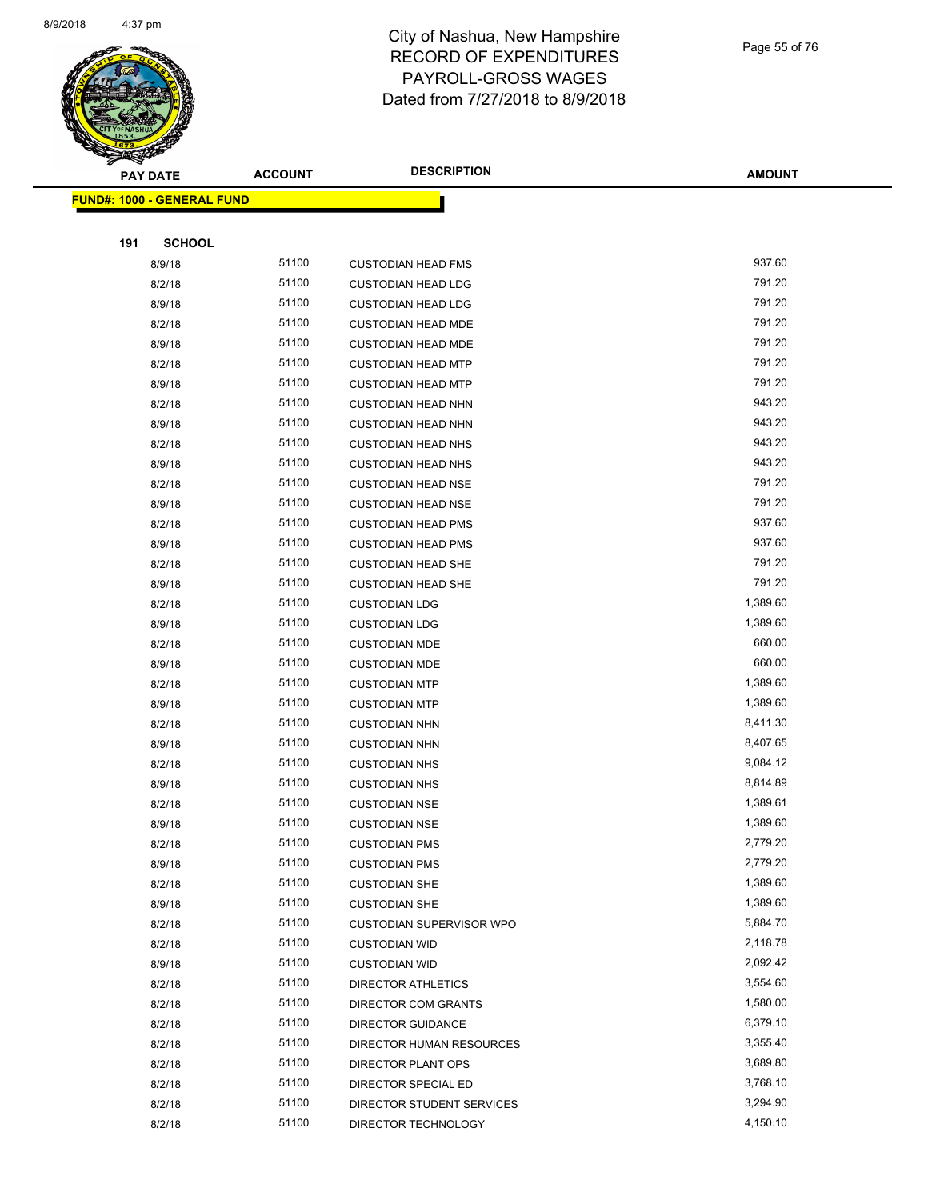

Page 55 of 76

| <b>PAY DATE</b>            | <b>ACCOUNT</b> | <b>DESCRIPTION</b>              | <b>AMOUNT</b> |
|----------------------------|----------------|---------------------------------|---------------|
| FUND#: 1000 - GENERAL FUND |                |                                 |               |
|                            |                |                                 |               |
| 191<br><b>SCHOOL</b>       |                |                                 |               |
| 8/9/18                     | 51100          | <b>CUSTODIAN HEAD FMS</b>       | 937.60        |
| 8/2/18                     | 51100          | <b>CUSTODIAN HEAD LDG</b>       | 791.20        |
| 8/9/18                     | 51100          | <b>CUSTODIAN HEAD LDG</b>       | 791.20        |
| 8/2/18                     | 51100          | <b>CUSTODIAN HEAD MDE</b>       | 791.20        |
| 8/9/18                     | 51100          | <b>CUSTODIAN HEAD MDE</b>       | 791.20        |
| 8/2/18                     | 51100          | <b>CUSTODIAN HEAD MTP</b>       | 791.20        |
| 8/9/18                     | 51100          | <b>CUSTODIAN HEAD MTP</b>       | 791.20        |
| 8/2/18                     | 51100          | <b>CUSTODIAN HEAD NHN</b>       | 943.20        |
| 8/9/18                     | 51100          | <b>CUSTODIAN HEAD NHN</b>       | 943.20        |
| 8/2/18                     | 51100          | <b>CUSTODIAN HEAD NHS</b>       | 943.20        |
| 8/9/18                     | 51100          | <b>CUSTODIAN HEAD NHS</b>       | 943.20        |
| 8/2/18                     | 51100          | <b>CUSTODIAN HEAD NSE</b>       | 791.20        |
| 8/9/18                     | 51100          | <b>CUSTODIAN HEAD NSE</b>       | 791.20        |
| 8/2/18                     | 51100          | <b>CUSTODIAN HEAD PMS</b>       | 937.60        |
| 8/9/18                     | 51100          | <b>CUSTODIAN HEAD PMS</b>       | 937.60        |
| 8/2/18                     | 51100          | <b>CUSTODIAN HEAD SHE</b>       | 791.20        |
| 8/9/18                     | 51100          | <b>CUSTODIAN HEAD SHE</b>       | 791.20        |
| 8/2/18                     | 51100          | <b>CUSTODIAN LDG</b>            | 1,389.60      |
| 8/9/18                     | 51100          | <b>CUSTODIAN LDG</b>            | 1,389.60      |
| 8/2/18                     | 51100          | <b>CUSTODIAN MDE</b>            | 660.00        |
| 8/9/18                     | 51100          | <b>CUSTODIAN MDE</b>            | 660.00        |
| 8/2/18                     | 51100          | <b>CUSTODIAN MTP</b>            | 1,389.60      |
| 8/9/18                     | 51100          | <b>CUSTODIAN MTP</b>            | 1,389.60      |
| 8/2/18                     | 51100          | <b>CUSTODIAN NHN</b>            | 8,411.30      |
| 8/9/18                     | 51100          | <b>CUSTODIAN NHN</b>            | 8,407.65      |
| 8/2/18                     | 51100          | <b>CUSTODIAN NHS</b>            | 9,084.12      |
| 8/9/18                     | 51100          | <b>CUSTODIAN NHS</b>            | 8,814.89      |
| 8/2/18                     | 51100          | <b>CUSTODIAN NSE</b>            | 1,389.61      |
| 8/9/18                     | 51100          | <b>CUSTODIAN NSE</b>            | 1,389.60      |
| 8/2/18                     | 51100          | <b>CUSTODIAN PMS</b>            | 2,779.20      |
| 8/9/18                     | 51100          | <b>CUSTODIAN PMS</b>            | 2,779.20      |
| 8/2/18                     | 51100          | <b>CUSTODIAN SHE</b>            | 1,389.60      |
| 8/9/18                     | 51100          | <b>CUSTODIAN SHE</b>            | 1,389.60      |
| 8/2/18                     | 51100          | <b>CUSTODIAN SUPERVISOR WPO</b> | 5,884.70      |
| 8/2/18                     | 51100          | <b>CUSTODIAN WID</b>            | 2,118.78      |
| 8/9/18                     | 51100          | <b>CUSTODIAN WID</b>            | 2,092.42      |
| 8/2/18                     | 51100          | <b>DIRECTOR ATHLETICS</b>       | 3,554.60      |
| 8/2/18                     | 51100          | DIRECTOR COM GRANTS             | 1,580.00      |
| 8/2/18                     | 51100          | <b>DIRECTOR GUIDANCE</b>        | 6,379.10      |
| 8/2/18                     | 51100          | DIRECTOR HUMAN RESOURCES        | 3,355.40      |
| 8/2/18                     | 51100          | DIRECTOR PLANT OPS              | 3,689.80      |
| 8/2/18                     | 51100          | DIRECTOR SPECIAL ED             | 3,768.10      |
| 8/2/18                     | 51100          | DIRECTOR STUDENT SERVICES       | 3,294.90      |
| 8/2/18                     | 51100          | DIRECTOR TECHNOLOGY             | 4,150.10      |
|                            |                |                                 |               |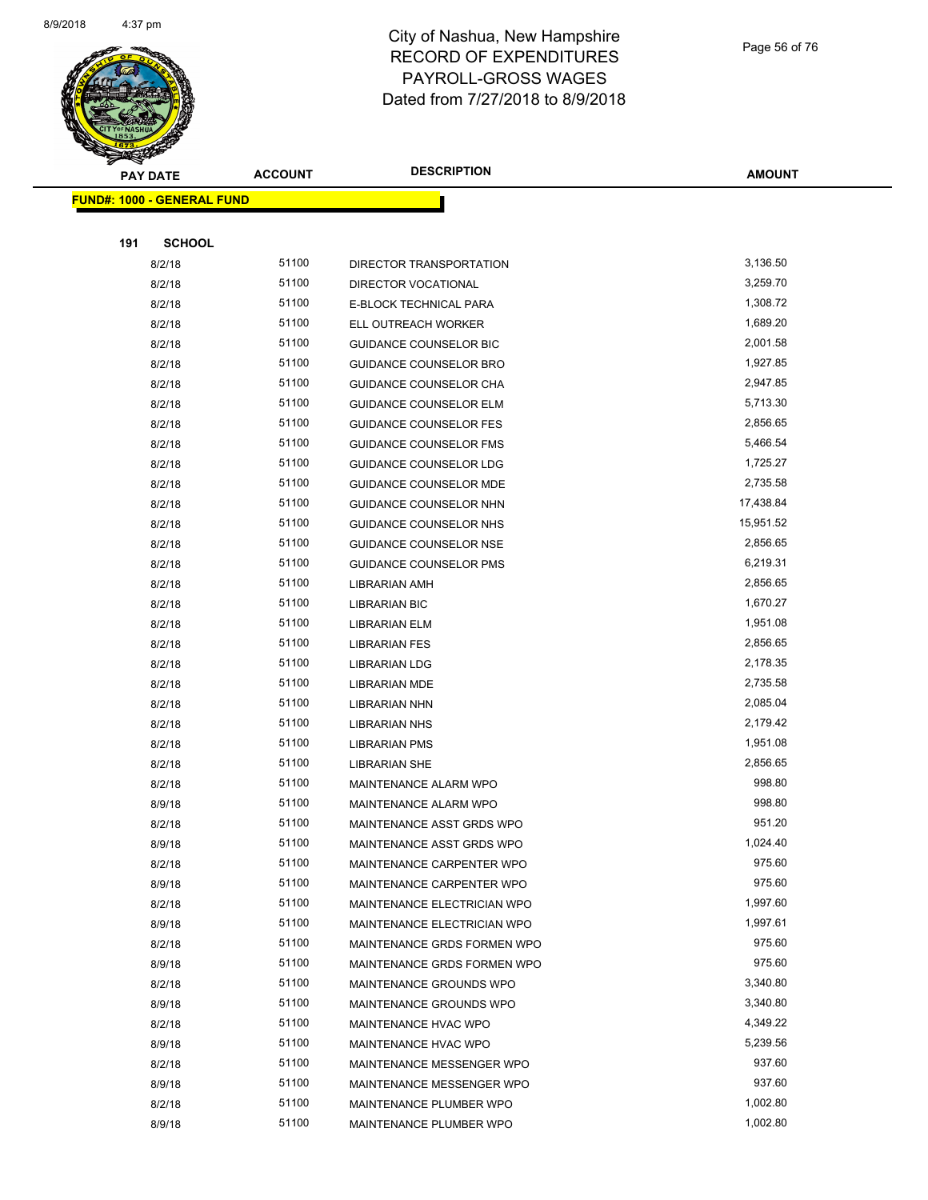

Page 56 of 76

| <b>Anthony</b>                    |                | <b>DESCRIPTION</b>            |               |
|-----------------------------------|----------------|-------------------------------|---------------|
| <b>PAY DATE</b>                   | <b>ACCOUNT</b> |                               | <b>AMOUNT</b> |
| <b>FUND#: 1000 - GENERAL FUND</b> |                |                               |               |
|                                   |                |                               |               |
| 191<br><b>SCHOOL</b>              |                |                               |               |
| 8/2/18                            | 51100          | DIRECTOR TRANSPORTATION       | 3,136.50      |
| 8/2/18                            | 51100          | DIRECTOR VOCATIONAL           | 3,259.70      |
| 8/2/18                            | 51100          | E-BLOCK TECHNICAL PARA        | 1,308.72      |
| 8/2/18                            | 51100          | ELL OUTREACH WORKER           | 1,689.20      |
| 8/2/18                            | 51100          | <b>GUIDANCE COUNSELOR BIC</b> | 2,001.58      |
| 8/2/18                            | 51100          | <b>GUIDANCE COUNSELOR BRO</b> | 1,927.85      |
| 8/2/18                            | 51100          | <b>GUIDANCE COUNSELOR CHA</b> | 2,947.85      |
| 8/2/18                            | 51100          | <b>GUIDANCE COUNSELOR ELM</b> | 5,713.30      |
| 8/2/18                            | 51100          | <b>GUIDANCE COUNSELOR FES</b> | 2,856.65      |
| 8/2/18                            | 51100          | <b>GUIDANCE COUNSELOR FMS</b> | 5,466.54      |
| 8/2/18                            | 51100          | <b>GUIDANCE COUNSELOR LDG</b> | 1,725.27      |
| 8/2/18                            | 51100          | <b>GUIDANCE COUNSELOR MDE</b> | 2,735.58      |
| 8/2/18                            | 51100          | GUIDANCE COUNSELOR NHN        | 17,438.84     |
| 8/2/18                            | 51100          | GUIDANCE COUNSELOR NHS        | 15,951.52     |
| 8/2/18                            | 51100          | <b>GUIDANCE COUNSELOR NSE</b> | 2,856.65      |
| 8/2/18                            | 51100          | <b>GUIDANCE COUNSELOR PMS</b> | 6,219.31      |
| 8/2/18                            | 51100          | <b>LIBRARIAN AMH</b>          | 2,856.65      |
| 8/2/18                            | 51100          | <b>LIBRARIAN BIC</b>          | 1,670.27      |
| 8/2/18                            | 51100          | LIBRARIAN ELM                 | 1,951.08      |
| 8/2/18                            | 51100          | LIBRARIAN FES                 | 2,856.65      |
| 8/2/18                            | 51100          | <b>LIBRARIAN LDG</b>          | 2,178.35      |
| 8/2/18                            | 51100          | <b>LIBRARIAN MDE</b>          | 2,735.58      |
| 8/2/18                            | 51100          | <b>LIBRARIAN NHN</b>          | 2,085.04      |
| 8/2/18                            | 51100          | <b>LIBRARIAN NHS</b>          | 2,179.42      |
| 8/2/18                            | 51100          | <b>LIBRARIAN PMS</b>          | 1,951.08      |
| 8/2/18                            | 51100          | <b>LIBRARIAN SHE</b>          | 2,856.65      |
| 8/2/18                            | 51100          | MAINTENANCE ALARM WPO         | 998.80        |
| 8/9/18                            | 51100          | MAINTENANCE ALARM WPO         | 998.80        |
| 8/2/18                            | 51100          | MAINTENANCE ASST GRDS WPO     | 951.20        |
| 8/9/18                            | 51100          | MAINTENANCE ASST GRDS WPO     | 1,024.40      |
| 8/2/18                            | 51100          | MAINTENANCE CARPENTER WPO     | 975.60        |
| 8/9/18                            | 51100          | MAINTENANCE CARPENTER WPO     | 975.60        |
| 8/2/18                            | 51100          | MAINTENANCE ELECTRICIAN WPO   | 1,997.60      |
| 8/9/18                            | 51100          | MAINTENANCE ELECTRICIAN WPO   | 1,997.61      |
| 8/2/18                            | 51100          | MAINTENANCE GRDS FORMEN WPO   | 975.60        |
| 8/9/18                            | 51100          | MAINTENANCE GRDS FORMEN WPO   | 975.60        |
| 8/2/18                            | 51100          | MAINTENANCE GROUNDS WPO       | 3,340.80      |
| 8/9/18                            | 51100          | MAINTENANCE GROUNDS WPO       | 3,340.80      |
| 8/2/18                            | 51100          | MAINTENANCE HVAC WPO          | 4,349.22      |
| 8/9/18                            | 51100          | MAINTENANCE HVAC WPO          | 5,239.56      |
| 8/2/18                            | 51100          | MAINTENANCE MESSENGER WPO     | 937.60        |
| 8/9/18                            | 51100          | MAINTENANCE MESSENGER WPO     | 937.60        |
| 8/2/18                            | 51100          | MAINTENANCE PLUMBER WPO       | 1,002.80      |
| 8/9/18                            | 51100          | MAINTENANCE PLUMBER WPO       | 1,002.80      |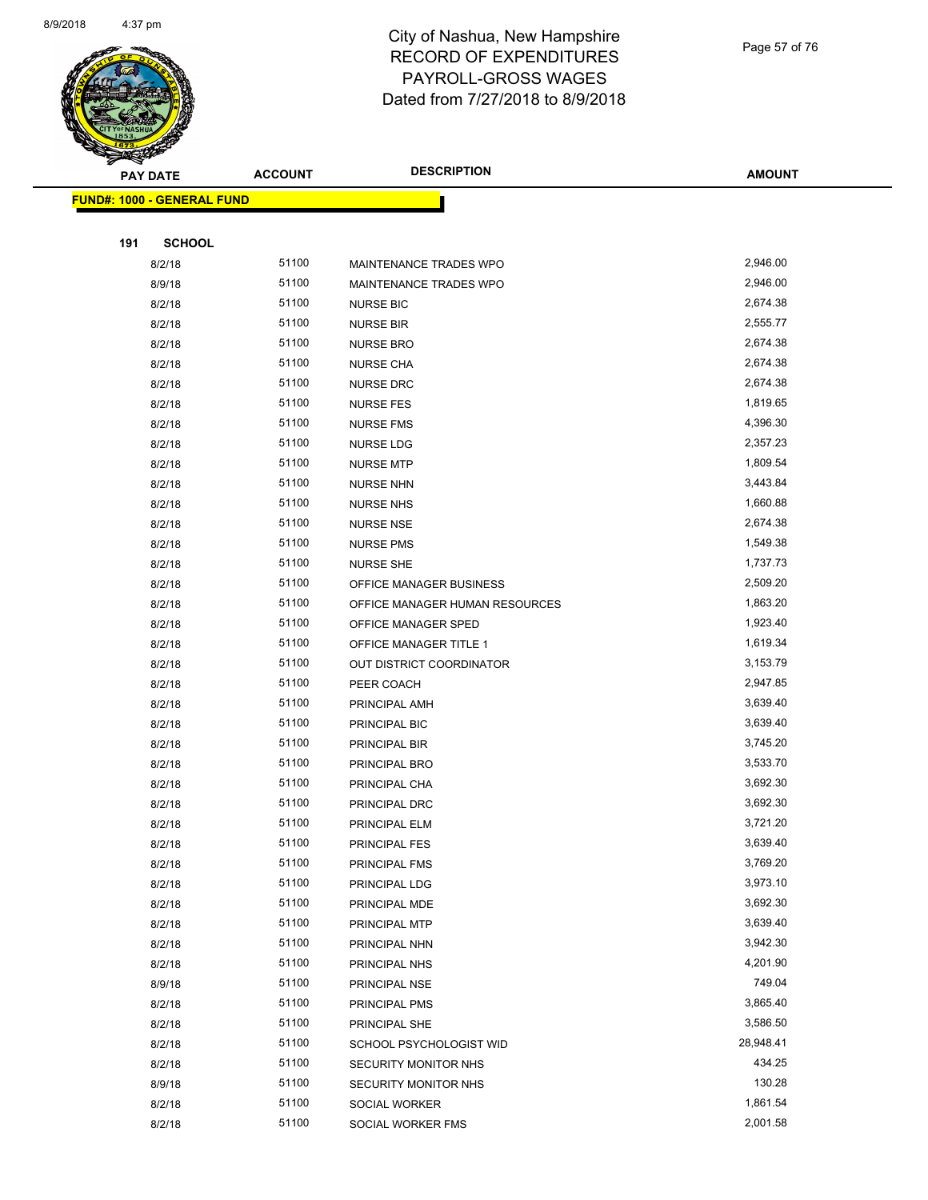

Page 57 of 76

|     | <b>PAY DATE</b>                   | <b>ACCOUNT</b> | <b>DESCRIPTION</b>             | <b>AMOUNT</b>    |
|-----|-----------------------------------|----------------|--------------------------------|------------------|
|     | <b>FUND#: 1000 - GENERAL FUND</b> |                |                                |                  |
|     |                                   |                |                                |                  |
| 191 | <b>SCHOOL</b>                     |                |                                |                  |
|     | 8/2/18                            | 51100          | MAINTENANCE TRADES WPO         | 2,946.00         |
|     | 8/9/18                            | 51100          | MAINTENANCE TRADES WPO         | 2,946.00         |
|     | 8/2/18                            | 51100          | <b>NURSE BIC</b>               | 2,674.38         |
|     | 8/2/18                            | 51100          | <b>NURSE BIR</b>               | 2,555.77         |
|     | 8/2/18                            | 51100          | <b>NURSE BRO</b>               | 2,674.38         |
|     | 8/2/18                            | 51100          | <b>NURSE CHA</b>               | 2,674.38         |
|     | 8/2/18                            | 51100          | <b>NURSE DRC</b>               | 2,674.38         |
|     | 8/2/18                            | 51100          | <b>NURSE FES</b>               | 1,819.65         |
|     | 8/2/18                            | 51100          | <b>NURSE FMS</b>               | 4,396.30         |
|     | 8/2/18                            | 51100          | NURSE LDG                      | 2,357.23         |
|     | 8/2/18                            | 51100          | <b>NURSE MTP</b>               | 1,809.54         |
|     | 8/2/18                            | 51100          | <b>NURSE NHN</b>               | 3,443.84         |
|     | 8/2/18                            | 51100          | <b>NURSE NHS</b>               | 1,660.88         |
|     | 8/2/18                            | 51100          | <b>NURSE NSE</b>               | 2,674.38         |
|     | 8/2/18                            | 51100          | <b>NURSE PMS</b>               | 1,549.38         |
|     | 8/2/18                            | 51100          | <b>NURSE SHE</b>               | 1,737.73         |
|     | 8/2/18                            | 51100          | OFFICE MANAGER BUSINESS        | 2,509.20         |
|     | 8/2/18                            | 51100          | OFFICE MANAGER HUMAN RESOURCES | 1,863.20         |
|     | 8/2/18                            | 51100          | OFFICE MANAGER SPED            | 1,923.40         |
|     | 8/2/18                            | 51100          | OFFICE MANAGER TITLE 1         | 1,619.34         |
|     | 8/2/18                            | 51100          | OUT DISTRICT COORDINATOR       | 3,153.79         |
|     | 8/2/18                            | 51100          | PEER COACH                     | 2,947.85         |
|     | 8/2/18                            | 51100          | PRINCIPAL AMH                  | 3,639.40         |
|     | 8/2/18                            | 51100          | PRINCIPAL BIC                  | 3,639.40         |
|     | 8/2/18                            | 51100          | PRINCIPAL BIR                  | 3,745.20         |
|     | 8/2/18                            | 51100          | PRINCIPAL BRO                  | 3,533.70         |
|     | 8/2/18                            | 51100          | PRINCIPAL CHA                  | 3,692.30         |
|     | 8/2/18                            | 51100          | PRINCIPAL DRC                  | 3,692.30         |
|     | 8/2/18                            | 51100          | PRINCIPAL ELM                  | 3,721.20         |
|     | 8/2/18                            | 51100          | PRINCIPAL FES                  | 3,639.40         |
|     | 8/2/18                            | 51100          | PRINCIPAL FMS                  | 3,769.20         |
|     | 8/2/18                            | 51100          | PRINCIPAL LDG                  | 3,973.10         |
|     | 8/2/18                            | 51100          | PRINCIPAL MDE                  | 3,692.30         |
|     | 8/2/18                            | 51100          | PRINCIPAL MTP                  | 3,639.40         |
|     | 8/2/18                            | 51100          | PRINCIPAL NHN                  | 3,942.30         |
|     | 8/2/18                            | 51100          | PRINCIPAL NHS                  | 4,201.90         |
|     | 8/9/18                            | 51100          | PRINCIPAL NSE                  | 749.04           |
|     | 8/2/18                            | 51100          | PRINCIPAL PMS                  | 3,865.40         |
|     | 8/2/18                            | 51100          | PRINCIPAL SHE                  | 3,586.50         |
|     | 8/2/18                            | 51100          | SCHOOL PSYCHOLOGIST WID        | 28,948.41        |
|     | 8/2/18                            | 51100<br>51100 | SECURITY MONITOR NHS           | 434.25<br>130.28 |
|     | 8/9/18                            |                | SECURITY MONITOR NHS           |                  |
|     | 8/2/18                            | 51100<br>51100 | SOCIAL WORKER                  | 1,861.54         |
|     | 8/2/18                            |                | SOCIAL WORKER FMS              | 2,001.58         |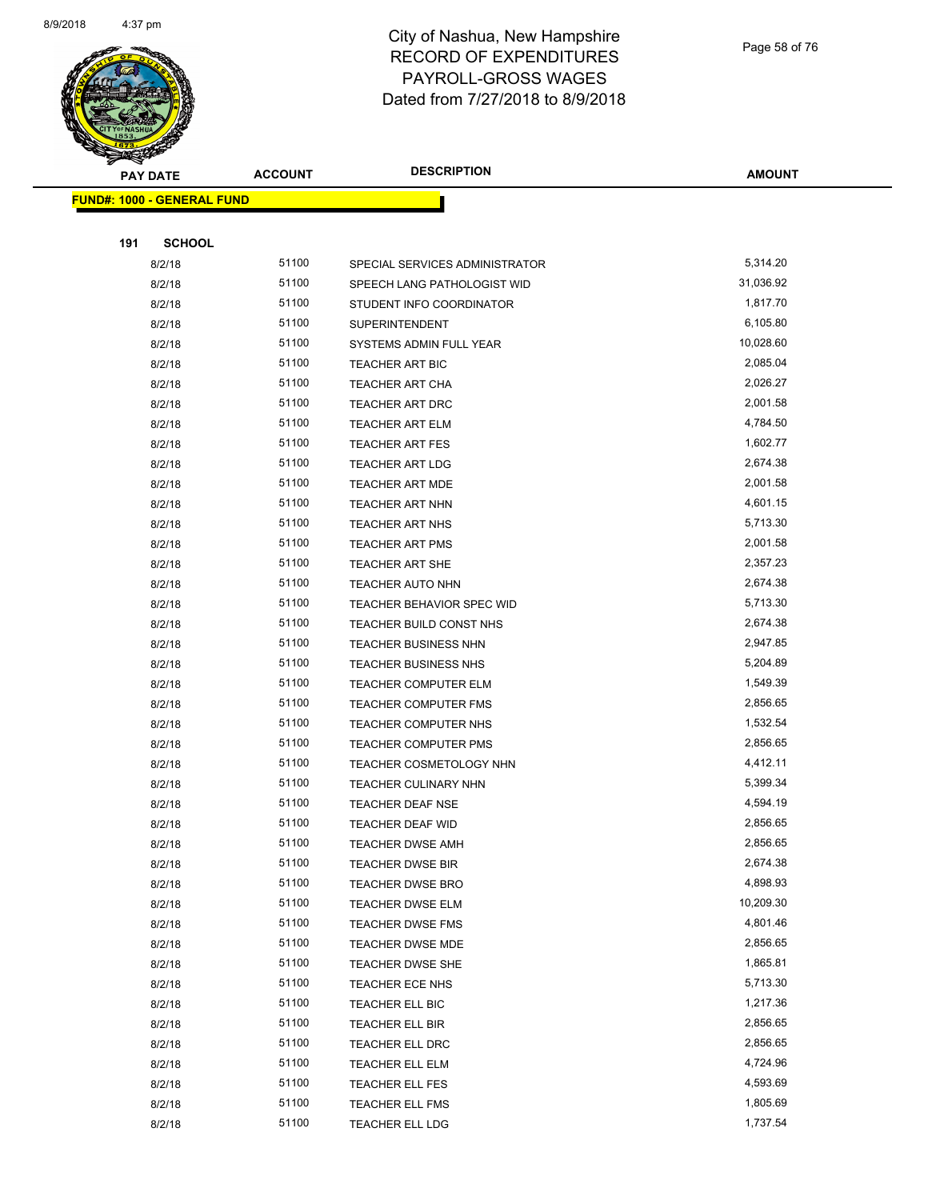

Page 58 of 76

|     | <b>PAY DATE</b>                   | <b>ACCOUNT</b> | <b>DESCRIPTION</b>               | <b>AMOUNT</b> |
|-----|-----------------------------------|----------------|----------------------------------|---------------|
|     | <b>FUND#: 1000 - GENERAL FUND</b> |                |                                  |               |
|     |                                   |                |                                  |               |
| 191 | <b>SCHOOL</b>                     |                |                                  |               |
|     | 8/2/18                            | 51100          | SPECIAL SERVICES ADMINISTRATOR   | 5,314.20      |
|     | 8/2/18                            | 51100          | SPEECH LANG PATHOLOGIST WID      | 31,036.92     |
|     | 8/2/18                            | 51100          | STUDENT INFO COORDINATOR         | 1,817.70      |
|     | 8/2/18                            | 51100          | <b>SUPERINTENDENT</b>            | 6,105.80      |
|     | 8/2/18                            | 51100          | SYSTEMS ADMIN FULL YEAR          | 10,028.60     |
|     | 8/2/18                            | 51100          | <b>TEACHER ART BIC</b>           | 2,085.04      |
|     | 8/2/18                            | 51100          | <b>TEACHER ART CHA</b>           | 2,026.27      |
|     | 8/2/18                            | 51100          | <b>TEACHER ART DRC</b>           | 2,001.58      |
|     | 8/2/18                            | 51100          | <b>TEACHER ART ELM</b>           | 4,784.50      |
|     | 8/2/18                            | 51100          | <b>TEACHER ART FES</b>           | 1,602.77      |
|     | 8/2/18                            | 51100          | <b>TEACHER ART LDG</b>           | 2,674.38      |
|     | 8/2/18                            | 51100          | TEACHER ART MDE                  | 2,001.58      |
|     | 8/2/18                            | 51100          | <b>TEACHER ART NHN</b>           | 4,601.15      |
|     | 8/2/18                            | 51100          | TEACHER ART NHS                  | 5,713.30      |
|     | 8/2/18                            | 51100          | <b>TEACHER ART PMS</b>           | 2,001.58      |
|     | 8/2/18                            | 51100          | <b>TEACHER ART SHE</b>           | 2,357.23      |
|     | 8/2/18                            | 51100          | <b>TEACHER AUTO NHN</b>          | 2,674.38      |
|     | 8/2/18                            | 51100          | <b>TEACHER BEHAVIOR SPEC WID</b> | 5,713.30      |
|     | 8/2/18                            | 51100          | TEACHER BUILD CONST NHS          | 2,674.38      |
|     | 8/2/18                            | 51100          | TEACHER BUSINESS NHN             | 2,947.85      |
|     | 8/2/18                            | 51100          | <b>TEACHER BUSINESS NHS</b>      | 5,204.89      |
|     | 8/2/18                            | 51100          | <b>TEACHER COMPUTER ELM</b>      | 1,549.39      |
|     | 8/2/18                            | 51100          | <b>TEACHER COMPUTER FMS</b>      | 2,856.65      |
|     | 8/2/18                            | 51100          | TEACHER COMPUTER NHS             | 1,532.54      |
|     | 8/2/18                            | 51100          | <b>TEACHER COMPUTER PMS</b>      | 2,856.65      |
|     | 8/2/18                            | 51100          | TEACHER COSMETOLOGY NHN          | 4,412.11      |
|     | 8/2/18                            | 51100          | <b>TEACHER CULINARY NHN</b>      | 5,399.34      |
|     | 8/2/18                            | 51100          | <b>TEACHER DEAF NSE</b>          | 4,594.19      |
|     | 8/2/18                            | 51100          | TEACHER DEAF WID                 | 2,856.65      |
|     | 8/2/18                            | 51100          | TEACHER DWSE AMH                 | 2,856.65      |
|     | 8/2/18                            | 51100          | <b>TEACHER DWSE BIR</b>          | 2,674.38      |
|     | 8/2/18                            | 51100          | <b>TEACHER DWSE BRO</b>          | 4,898.93      |
|     | 8/2/18                            | 51100          | TEACHER DWSE ELM                 | 10,209.30     |
|     | 8/2/18                            | 51100          | TEACHER DWSE FMS                 | 4,801.46      |
|     | 8/2/18                            | 51100          | <b>TEACHER DWSE MDE</b>          | 2,856.65      |
|     | 8/2/18                            | 51100          | TEACHER DWSE SHE                 | 1,865.81      |
|     | 8/2/18                            | 51100          | TEACHER ECE NHS                  | 5,713.30      |
|     | 8/2/18                            | 51100          | TEACHER ELL BIC                  | 1,217.36      |
|     | 8/2/18                            | 51100          | <b>TEACHER ELL BIR</b>           | 2,856.65      |
|     | 8/2/18                            | 51100          | TEACHER ELL DRC                  | 2,856.65      |
|     | 8/2/18                            | 51100          | TEACHER ELL ELM                  | 4,724.96      |
|     | 8/2/18                            | 51100          | TEACHER ELL FES                  | 4,593.69      |
|     | 8/2/18                            | 51100          | TEACHER ELL FMS                  | 1,805.69      |
|     | 8/2/18                            | 51100          | TEACHER ELL LDG                  | 1,737.54      |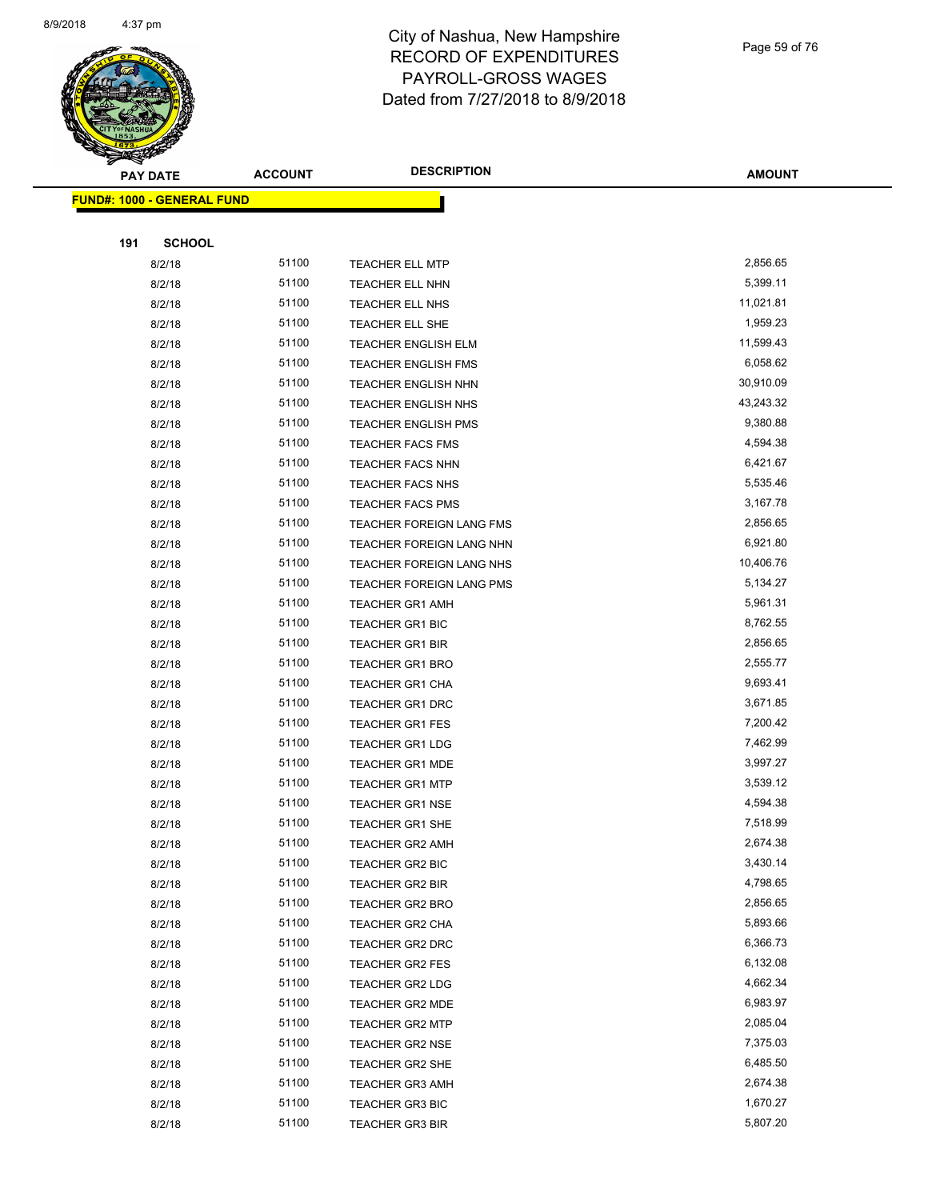

Page 59 of 76

| ॼ<br><b>PAY DATE</b>              | <b>ACCOUNT</b> | <b>DESCRIPTION</b>              | <b>AMOUNT</b> |
|-----------------------------------|----------------|---------------------------------|---------------|
| <b>FUND#: 1000 - GENERAL FUND</b> |                |                                 |               |
|                                   |                |                                 |               |
| 191                               | <b>SCHOOL</b>  |                                 |               |
| 8/2/18                            | 51100          | TEACHER ELL MTP                 | 2,856.65      |
| 8/2/18                            | 51100          | TEACHER ELL NHN                 | 5,399.11      |
| 8/2/18                            | 51100          | TEACHER ELL NHS                 | 11,021.81     |
| 8/2/18                            | 51100          | TEACHER ELL SHE                 | 1,959.23      |
| 8/2/18                            | 51100          | <b>TEACHER ENGLISH ELM</b>      | 11,599.43     |
| 8/2/18                            | 51100          | TEACHER ENGLISH FMS             | 6,058.62      |
| 8/2/18                            | 51100          | TEACHER ENGLISH NHN             | 30,910.09     |
| 8/2/18                            | 51100          | <b>TEACHER ENGLISH NHS</b>      | 43,243.32     |
| 8/2/18                            | 51100          | <b>TEACHER ENGLISH PMS</b>      | 9,380.88      |
| 8/2/18                            | 51100          | <b>TEACHER FACS FMS</b>         | 4,594.38      |
| 8/2/18                            | 51100          | TEACHER FACS NHN                | 6,421.67      |
| 8/2/18                            | 51100          | TEACHER FACS NHS                | 5,535.46      |
| 8/2/18                            | 51100          | <b>TEACHER FACS PMS</b>         | 3,167.78      |
| 8/2/18                            | 51100          | TEACHER FOREIGN LANG FMS        | 2,856.65      |
| 8/2/18                            | 51100          | TEACHER FOREIGN LANG NHN        | 6,921.80      |
| 8/2/18                            | 51100          | TEACHER FOREIGN LANG NHS        | 10,406.76     |
| 8/2/18                            | 51100          | <b>TEACHER FOREIGN LANG PMS</b> | 5,134.27      |
| 8/2/18                            | 51100          | <b>TEACHER GR1 AMH</b>          | 5,961.31      |
| 8/2/18                            | 51100          | TEACHER GR1 BIC                 | 8,762.55      |
| 8/2/18                            | 51100          | <b>TEACHER GR1 BIR</b>          | 2,856.65      |
| 8/2/18                            | 51100          | <b>TEACHER GR1 BRO</b>          | 2,555.77      |
| 8/2/18                            | 51100          | TEACHER GR1 CHA                 | 9,693.41      |
| 8/2/18                            | 51100          | <b>TEACHER GR1 DRC</b>          | 3,671.85      |
| 8/2/18                            | 51100          | <b>TEACHER GR1 FES</b>          | 7,200.42      |
| 8/2/18                            | 51100          | <b>TEACHER GR1 LDG</b>          | 7,462.99      |
| 8/2/18                            | 51100          | <b>TEACHER GR1 MDE</b>          | 3,997.27      |
| 8/2/18                            | 51100          | <b>TEACHER GR1 MTP</b>          | 3,539.12      |
| 8/2/18                            | 51100          | TEACHER GR1 NSE                 | 4,594.38      |
| 8/2/18                            | 51100          | <b>TEACHER GR1 SHE</b>          | 7,518.99      |
| 8/2/18                            | 51100          | TEACHER GR2 AMH                 | 2,674.38      |
| 8/2/18                            | 51100          | <b>TEACHER GR2 BIC</b>          | 3,430.14      |
| 8/2/18                            | 51100          | TEACHER GR2 BIR                 | 4,798.65      |
| 8/2/18                            | 51100          | TEACHER GR2 BRO                 | 2,856.65      |
| 8/2/18                            | 51100          | TEACHER GR2 CHA                 | 5,893.66      |
| 8/2/18                            | 51100          | TEACHER GR2 DRC                 | 6,366.73      |
| 8/2/18                            | 51100          | TEACHER GR2 FES                 | 6,132.08      |
| 8/2/18                            | 51100          | TEACHER GR2 LDG                 | 4,662.34      |
| 8/2/18                            | 51100          | <b>TEACHER GR2 MDE</b>          | 6,983.97      |
| 8/2/18                            | 51100          | <b>TEACHER GR2 MTP</b>          | 2,085.04      |
| 8/2/18                            | 51100          | TEACHER GR2 NSE                 | 7,375.03      |
| 8/2/18                            | 51100<br>51100 | TEACHER GR2 SHE                 | 6,485.50      |
| 8/2/18                            | 51100          | <b>TEACHER GR3 AMH</b>          | 2,674.38      |
| 8/2/18                            | 51100          | <b>TEACHER GR3 BIC</b>          | 1,670.27      |
| 8/2/18                            |                | <b>TEACHER GR3 BIR</b>          | 5,807.20      |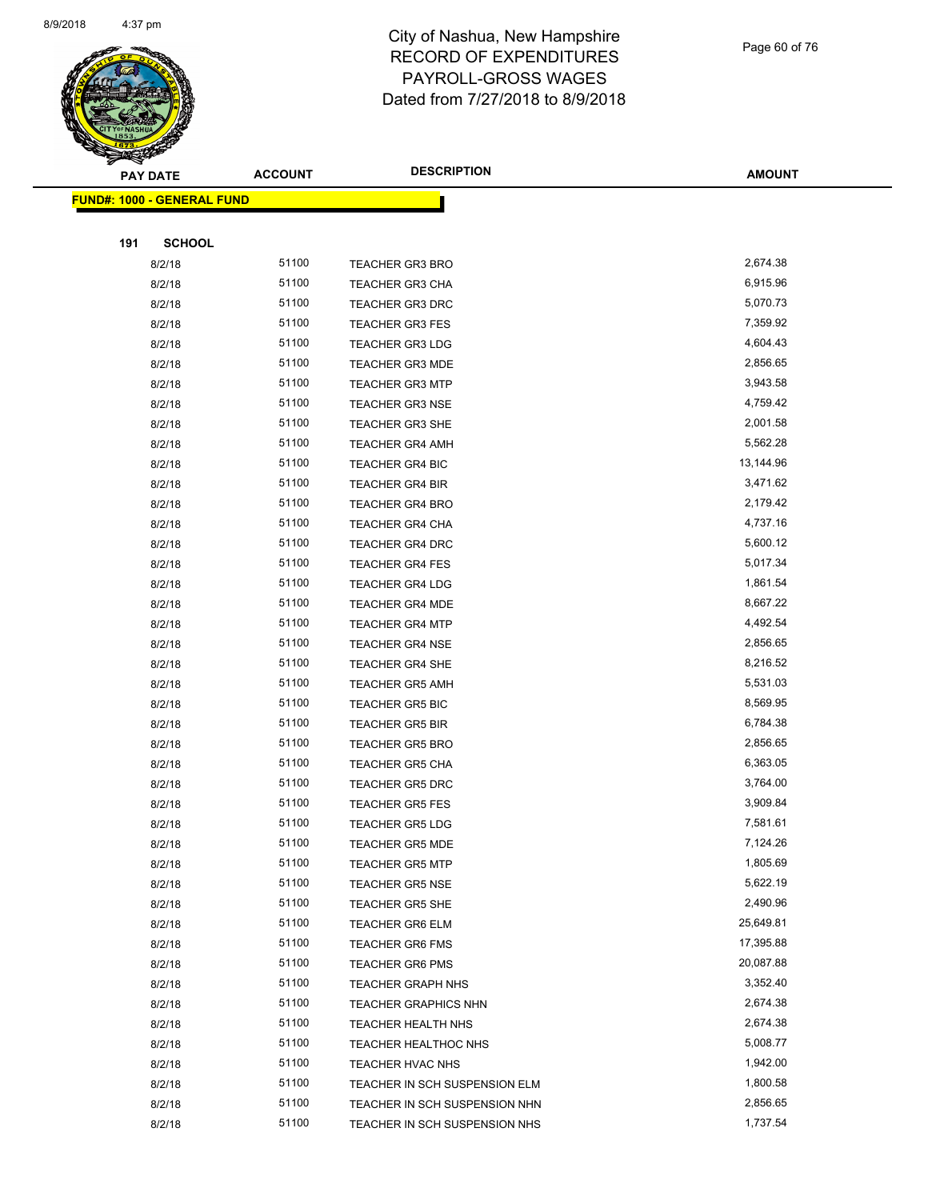

Page 60 of 76

| $\sim$<br><b>PAY DATE</b>         | <b>ACCOUNT</b> | <b>DESCRIPTION</b>            | <b>AMOUNT</b> |
|-----------------------------------|----------------|-------------------------------|---------------|
| <b>FUND#: 1000 - GENERAL FUND</b> |                |                               |               |
|                                   |                |                               |               |
| 191<br><b>SCHOOL</b>              |                |                               |               |
| 8/2/18                            | 51100          | <b>TEACHER GR3 BRO</b>        | 2,674.38      |
| 8/2/18                            | 51100          | <b>TEACHER GR3 CHA</b>        | 6,915.96      |
| 8/2/18                            | 51100          | <b>TEACHER GR3 DRC</b>        | 5,070.73      |
| 8/2/18                            | 51100          | <b>TEACHER GR3 FES</b>        | 7,359.92      |
| 8/2/18                            | 51100          | <b>TEACHER GR3 LDG</b>        | 4,604.43      |
| 8/2/18                            | 51100          | <b>TEACHER GR3 MDE</b>        | 2,856.65      |
| 8/2/18                            | 51100          | <b>TEACHER GR3 MTP</b>        | 3,943.58      |
| 8/2/18                            | 51100          | <b>TEACHER GR3 NSE</b>        | 4,759.42      |
| 8/2/18                            | 51100          | <b>TEACHER GR3 SHE</b>        | 2,001.58      |
| 8/2/18                            | 51100          | <b>TEACHER GR4 AMH</b>        | 5,562.28      |
| 8/2/18                            | 51100          | <b>TEACHER GR4 BIC</b>        | 13,144.96     |
| 8/2/18                            | 51100          | <b>TEACHER GR4 BIR</b>        | 3,471.62      |
| 8/2/18                            | 51100          | <b>TEACHER GR4 BRO</b>        | 2,179.42      |
| 8/2/18                            | 51100          | <b>TEACHER GR4 CHA</b>        | 4,737.16      |
| 8/2/18                            | 51100          | TEACHER GR4 DRC               | 5,600.12      |
| 8/2/18                            | 51100          | <b>TEACHER GR4 FES</b>        | 5,017.34      |
| 8/2/18                            | 51100          | <b>TEACHER GR4 LDG</b>        | 1,861.54      |
| 8/2/18                            | 51100          | <b>TEACHER GR4 MDE</b>        | 8,667.22      |
| 8/2/18                            | 51100          | <b>TEACHER GR4 MTP</b>        | 4,492.54      |
| 8/2/18                            | 51100          | <b>TEACHER GR4 NSE</b>        | 2,856.65      |
| 8/2/18                            | 51100          | <b>TEACHER GR4 SHE</b>        | 8,216.52      |
| 8/2/18                            | 51100          | <b>TEACHER GR5 AMH</b>        | 5,531.03      |
| 8/2/18                            | 51100          | <b>TEACHER GR5 BIC</b>        | 8,569.95      |
| 8/2/18                            | 51100          | <b>TEACHER GR5 BIR</b>        | 6,784.38      |
| 8/2/18                            | 51100          | <b>TEACHER GR5 BRO</b>        | 2,856.65      |
| 8/2/18                            | 51100          | <b>TEACHER GR5 CHA</b>        | 6,363.05      |
| 8/2/18                            | 51100          | <b>TEACHER GR5 DRC</b>        | 3,764.00      |
| 8/2/18                            | 51100          | <b>TEACHER GR5 FES</b>        | 3,909.84      |
| 8/2/18                            | 51100          | <b>TEACHER GR5 LDG</b>        | 7,581.61      |
| 8/2/18                            | 51100          | <b>TEACHER GR5 MDE</b>        | 7,124.26      |
| 8/2/18                            | 51100          | <b>TEACHER GR5 MTP</b>        | 1,805.69      |
| 8/2/18                            | 51100          | <b>TEACHER GR5 NSE</b>        | 5,622.19      |
| 8/2/18                            | 51100          | <b>TEACHER GR5 SHE</b>        | 2,490.96      |
| 8/2/18                            | 51100          | <b>TEACHER GR6 ELM</b>        | 25,649.81     |
| 8/2/18                            | 51100          | <b>TEACHER GR6 FMS</b>        | 17,395.88     |
| 8/2/18                            | 51100          | <b>TEACHER GR6 PMS</b>        | 20,087.88     |
| 8/2/18                            | 51100          | <b>TEACHER GRAPH NHS</b>      | 3,352.40      |
| 8/2/18                            | 51100          | <b>TEACHER GRAPHICS NHN</b>   | 2,674.38      |
| 8/2/18                            | 51100          | TEACHER HEALTH NHS            | 2,674.38      |
| 8/2/18                            | 51100          | TEACHER HEALTHOC NHS          | 5,008.77      |
| 8/2/18                            | 51100          | TEACHER HVAC NHS              | 1,942.00      |
| 8/2/18                            | 51100          | TEACHER IN SCH SUSPENSION ELM | 1,800.58      |
| 8/2/18                            | 51100          | TEACHER IN SCH SUSPENSION NHN | 2,856.65      |
| 8/2/18                            | 51100          | TEACHER IN SCH SUSPENSION NHS | 1,737.54      |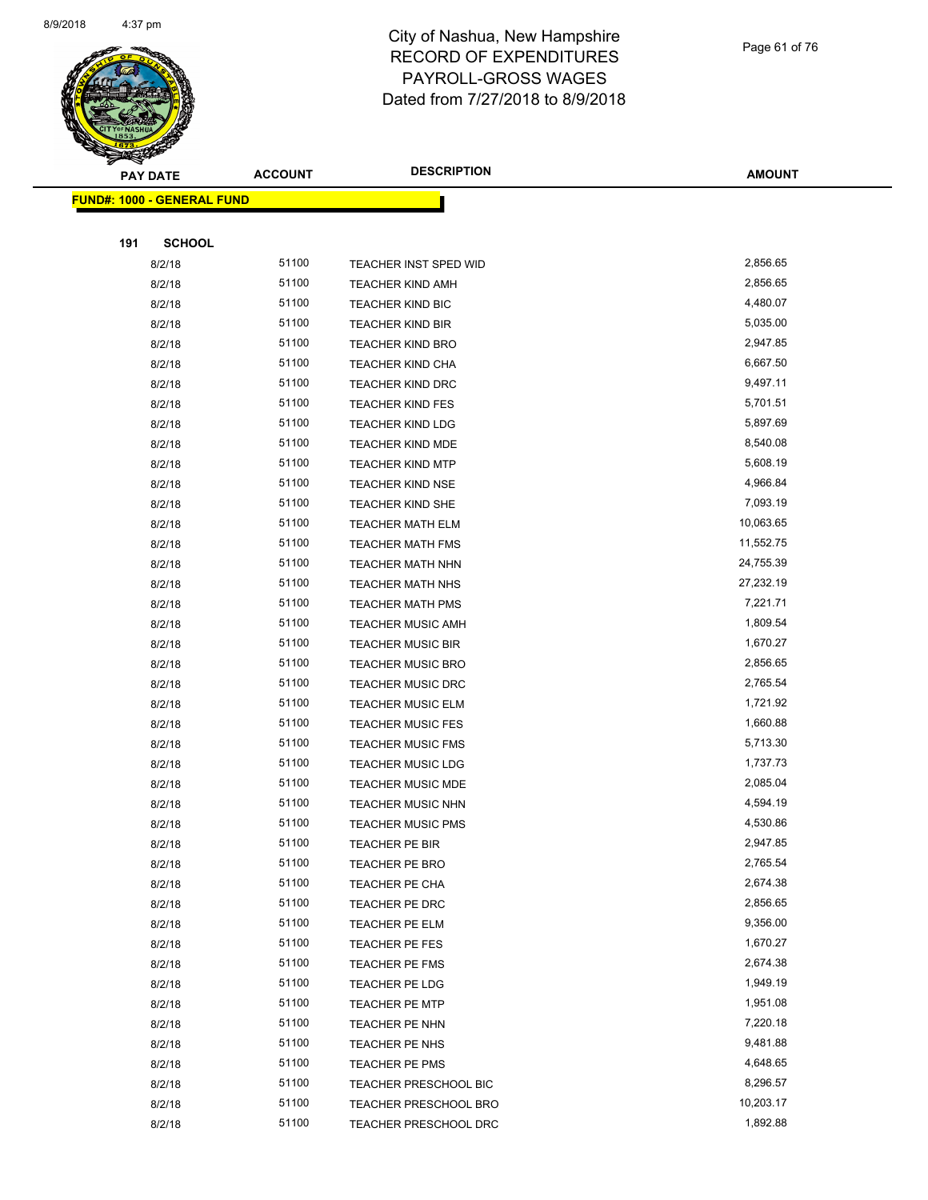

| <b>PAY DATE</b>                   | <b>ACCOUNT</b> | <b>DESCRIPTION</b>           | <b>AMOUNT</b> |
|-----------------------------------|----------------|------------------------------|---------------|
| <b>FUND#: 1000 - GENERAL FUND</b> |                |                              |               |
|                                   |                |                              |               |
| <b>SCHOOL</b><br>191              |                |                              |               |
| 8/2/18                            | 51100          | TEACHER INST SPED WID        | 2,856.65      |
| 8/2/18                            | 51100          | <b>TEACHER KIND AMH</b>      | 2,856.65      |
| 8/2/18                            | 51100          | <b>TEACHER KIND BIC</b>      | 4,480.07      |
| 8/2/18                            | 51100          | <b>TEACHER KIND BIR</b>      | 5,035.00      |
| 8/2/18                            | 51100          | <b>TEACHER KIND BRO</b>      | 2,947.85      |
| 8/2/18                            | 51100          | <b>TEACHER KIND CHA</b>      | 6,667.50      |
| 8/2/18                            | 51100          | TEACHER KIND DRC             | 9,497.11      |
| 8/2/18                            | 51100          | <b>TEACHER KIND FES</b>      | 5,701.51      |
| 8/2/18                            | 51100          | <b>TEACHER KIND LDG</b>      | 5,897.69      |
| 8/2/18                            | 51100          | <b>TEACHER KIND MDE</b>      | 8,540.08      |
| 8/2/18                            | 51100          | <b>TEACHER KIND MTP</b>      | 5,608.19      |
| 8/2/18                            | 51100          | <b>TEACHER KIND NSE</b>      | 4,966.84      |
| 8/2/18                            | 51100          | <b>TEACHER KIND SHE</b>      | 7,093.19      |
| 8/2/18                            | 51100          | <b>TEACHER MATH ELM</b>      | 10,063.65     |
| 8/2/18                            | 51100          | <b>TEACHER MATH FMS</b>      | 11,552.75     |
| 8/2/18                            | 51100          | <b>TEACHER MATH NHN</b>      | 24,755.39     |
| 8/2/18                            | 51100          | <b>TEACHER MATH NHS</b>      | 27,232.19     |
| 8/2/18                            | 51100          | <b>TEACHER MATH PMS</b>      | 7,221.71      |
| 8/2/18                            | 51100          | <b>TEACHER MUSIC AMH</b>     | 1,809.54      |
| 8/2/18                            | 51100          | <b>TEACHER MUSIC BIR</b>     | 1,670.27      |
| 8/2/18                            | 51100          | <b>TEACHER MUSIC BRO</b>     | 2,856.65      |
| 8/2/18                            | 51100          | <b>TEACHER MUSIC DRC</b>     | 2,765.54      |
| 8/2/18                            | 51100          | <b>TEACHER MUSIC ELM</b>     | 1,721.92      |
| 8/2/18                            | 51100          | <b>TEACHER MUSIC FES</b>     | 1,660.88      |
| 8/2/18                            | 51100          | <b>TEACHER MUSIC FMS</b>     | 5,713.30      |
| 8/2/18                            | 51100          | <b>TEACHER MUSIC LDG</b>     | 1,737.73      |
| 8/2/18                            | 51100          | <b>TEACHER MUSIC MDE</b>     | 2,085.04      |
| 8/2/18                            | 51100          | <b>TEACHER MUSIC NHN</b>     | 4,594.19      |
| 8/2/18                            | 51100          | <b>TEACHER MUSIC PMS</b>     | 4,530.86      |
| 8/2/18                            | 51100          | <b>TEACHER PE BIR</b>        | 2,947.85      |
| 8/2/18                            | 51100          | TEACHER PE BRO               | 2,765.54      |
| 8/2/18                            | 51100          | TEACHER PE CHA               | 2,674.38      |
| 8/2/18                            | 51100          | TEACHER PE DRC               | 2,856.65      |
| 8/2/18                            | 51100          | TEACHER PE ELM               | 9,356.00      |
| 8/2/18                            | 51100          | TEACHER PE FES               | 1,670.27      |
| 8/2/18                            | 51100          | TEACHER PE FMS               | 2,674.38      |
| 8/2/18                            | 51100          | TEACHER PE LDG               | 1,949.19      |
| 8/2/18                            | 51100          | TEACHER PE MTP               | 1,951.08      |
| 8/2/18                            | 51100          | TEACHER PE NHN               | 7,220.18      |
| 8/2/18                            | 51100          | TEACHER PE NHS               | 9,481.88      |
| 8/2/18                            | 51100          | TEACHER PE PMS               | 4,648.65      |
| 8/2/18                            | 51100          | TEACHER PRESCHOOL BIC        | 8,296.57      |
| 8/2/18                            | 51100          | <b>TEACHER PRESCHOOL BRO</b> | 10,203.17     |
| 8/2/18                            | 51100          | TEACHER PRESCHOOL DRC        | 1,892.88      |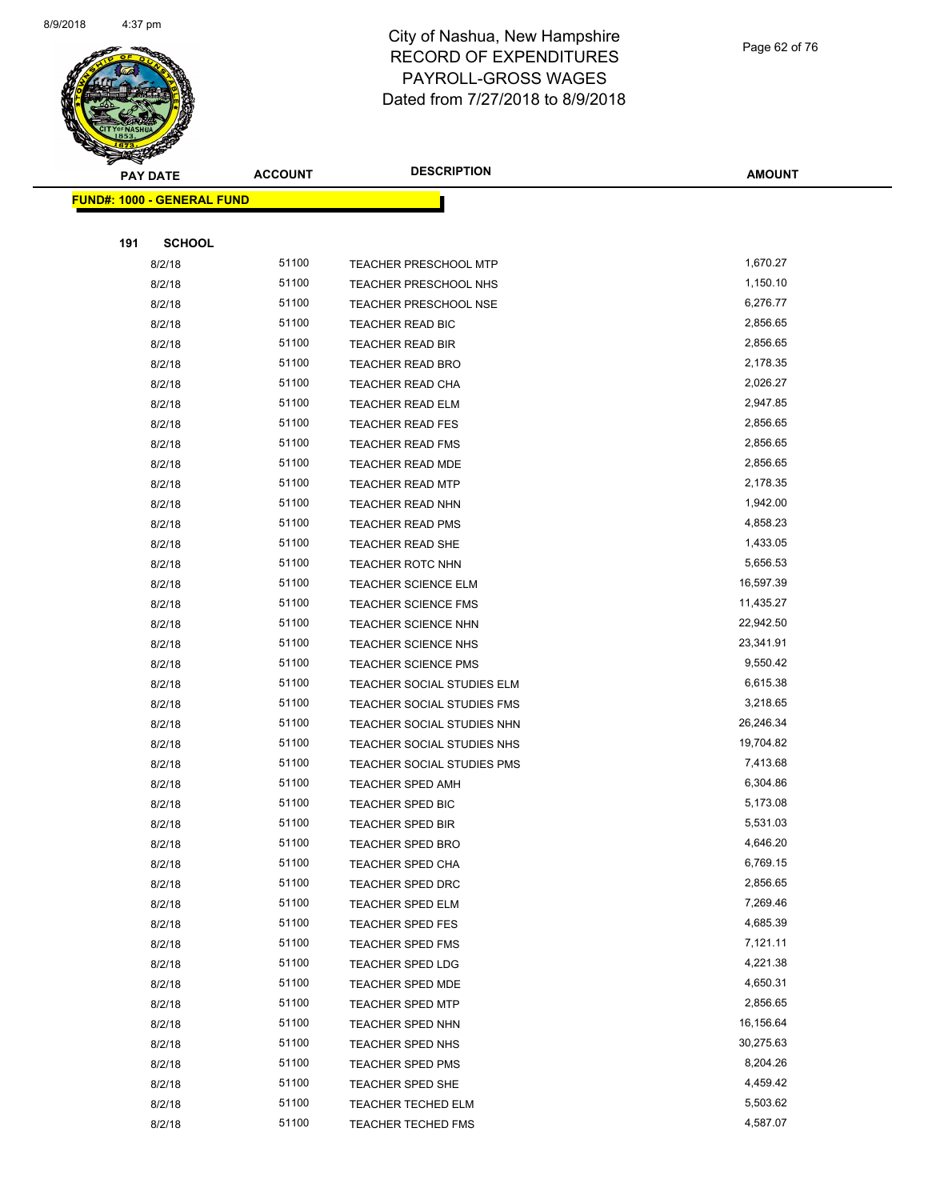

Page 62 of 76

| <b>PAY DATE</b>                   | <b>ACCOUNT</b> | <b>DESCRIPTION</b>                | <b>AMOUNT</b> |
|-----------------------------------|----------------|-----------------------------------|---------------|
| <b>FUND#: 1000 - GENERAL FUND</b> |                |                                   |               |
|                                   |                |                                   |               |
| 191                               | <b>SCHOOL</b>  |                                   |               |
| 8/2/18                            | 51100          | TEACHER PRESCHOOL MTP             | 1,670.27      |
| 8/2/18                            | 51100          | TEACHER PRESCHOOL NHS             | 1,150.10      |
| 8/2/18                            | 51100          | <b>TEACHER PRESCHOOL NSE</b>      | 6,276.77      |
| 8/2/18                            | 51100          | TEACHER READ BIC                  | 2,856.65      |
| 8/2/18                            | 51100          | <b>TEACHER READ BIR</b>           | 2,856.65      |
| 8/2/18                            | 51100          | TEACHER READ BRO                  | 2,178.35      |
| 8/2/18                            | 51100          | TEACHER READ CHA                  | 2,026.27      |
| 8/2/18                            | 51100          | <b>TEACHER READ ELM</b>           | 2,947.85      |
| 8/2/18                            | 51100          | <b>TEACHER READ FES</b>           | 2,856.65      |
| 8/2/18                            | 51100          | <b>TEACHER READ FMS</b>           | 2,856.65      |
| 8/2/18                            | 51100          | <b>TEACHER READ MDE</b>           | 2,856.65      |
| 8/2/18                            | 51100          | <b>TEACHER READ MTP</b>           | 2,178.35      |
| 8/2/18                            | 51100          | <b>TEACHER READ NHN</b>           | 1,942.00      |
| 8/2/18                            | 51100          | <b>TEACHER READ PMS</b>           | 4,858.23      |
| 8/2/18                            | 51100          | <b>TEACHER READ SHE</b>           | 1,433.05      |
| 8/2/18                            | 51100          | <b>TEACHER ROTC NHN</b>           | 5,656.53      |
| 8/2/18                            | 51100          | TEACHER SCIENCE ELM               | 16,597.39     |
| 8/2/18                            | 51100          | <b>TEACHER SCIENCE FMS</b>        | 11,435.27     |
| 8/2/18                            | 51100          | <b>TEACHER SCIENCE NHN</b>        | 22,942.50     |
| 8/2/18                            | 51100          | <b>TEACHER SCIENCE NHS</b>        | 23,341.91     |
| 8/2/18                            | 51100          | <b>TEACHER SCIENCE PMS</b>        | 9,550.42      |
| 8/2/18                            | 51100          | TEACHER SOCIAL STUDIES ELM        | 6,615.38      |
| 8/2/18                            | 51100          | TEACHER SOCIAL STUDIES FMS        | 3,218.65      |
| 8/2/18                            | 51100          | TEACHER SOCIAL STUDIES NHN        | 26,246.34     |
| 8/2/18                            | 51100          | TEACHER SOCIAL STUDIES NHS        | 19,704.82     |
| 8/2/18                            | 51100          | <b>TEACHER SOCIAL STUDIES PMS</b> | 7,413.68      |
| 8/2/18                            | 51100          | TEACHER SPED AMH                  | 6,304.86      |
| 8/2/18                            | 51100          | TEACHER SPED BIC                  | 5,173.08      |
| 8/2/18                            | 51100          | TEACHER SPED BIR                  | 5,531.03      |
| 8/2/18                            | 51100          | TEACHER SPED BRO                  | 4,646.20      |
| 8/2/18                            | 51100          | <b>TEACHER SPED CHA</b>           | 6,769.15      |
| 8/2/18                            | 51100          | TEACHER SPED DRC                  | 2,856.65      |
| 8/2/18                            | 51100          | <b>TEACHER SPED ELM</b>           | 7,269.46      |
| 8/2/18                            | 51100          | <b>TEACHER SPED FES</b>           | 4,685.39      |
| 8/2/18                            | 51100          | <b>TEACHER SPED FMS</b>           | 7,121.11      |
| 8/2/18                            | 51100          | TEACHER SPED LDG                  | 4,221.38      |
| 8/2/18                            | 51100          | TEACHER SPED MDE                  | 4,650.31      |
| 8/2/18                            | 51100          | <b>TEACHER SPED MTP</b>           | 2,856.65      |
| 8/2/18                            | 51100          | TEACHER SPED NHN                  | 16,156.64     |
| 8/2/18                            | 51100          | <b>TEACHER SPED NHS</b>           | 30,275.63     |
| 8/2/18                            | 51100          | <b>TEACHER SPED PMS</b>           | 8,204.26      |
| 8/2/18                            | 51100          | TEACHER SPED SHE                  | 4,459.42      |
| 8/2/18                            | 51100          | <b>TEACHER TECHED ELM</b>         | 5,503.62      |
| 8/2/18                            | 51100          | <b>TEACHER TECHED FMS</b>         | 4,587.07      |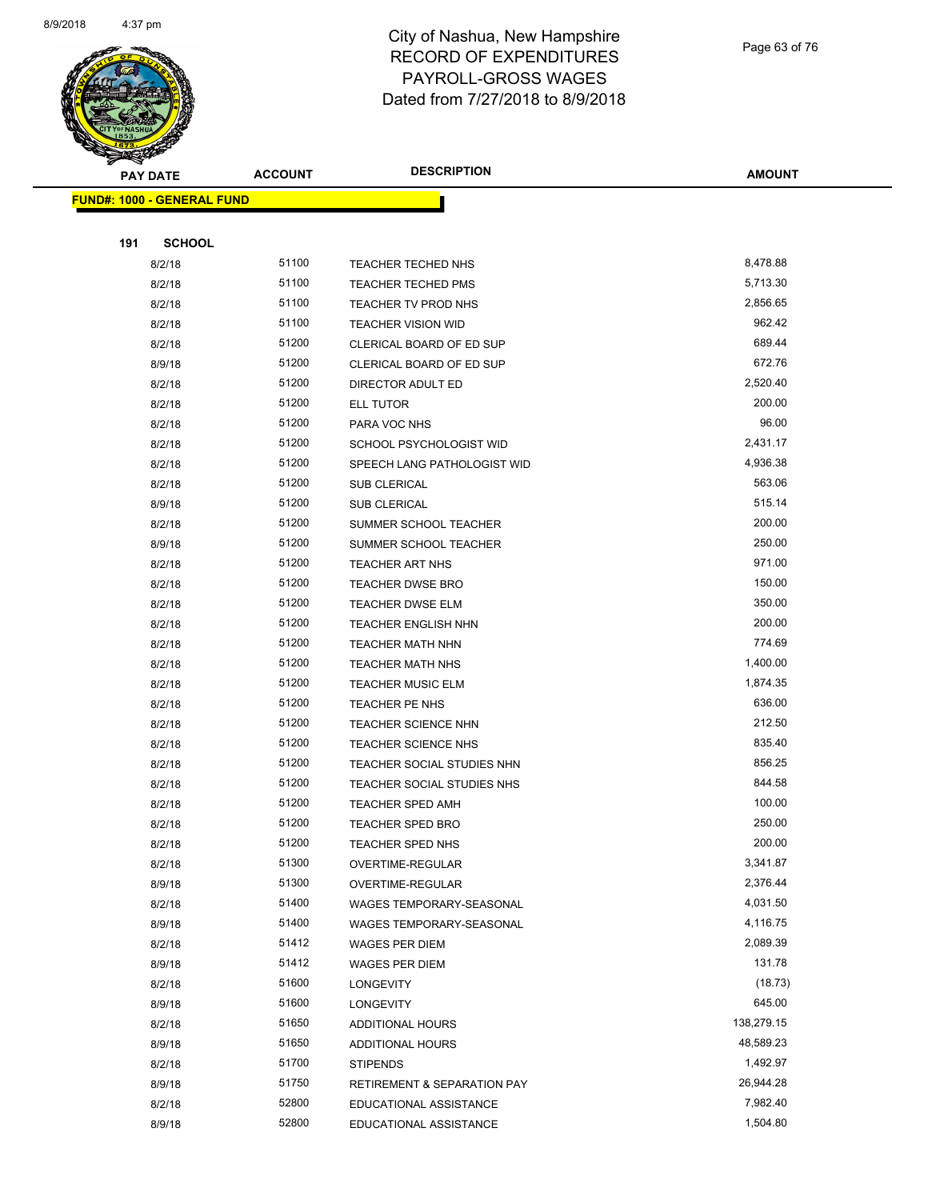

Page 63 of 76

| <b>PAY DATE</b>                   | <b>ACCOUNT</b> | <b>DESCRIPTION</b>                          | <b>AMOUNT</b>     |
|-----------------------------------|----------------|---------------------------------------------|-------------------|
| <b>FUND#: 1000 - GENERAL FUND</b> |                |                                             |                   |
|                                   |                |                                             |                   |
| 191<br><b>SCHOOL</b>              |                |                                             |                   |
| 8/2/18                            | 51100          | TEACHER TECHED NHS                          | 8,478.88          |
| 8/2/18                            | 51100          | <b>TEACHER TECHED PMS</b>                   | 5,713.30          |
| 8/2/18                            | 51100          | TEACHER TV PROD NHS                         | 2,856.65          |
| 8/2/18                            | 51100          | <b>TEACHER VISION WID</b>                   | 962.42            |
| 8/2/18                            | 51200          | CLERICAL BOARD OF ED SUP                    | 689.44            |
| 8/9/18                            | 51200          | CLERICAL BOARD OF ED SUP                    | 672.76            |
| 8/2/18                            | 51200          | DIRECTOR ADULT ED                           | 2,520.40          |
| 8/2/18                            | 51200          | ELL TUTOR                                   | 200.00            |
| 8/2/18                            | 51200          | PARA VOC NHS                                | 96.00             |
| 8/2/18                            | 51200          | SCHOOL PSYCHOLOGIST WID                     | 2,431.17          |
| 8/2/18                            | 51200          | SPEECH LANG PATHOLOGIST WID                 | 4,936.38          |
| 8/2/18                            | 51200          | SUB CLERICAL                                | 563.06            |
| 8/9/18                            | 51200          | <b>SUB CLERICAL</b>                         | 515.14            |
| 8/2/18                            | 51200          | SUMMER SCHOOL TEACHER                       | 200.00            |
| 8/9/18                            | 51200          | SUMMER SCHOOL TEACHER                       | 250.00            |
| 8/2/18                            | 51200          | TEACHER ART NHS                             | 971.00            |
| 8/2/18                            | 51200          | <b>TEACHER DWSE BRO</b>                     | 150.00            |
| 8/2/18                            | 51200          | TEACHER DWSE ELM                            | 350.00            |
| 8/2/18                            | 51200          | <b>TEACHER ENGLISH NHN</b>                  | 200.00            |
| 8/2/18                            | 51200          | <b>TEACHER MATH NHN</b>                     | 774.69            |
| 8/2/18                            | 51200          | <b>TEACHER MATH NHS</b>                     | 1,400.00          |
| 8/2/18                            | 51200          | <b>TEACHER MUSIC ELM</b>                    | 1,874.35          |
| 8/2/18                            | 51200          | TEACHER PE NHS                              | 636.00            |
| 8/2/18                            | 51200          | <b>TEACHER SCIENCE NHN</b>                  | 212.50            |
| 8/2/18                            | 51200          | TEACHER SCIENCE NHS                         | 835.40            |
| 8/2/18                            | 51200          | TEACHER SOCIAL STUDIES NHN                  | 856.25            |
| 8/2/18                            | 51200          | TEACHER SOCIAL STUDIES NHS                  | 844.58            |
| 8/2/18                            | 51200          | <b>TEACHER SPED AMH</b>                     | 100.00            |
| 8/2/18                            | 51200          | <b>TEACHER SPED BRO</b>                     | 250.00            |
| 8/2/18                            | 51200          | TEACHER SPED NHS                            | 200.00            |
| 8/2/18                            | 51300          | OVERTIME-REGULAR                            | 3,341.87          |
| 8/9/18                            | 51300          | OVERTIME-REGULAR                            | 2,376.44          |
| 8/2/18                            | 51400          | WAGES TEMPORARY-SEASONAL                    | 4,031.50          |
| 8/9/18                            | 51400          | WAGES TEMPORARY-SEASONAL                    | 4,116.75          |
| 8/2/18                            | 51412          | WAGES PER DIEM                              | 2,089.39          |
| 8/9/18                            | 51412<br>51600 | <b>WAGES PER DIEM</b>                       | 131.78            |
| 8/2/18                            | 51600          | <b>LONGEVITY</b>                            | (18.73)<br>645.00 |
| 8/9/18<br>8/2/18                  | 51650          | <b>LONGEVITY</b><br><b>ADDITIONAL HOURS</b> | 138,279.15        |
| 8/9/18                            | 51650          | <b>ADDITIONAL HOURS</b>                     | 48,589.23         |
| 8/2/18                            | 51700          | <b>STIPENDS</b>                             | 1,492.97          |
| 8/9/18                            | 51750          | <b>RETIREMENT &amp; SEPARATION PAY</b>      | 26,944.28         |
| 8/2/18                            | 52800          | EDUCATIONAL ASSISTANCE                      | 7,982.40          |
| 8/9/18                            | 52800          | EDUCATIONAL ASSISTANCE                      | 1,504.80          |
|                                   |                |                                             |                   |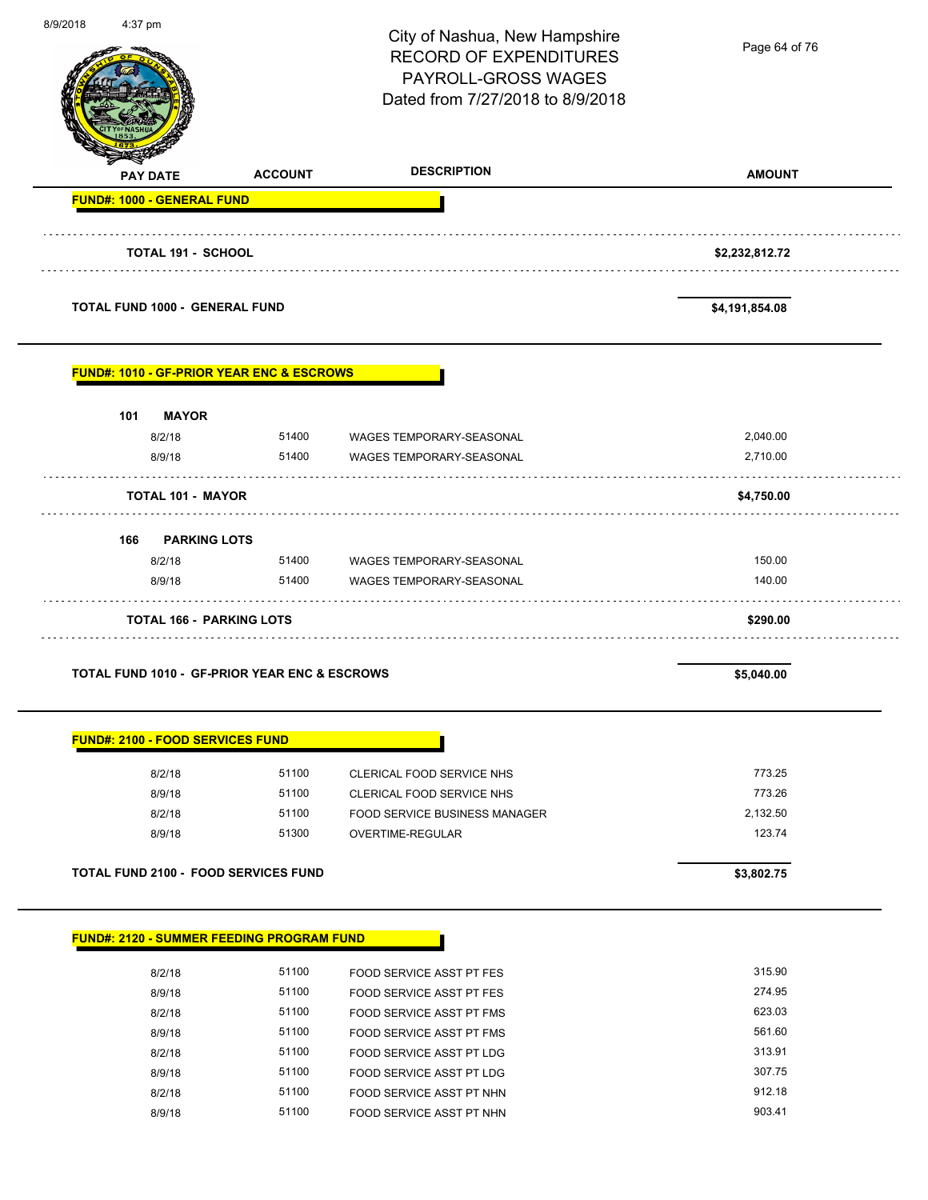| <b>DESCRIPTION</b><br><b>AMOUNT</b><br><b>ACCOUNT</b><br><b>PAY DATE</b><br>FUND#: 1000 - GENERAL FUND<br><b>TOTAL 191 - SCHOOL</b><br>\$2,232,812.72<br><b>TOTAL FUND 1000 - GENERAL FUND</b><br>\$4,191,854.08<br><b>FUND#: 1010 - GF-PRIOR YEAR ENC &amp; ESCROWS</b><br>101<br><b>MAYOR</b><br>8/2/18<br>51400 WAGES TEMPORARY-SEASONAL<br>2,040.00<br>51400<br>2,710.00<br>8/9/18<br>WAGES TEMPORARY-SEASONAL<br><b>TOTAL 101 - MAYOR</b><br>\$4,750.00<br>166<br><b>PARKING LOTS</b><br>150.00<br>8/2/18<br>51400 WAGES TEMPORARY-SEASONAL<br>8/9/18<br>51400<br>140.00<br>WAGES TEMPORARY-SEASONAL<br><b>TOTAL 166 - PARKING LOTS</b><br>\$290.00<br><b>TOTAL FUND 1010 - GF-PRIOR YEAR ENC &amp; ESCROWS</b><br>\$5,040.00<br><b>FUND#: 2100 - FOOD SERVICES FUND</b><br>51100<br>773.25<br>8/2/18<br><b>CLERICAL FOOD SERVICE NHS</b><br>773.26<br>51100<br>8/9/18<br>CLERICAL FOOD SERVICE NHS<br>51100<br>2,132.50<br>8/2/18<br>FOOD SERVICE BUSINESS MANAGER<br>123.74<br>51300<br>8/9/18<br><b>OVERTIME-REGULAR</b> | 8/9/2018<br>4:37 pm |                                             | City of Nashua, New Hampshire<br><b>RECORD OF EXPENDITURES</b><br>PAYROLL-GROSS WAGES<br>Dated from 7/27/2018 to 8/9/2018 | Page 64 of 76 |
|----------------------------------------------------------------------------------------------------------------------------------------------------------------------------------------------------------------------------------------------------------------------------------------------------------------------------------------------------------------------------------------------------------------------------------------------------------------------------------------------------------------------------------------------------------------------------------------------------------------------------------------------------------------------------------------------------------------------------------------------------------------------------------------------------------------------------------------------------------------------------------------------------------------------------------------------------------------------------------------------------------------------------------|---------------------|---------------------------------------------|---------------------------------------------------------------------------------------------------------------------------|---------------|
|                                                                                                                                                                                                                                                                                                                                                                                                                                                                                                                                                                                                                                                                                                                                                                                                                                                                                                                                                                                                                                  |                     |                                             |                                                                                                                           |               |
|                                                                                                                                                                                                                                                                                                                                                                                                                                                                                                                                                                                                                                                                                                                                                                                                                                                                                                                                                                                                                                  |                     |                                             |                                                                                                                           |               |
|                                                                                                                                                                                                                                                                                                                                                                                                                                                                                                                                                                                                                                                                                                                                                                                                                                                                                                                                                                                                                                  |                     |                                             |                                                                                                                           |               |
|                                                                                                                                                                                                                                                                                                                                                                                                                                                                                                                                                                                                                                                                                                                                                                                                                                                                                                                                                                                                                                  |                     |                                             |                                                                                                                           |               |
|                                                                                                                                                                                                                                                                                                                                                                                                                                                                                                                                                                                                                                                                                                                                                                                                                                                                                                                                                                                                                                  |                     |                                             |                                                                                                                           |               |
|                                                                                                                                                                                                                                                                                                                                                                                                                                                                                                                                                                                                                                                                                                                                                                                                                                                                                                                                                                                                                                  |                     |                                             |                                                                                                                           |               |
|                                                                                                                                                                                                                                                                                                                                                                                                                                                                                                                                                                                                                                                                                                                                                                                                                                                                                                                                                                                                                                  |                     |                                             |                                                                                                                           |               |
|                                                                                                                                                                                                                                                                                                                                                                                                                                                                                                                                                                                                                                                                                                                                                                                                                                                                                                                                                                                                                                  |                     |                                             |                                                                                                                           |               |
|                                                                                                                                                                                                                                                                                                                                                                                                                                                                                                                                                                                                                                                                                                                                                                                                                                                                                                                                                                                                                                  |                     |                                             |                                                                                                                           |               |
|                                                                                                                                                                                                                                                                                                                                                                                                                                                                                                                                                                                                                                                                                                                                                                                                                                                                                                                                                                                                                                  |                     |                                             |                                                                                                                           |               |
|                                                                                                                                                                                                                                                                                                                                                                                                                                                                                                                                                                                                                                                                                                                                                                                                                                                                                                                                                                                                                                  |                     |                                             |                                                                                                                           |               |
|                                                                                                                                                                                                                                                                                                                                                                                                                                                                                                                                                                                                                                                                                                                                                                                                                                                                                                                                                                                                                                  |                     |                                             |                                                                                                                           |               |
|                                                                                                                                                                                                                                                                                                                                                                                                                                                                                                                                                                                                                                                                                                                                                                                                                                                                                                                                                                                                                                  |                     |                                             |                                                                                                                           |               |
|                                                                                                                                                                                                                                                                                                                                                                                                                                                                                                                                                                                                                                                                                                                                                                                                                                                                                                                                                                                                                                  |                     |                                             |                                                                                                                           |               |
|                                                                                                                                                                                                                                                                                                                                                                                                                                                                                                                                                                                                                                                                                                                                                                                                                                                                                                                                                                                                                                  |                     |                                             |                                                                                                                           |               |
|                                                                                                                                                                                                                                                                                                                                                                                                                                                                                                                                                                                                                                                                                                                                                                                                                                                                                                                                                                                                                                  |                     |                                             |                                                                                                                           |               |
|                                                                                                                                                                                                                                                                                                                                                                                                                                                                                                                                                                                                                                                                                                                                                                                                                                                                                                                                                                                                                                  |                     |                                             |                                                                                                                           |               |
|                                                                                                                                                                                                                                                                                                                                                                                                                                                                                                                                                                                                                                                                                                                                                                                                                                                                                                                                                                                                                                  |                     | <b>TOTAL FUND 2100 - FOOD SERVICES FUND</b> |                                                                                                                           | \$3,802.75    |
|                                                                                                                                                                                                                                                                                                                                                                                                                                                                                                                                                                                                                                                                                                                                                                                                                                                                                                                                                                                                                                  |                     |                                             |                                                                                                                           |               |
| <b>FUND#: 2120 - SUMMER FEEDING PROGRAM FUND</b>                                                                                                                                                                                                                                                                                                                                                                                                                                                                                                                                                                                                                                                                                                                                                                                                                                                                                                                                                                                 |                     |                                             |                                                                                                                           |               |

| 8/2/18 | 51100 | <b>FOOD SERVICE ASST PT FES</b> | 315.90 |
|--------|-------|---------------------------------|--------|
| 8/9/18 | 51100 | FOOD SERVICE ASST PT FES        | 274.95 |
| 8/2/18 | 51100 | FOOD SERVICE ASST PT FMS        | 623.03 |
| 8/9/18 | 51100 | FOOD SERVICE ASST PT FMS        | 561.60 |
| 8/2/18 | 51100 | FOOD SERVICE ASST PT LDG        | 313.91 |
| 8/9/18 | 51100 | FOOD SERVICE ASST PT LDG        | 307.75 |
| 8/2/18 | 51100 | FOOD SERVICE ASST PT NHN        | 912.18 |
| 8/9/18 | 51100 | FOOD SERVICE ASST PT NHN        | 903.41 |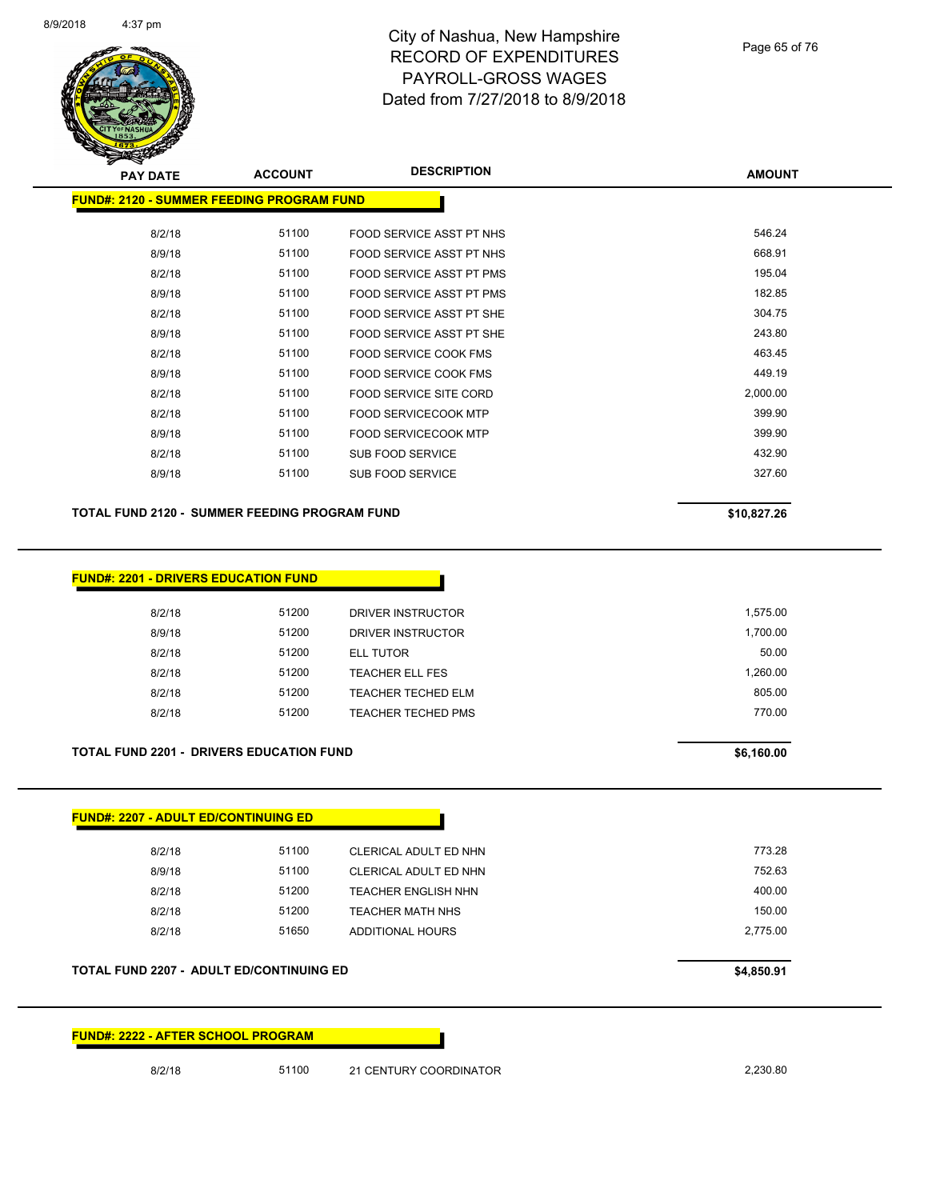

Page 65 of 76

| <b>PAY DATE</b>                                  | <b>ACCOUNT</b> | <b>DESCRIPTION</b>              | <b>AMOUNT</b> |
|--------------------------------------------------|----------------|---------------------------------|---------------|
| <b>FUND#: 2120 - SUMMER FEEDING PROGRAM FUND</b> |                |                                 |               |
| 8/2/18                                           | 51100          | FOOD SERVICE ASST PT NHS        | 546.24        |
| 8/9/18                                           | 51100          | <b>FOOD SERVICE ASST PT NHS</b> | 668.91        |
| 8/2/18                                           | 51100          | FOOD SERVICE ASST PT PMS        | 195.04        |
| 8/9/18                                           | 51100          | FOOD SERVICE ASST PT PMS        | 182.85        |
| 8/2/18                                           | 51100          | FOOD SERVICE ASST PT SHE        | 304.75        |
| 8/9/18                                           | 51100          | FOOD SERVICE ASST PT SHE        | 243.80        |
| 8/2/18                                           | 51100          | FOOD SERVICE COOK FMS           | 463.45        |
| 8/9/18                                           | 51100          | FOOD SERVICE COOK FMS           | 449.19        |
| 8/2/18                                           | 51100          | <b>FOOD SERVICE SITE CORD</b>   | 2,000.00      |
| 8/2/18                                           | 51100          | FOOD SERVICECOOK MTP            | 399.90        |
| 8/9/18                                           | 51100          | <b>FOOD SERVICECOOK MTP</b>     | 399.90        |
| 8/2/18                                           | 51100          | SUB FOOD SERVICE                | 432.90        |
| 8/9/18                                           | 51100          | <b>SUB FOOD SERVICE</b>         | 327.60        |
| <b>FUND#: 2201 - DRIVERS EDUCATION FUND</b>      |                |                                 |               |
| 8/2/18                                           | 51200          | DRIVER INSTRUCTOR               | 1,575.00      |
| 8/9/18                                           | 51200          | DRIVER INSTRUCTOR               | 1,700.00      |
| 8/2/18                                           | 51200          | <b>ELL TUTOR</b>                | 50.00         |
| 8/2/18                                           | 51200          | <b>TEACHER ELL FES</b>          | 1,260.00      |
| 8/2/18                                           | 51200          | <b>TEACHER TECHED ELM</b>       | 805.00        |
| 8/2/18                                           | 51200          | <b>TEACHER TECHED PMS</b>       | 770.00        |
| <b>TOTAL FUND 2201 - DRIVERS EDUCATION FUND</b>  |                |                                 | \$6,160.00    |
|                                                  |                |                                 |               |
| <b>FUND#: 2207 - ADULT ED/CONTINUING ED</b>      |                |                                 |               |
| 8/2/18                                           |                |                                 |               |
|                                                  | 51100          | CLERICAL ADULT ED NHN           | 773.28        |
| 8/9/18                                           | 51100          | CLERICAL ADULT ED NHN           | 752.63        |

8/2/18 51200 TEACHER MATH NHS 150.00 8/2/18 51650 ADDITIONAL HOURS 2,775.00

**TOTAL FUND 2207 - ADULT ED/CONTINUING ED \$4,850.91** 

**FUND#: 2222 - AFTER SCHOOL PROGRAM**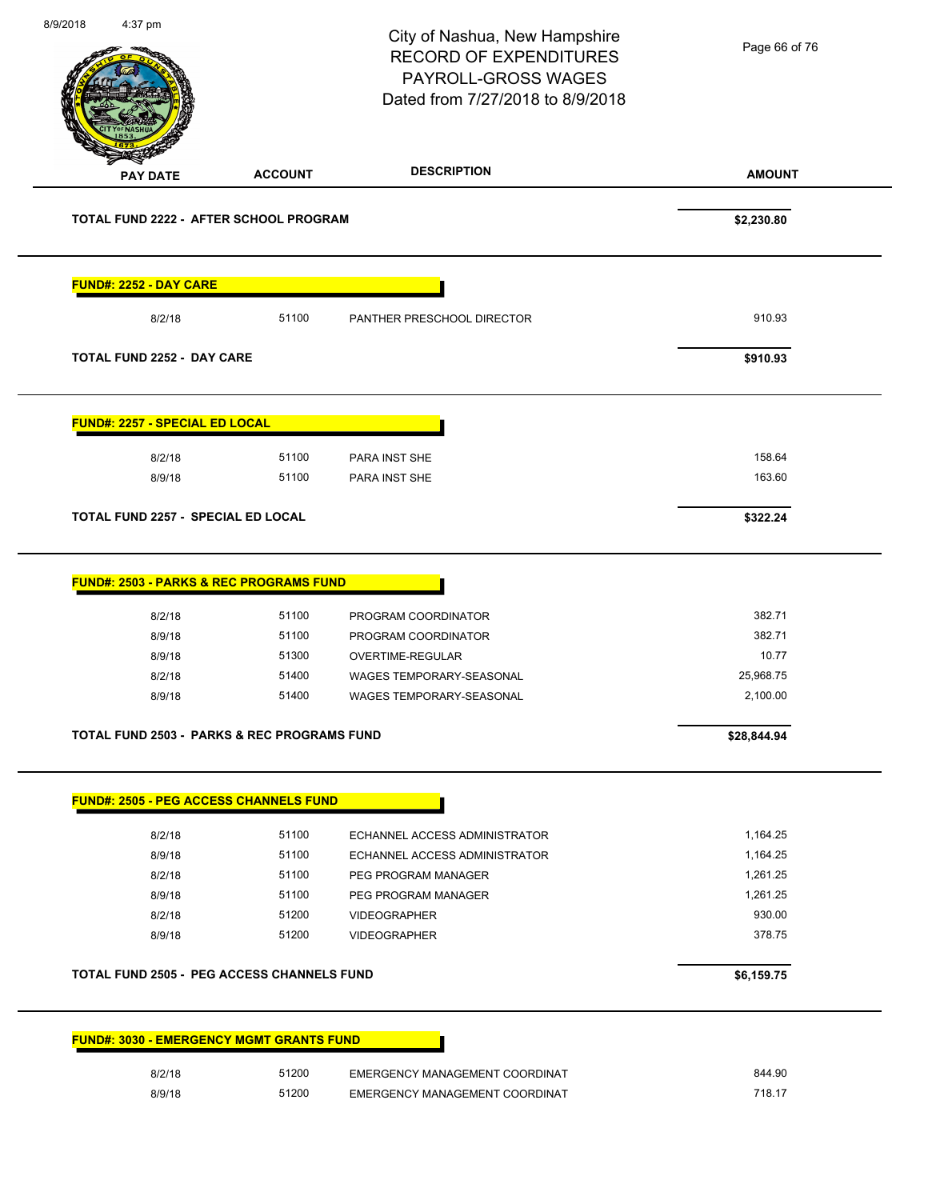**AMOUNT** City of Nashua, New Hampshire RECORD OF EXPENDITURES PAYROLL-GROSS WAGES Dated from 7/27/2018 to 8/9/2018 **PAY DATE ACCOUNT DESCRIPTION** 8/9/2018 4:37 pm **TOTAL FUND 2222 - AFTER SCHOOL PROGRAM \$2,230.80 FUND#: 2252 - DAY CARE** 8/2/18 51100 PANTHER PRESCHOOL DIRECTOR 510.93 **TOTAL FUND 2252 - DAY CARE \$910.93 FUND#: 2257 - SPECIAL ED LOCAL** 8/2/18 51100 PARA INST SHE 158.64 8/9/18 51100 PARA INST SHE 163.60 **TOTAL FUND 2257 - SPECIAL ED LOCAL \$322.24 FUND#: 2503 - PARKS & REC PROGRAMS FUND** 8/2/18 51100 PROGRAM COORDINATOR 382.71 8/9/18 51100 PROGRAM COORDINATOR 382.71 8/9/18 51300 OVERTIME-REGULAR 10.77 8/2/18 51400 WAGES TEMPORARY-SEASONAL 25,968.75 8/9/18 51400 WAGES TEMPORARY-SEASONAL 3/9/18 2,100.00 **TOTAL FUND 2503 - PARKS & REC PROGRAMS FUND \$28,844.94 FUND#: 2505 - PEG ACCESS CHANNELS FUND** 8/2/18 51100 ECHANNEL ACCESS ADMINISTRATOR 1,164.25 8/9/18 51100 ECHANNEL ACCESS ADMINISTRATOR 1,164.25 8/2/18 51100 PEG PROGRAM MANAGER 1,261.25 Page 66 of 76

8/9/18 51200 VIDEOGRAPHER 378.75 **TOTAL FUND 2505 - PEG ACCESS CHANNELS FUND \$6,159.75** 

8/9/18 51100 PEG PROGRAM MANAGER 1,261.25 8/2/18 51200 VIDEOGRAPHER 930.00

8/9/18 51200 EMERGENCY MANAGEMENT COORDINAT 718.17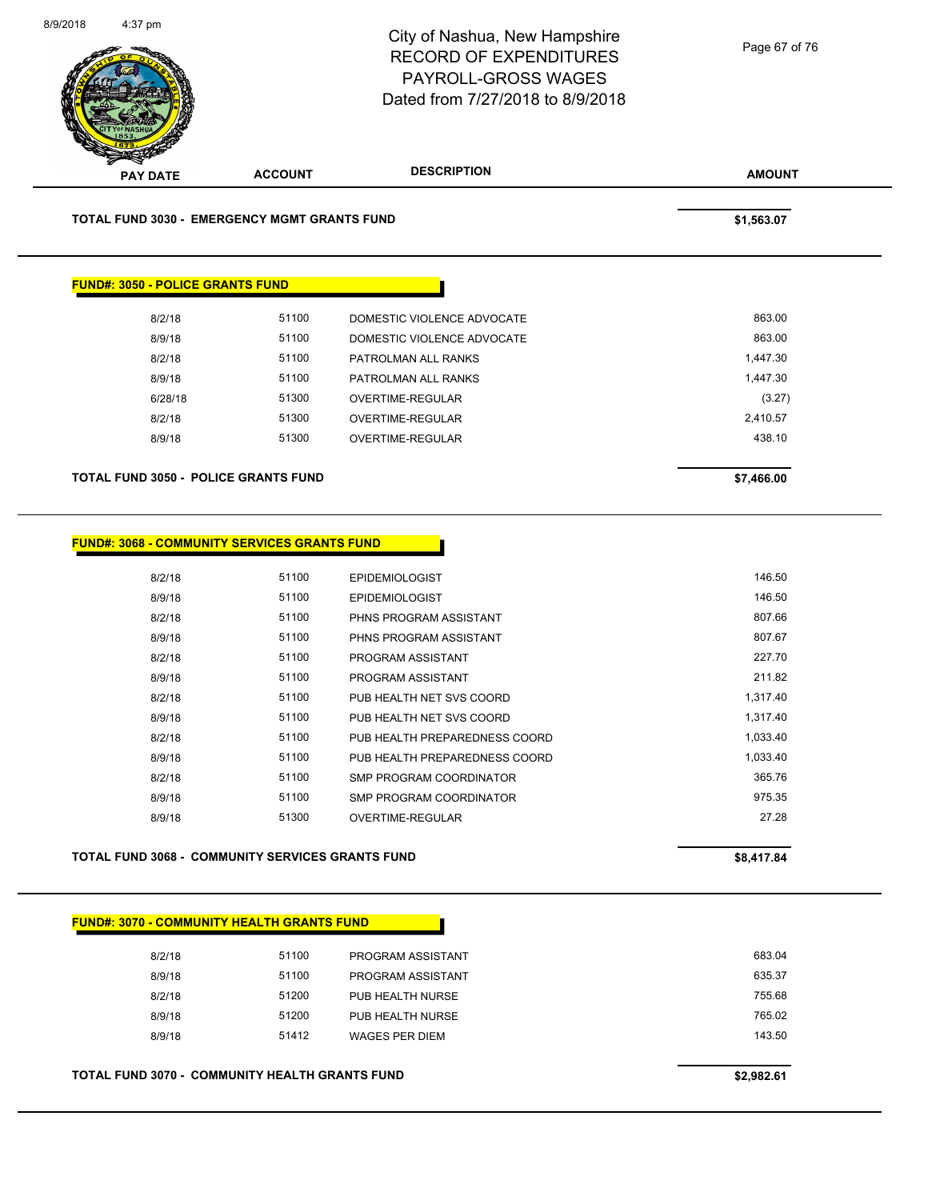

| TOTAL FUND 3050 - POLICE GRANTS FUND |       |                            | \$7,466.00 |
|--------------------------------------|-------|----------------------------|------------|
| 8/9/18                               | 51300 | OVERTIME-REGULAR           | 438.10     |
| 8/2/18                               | 51300 | OVERTIME-REGULAR           | 2,410.57   |
| 6/28/18                              | 51300 | OVERTIME-REGULAR           | (3.27)     |
| 8/9/18                               | 51100 | PATROLMAN ALL RANKS        | 1,447.30   |
| 8/2/18                               | 51100 | PATROLMAN ALL RANKS        | 1,447.30   |
| 8/9/18                               | 51100 | DOMESTIC VIOLENCE ADVOCATE | 863.00     |
| 8/2/18                               | 51100 | DOMESTIC VIOLENCE ADVOCATE | 863.00     |
|                                      |       |                            |            |

| FUND#: 3068 - COMMUNITY SERVICES GRANTS FUND |  |
|----------------------------------------------|--|
|----------------------------------------------|--|

| 8/2/18 | 51100 | <b>EPIDEMIOLOGIST</b>         | 146.50   |
|--------|-------|-------------------------------|----------|
| 8/9/18 | 51100 | <b>EPIDEMIOLOGIST</b>         | 146.50   |
| 8/2/18 | 51100 | PHNS PROGRAM ASSISTANT        | 807.66   |
| 8/9/18 | 51100 | PHNS PROGRAM ASSISTANT        | 807.67   |
| 8/2/18 | 51100 | PROGRAM ASSISTANT             | 227.70   |
| 8/9/18 | 51100 | PROGRAM ASSISTANT             | 211.82   |
| 8/2/18 | 51100 | PUB HEALTH NET SVS COORD      | 1.317.40 |
| 8/9/18 | 51100 | PUB HEALTH NET SVS COORD      | 1,317.40 |
| 8/2/18 | 51100 | PUB HEALTH PREPAREDNESS COORD | 1,033.40 |
| 8/9/18 | 51100 | PUB HEALTH PREPAREDNESS COORD | 1.033.40 |
| 8/2/18 | 51100 | SMP PROGRAM COORDINATOR       | 365.76   |
| 8/9/18 | 51100 | SMP PROGRAM COORDINATOR       | 975.35   |
| 8/9/18 | 51300 | OVERTIME-REGULAR              | 27.28    |
|        |       |                               |          |

**TOTAL FUND 3068 - COMMUNITY SERVICES GRANTS FUND \$8,417.84** 

| <b>FUND#: 3070 - COMMUNITY HEALTH GRANTS FUND</b>     |       |                   |            |
|-------------------------------------------------------|-------|-------------------|------------|
| 8/2/18                                                | 51100 | PROGRAM ASSISTANT | 683.04     |
| 8/9/18                                                | 51100 | PROGRAM ASSISTANT | 635.37     |
| 8/2/18                                                | 51200 | PUB HEALTH NURSE  | 755.68     |
| 8/9/18                                                | 51200 | PUB HEALTH NURSE  | 765.02     |
| 8/9/18                                                | 51412 | WAGES PER DIEM    | 143.50     |
|                                                       |       |                   |            |
| <b>TOTAL FUND 3070 - COMMUNITY HEALTH GRANTS FUND</b> |       |                   | \$2,982.61 |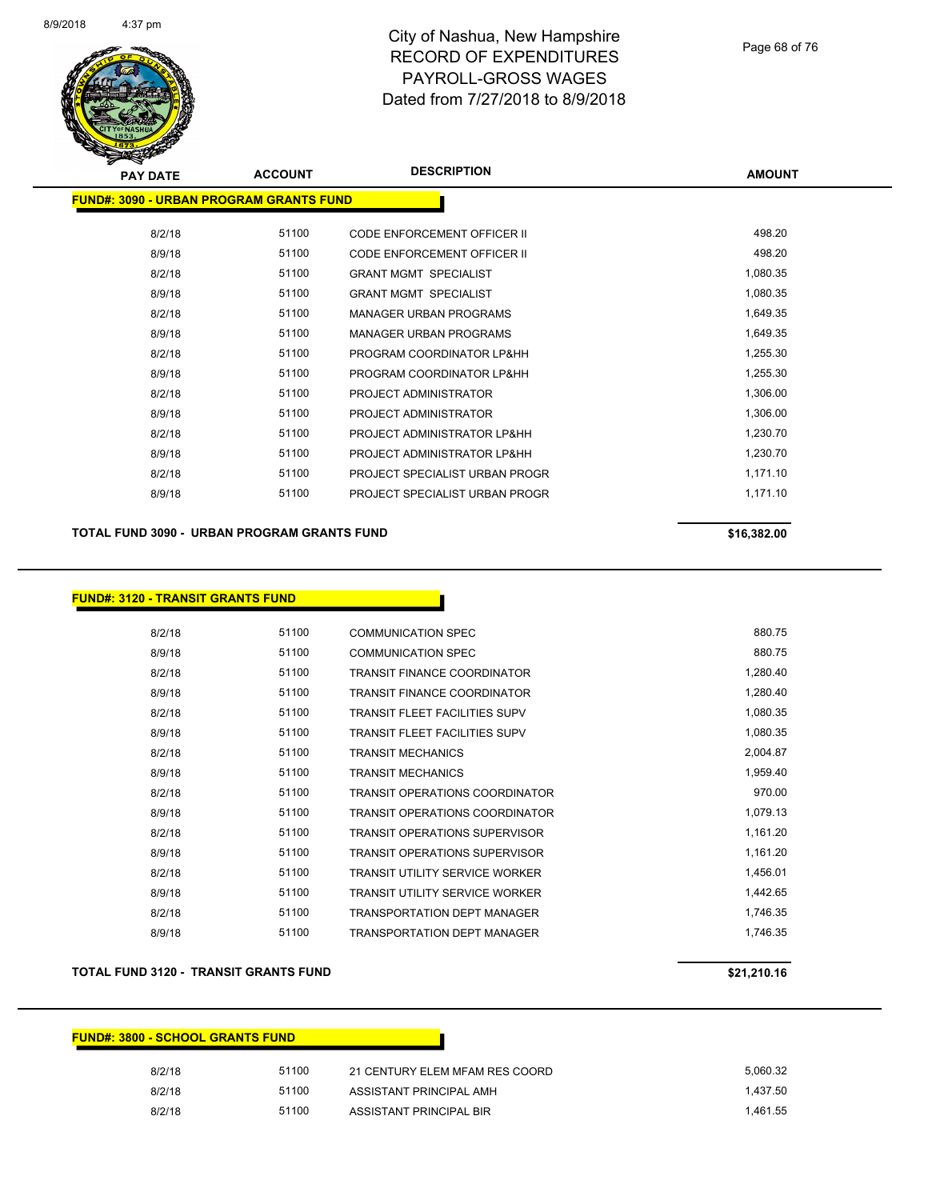

| <b>PAY DATE</b>                                 | <b>ACCOUNT</b> | <b>DESCRIPTION</b>                 | <b>AMOUNT</b> |
|-------------------------------------------------|----------------|------------------------------------|---------------|
| <u> FUND#: 3090 - URBAN PROGRAM GRANTS FUND</u> |                |                                    |               |
| 8/2/18                                          | 51100          | <b>CODE ENFORCEMENT OFFICER II</b> | 498.20        |
| 8/9/18                                          | 51100          | <b>CODE ENFORCEMENT OFFICER II</b> | 498.20        |
| 8/2/18                                          | 51100          | <b>GRANT MGMT SPECIALIST</b>       | 1,080.35      |
| 8/9/18                                          | 51100          | <b>GRANT MGMT SPECIALIST</b>       | 1,080.35      |
| 8/2/18                                          | 51100          | <b>MANAGER URBAN PROGRAMS</b>      | 1,649.35      |
| 8/9/18                                          | 51100          | <b>MANAGER URBAN PROGRAMS</b>      | 1,649.35      |
| 8/2/18                                          | 51100          | PROGRAM COORDINATOR LP&HH          | 1,255.30      |
| 8/9/18                                          | 51100          | PROGRAM COORDINATOR LP&HH          | 1,255.30      |
| 8/2/18                                          | 51100          | PROJECT ADMINISTRATOR              | 1,306.00      |
| 8/9/18                                          | 51100          | PROJECT ADMINISTRATOR              | 1,306.00      |
| 8/2/18                                          | 51100          | PROJECT ADMINISTRATOR LP&HH        | 1,230.70      |
| 8/9/18                                          | 51100          | PROJECT ADMINISTRATOR LP&HH        | 1,230.70      |
| 8/2/18                                          | 51100          | PROJECT SPECIALIST URBAN PROGR     | 1,171.10      |
| 8/9/18                                          | 51100          | PROJECT SPECIALIST URBAN PROGR     | 1,171.10      |
|                                                 |                |                                    |               |

#### **TOTAL FUND 3090 - URBAN PROGRAM GRANTS FUND \$16,382.00**

#### **FUND#: 3120 - TRANSIT GRANTS FUND**

| 8/2/18 | 51100 | COMMUNICATION SPEC                    | 880.75   |
|--------|-------|---------------------------------------|----------|
| 8/9/18 | 51100 | <b>COMMUNICATION SPEC</b>             | 880.75   |
| 8/2/18 | 51100 | TRANSIT FINANCE COORDINATOR           | 1,280.40 |
| 8/9/18 | 51100 | <b>TRANSIT FINANCE COORDINATOR</b>    | 1,280.40 |
| 8/2/18 | 51100 | <b>TRANSIT FLEET FACILITIES SUPV</b>  | 1,080.35 |
| 8/9/18 | 51100 | TRANSIT FLEET FACILITIES SUPV         | 1,080.35 |
| 8/2/18 | 51100 | <b>TRANSIT MECHANICS</b>              | 2,004.87 |
| 8/9/18 | 51100 | <b>TRANSIT MECHANICS</b>              | 1,959.40 |
| 8/2/18 | 51100 | <b>TRANSIT OPERATIONS COORDINATOR</b> | 970.00   |
| 8/9/18 | 51100 | <b>TRANSIT OPERATIONS COORDINATOR</b> | 1,079.13 |
| 8/2/18 | 51100 | <b>TRANSIT OPERATIONS SUPERVISOR</b>  | 1,161.20 |
| 8/9/18 | 51100 | TRANSIT OPERATIONS SUPERVISOR         | 1,161.20 |
| 8/2/18 | 51100 | <b>TRANSIT UTILITY SERVICE WORKER</b> | 1,456.01 |
| 8/9/18 | 51100 | <b>TRANSIT UTILITY SERVICE WORKER</b> | 1,442.65 |
| 8/2/18 | 51100 | <b>TRANSPORTATION DEPT MANAGER</b>    | 1,746.35 |
| 8/9/18 | 51100 | <b>TRANSPORTATION DEPT MANAGER</b>    | 1,746.35 |

#### **TOTAL FUND 3120 - TRANSIT GRANTS FUND \$21,210.16**

| <u> FUND#: 3800 - SCHOOL GRANTS FUND_</u> |       |                                |          |
|-------------------------------------------|-------|--------------------------------|----------|
| 8/2/18                                    | 51100 | 21 CENTURY ELEM MFAM RES COORD | 5,060.32 |
| 8/2/18                                    | 51100 | ASSISTANT PRINCIPAL AMH        | 1.437.50 |
| 8/2/18                                    | 51100 | ASSISTANT PRINCIPAL BIR        | 1.461.55 |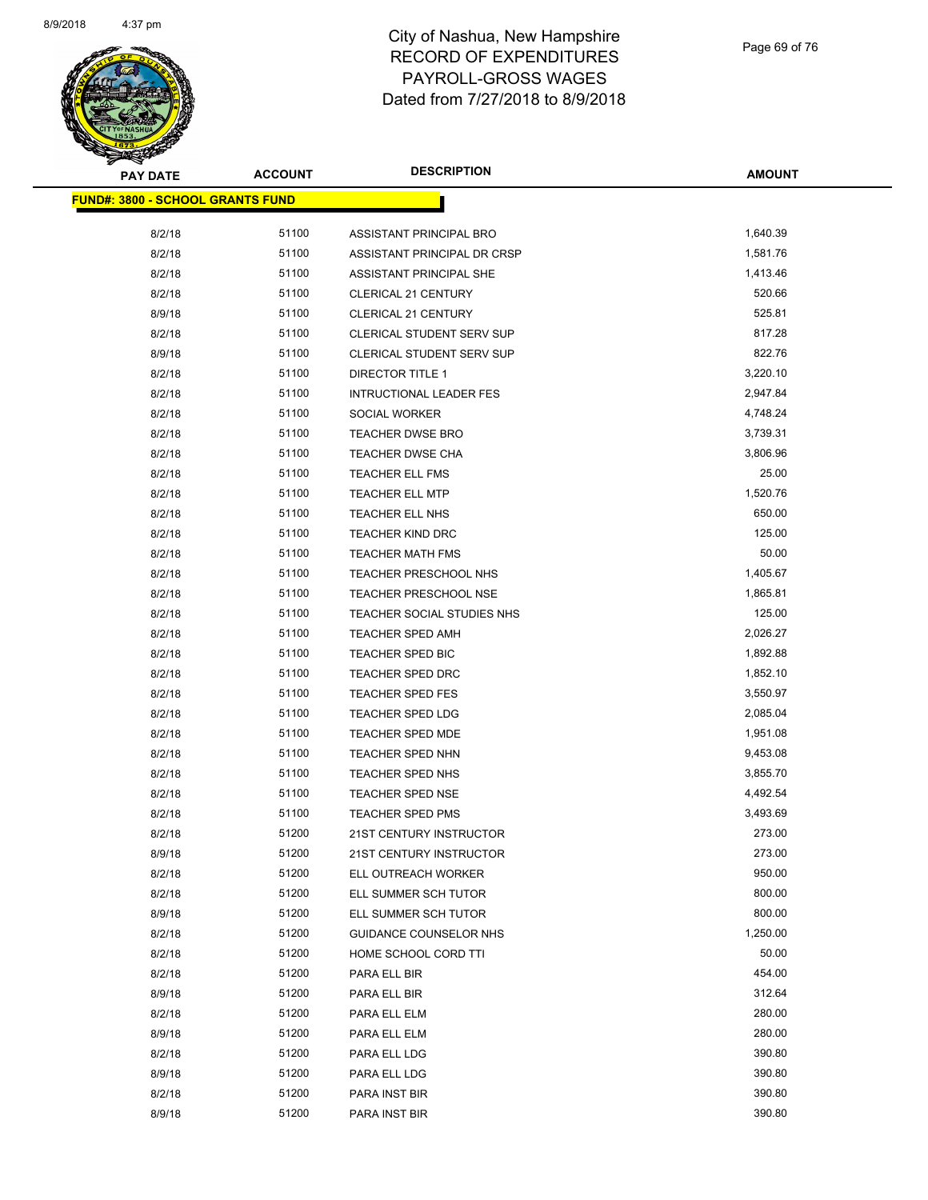

| <b>PAY DATE</b>                  | <b>ACCOUNT</b> | <b>DESCRIPTION</b>               | <b>AMOUNT</b> |
|----------------------------------|----------------|----------------------------------|---------------|
| FUND#: 3800 - SCHOOL GRANTS FUND |                |                                  |               |
| 8/2/18                           | 51100          | ASSISTANT PRINCIPAL BRO          | 1,640.39      |
| 8/2/18                           | 51100          | ASSISTANT PRINCIPAL DR CRSP      | 1,581.76      |
| 8/2/18                           | 51100          | ASSISTANT PRINCIPAL SHE          | 1,413.46      |
| 8/2/18                           | 51100          | CLERICAL 21 CENTURY              | 520.66        |
| 8/9/18                           | 51100          | <b>CLERICAL 21 CENTURY</b>       | 525.81        |
| 8/2/18                           | 51100          | <b>CLERICAL STUDENT SERV SUP</b> | 817.28        |
| 8/9/18                           | 51100          | <b>CLERICAL STUDENT SERV SUP</b> | 822.76        |
| 8/2/18                           | 51100          | <b>DIRECTOR TITLE 1</b>          | 3,220.10      |
| 8/2/18                           | 51100          | <b>INTRUCTIONAL LEADER FES</b>   | 2,947.84      |
| 8/2/18                           | 51100          | SOCIAL WORKER                    | 4,748.24      |
| 8/2/18                           | 51100          | <b>TEACHER DWSE BRO</b>          | 3,739.31      |
| 8/2/18                           | 51100          | TEACHER DWSE CHA                 | 3,806.96      |
| 8/2/18                           | 51100          | TEACHER ELL FMS                  | 25.00         |
| 8/2/18                           | 51100          | <b>TEACHER ELL MTP</b>           | 1,520.76      |
| 8/2/18                           | 51100          | TEACHER ELL NHS                  | 650.00        |
| 8/2/18                           | 51100          | <b>TEACHER KIND DRC</b>          | 125.00        |
| 8/2/18                           | 51100          | TEACHER MATH FMS                 | 50.00         |
| 8/2/18                           | 51100          | TEACHER PRESCHOOL NHS            | 1,405.67      |
| 8/2/18                           | 51100          | <b>TEACHER PRESCHOOL NSE</b>     | 1,865.81      |
| 8/2/18                           | 51100          | TEACHER SOCIAL STUDIES NHS       | 125.00        |
| 8/2/18                           | 51100          | <b>TEACHER SPED AMH</b>          | 2,026.27      |
| 8/2/18                           | 51100          | TEACHER SPED BIC                 | 1,892.88      |
| 8/2/18                           | 51100          | TEACHER SPED DRC                 | 1,852.10      |
| 8/2/18                           | 51100          | <b>TEACHER SPED FES</b>          | 3,550.97      |
| 8/2/18                           | 51100          | TEACHER SPED LDG                 | 2,085.04      |
| 8/2/18                           | 51100          | TEACHER SPED MDE                 | 1,951.08      |
| 8/2/18                           | 51100          | TEACHER SPED NHN                 | 9,453.08      |
| 8/2/18                           | 51100          | TEACHER SPED NHS                 | 3,855.70      |
| 8/2/18                           | 51100          | <b>TEACHER SPED NSE</b>          | 4,492.54      |
| 8/2/18                           | 51100          | <b>TEACHER SPED PMS</b>          | 3,493.69      |
| 8/2/18                           | 51200          | 21ST CENTURY INSTRUCTOR          | 273.00        |
| 8/9/18                           | 51200          | 21ST CENTURY INSTRUCTOR          | 273.00        |
| 8/2/18                           | 51200          | ELL OUTREACH WORKER              | 950.00        |
| 8/2/18                           | 51200          | ELL SUMMER SCH TUTOR             | 800.00        |
| 8/9/18                           | 51200          | ELL SUMMER SCH TUTOR             | 800.00        |
| 8/2/18                           | 51200          | GUIDANCE COUNSELOR NHS           | 1,250.00      |
| 8/2/18                           | 51200          | HOME SCHOOL CORD TTI             | 50.00         |
| 8/2/18                           | 51200          | PARA ELL BIR                     | 454.00        |
| 8/9/18                           | 51200          | PARA ELL BIR                     | 312.64        |
| 8/2/18                           | 51200          | PARA ELL ELM                     | 280.00        |
| 8/9/18                           | 51200          | PARA ELL ELM                     | 280.00        |
| 8/2/18                           | 51200          | PARA ELL LDG                     | 390.80        |
| 8/9/18                           | 51200          | PARA ELL LDG                     | 390.80        |
| 8/2/18                           | 51200          | PARA INST BIR                    | 390.80        |
| 8/9/18                           | 51200          | PARA INST BIR                    | 390.80        |
|                                  |                |                                  |               |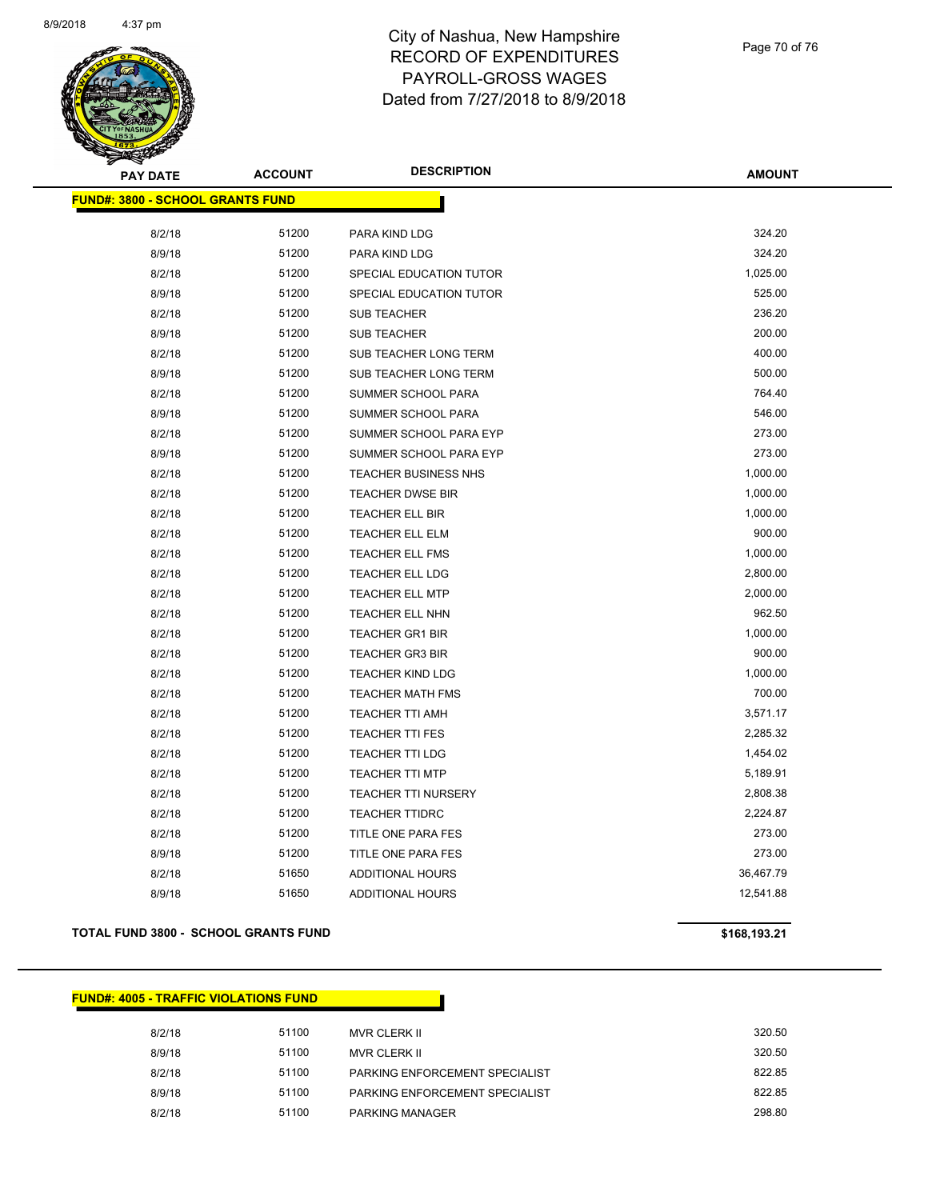

Page 70 of 76

| <b>PAY DATE</b>                         | <b>ACCOUNT</b> | <b>DESCRIPTION</b>         | <b>AMOUNT</b> |
|-----------------------------------------|----------------|----------------------------|---------------|
| <b>FUND#: 3800 - SCHOOL GRANTS FUND</b> |                |                            |               |
|                                         |                |                            |               |
| 8/2/18                                  | 51200          | PARA KIND LDG              | 324.20        |
| 8/9/18                                  | 51200          | PARA KIND LDG              | 324.20        |
| 8/2/18                                  | 51200          | SPECIAL EDUCATION TUTOR    | 1,025.00      |
| 8/9/18                                  | 51200          | SPECIAL EDUCATION TUTOR    | 525.00        |
| 8/2/18                                  | 51200          | <b>SUB TEACHER</b>         | 236.20        |
| 8/9/18                                  | 51200          | <b>SUB TEACHER</b>         | 200.00        |
| 8/2/18                                  | 51200          | SUB TEACHER LONG TERM      | 400.00        |
| 8/9/18                                  | 51200          | SUB TEACHER LONG TERM      | 500.00        |
| 8/2/18                                  | 51200          | SUMMER SCHOOL PARA         | 764.40        |
| 8/9/18                                  | 51200          | SUMMER SCHOOL PARA         | 546.00        |
| 8/2/18                                  | 51200          | SUMMER SCHOOL PARA EYP     | 273.00        |
| 8/9/18                                  | 51200          | SUMMER SCHOOL PARA EYP     | 273.00        |
| 8/2/18                                  | 51200          | TEACHER BUSINESS NHS       | 1,000.00      |
| 8/2/18                                  | 51200          | <b>TEACHER DWSE BIR</b>    | 1,000.00      |
| 8/2/18                                  | 51200          | TEACHER ELL BIR            | 1,000.00      |
| 8/2/18                                  | 51200          | TEACHER ELL ELM            | 900.00        |
| 8/2/18                                  | 51200          | TEACHER ELL FMS            | 1,000.00      |
| 8/2/18                                  | 51200          | TEACHER ELL LDG            | 2,800.00      |
| 8/2/18                                  | 51200          | TEACHER ELL MTP            | 2,000.00      |
| 8/2/18                                  | 51200          | TEACHER ELL NHN            | 962.50        |
| 8/2/18                                  | 51200          | TEACHER GR1 BIR            | 1,000.00      |
| 8/2/18                                  | 51200          | <b>TEACHER GR3 BIR</b>     | 900.00        |
| 8/2/18                                  | 51200          | <b>TEACHER KIND LDG</b>    | 1,000.00      |
| 8/2/18                                  | 51200          | <b>TEACHER MATH FMS</b>    | 700.00        |
| 8/2/18                                  | 51200          | <b>TEACHER TTI AMH</b>     | 3,571.17      |
| 8/2/18                                  | 51200          | <b>TEACHER TTI FES</b>     | 2,285.32      |
| 8/2/18                                  | 51200          | <b>TEACHER TTI LDG</b>     | 1,454.02      |
| 8/2/18                                  | 51200          | <b>TEACHER TTI MTP</b>     | 5,189.91      |
| 8/2/18                                  | 51200          | <b>TEACHER TTI NURSERY</b> | 2,808.38      |
| 8/2/18                                  | 51200          | <b>TEACHER TTIDRC</b>      | 2,224.87      |
| 8/2/18                                  | 51200          | TITLE ONE PARA FES         | 273.00        |
| 8/9/18                                  | 51200          | TITLE ONE PARA FES         | 273.00        |
| 8/2/18                                  | 51650          | ADDITIONAL HOURS           | 36,467.79     |
| 8/9/18                                  | 51650          | <b>ADDITIONAL HOURS</b>    | 12,541.88     |
|                                         |                |                            |               |

#### **TOTAL FUND 3800 - SCHOOL GRANTS FUND \$168,193.21**

#### **FUND#: 4005 - TRAFFIC VIOLATIONS FUND**

| 8/2/18 | 51100 | MVR CLERK II                   | 320.50 |
|--------|-------|--------------------------------|--------|
| 8/9/18 | 51100 | MVR CLERK II                   | 320.50 |
| 8/2/18 | 51100 | PARKING ENFORCEMENT SPECIALIST | 822.85 |
| 8/9/18 | 51100 | PARKING ENFORCEMENT SPECIALIST | 822.85 |
| 8/2/18 | 51100 | <b>PARKING MANAGER</b>         | 298.80 |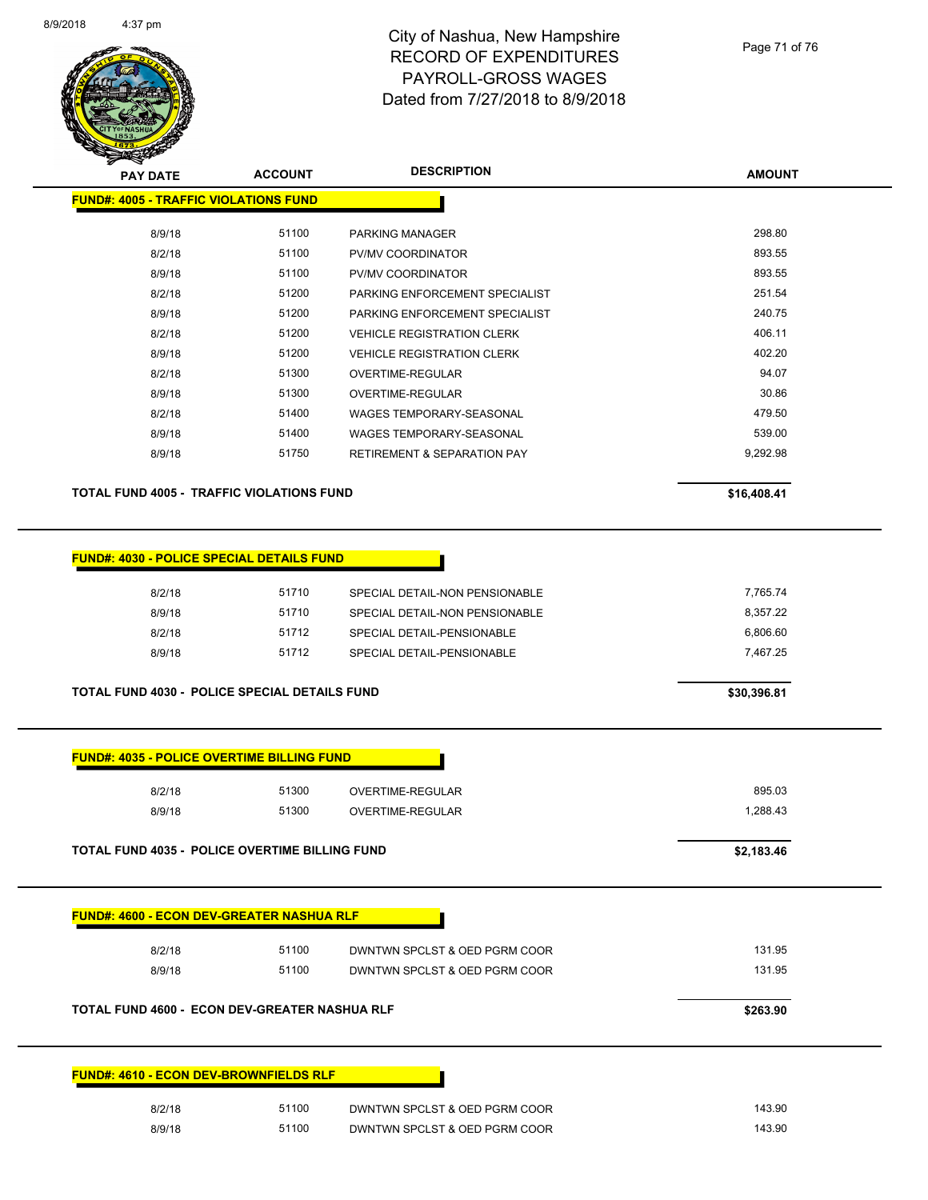

#### Page 71 of 76

| <b>PAY DATE</b>                              | <b>ACCOUNT</b> | <b>DESCRIPTION</b>                     | <b>AMOUNT</b> |
|----------------------------------------------|----------------|----------------------------------------|---------------|
| <b>FUND#: 4005 - TRAFFIC VIOLATIONS FUND</b> |                |                                        |               |
|                                              |                |                                        |               |
| 8/9/18                                       | 51100          | PARKING MANAGER                        | 298.80        |
| 8/2/18                                       | 51100          | <b>PV/MV COORDINATOR</b>               | 893.55        |
| 8/9/18                                       | 51100          | <b>PV/MV COORDINATOR</b>               | 893.55        |
| 8/2/18                                       | 51200          | PARKING ENFORCEMENT SPECIALIST         | 251.54        |
| 8/9/18                                       | 51200          | PARKING ENFORCEMENT SPECIALIST         | 240.75        |
| 8/2/18                                       | 51200          | <b>VEHICLE REGISTRATION CLERK</b>      | 406.11        |
| 8/9/18                                       | 51200          | <b>VEHICLE REGISTRATION CLERK</b>      | 402.20        |
| 8/2/18                                       | 51300          | OVERTIME-REGULAR                       | 94.07         |
| 8/9/18                                       | 51300          | OVERTIME-REGULAR                       | 30.86         |
| 8/2/18                                       | 51400          | WAGES TEMPORARY-SEASONAL               | 479.50        |
| 8/9/18                                       | 51400          | WAGES TEMPORARY-SEASONAL               | 539.00        |
| 8/9/18                                       | 51750          | <b>RETIREMENT &amp; SEPARATION PAY</b> | 9,292.98      |
|                                              |                |                                        |               |

**TOTAL FUND 4005 - TRAFFIC VIOLATIONS FUND \$16,408.41** 

| <b>FUND#: 4030 - POLICE SPECIAL DETAILS FUND</b> |  |  |  |  |
|--------------------------------------------------|--|--|--|--|
|--------------------------------------------------|--|--|--|--|

| 8/2/18 | 51710 | SPECIAL DETAIL-NON PENSIONABLE | 7.765.74 |
|--------|-------|--------------------------------|----------|
| 8/9/18 | 51710 | SPECIAL DETAIL-NON PENSIONABLE | 8.357.22 |
| 8/2/18 | 51712 | SPECIAL DETAIL-PENSIONABLE     | 6.806.60 |
| 8/9/18 | 51712 | SPECIAL DETAIL-PENSIONABLE     | 7.467.25 |
|        |       |                                |          |

**TOTAL FUND 4030 - POLICE SPECIAL DETAILS FUND \$30,396.81** 

| 8/2/18<br>8/9/18                                      | 51300<br>51300 | <b>OVERTIME-REGULAR</b><br><b>OVERTIME-REGULAR</b> | 895.03<br>1,288.43 |
|-------------------------------------------------------|----------------|----------------------------------------------------|--------------------|
| <b>TOTAL FUND 4035 - POLICE OVERTIME BILLING FUND</b> |                |                                                    | \$2,183.46         |
| <b>FUND#: 4600 - ECON DEV-GREATER NASHUA RLF</b>      |                |                                                    |                    |
| 8/2/18                                                | 51100          | DWNTWN SPCLST & OED PGRM COOR                      | 131.95             |
| 8/9/18                                                | 51100          | DWNTWN SPCLST & OED PGRM COOR                      | 131.95             |
| TOTAL FUND 4600 - ECON DEV-GREATER NASHUA RLF         |                |                                                    | \$263.90           |
|                                                       |                |                                                    |                    |
| <b>FUND#: 4610 - ECON DEV-BROWNFIELDS RLF</b>         |                |                                                    |                    |
|                                                       |                |                                                    |                    |
| 8/2/18                                                | 51100          | DWNTWN SPCLST & OED PGRM COOR                      | 143.90             |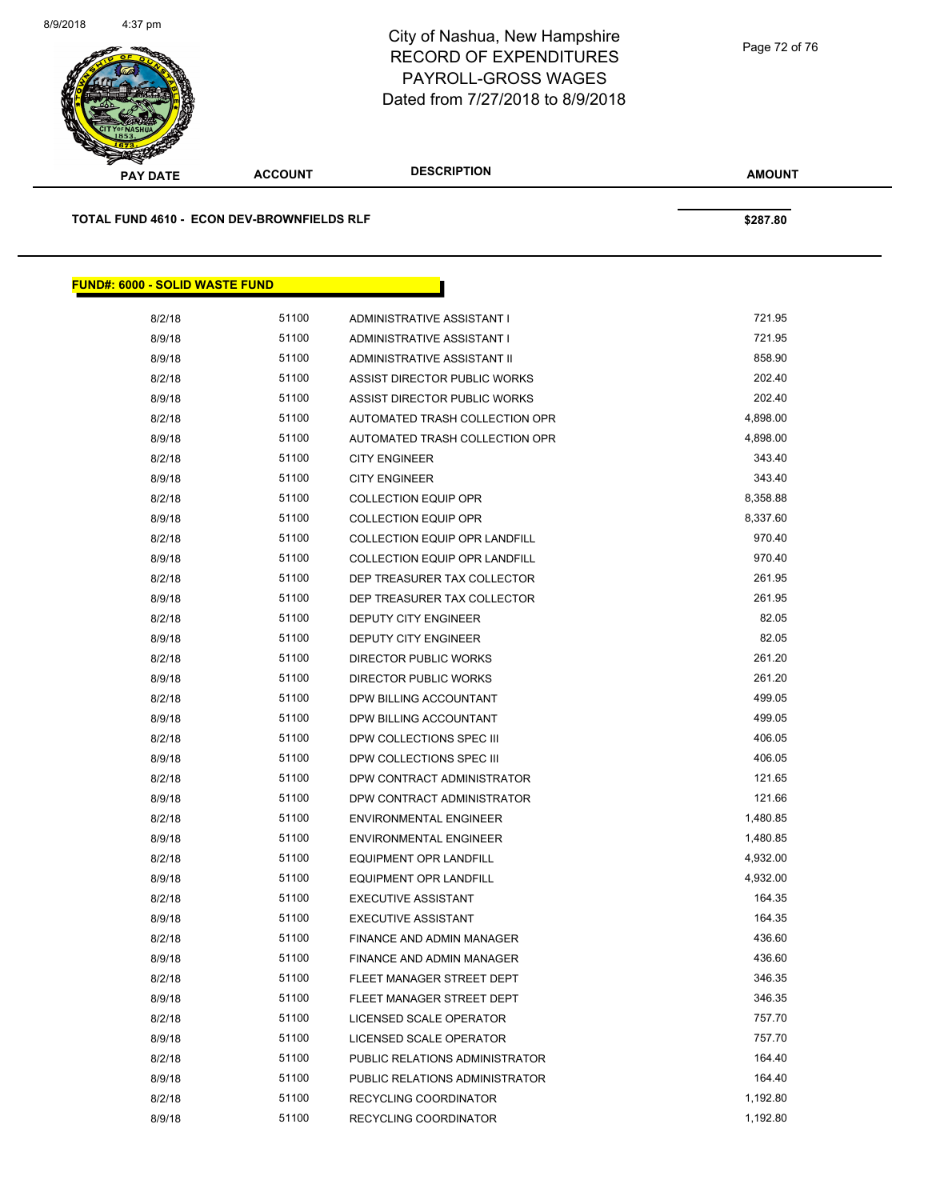

**AMOUNT PAY DATE ACCOUNT DESCRIPTION TOTAL FUND 4610 - ECON DEV-BROWNFIELDS RLF \$287.80 FUND#: 6000 - SOLID WASTE FUND** 8/2/18 51100 ADMINISTRATIVE ASSISTANT I 521.95 8/9/18 51100 ADMINISTRATIVE ASSISTANT I 721.95

| 8/9/18 | 51100 | ADMINISTRATIVE ASSISTANT I           | 721.95   |
|--------|-------|--------------------------------------|----------|
| 8/9/18 | 51100 | ADMINISTRATIVE ASSISTANT II          | 858.90   |
| 8/2/18 | 51100 | ASSIST DIRECTOR PUBLIC WORKS         | 202.40   |
| 8/9/18 | 51100 | ASSIST DIRECTOR PUBLIC WORKS         | 202.40   |
| 8/2/18 | 51100 | AUTOMATED TRASH COLLECTION OPR       | 4,898.00 |
| 8/9/18 | 51100 | AUTOMATED TRASH COLLECTION OPR       | 4,898.00 |
| 8/2/18 | 51100 | <b>CITY ENGINEER</b>                 | 343.40   |
| 8/9/18 | 51100 | <b>CITY ENGINEER</b>                 | 343.40   |
| 8/2/18 | 51100 | <b>COLLECTION EQUIP OPR</b>          | 8,358.88 |
| 8/9/18 | 51100 | <b>COLLECTION EQUIP OPR</b>          | 8,337.60 |
| 8/2/18 | 51100 | <b>COLLECTION EQUIP OPR LANDFILL</b> | 970.40   |
| 8/9/18 | 51100 | <b>COLLECTION EQUIP OPR LANDFILL</b> | 970.40   |
| 8/2/18 | 51100 | DEP TREASURER TAX COLLECTOR          | 261.95   |
| 8/9/18 | 51100 | DEP TREASURER TAX COLLECTOR          | 261.95   |
| 8/2/18 | 51100 | DEPUTY CITY ENGINEER                 | 82.05    |
| 8/9/18 | 51100 | <b>DEPUTY CITY ENGINEER</b>          | 82.05    |
| 8/2/18 | 51100 | DIRECTOR PUBLIC WORKS                | 261.20   |
| 8/9/18 | 51100 | DIRECTOR PUBLIC WORKS                | 261.20   |
| 8/2/18 | 51100 | DPW BILLING ACCOUNTANT               | 499.05   |
| 8/9/18 | 51100 | DPW BILLING ACCOUNTANT               | 499.05   |
| 8/2/18 | 51100 | DPW COLLECTIONS SPEC III             | 406.05   |
| 8/9/18 | 51100 | DPW COLLECTIONS SPEC III             | 406.05   |
| 8/2/18 | 51100 | DPW CONTRACT ADMINISTRATOR           | 121.65   |
| 8/9/18 | 51100 | DPW CONTRACT ADMINISTRATOR           | 121.66   |
| 8/2/18 | 51100 | <b>ENVIRONMENTAL ENGINEER</b>        | 1,480.85 |
| 8/9/18 | 51100 | <b>ENVIRONMENTAL ENGINEER</b>        | 1,480.85 |
| 8/2/18 | 51100 | <b>EQUIPMENT OPR LANDFILL</b>        | 4,932.00 |
| 8/9/18 | 51100 | <b>EQUIPMENT OPR LANDFILL</b>        | 4,932.00 |
| 8/2/18 | 51100 | <b>EXECUTIVE ASSISTANT</b>           | 164.35   |
| 8/9/18 | 51100 | <b>EXECUTIVE ASSISTANT</b>           | 164.35   |
| 8/2/18 | 51100 | <b>FINANCE AND ADMIN MANAGER</b>     | 436.60   |
| 8/9/18 | 51100 | FINANCE AND ADMIN MANAGER            | 436.60   |
| 8/2/18 | 51100 | FLEET MANAGER STREET DEPT            | 346.35   |
| 8/9/18 | 51100 | FLEET MANAGER STREET DEPT            | 346.35   |
| 8/2/18 | 51100 | LICENSED SCALE OPERATOR              | 757.70   |
| 8/9/18 | 51100 | <b>LICENSED SCALE OPERATOR</b>       | 757.70   |
| 8/2/18 | 51100 | PUBLIC RELATIONS ADMINISTRATOR       | 164.40   |
| 8/9/18 | 51100 | PUBLIC RELATIONS ADMINISTRATOR       | 164.40   |
| 8/2/18 | 51100 | RECYCLING COORDINATOR                | 1,192.80 |
| 8/9/18 | 51100 | RECYCLING COORDINATOR                | 1,192.80 |

Page 72 of 76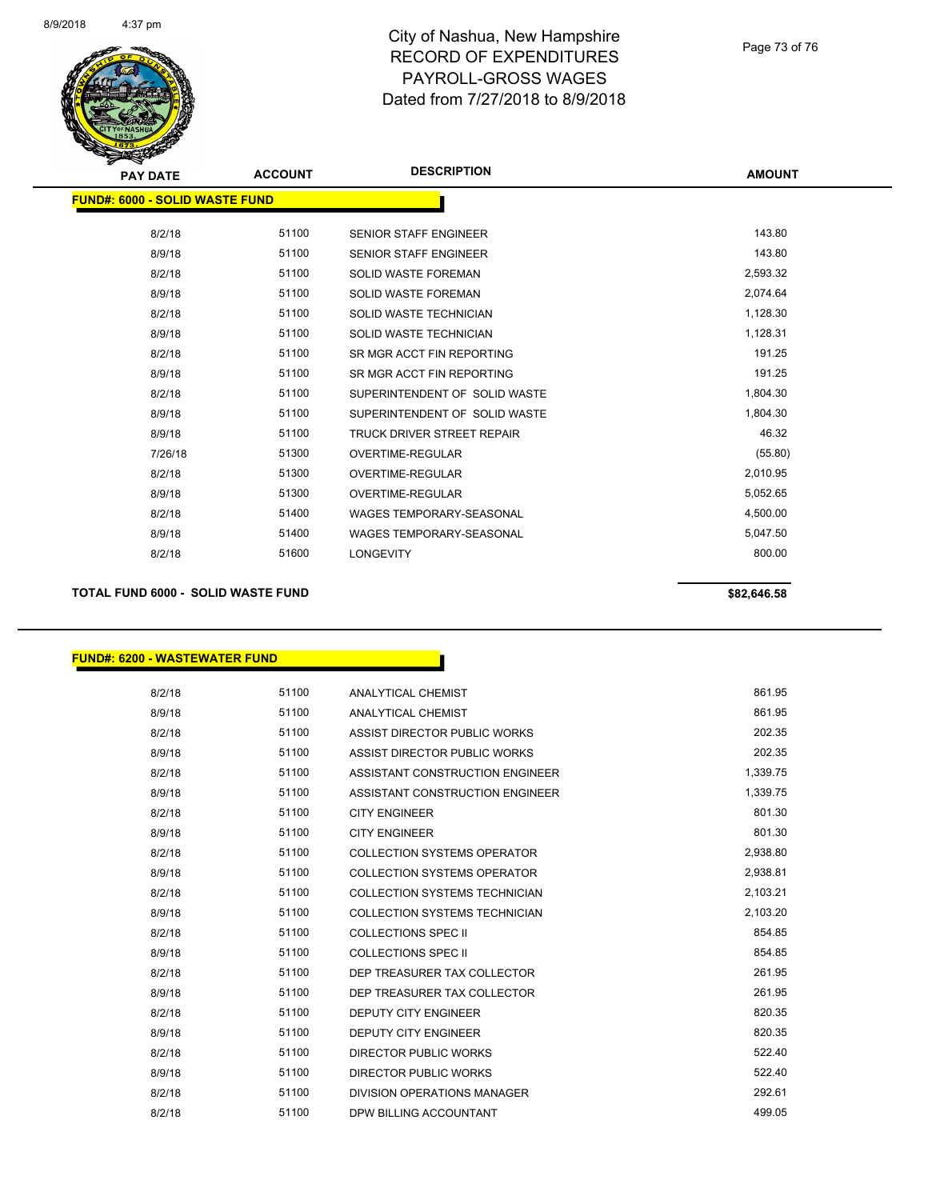

# City of Nashua, New Hampshire RECORD OF EXPENDITURES PAYROLL-GROSS WAGES Dated from 7/27/2018 to 8/9/2018

### Page 73 of 76

| <b>PAY DATE</b>                       | <b>ACCOUNT</b> | <b>DESCRIPTION</b>                | <b>AMOUNT</b> |
|---------------------------------------|----------------|-----------------------------------|---------------|
| <b>FUND#: 6000 - SOLID WASTE FUND</b> |                |                                   |               |
| 8/2/18                                | 51100          | <b>SENIOR STAFF ENGINEER</b>      | 143.80        |
| 8/9/18                                | 51100          | <b>SENIOR STAFF ENGINEER</b>      | 143.80        |
| 8/2/18                                | 51100          | <b>SOLID WASTE FOREMAN</b>        | 2,593.32      |
| 8/9/18                                | 51100          | <b>SOLID WASTE FOREMAN</b>        | 2,074.64      |
| 8/2/18                                | 51100          | SOLID WASTE TECHNICIAN            | 1,128.30      |
| 8/9/18                                | 51100          | SOLID WASTE TECHNICIAN            | 1,128.31      |
| 8/2/18                                | 51100          | SR MGR ACCT FIN REPORTING         | 191.25        |
| 8/9/18                                | 51100          | SR MGR ACCT FIN REPORTING         | 191.25        |
| 8/2/18                                | 51100          | SUPERINTENDENT OF SOLID WASTE     | 1,804.30      |
| 8/9/18                                | 51100          | SUPERINTENDENT OF SOLID WASTE     | 1,804.30      |
| 8/9/18                                | 51100          | <b>TRUCK DRIVER STREET REPAIR</b> | 46.32         |
| 7/26/18                               | 51300          | <b>OVERTIME-REGULAR</b>           | (55.80)       |
| 8/2/18                                | 51300          | <b>OVERTIME-REGULAR</b>           | 2,010.95      |
| 8/9/18                                | 51300          | <b>OVERTIME-REGULAR</b>           | 5,052.65      |
| 8/2/18                                | 51400          | <b>WAGES TEMPORARY-SEASONAL</b>   | 4,500.00      |
| 8/9/18                                | 51400          | <b>WAGES TEMPORARY-SEASONAL</b>   | 5,047.50      |
| 8/2/18                                | 51600          | <b>LONGEVITY</b>                  | 800.00        |
|                                       |                |                                   |               |

# **TOTAL FUND 6000 - SOLID WASTE FUND \$82,646.58**

## **FUND#: 6200 - WASTEWATER FUND**

| 8/2/18 | 51100 | <b>ANALYTICAL CHEMIST</b>          | 861.95   |
|--------|-------|------------------------------------|----------|
| 8/9/18 | 51100 | <b>ANALYTICAL CHEMIST</b>          | 861.95   |
| 8/2/18 | 51100 | ASSIST DIRECTOR PUBLIC WORKS       | 202.35   |
| 8/9/18 | 51100 | ASSIST DIRECTOR PUBLIC WORKS       | 202.35   |
| 8/2/18 | 51100 | ASSISTANT CONSTRUCTION ENGINEER    | 1,339.75 |
| 8/9/18 | 51100 | ASSISTANT CONSTRUCTION ENGINEER    | 1,339.75 |
| 8/2/18 | 51100 | <b>CITY ENGINEER</b>               | 801.30   |
| 8/9/18 | 51100 | <b>CITY ENGINEER</b>               | 801.30   |
| 8/2/18 | 51100 | <b>COLLECTION SYSTEMS OPERATOR</b> | 2,938.80 |
| 8/9/18 | 51100 | COLLECTION SYSTEMS OPERATOR        | 2,938.81 |
| 8/2/18 | 51100 | COLLECTION SYSTEMS TECHNICIAN      | 2,103.21 |
| 8/9/18 | 51100 | COLLECTION SYSTEMS TECHNICIAN      | 2,103.20 |
| 8/2/18 | 51100 | <b>COLLECTIONS SPEC II</b>         | 854.85   |
| 8/9/18 | 51100 | <b>COLLECTIONS SPEC II</b>         | 854.85   |
| 8/2/18 | 51100 | DEP TREASURER TAX COLLECTOR        | 261.95   |
| 8/9/18 | 51100 | DEP TREASURER TAX COLLECTOR        | 261.95   |
| 8/2/18 | 51100 | <b>DEPUTY CITY ENGINEER</b>        | 820.35   |
| 8/9/18 | 51100 | <b>DEPUTY CITY ENGINEER</b>        | 820.35   |
| 8/2/18 | 51100 | DIRECTOR PUBLIC WORKS              | 522.40   |
| 8/9/18 | 51100 | DIRECTOR PUBLIC WORKS              | 522.40   |
| 8/2/18 | 51100 | DIVISION OPERATIONS MANAGER        | 292.61   |
| 8/2/18 | 51100 | DPW BILLING ACCOUNTANT             | 499.05   |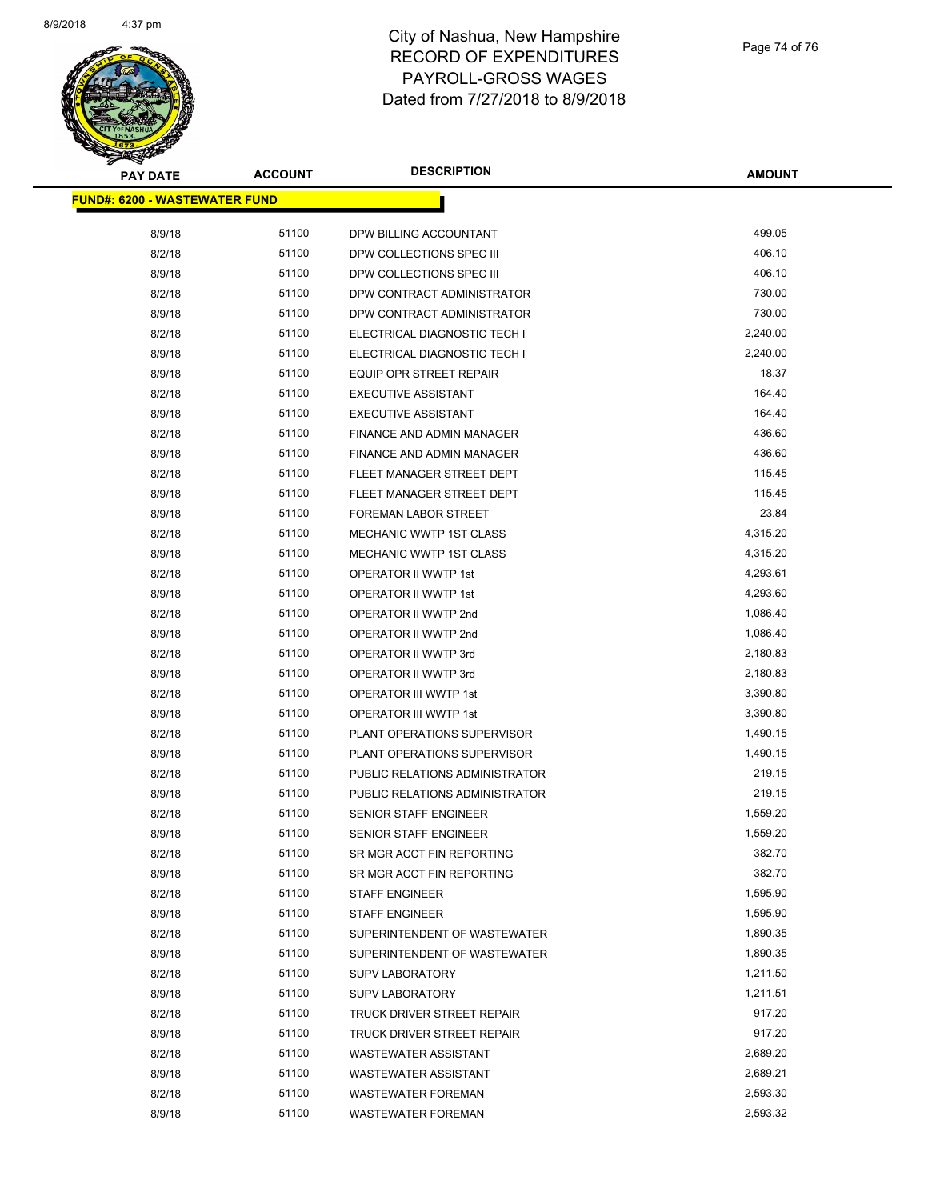

# City of Nashua, New Hampshire RECORD OF EXPENDITURES PAYROLL-GROSS WAGES Dated from 7/27/2018 to 8/9/2018

Page 74 of 76

| ॼ<br><b>PAY DATE</b>                 | <b>ACCOUNT</b> | <b>DESCRIPTION</b>             | <b>AMOUNT</b> |
|--------------------------------------|----------------|--------------------------------|---------------|
| <b>FUND#: 6200 - WASTEWATER FUND</b> |                |                                |               |
|                                      |                |                                |               |
| 8/9/18                               | 51100          | DPW BILLING ACCOUNTANT         | 499.05        |
| 8/2/18                               | 51100          | DPW COLLECTIONS SPEC III       | 406.10        |
| 8/9/18                               | 51100          | DPW COLLECTIONS SPEC III       | 406.10        |
| 8/2/18                               | 51100          | DPW CONTRACT ADMINISTRATOR     | 730.00        |
| 8/9/18                               | 51100          | DPW CONTRACT ADMINISTRATOR     | 730.00        |
| 8/2/18                               | 51100          | ELECTRICAL DIAGNOSTIC TECH I   | 2,240.00      |
| 8/9/18                               | 51100          | ELECTRICAL DIAGNOSTIC TECH I   | 2,240.00      |
| 8/9/18                               | 51100          | <b>EQUIP OPR STREET REPAIR</b> | 18.37         |
| 8/2/18                               | 51100          | <b>EXECUTIVE ASSISTANT</b>     | 164.40        |
| 8/9/18                               | 51100          | <b>EXECUTIVE ASSISTANT</b>     | 164.40        |
| 8/2/18                               | 51100          | FINANCE AND ADMIN MANAGER      | 436.60        |
| 8/9/18                               | 51100          | FINANCE AND ADMIN MANAGER      | 436.60        |
| 8/2/18                               | 51100          | FLEET MANAGER STREET DEPT      | 115.45        |
| 8/9/18                               | 51100          | FLEET MANAGER STREET DEPT      | 115.45        |
| 8/9/18                               | 51100          | <b>FOREMAN LABOR STREET</b>    | 23.84         |
| 8/2/18                               | 51100          | MECHANIC WWTP 1ST CLASS        | 4,315.20      |
| 8/9/18                               | 51100          | MECHANIC WWTP 1ST CLASS        | 4,315.20      |
| 8/2/18                               | 51100          | <b>OPERATOR II WWTP 1st</b>    | 4,293.61      |
| 8/9/18                               | 51100          | OPERATOR II WWTP 1st           | 4,293.60      |
| 8/2/18                               | 51100          | OPERATOR II WWTP 2nd           | 1,086.40      |
| 8/9/18                               | 51100          | OPERATOR II WWTP 2nd           | 1,086.40      |
| 8/2/18                               | 51100          | OPERATOR II WWTP 3rd           | 2,180.83      |
| 8/9/18                               | 51100          | OPERATOR II WWTP 3rd           | 2,180.83      |
| 8/2/18                               | 51100          | OPERATOR III WWTP 1st          | 3,390.80      |
| 8/9/18                               | 51100          | OPERATOR III WWTP 1st          | 3,390.80      |
| 8/2/18                               | 51100          | PLANT OPERATIONS SUPERVISOR    | 1,490.15      |
| 8/9/18                               | 51100          | PLANT OPERATIONS SUPERVISOR    | 1,490.15      |
| 8/2/18                               | 51100          | PUBLIC RELATIONS ADMINISTRATOR | 219.15        |
| 8/9/18                               | 51100          | PUBLIC RELATIONS ADMINISTRATOR | 219.15        |
| 8/2/18                               | 51100          | <b>SENIOR STAFF ENGINEER</b>   | 1,559.20      |
| 8/9/18                               | 51100          | SENIOR STAFF ENGINEER          | 1,559.20      |
| 8/2/18                               | 51100          | SR MGR ACCT FIN REPORTING      | 382.70        |
| 8/9/18                               | 51100          | SR MGR ACCT FIN REPORTING      | 382.70        |
| 8/2/18                               | 51100          | <b>STAFF ENGINEER</b>          | 1,595.90      |
| 8/9/18                               | 51100          | <b>STAFF ENGINEER</b>          | 1,595.90      |
| 8/2/18                               | 51100          | SUPERINTENDENT OF WASTEWATER   | 1,890.35      |
| 8/9/18                               | 51100          | SUPERINTENDENT OF WASTEWATER   | 1,890.35      |
| 8/2/18                               | 51100          | <b>SUPV LABORATORY</b>         | 1,211.50      |
| 8/9/18                               | 51100          | <b>SUPV LABORATORY</b>         | 1,211.51      |
| 8/2/18                               | 51100          | TRUCK DRIVER STREET REPAIR     | 917.20        |
| 8/9/18                               | 51100          | TRUCK DRIVER STREET REPAIR     | 917.20        |
| 8/2/18                               | 51100          | <b>WASTEWATER ASSISTANT</b>    | 2,689.20      |
| 8/9/18                               | 51100          | <b>WASTEWATER ASSISTANT</b>    | 2,689.21      |
| 8/2/18                               | 51100          | <b>WASTEWATER FOREMAN</b>      | 2,593.30      |
| 8/9/18                               | 51100          | <b>WASTEWATER FOREMAN</b>      | 2,593.32      |
|                                      |                |                                |               |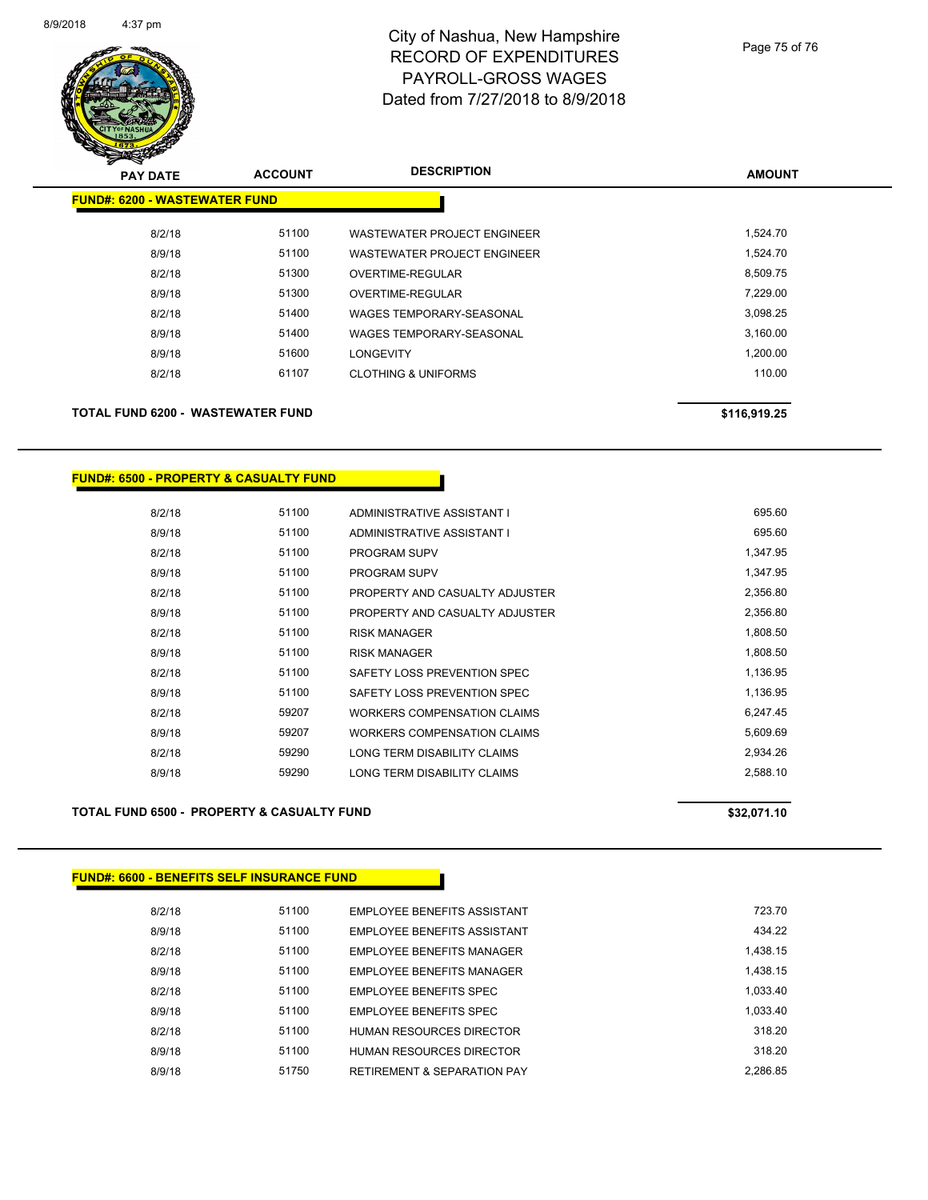

# City of Nashua, New Hampshire RECORD OF EXPENDITURES PAYROLL-GROSS WAGES Dated from 7/27/2018 to 8/9/2018

### Page 75 of 76

| <b>PAY DATE</b>                      | <b>ACCOUNT</b> | <b>DESCRIPTION</b>                 | <b>AMOUNT</b> |
|--------------------------------------|----------------|------------------------------------|---------------|
| <b>FUND#: 6200 - WASTEWATER FUND</b> |                |                                    |               |
| 8/2/18                               | 51100          | <b>WASTEWATER PROJECT ENGINEER</b> | 1,524.70      |
| 8/9/18                               | 51100          | WASTEWATER PROJECT ENGINEER        | 1,524.70      |
| 8/2/18                               | 51300          | OVERTIME-REGULAR                   | 8,509.75      |
| 8/9/18                               | 51300          | OVERTIME-REGULAR                   | 7,229.00      |
| 8/2/18                               | 51400          | WAGES TEMPORARY-SEASONAL           | 3,098.25      |
| 8/9/18                               | 51400          | WAGES TEMPORARY-SEASONAL           | 3,160.00      |
| 8/9/18                               | 51600          | <b>LONGEVITY</b>                   | 1,200.00      |
| 8/2/18                               | 61107          | <b>CLOTHING &amp; UNIFORMS</b>     | 110.00        |
| TOTAL FUND 6200 - WASTEWATER FUND    |                |                                    | \$116,919.25  |

## **FUND#: 6500 - PROPERTY & CASUALTY FUND**

| 8/2/18 | 51100 | ADMINISTRATIVE ASSISTANT I         | 695.60   |
|--------|-------|------------------------------------|----------|
| 8/9/18 | 51100 | ADMINISTRATIVE ASSISTANT I         | 695.60   |
| 8/2/18 | 51100 | <b>PROGRAM SUPV</b>                | 1.347.95 |
| 8/9/18 | 51100 | PROGRAM SUPV                       | 1,347.95 |
| 8/2/18 | 51100 | PROPERTY AND CASUALTY ADJUSTER     | 2.356.80 |
| 8/9/18 | 51100 | PROPERTY AND CASUALTY ADJUSTER     | 2,356.80 |
| 8/2/18 | 51100 | <b>RISK MANAGER</b>                | 1,808.50 |
| 8/9/18 | 51100 | <b>RISK MANAGER</b>                | 1.808.50 |
| 8/2/18 | 51100 | SAFETY LOSS PREVENTION SPEC        | 1,136.95 |
| 8/9/18 | 51100 | SAFETY LOSS PREVENTION SPEC        | 1,136.95 |
| 8/2/18 | 59207 | WORKERS COMPENSATION CLAIMS        | 6,247.45 |
| 8/9/18 | 59207 | <b>WORKERS COMPENSATION CLAIMS</b> | 5,609.69 |
| 8/2/18 | 59290 | LONG TERM DISABILITY CLAIMS        | 2.934.26 |
| 8/9/18 | 59290 | LONG TERM DISABILITY CLAIMS        | 2.588.10 |
|        |       |                                    |          |

### **TOTAL FUND 6500 - PROPERTY & CASUALTY FUND \$32,071.10**

## **FUND#: 6600 - BENEFITS SELF INSURANCE FUND**

| 8/2/18 | 51100 | EMPLOYEE BENEFITS ASSISTANT            | 723.70   |
|--------|-------|----------------------------------------|----------|
| 8/9/18 | 51100 | EMPLOYEE BENEFITS ASSISTANT            | 434.22   |
| 8/2/18 | 51100 | <b>EMPLOYEE BENEEITS MANAGER</b>       | 1.438.15 |
| 8/9/18 | 51100 | <b>EMPLOYEE BENEFITS MANAGER</b>       | 1.438.15 |
| 8/2/18 | 51100 | EMPLOYEE BENEFITS SPEC                 | 1.033.40 |
| 8/9/18 | 51100 | EMPLOYEE BENEFITS SPEC                 | 1.033.40 |
| 8/2/18 | 51100 | HUMAN RESOURCES DIRECTOR               | 318.20   |
| 8/9/18 | 51100 | HUMAN RESOURCES DIRECTOR               | 318 20   |
| 8/9/18 | 51750 | <b>RETIREMENT &amp; SEPARATION PAY</b> | 2.286.85 |